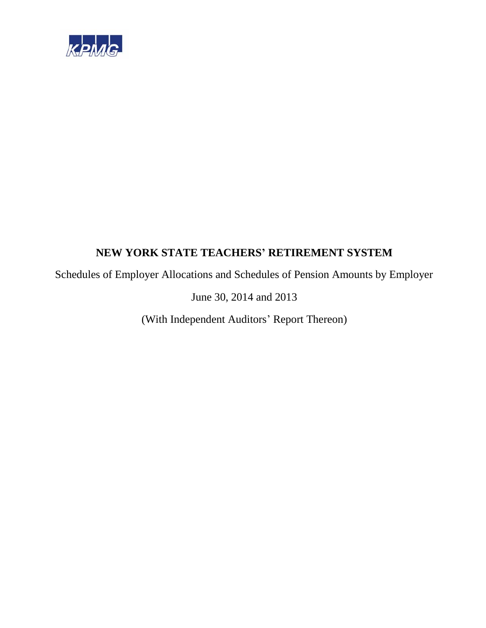

Schedules of Employer Allocations and Schedules of Pension Amounts by Employer

June 30, 2014 and 2013

(With Independent Auditors' Report Thereon)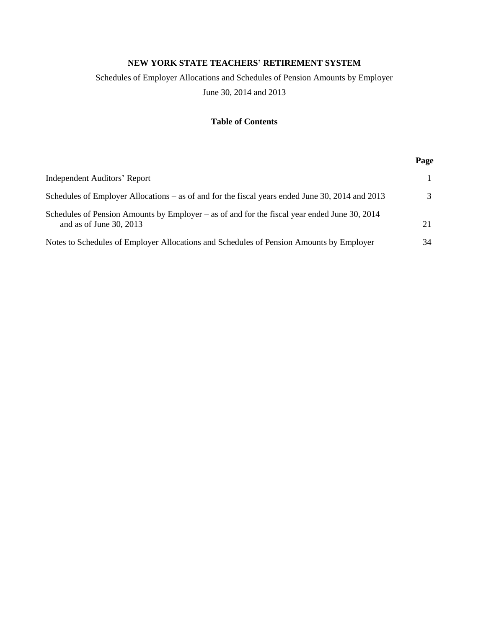# Schedules of Employer Allocations and Schedules of Pension Amounts by Employer

June 30, 2014 and 2013

# **Table of Contents**

|                                                                                                                           | Page |
|---------------------------------------------------------------------------------------------------------------------------|------|
| <b>Independent Auditors' Report</b>                                                                                       |      |
| Schedules of Employer Allocations – as of and for the fiscal years ended June 30, 2014 and 2013                           |      |
| Schedules of Pension Amounts by Employer – as of and for the fiscal year ended June 30, 2014<br>and as of June $30, 2013$ | 21   |
| Notes to Schedules of Employer Allocations and Schedules of Pension Amounts by Employer                                   | 34   |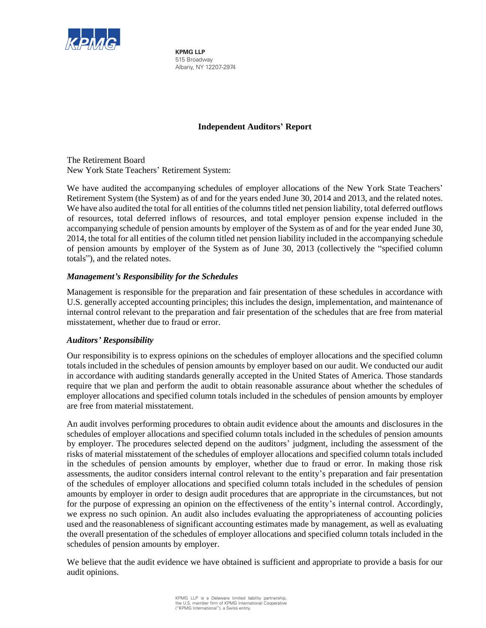

**KPMG LLP** 515 Broadway Albany, NY 12207-2974

# **Independent Auditors' Report**

The Retirement Board New York State Teachers' Retirement System:

We have audited the accompanying schedules of employer allocations of the New York State Teachers' Retirement System (the System) as of and for the years ended June 30, 2014 and 2013, and the related notes. We have also audited the total for all entities of the columns titled net pension liability, total deferred outflows of resources, total deferred inflows of resources, and total employer pension expense included in the accompanying schedule of pension amounts by employer of the System as of and for the year ended June 30, 2014, the total for all entities of the column titled net pension liability included in the accompanying schedule of pension amounts by employer of the System as of June 30, 2013 (collectively the "specified column totals"), and the related notes.

# *Management's Responsibility for the Schedules*

Management is responsible for the preparation and fair presentation of these schedules in accordance with U.S. generally accepted accounting principles; this includes the design, implementation, and maintenance of internal control relevant to the preparation and fair presentation of the schedules that are free from material misstatement, whether due to fraud or error.

# *Auditors' Responsibility*

Our responsibility is to express opinions on the schedules of employer allocations and the specified column totals included in the schedules of pension amounts by employer based on our audit. We conducted our audit in accordance with auditing standards generally accepted in the United States of America. Those standards require that we plan and perform the audit to obtain reasonable assurance about whether the schedules of employer allocations and specified column totals included in the schedules of pension amounts by employer are free from material misstatement.

An audit involves performing procedures to obtain audit evidence about the amounts and disclosures in the schedules of employer allocations and specified column totals included in the schedules of pension amounts by employer. The procedures selected depend on the auditors' judgment, including the assessment of the risks of material misstatement of the schedules of employer allocations and specified column totals included in the schedules of pension amounts by employer, whether due to fraud or error. In making those risk assessments, the auditor considers internal control relevant to the entity's preparation and fair presentation of the schedules of employer allocations and specified column totals included in the schedules of pension amounts by employer in order to design audit procedures that are appropriate in the circumstances, but not for the purpose of expressing an opinion on the effectiveness of the entity's internal control. Accordingly, we express no such opinion. An audit also includes evaluating the appropriateness of accounting policies used and the reasonableness of significant accounting estimates made by management, as well as evaluating the overall presentation of the schedules of employer allocations and specified column totals included in the schedules of pension amounts by employer.

We believe that the audit evidence we have obtained is sufficient and appropriate to provide a basis for our audit opinions.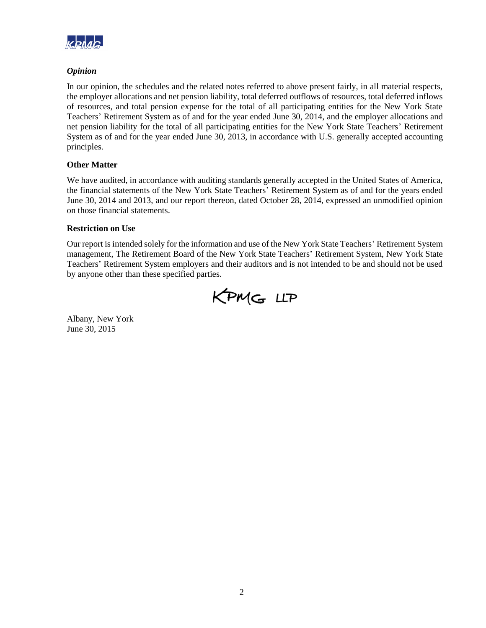

# *Opinion*

In our opinion, the schedules and the related notes referred to above present fairly, in all material respects, the employer allocations and net pension liability, total deferred outflows of resources, total deferred inflows of resources, and total pension expense for the total of all participating entities for the New York State Teachers' Retirement System as of and for the year ended June 30, 2014, and the employer allocations and net pension liability for the total of all participating entities for the New York State Teachers' Retirement System as of and for the year ended June 30, 2013, in accordance with U.S. generally accepted accounting principles.

# **Other Matter**

We have audited, in accordance with auditing standards generally accepted in the United States of America, the financial statements of the New York State Teachers' Retirement System as of and for the years ended June 30, 2014 and 2013, and our report thereon, dated October 28, 2014, expressed an unmodified opinion on those financial statements.

# **Restriction on Use**

Our report is intended solely for the information and use of the New York State Teachers' Retirement System management, The Retirement Board of the New York State Teachers' Retirement System, New York State Teachers' Retirement System employers and their auditors and is not intended to be and should not be used by anyone other than these specified parties.

KPMG LLP

Albany, New York June 30, 2015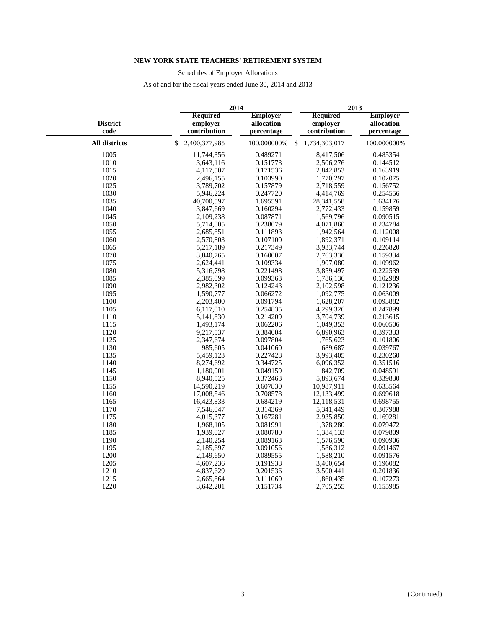Schedules of Employer Allocations

|                         | 2014 |                                             |                                             | 2013 |                                             |                                             |
|-------------------------|------|---------------------------------------------|---------------------------------------------|------|---------------------------------------------|---------------------------------------------|
| <b>District</b><br>code |      | <b>Required</b><br>employer<br>contribution | <b>Employer</b><br>allocation<br>percentage |      | <b>Required</b><br>employer<br>contribution | <b>Employer</b><br>allocation<br>percentage |
| All districts           | \$   | 2,400,377,985                               | 100.000000%                                 | \$.  | 1,734,303,017                               | 100.000000%                                 |
| 1005                    |      | 11,744,356                                  | 0.489271                                    |      | 8,417,506                                   | 0.485354                                    |
| 1010                    |      | 3,643,116                                   | 0.151773                                    |      | 2,506,276                                   | 0.144512                                    |
| 1015                    |      | 4,117,507                                   | 0.171536                                    |      | 2,842,853                                   | 0.163919                                    |
| 1020                    |      | 2,496,155                                   | 0.103990                                    |      | 1,770,297                                   | 0.102075                                    |
| 1025                    |      | 3,789,702                                   | 0.157879                                    |      | 2,718,559                                   | 0.156752                                    |
| 1030                    |      | 5,946,224                                   | 0.247720                                    |      | 4,414,769                                   | 0.254556                                    |
| 1035                    |      | 40,700,597                                  | 1.695591                                    |      | 28, 341, 558                                | 1.634176                                    |
| 1040                    |      | 3,847,669                                   | 0.160294                                    |      | 2,772,433                                   | 0.159859                                    |
| 1045                    |      | 2,109,238                                   | 0.087871                                    |      | 1,569,796                                   | 0.090515                                    |
| 1050                    |      | 5,714,805                                   | 0.238079                                    |      | 4,071,860                                   | 0.234784                                    |
| 1055                    |      | 2,685,851                                   | 0.111893                                    |      | 1,942,564                                   | 0.112008                                    |
| 1060                    |      | 2,570,803                                   | 0.107100                                    |      | 1,892,371                                   | 0.109114                                    |
| 1065                    |      | 5,217,189                                   | 0.217349                                    |      | 3,933,744                                   | 0.226820                                    |
| 1070                    |      | 3,840,765                                   | 0.160007                                    |      | 2,763,336                                   | 0.159334                                    |
| 1075                    |      | 2,624,441                                   | 0.109334                                    |      | 1,907,080                                   | 0.109962                                    |
| 1080                    |      | 5,316,798                                   | 0.221498                                    |      | 3,859,497                                   | 0.222539                                    |
| 1085                    |      | 2,385,099                                   | 0.099363                                    |      | 1,786,136                                   | 0.102989                                    |
| 1090                    |      | 2,982,302                                   | 0.124243                                    |      | 2,102,598                                   | 0.121236                                    |
| 1095                    |      | 1,590,777                                   | 0.066272                                    |      | 1,092,775                                   | 0.063009                                    |
| 1100                    |      | 2,203,400                                   | 0.091794                                    |      | 1,628,207                                   | 0.093882                                    |
| 1105                    |      | 6,117,010                                   | 0.254835                                    |      | 4,299,326                                   | 0.247899                                    |
| 1110                    |      | 5,141,830                                   | 0.214209                                    |      | 3,704,739                                   | 0.213615                                    |
| 1115                    |      | 1,493,174                                   | 0.062206                                    |      | 1,049,353                                   | 0.060506                                    |
| 1120                    |      | 9,217,537                                   | 0.384004                                    |      | 6,890,963                                   | 0.397333                                    |
| 1125                    |      | 2,347,674                                   | 0.097804                                    |      | 1,765,623                                   | 0.101806                                    |
| 1130                    |      | 985,605                                     | 0.041060                                    |      | 689,687                                     | 0.039767                                    |
| 1135                    |      | 5,459,123                                   | 0.227428                                    |      | 3,993,405                                   | 0.230260                                    |
| 1140                    |      | 8,274,692                                   | 0.344725                                    |      | 6,096,352                                   | 0.351516                                    |
| 1145                    |      | 1,180,001                                   | 0.049159                                    |      | 842,709                                     | 0.048591                                    |
| 1150                    |      | 8,940,525                                   | 0.372463                                    |      | 5,893,674                                   | 0.339830                                    |
| 1155                    |      | 14,590,219                                  | 0.607830                                    |      | 10,987,911                                  | 0.633564                                    |
| 1160                    |      | 17,008,546                                  | 0.708578                                    |      | 12,133,499                                  | 0.699618                                    |
| 1165                    |      | 16,423,833                                  | 0.684219                                    |      | 12,118,531                                  | 0.698755                                    |
| 1170                    |      | 7,546,047                                   | 0.314369                                    |      | 5,341,449                                   | 0.307988                                    |
| 1175                    |      | 4,015,377                                   | 0.167281                                    |      | 2,935,850                                   | 0.169281                                    |
| 1180                    |      | 1,968,105                                   | 0.081991                                    |      | 1,378,280                                   | 0.079472                                    |
| 1185                    |      | 1,939,027                                   | 0.080780                                    |      | 1,384,133                                   | 0.079809                                    |
| 1190                    |      | 2,140,254                                   | 0.089163                                    |      | 1,576,590                                   | 0.090906                                    |
| 1195                    |      | 2,185,697                                   | 0.091056                                    |      | 1,586,312                                   | 0.091467                                    |
| 1200                    |      | 2,149,650                                   | 0.089555                                    |      | 1,588,210                                   | 0.091576                                    |
| 1205                    |      | 4,607,236                                   | 0.191938                                    |      | 3,400,654                                   | 0.196082                                    |
| 1210                    |      | 4,837,629                                   | 0.201536                                    |      | 3,500,441                                   | 0.201836                                    |
| 1215                    |      | 2,665,864                                   | 0.111060                                    |      | 1,860,435                                   | 0.107273                                    |
| 1220                    |      | 3,642,201                                   | 0.151734                                    |      | 2,705,255                                   | 0.155985                                    |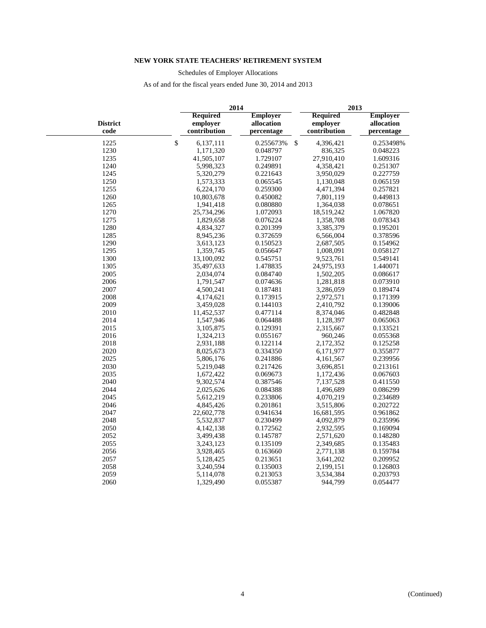Schedules of Employer Allocations

|                         |                                             | 2014                                        | 2013                                        |                                             |  |  |
|-------------------------|---------------------------------------------|---------------------------------------------|---------------------------------------------|---------------------------------------------|--|--|
| <b>District</b><br>code | <b>Required</b><br>employer<br>contribution | <b>Employer</b><br>allocation<br>percentage | <b>Required</b><br>employer<br>contribution | <b>Employer</b><br>allocation<br>percentage |  |  |
| 1225                    | \$<br>6,137,111                             | 0.255673%                                   | $\mathcal{S}$<br>4,396,421                  | 0.253498%                                   |  |  |
| 1230                    | 1,171,320                                   | 0.048797                                    | 836,325                                     | 0.048223                                    |  |  |
| 1235                    | 41,505,107                                  | 1.729107                                    | 27,910,410                                  | 1.609316                                    |  |  |
| 1240                    | 5,998,323                                   | 0.249891                                    | 4,358,421                                   | 0.251307                                    |  |  |
| 1245                    | 5,320,279                                   | 0.221643                                    | 3,950,029                                   | 0.227759                                    |  |  |
| 1250                    | 1,573,333                                   | 0.065545                                    | 1,130,048                                   | 0.065159                                    |  |  |
| 1255                    | 6,224,170                                   | 0.259300                                    | 4,471,394                                   | 0.257821                                    |  |  |
| 1260                    | 10,803,678                                  | 0.450082                                    | 7,801,119                                   | 0.449813                                    |  |  |
| 1265                    | 1,941,418                                   | 0.080880                                    | 1,364,038                                   | 0.078651                                    |  |  |
| 1270                    | 25,734,296                                  | 1.072093                                    | 18,519,242                                  | 1.067820                                    |  |  |
| 1275                    | 1,829,658                                   | 0.076224                                    | 1,358,708                                   | 0.078343                                    |  |  |
| 1280                    | 4,834,327                                   | 0.201399                                    | 3,385,379                                   | 0.195201                                    |  |  |
| 1285                    | 8,945,236                                   | 0.372659                                    | 6,566,004                                   | 0.378596                                    |  |  |
| 1290                    | 3,613,123                                   | 0.150523                                    | 2,687,505                                   | 0.154962                                    |  |  |
| 1295                    | 1,359,745                                   | 0.056647                                    | 1,008,091                                   | 0.058127                                    |  |  |
| 1300                    | 13,100,092                                  | 0.545751                                    | 9,523,761                                   | 0.549141                                    |  |  |
| 1305                    | 35,497,633                                  | 1.478835                                    | 24,975,193                                  | 1.440071                                    |  |  |
| 2005                    | 2,034,074                                   | 0.084740                                    | 1,502,205                                   | 0.086617                                    |  |  |
| 2006                    | 1,791,547                                   | 0.074636                                    | 1,281,818                                   | 0.073910                                    |  |  |
| 2007                    | 4,500,241                                   | 0.187481                                    | 3,286,059                                   | 0.189474                                    |  |  |
| 2008                    | 4,174,621                                   | 0.173915                                    | 2,972,571                                   | 0.171399                                    |  |  |
| 2009                    | 3,459,028                                   | 0.144103                                    | 2,410,792                                   | 0.139006                                    |  |  |
| 2010                    | 11,452,537                                  | 0.477114                                    | 8,374,046                                   | 0.482848                                    |  |  |
| 2014                    | 1,547,946                                   | 0.064488                                    | 1,128,397                                   | 0.065063                                    |  |  |
| 2015                    | 3,105,875                                   | 0.129391                                    | 2,315,667                                   | 0.133521                                    |  |  |
| 2016                    | 1,324,213                                   | 0.055167                                    | 960,246                                     | 0.055368                                    |  |  |
| 2018                    | 2,931,188                                   | 0.122114                                    | 2,172,352                                   | 0.125258                                    |  |  |
| 2020                    | 8,025,673                                   | 0.334350                                    | 6,171,977                                   | 0.355877                                    |  |  |
| 2025                    | 5,806,176                                   | 0.241886                                    | 4,161,567                                   | 0.239956                                    |  |  |
| 2030                    | 5,219,048                                   | 0.217426                                    | 3,696,851                                   | 0.213161                                    |  |  |
| 2035                    | 1,672,422                                   | 0.069673                                    | 1,172,436                                   | 0.067603                                    |  |  |
| 2040                    | 9,302,574                                   | 0.387546                                    | 7,137,528                                   | 0.411550                                    |  |  |
| 2044                    | 2,025,626                                   | 0.084388                                    | 1,496,689                                   | 0.086299                                    |  |  |
| 2045                    | 5,612,219                                   | 0.233806                                    | 4,070,219                                   | 0.234689                                    |  |  |
| 2046                    | 4,845,426                                   | 0.201861                                    | 3,515,806                                   | 0.202722                                    |  |  |
| 2047                    | 22,602,778                                  | 0.941634                                    | 16,681,595                                  | 0.961862                                    |  |  |
| 2048                    | 5,532,837                                   | 0.230499                                    | 4,092,879                                   | 0.235996                                    |  |  |
| 2050                    | 4,142,138                                   | 0.172562                                    | 2,932,595                                   | 0.169094                                    |  |  |
| 2052                    | 3,499,438                                   | 0.145787                                    | 2,571,620                                   | 0.148280                                    |  |  |
| 2055                    | 3,243,123                                   | 0.135109                                    | 2,349,685                                   | 0.135483                                    |  |  |
| 2056                    | 3,928,465                                   | 0.163660                                    | 2,771,138                                   | 0.159784                                    |  |  |
| 2057                    | 5,128,425                                   | 0.213651                                    | 3,641,202                                   | 0.209952                                    |  |  |
| 2058                    | 3,240,594                                   | 0.135003                                    | 2,199,151                                   | 0.126803                                    |  |  |
| 2059                    | 5,114,078                                   | 0.213053                                    | 3,534,384                                   | 0.203793                                    |  |  |
| 2060                    | 1,329,490                                   | 0.055387                                    | 944,799                                     | 0.054477                                    |  |  |
|                         |                                             |                                             |                                             |                                             |  |  |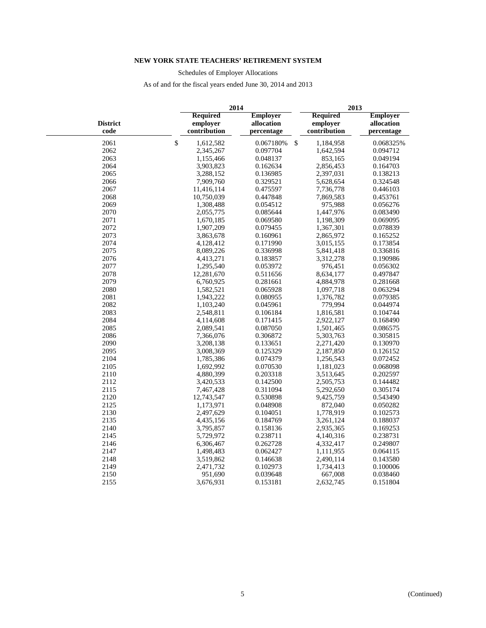Schedules of Employer Allocations

|                         |                                             | 2014                                        | 2013                                        |                                             |
|-------------------------|---------------------------------------------|---------------------------------------------|---------------------------------------------|---------------------------------------------|
| <b>District</b><br>code | <b>Required</b><br>employer<br>contribution | <b>Employer</b><br>allocation<br>percentage | <b>Required</b><br>employer<br>contribution | <b>Employer</b><br>allocation<br>percentage |
| 2061                    | $\mathbb{S}$<br>1,612,582                   | $\mathsf{\$}$<br>0.067180%                  | 1,184,958                                   | 0.068325%                                   |
| 2062                    | 2,345,267                                   | 0.097704                                    | 1,642,594                                   | 0.094712                                    |
| 2063                    | 1,155,466                                   | 0.048137                                    | 853,165                                     | 0.049194                                    |
| 2064                    | 3,903,823                                   | 0.162634                                    | 2,856,453                                   | 0.164703                                    |
| 2065                    | 3,288,152                                   | 0.136985                                    | 2,397,031                                   | 0.138213                                    |
| 2066                    | 7,909,760                                   | 0.329521                                    | 5,628,654                                   | 0.324548                                    |
| 2067                    | 11,416,114                                  | 0.475597                                    | 7,736,778                                   | 0.446103                                    |
| 2068                    | 10,750,039                                  | 0.447848                                    | 7,869,583                                   | 0.453761                                    |
| 2069                    | 1,308,488                                   | 0.054512                                    | 975,988                                     | 0.056276                                    |
| 2070                    | 2,055,775                                   | 0.085644                                    | 1,447,976                                   | 0.083490                                    |
| 2071                    | 1,670,185                                   | 0.069580                                    | 1,198,309                                   | 0.069095                                    |
| 2072                    | 1,907,209                                   | 0.079455                                    | 1,367,301                                   | 0.078839                                    |
| 2073                    | 3,863,678                                   | 0.160961                                    | 2,865,972                                   | 0.165252                                    |
| 2074                    | 4,128,412                                   | 0.171990                                    | 3,015,155                                   | 0.173854                                    |
| 2075                    | 8,089,226                                   | 0.336998                                    | 5,841,418                                   | 0.336816                                    |
| 2076                    | 4,413,271                                   | 0.183857                                    | 3,312,278                                   | 0.190986                                    |
| 2077                    | 1,295,540                                   | 0.053972                                    | 976,451                                     | 0.056302                                    |
| 2078                    | 12,281,670                                  | 0.511656                                    | 8,634,177                                   | 0.497847                                    |
| 2079                    | 6,760,925                                   | 0.281661                                    | 4,884,978                                   | 0.281668                                    |
| 2080                    | 1,582,521                                   | 0.065928                                    | 1,097,718                                   | 0.063294                                    |
| 2081                    | 1,943,222                                   | 0.080955                                    | 1,376,782                                   | 0.079385                                    |
| 2082                    | 1,103,240                                   | 0.045961                                    | 779,994                                     | 0.044974                                    |
| 2083                    | 2,548,811                                   | 0.106184                                    | 1,816,581                                   | 0.104744                                    |
| 2084                    | 4,114,608                                   | 0.171415                                    | 2,922,127                                   | 0.168490                                    |
| 2085                    | 2,089,541                                   | 0.087050                                    | 1,501,465                                   | 0.086575                                    |
| 2086                    | 7,366,076                                   | 0.306872                                    | 5,303,763                                   | 0.305815                                    |
| 2090                    | 3,208,138                                   | 0.133651                                    | 2,271,420                                   | 0.130970                                    |
| 2095                    | 3,008,369                                   | 0.125329                                    | 2,187,850                                   | 0.126152                                    |
| 2104                    | 1,785,386                                   | 0.074379                                    | 1,256,543                                   | 0.072452                                    |
| 2105                    | 1,692,992                                   | 0.070530                                    | 1,181,023                                   | 0.068098                                    |
| 2110                    | 4,880,399                                   | 0.203318                                    | 3,513,645                                   | 0.202597                                    |
| 2112                    | 3,420,533                                   | 0.142500                                    | 2,505,753                                   | 0.144482                                    |
| 2115                    | 7,467,428                                   | 0.311094                                    | 5,292,650                                   | 0.305174                                    |
| 2120                    | 12,743,547                                  | 0.530898                                    | 9,425,759                                   | 0.543490                                    |
| 2125                    | 1,173,971                                   | 0.048908                                    | 872,040                                     | 0.050282                                    |
| 2130                    | 2,497,629                                   | 0.104051                                    | 1,778,919                                   | 0.102573                                    |
| 2135                    | 4,435,156                                   | 0.184769                                    | 3,261,124                                   | 0.188037                                    |
| 2140                    | 3,795,857                                   | 0.158136                                    | 2,935,365                                   | 0.169253                                    |
| 2145                    | 5,729,972                                   | 0.238711                                    | 4,140,316                                   | 0.238731                                    |
| 2146                    | 6,306,467                                   | 0.262728                                    | 4,332,417                                   | 0.249807                                    |
| 2147                    | 1,498,483                                   | 0.062427                                    | 1,111,955                                   | 0.064115                                    |
| 2148                    | 3,519,862                                   | 0.146638                                    | 2,490,114                                   | 0.143580                                    |
| 2149                    | 2,471,732                                   | 0.102973                                    | 1,734,413                                   | 0.100006                                    |
| 2150                    | 951,690                                     | 0.039648                                    | 667,008                                     | 0.038460                                    |
| 2155                    | 3,676,931                                   | 0.153181                                    | 2,632,745                                   | 0.151804                                    |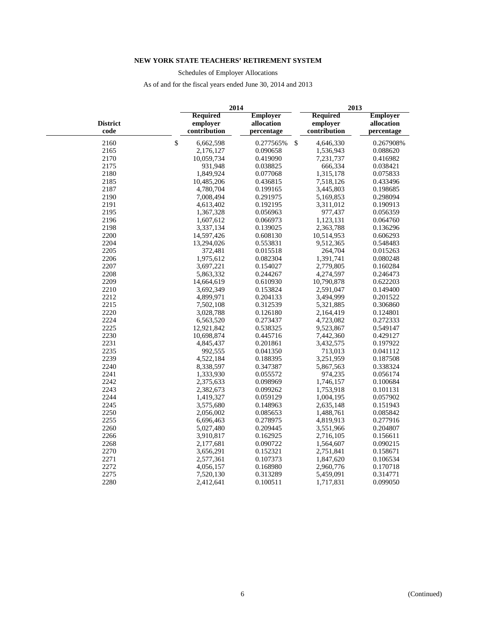Schedules of Employer Allocations

| <b>Required</b><br><b>Employer</b><br><b>Required</b><br><b>District</b><br>employer<br>allocation<br>employer<br>$\mathbf{code}$<br>contribution<br>contribution<br>percentage<br>$\mathbb{S}$<br>\$<br>2160<br>6,662,598<br>0.277565%<br>4,646,330<br>2165<br>2,176,127<br>0.090658<br>1,536,943<br>2170<br>10,059,734<br>0.419090<br>7,231,737<br>0.416982<br>2175<br>931,948<br>0.038825<br>666,334<br>0.038421<br>2180<br>1,315,178<br>1,849,924<br>0.077068<br>2185<br>10,485,206<br>0.436815<br>7,518,126<br>2187<br>4,780,704<br>0.199165<br>3,445,803<br>2190<br>7,008,494<br>0.291975<br>5,169,853<br>2191<br>0.192195<br>3,311,012<br>0.190913<br>4,613,402<br>2195<br>0.056963<br>977,437<br>1,367,328<br>2196<br>1,607,612<br>0.066973<br>1,123,131<br>2198<br>3,337,134<br>0.139025<br>2,363,788<br>2200<br>14,597,426<br>0.608130<br>10,514,953<br>2204<br>13,294,026<br>0.553831<br>9,512,365<br>2205<br>372,481<br>0.015518<br>264,704<br>2206<br>0.082304<br>1,391,741<br>1,975,612<br>2207<br>2,779,805<br>3,697,221<br>0.154027<br>2208<br>5,863,332<br>0.244267<br>4,274,597<br>2209<br>10,790,878<br>14,664,619<br>0.610930<br>0.622203<br>2210<br>3,692,349<br>0.153824<br>2,591,047<br>2212<br>4,899,971<br>0.204133<br>3,494,999<br>2215<br>0.312539<br>7,502,108<br>5,321,885<br>2220<br>3,028,788<br>0.126180<br>2,164,419<br>0.124801<br>2224<br>6,563,520<br>0.273437<br>4,723,082<br>2225<br>12,921,842<br>0.538325<br>9,523,867<br>2230<br>10,698,874<br>0.445716<br>7,442,360<br>2231<br>0.201861<br>3,432,575<br>4,845,437<br>2235<br>992,555<br>0.041350<br>713,013<br>2239<br>4,522,184<br>0.188395<br>3,251,959<br>2240<br>8,338,597<br>0.347387<br>5,867,563<br>2241<br>1,333,930<br>0.055572<br>974,235<br>2242<br>1,746,157<br>2,375,633<br>0.098969<br>2243<br>2,382,673<br>0.099262<br>1,753,918<br>0.101131<br>2244<br>1,419,327<br>0.059129<br>1,004,195<br>2245<br>3,575,680<br>0.148963<br>2,635,148<br>2250<br>1,488,761<br>2,056,002<br>0.085653<br>2255<br>0.278975<br>4,819,913<br>6,696,463<br>2260<br>5,027,480<br>0.209445<br>3,551,966<br>2266<br>3,910,817<br>0.162925<br>2,716,105<br>0.156611<br>2268<br>0.090722<br>1,564,607<br>2,177,681<br>2270<br>0.152321<br>3,656,291<br>2,751,841<br>0.158671<br>2271<br>0.107373<br>2,577,361<br>1,847,620<br>2272<br>0.168980<br>4,056,157<br>2,960,776 |      | 2014      |          | 2013 |           |                                             |  |
|-----------------------------------------------------------------------------------------------------------------------------------------------------------------------------------------------------------------------------------------------------------------------------------------------------------------------------------------------------------------------------------------------------------------------------------------------------------------------------------------------------------------------------------------------------------------------------------------------------------------------------------------------------------------------------------------------------------------------------------------------------------------------------------------------------------------------------------------------------------------------------------------------------------------------------------------------------------------------------------------------------------------------------------------------------------------------------------------------------------------------------------------------------------------------------------------------------------------------------------------------------------------------------------------------------------------------------------------------------------------------------------------------------------------------------------------------------------------------------------------------------------------------------------------------------------------------------------------------------------------------------------------------------------------------------------------------------------------------------------------------------------------------------------------------------------------------------------------------------------------------------------------------------------------------------------------------------------------------------------------------------------------------------------------------------------------------------------------------------------------------------------------------------------------------------------------------------------------------------------------------------------------------------------------------------------------------------------------------------------|------|-----------|----------|------|-----------|---------------------------------------------|--|
|                                                                                                                                                                                                                                                                                                                                                                                                                                                                                                                                                                                                                                                                                                                                                                                                                                                                                                                                                                                                                                                                                                                                                                                                                                                                                                                                                                                                                                                                                                                                                                                                                                                                                                                                                                                                                                                                                                                                                                                                                                                                                                                                                                                                                                                                                                                                                           |      |           |          |      |           | <b>Employer</b><br>allocation<br>percentage |  |
|                                                                                                                                                                                                                                                                                                                                                                                                                                                                                                                                                                                                                                                                                                                                                                                                                                                                                                                                                                                                                                                                                                                                                                                                                                                                                                                                                                                                                                                                                                                                                                                                                                                                                                                                                                                                                                                                                                                                                                                                                                                                                                                                                                                                                                                                                                                                                           |      |           |          |      |           | 0.267908%                                   |  |
|                                                                                                                                                                                                                                                                                                                                                                                                                                                                                                                                                                                                                                                                                                                                                                                                                                                                                                                                                                                                                                                                                                                                                                                                                                                                                                                                                                                                                                                                                                                                                                                                                                                                                                                                                                                                                                                                                                                                                                                                                                                                                                                                                                                                                                                                                                                                                           |      |           |          |      |           | 0.088620                                    |  |
|                                                                                                                                                                                                                                                                                                                                                                                                                                                                                                                                                                                                                                                                                                                                                                                                                                                                                                                                                                                                                                                                                                                                                                                                                                                                                                                                                                                                                                                                                                                                                                                                                                                                                                                                                                                                                                                                                                                                                                                                                                                                                                                                                                                                                                                                                                                                                           |      |           |          |      |           |                                             |  |
|                                                                                                                                                                                                                                                                                                                                                                                                                                                                                                                                                                                                                                                                                                                                                                                                                                                                                                                                                                                                                                                                                                                                                                                                                                                                                                                                                                                                                                                                                                                                                                                                                                                                                                                                                                                                                                                                                                                                                                                                                                                                                                                                                                                                                                                                                                                                                           |      |           |          |      |           |                                             |  |
|                                                                                                                                                                                                                                                                                                                                                                                                                                                                                                                                                                                                                                                                                                                                                                                                                                                                                                                                                                                                                                                                                                                                                                                                                                                                                                                                                                                                                                                                                                                                                                                                                                                                                                                                                                                                                                                                                                                                                                                                                                                                                                                                                                                                                                                                                                                                                           |      |           |          |      |           | 0.075833                                    |  |
|                                                                                                                                                                                                                                                                                                                                                                                                                                                                                                                                                                                                                                                                                                                                                                                                                                                                                                                                                                                                                                                                                                                                                                                                                                                                                                                                                                                                                                                                                                                                                                                                                                                                                                                                                                                                                                                                                                                                                                                                                                                                                                                                                                                                                                                                                                                                                           |      |           |          |      |           | 0.433496                                    |  |
|                                                                                                                                                                                                                                                                                                                                                                                                                                                                                                                                                                                                                                                                                                                                                                                                                                                                                                                                                                                                                                                                                                                                                                                                                                                                                                                                                                                                                                                                                                                                                                                                                                                                                                                                                                                                                                                                                                                                                                                                                                                                                                                                                                                                                                                                                                                                                           |      |           |          |      |           | 0.198685                                    |  |
|                                                                                                                                                                                                                                                                                                                                                                                                                                                                                                                                                                                                                                                                                                                                                                                                                                                                                                                                                                                                                                                                                                                                                                                                                                                                                                                                                                                                                                                                                                                                                                                                                                                                                                                                                                                                                                                                                                                                                                                                                                                                                                                                                                                                                                                                                                                                                           |      |           |          |      |           | 0.298094                                    |  |
|                                                                                                                                                                                                                                                                                                                                                                                                                                                                                                                                                                                                                                                                                                                                                                                                                                                                                                                                                                                                                                                                                                                                                                                                                                                                                                                                                                                                                                                                                                                                                                                                                                                                                                                                                                                                                                                                                                                                                                                                                                                                                                                                                                                                                                                                                                                                                           |      |           |          |      |           |                                             |  |
|                                                                                                                                                                                                                                                                                                                                                                                                                                                                                                                                                                                                                                                                                                                                                                                                                                                                                                                                                                                                                                                                                                                                                                                                                                                                                                                                                                                                                                                                                                                                                                                                                                                                                                                                                                                                                                                                                                                                                                                                                                                                                                                                                                                                                                                                                                                                                           |      |           |          |      |           | 0.056359                                    |  |
|                                                                                                                                                                                                                                                                                                                                                                                                                                                                                                                                                                                                                                                                                                                                                                                                                                                                                                                                                                                                                                                                                                                                                                                                                                                                                                                                                                                                                                                                                                                                                                                                                                                                                                                                                                                                                                                                                                                                                                                                                                                                                                                                                                                                                                                                                                                                                           |      |           |          |      |           | 0.064760                                    |  |
|                                                                                                                                                                                                                                                                                                                                                                                                                                                                                                                                                                                                                                                                                                                                                                                                                                                                                                                                                                                                                                                                                                                                                                                                                                                                                                                                                                                                                                                                                                                                                                                                                                                                                                                                                                                                                                                                                                                                                                                                                                                                                                                                                                                                                                                                                                                                                           |      |           |          |      |           | 0.136296                                    |  |
|                                                                                                                                                                                                                                                                                                                                                                                                                                                                                                                                                                                                                                                                                                                                                                                                                                                                                                                                                                                                                                                                                                                                                                                                                                                                                                                                                                                                                                                                                                                                                                                                                                                                                                                                                                                                                                                                                                                                                                                                                                                                                                                                                                                                                                                                                                                                                           |      |           |          |      |           | 0.606293                                    |  |
|                                                                                                                                                                                                                                                                                                                                                                                                                                                                                                                                                                                                                                                                                                                                                                                                                                                                                                                                                                                                                                                                                                                                                                                                                                                                                                                                                                                                                                                                                                                                                                                                                                                                                                                                                                                                                                                                                                                                                                                                                                                                                                                                                                                                                                                                                                                                                           |      |           |          |      |           | 0.548483                                    |  |
|                                                                                                                                                                                                                                                                                                                                                                                                                                                                                                                                                                                                                                                                                                                                                                                                                                                                                                                                                                                                                                                                                                                                                                                                                                                                                                                                                                                                                                                                                                                                                                                                                                                                                                                                                                                                                                                                                                                                                                                                                                                                                                                                                                                                                                                                                                                                                           |      |           |          |      |           | 0.015263                                    |  |
|                                                                                                                                                                                                                                                                                                                                                                                                                                                                                                                                                                                                                                                                                                                                                                                                                                                                                                                                                                                                                                                                                                                                                                                                                                                                                                                                                                                                                                                                                                                                                                                                                                                                                                                                                                                                                                                                                                                                                                                                                                                                                                                                                                                                                                                                                                                                                           |      |           |          |      |           | 0.080248                                    |  |
|                                                                                                                                                                                                                                                                                                                                                                                                                                                                                                                                                                                                                                                                                                                                                                                                                                                                                                                                                                                                                                                                                                                                                                                                                                                                                                                                                                                                                                                                                                                                                                                                                                                                                                                                                                                                                                                                                                                                                                                                                                                                                                                                                                                                                                                                                                                                                           |      |           |          |      |           | 0.160284                                    |  |
|                                                                                                                                                                                                                                                                                                                                                                                                                                                                                                                                                                                                                                                                                                                                                                                                                                                                                                                                                                                                                                                                                                                                                                                                                                                                                                                                                                                                                                                                                                                                                                                                                                                                                                                                                                                                                                                                                                                                                                                                                                                                                                                                                                                                                                                                                                                                                           |      |           |          |      |           | 0.246473                                    |  |
|                                                                                                                                                                                                                                                                                                                                                                                                                                                                                                                                                                                                                                                                                                                                                                                                                                                                                                                                                                                                                                                                                                                                                                                                                                                                                                                                                                                                                                                                                                                                                                                                                                                                                                                                                                                                                                                                                                                                                                                                                                                                                                                                                                                                                                                                                                                                                           |      |           |          |      |           |                                             |  |
|                                                                                                                                                                                                                                                                                                                                                                                                                                                                                                                                                                                                                                                                                                                                                                                                                                                                                                                                                                                                                                                                                                                                                                                                                                                                                                                                                                                                                                                                                                                                                                                                                                                                                                                                                                                                                                                                                                                                                                                                                                                                                                                                                                                                                                                                                                                                                           |      |           |          |      |           | 0.149400                                    |  |
|                                                                                                                                                                                                                                                                                                                                                                                                                                                                                                                                                                                                                                                                                                                                                                                                                                                                                                                                                                                                                                                                                                                                                                                                                                                                                                                                                                                                                                                                                                                                                                                                                                                                                                                                                                                                                                                                                                                                                                                                                                                                                                                                                                                                                                                                                                                                                           |      |           |          |      |           | 0.201522                                    |  |
|                                                                                                                                                                                                                                                                                                                                                                                                                                                                                                                                                                                                                                                                                                                                                                                                                                                                                                                                                                                                                                                                                                                                                                                                                                                                                                                                                                                                                                                                                                                                                                                                                                                                                                                                                                                                                                                                                                                                                                                                                                                                                                                                                                                                                                                                                                                                                           |      |           |          |      |           | 0.306860                                    |  |
|                                                                                                                                                                                                                                                                                                                                                                                                                                                                                                                                                                                                                                                                                                                                                                                                                                                                                                                                                                                                                                                                                                                                                                                                                                                                                                                                                                                                                                                                                                                                                                                                                                                                                                                                                                                                                                                                                                                                                                                                                                                                                                                                                                                                                                                                                                                                                           |      |           |          |      |           |                                             |  |
|                                                                                                                                                                                                                                                                                                                                                                                                                                                                                                                                                                                                                                                                                                                                                                                                                                                                                                                                                                                                                                                                                                                                                                                                                                                                                                                                                                                                                                                                                                                                                                                                                                                                                                                                                                                                                                                                                                                                                                                                                                                                                                                                                                                                                                                                                                                                                           |      |           |          |      |           | 0.272333                                    |  |
|                                                                                                                                                                                                                                                                                                                                                                                                                                                                                                                                                                                                                                                                                                                                                                                                                                                                                                                                                                                                                                                                                                                                                                                                                                                                                                                                                                                                                                                                                                                                                                                                                                                                                                                                                                                                                                                                                                                                                                                                                                                                                                                                                                                                                                                                                                                                                           |      |           |          |      |           | 0.549147                                    |  |
|                                                                                                                                                                                                                                                                                                                                                                                                                                                                                                                                                                                                                                                                                                                                                                                                                                                                                                                                                                                                                                                                                                                                                                                                                                                                                                                                                                                                                                                                                                                                                                                                                                                                                                                                                                                                                                                                                                                                                                                                                                                                                                                                                                                                                                                                                                                                                           |      |           |          |      |           | 0.429127                                    |  |
|                                                                                                                                                                                                                                                                                                                                                                                                                                                                                                                                                                                                                                                                                                                                                                                                                                                                                                                                                                                                                                                                                                                                                                                                                                                                                                                                                                                                                                                                                                                                                                                                                                                                                                                                                                                                                                                                                                                                                                                                                                                                                                                                                                                                                                                                                                                                                           |      |           |          |      |           | 0.197922                                    |  |
|                                                                                                                                                                                                                                                                                                                                                                                                                                                                                                                                                                                                                                                                                                                                                                                                                                                                                                                                                                                                                                                                                                                                                                                                                                                                                                                                                                                                                                                                                                                                                                                                                                                                                                                                                                                                                                                                                                                                                                                                                                                                                                                                                                                                                                                                                                                                                           |      |           |          |      |           | 0.041112                                    |  |
|                                                                                                                                                                                                                                                                                                                                                                                                                                                                                                                                                                                                                                                                                                                                                                                                                                                                                                                                                                                                                                                                                                                                                                                                                                                                                                                                                                                                                                                                                                                                                                                                                                                                                                                                                                                                                                                                                                                                                                                                                                                                                                                                                                                                                                                                                                                                                           |      |           |          |      |           | 0.187508                                    |  |
|                                                                                                                                                                                                                                                                                                                                                                                                                                                                                                                                                                                                                                                                                                                                                                                                                                                                                                                                                                                                                                                                                                                                                                                                                                                                                                                                                                                                                                                                                                                                                                                                                                                                                                                                                                                                                                                                                                                                                                                                                                                                                                                                                                                                                                                                                                                                                           |      |           |          |      |           | 0.338324                                    |  |
|                                                                                                                                                                                                                                                                                                                                                                                                                                                                                                                                                                                                                                                                                                                                                                                                                                                                                                                                                                                                                                                                                                                                                                                                                                                                                                                                                                                                                                                                                                                                                                                                                                                                                                                                                                                                                                                                                                                                                                                                                                                                                                                                                                                                                                                                                                                                                           |      |           |          |      |           | 0.056174                                    |  |
|                                                                                                                                                                                                                                                                                                                                                                                                                                                                                                                                                                                                                                                                                                                                                                                                                                                                                                                                                                                                                                                                                                                                                                                                                                                                                                                                                                                                                                                                                                                                                                                                                                                                                                                                                                                                                                                                                                                                                                                                                                                                                                                                                                                                                                                                                                                                                           |      |           |          |      |           | 0.100684                                    |  |
|                                                                                                                                                                                                                                                                                                                                                                                                                                                                                                                                                                                                                                                                                                                                                                                                                                                                                                                                                                                                                                                                                                                                                                                                                                                                                                                                                                                                                                                                                                                                                                                                                                                                                                                                                                                                                                                                                                                                                                                                                                                                                                                                                                                                                                                                                                                                                           |      |           |          |      |           |                                             |  |
|                                                                                                                                                                                                                                                                                                                                                                                                                                                                                                                                                                                                                                                                                                                                                                                                                                                                                                                                                                                                                                                                                                                                                                                                                                                                                                                                                                                                                                                                                                                                                                                                                                                                                                                                                                                                                                                                                                                                                                                                                                                                                                                                                                                                                                                                                                                                                           |      |           |          |      |           | 0.057902                                    |  |
|                                                                                                                                                                                                                                                                                                                                                                                                                                                                                                                                                                                                                                                                                                                                                                                                                                                                                                                                                                                                                                                                                                                                                                                                                                                                                                                                                                                                                                                                                                                                                                                                                                                                                                                                                                                                                                                                                                                                                                                                                                                                                                                                                                                                                                                                                                                                                           |      |           |          |      |           | 0.151943                                    |  |
|                                                                                                                                                                                                                                                                                                                                                                                                                                                                                                                                                                                                                                                                                                                                                                                                                                                                                                                                                                                                                                                                                                                                                                                                                                                                                                                                                                                                                                                                                                                                                                                                                                                                                                                                                                                                                                                                                                                                                                                                                                                                                                                                                                                                                                                                                                                                                           |      |           |          |      |           | 0.085842                                    |  |
|                                                                                                                                                                                                                                                                                                                                                                                                                                                                                                                                                                                                                                                                                                                                                                                                                                                                                                                                                                                                                                                                                                                                                                                                                                                                                                                                                                                                                                                                                                                                                                                                                                                                                                                                                                                                                                                                                                                                                                                                                                                                                                                                                                                                                                                                                                                                                           |      |           |          |      |           | 0.277916                                    |  |
|                                                                                                                                                                                                                                                                                                                                                                                                                                                                                                                                                                                                                                                                                                                                                                                                                                                                                                                                                                                                                                                                                                                                                                                                                                                                                                                                                                                                                                                                                                                                                                                                                                                                                                                                                                                                                                                                                                                                                                                                                                                                                                                                                                                                                                                                                                                                                           |      |           |          |      |           | 0.204807                                    |  |
|                                                                                                                                                                                                                                                                                                                                                                                                                                                                                                                                                                                                                                                                                                                                                                                                                                                                                                                                                                                                                                                                                                                                                                                                                                                                                                                                                                                                                                                                                                                                                                                                                                                                                                                                                                                                                                                                                                                                                                                                                                                                                                                                                                                                                                                                                                                                                           |      |           |          |      |           |                                             |  |
|                                                                                                                                                                                                                                                                                                                                                                                                                                                                                                                                                                                                                                                                                                                                                                                                                                                                                                                                                                                                                                                                                                                                                                                                                                                                                                                                                                                                                                                                                                                                                                                                                                                                                                                                                                                                                                                                                                                                                                                                                                                                                                                                                                                                                                                                                                                                                           |      |           |          |      |           | 0.090215                                    |  |
|                                                                                                                                                                                                                                                                                                                                                                                                                                                                                                                                                                                                                                                                                                                                                                                                                                                                                                                                                                                                                                                                                                                                                                                                                                                                                                                                                                                                                                                                                                                                                                                                                                                                                                                                                                                                                                                                                                                                                                                                                                                                                                                                                                                                                                                                                                                                                           |      |           |          |      |           |                                             |  |
|                                                                                                                                                                                                                                                                                                                                                                                                                                                                                                                                                                                                                                                                                                                                                                                                                                                                                                                                                                                                                                                                                                                                                                                                                                                                                                                                                                                                                                                                                                                                                                                                                                                                                                                                                                                                                                                                                                                                                                                                                                                                                                                                                                                                                                                                                                                                                           |      |           |          |      |           | 0.106534                                    |  |
|                                                                                                                                                                                                                                                                                                                                                                                                                                                                                                                                                                                                                                                                                                                                                                                                                                                                                                                                                                                                                                                                                                                                                                                                                                                                                                                                                                                                                                                                                                                                                                                                                                                                                                                                                                                                                                                                                                                                                                                                                                                                                                                                                                                                                                                                                                                                                           |      |           |          |      |           | 0.170718                                    |  |
|                                                                                                                                                                                                                                                                                                                                                                                                                                                                                                                                                                                                                                                                                                                                                                                                                                                                                                                                                                                                                                                                                                                                                                                                                                                                                                                                                                                                                                                                                                                                                                                                                                                                                                                                                                                                                                                                                                                                                                                                                                                                                                                                                                                                                                                                                                                                                           | 2275 | 7,520,130 | 0.313289 |      | 5,459,091 | 0.314771                                    |  |
| 2280<br>0.100511<br>1,717,831<br>2,412,641                                                                                                                                                                                                                                                                                                                                                                                                                                                                                                                                                                                                                                                                                                                                                                                                                                                                                                                                                                                                                                                                                                                                                                                                                                                                                                                                                                                                                                                                                                                                                                                                                                                                                                                                                                                                                                                                                                                                                                                                                                                                                                                                                                                                                                                                                                                |      |           |          |      |           | 0.099050                                    |  |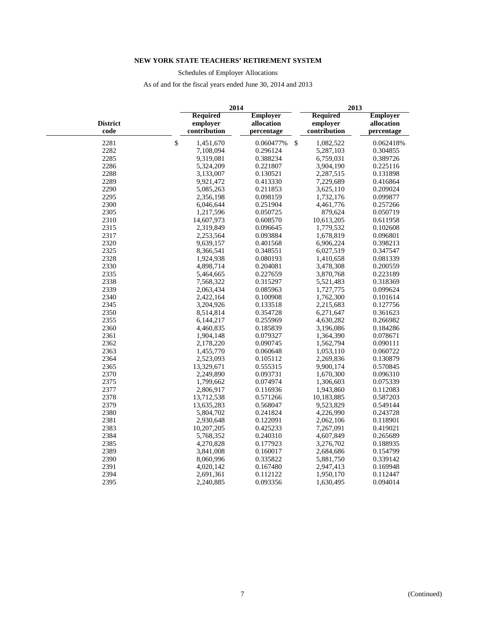Schedules of Employer Allocations

|                         |                                             | 2014                                        |    |                                             | 2013                                        |  |  |  |
|-------------------------|---------------------------------------------|---------------------------------------------|----|---------------------------------------------|---------------------------------------------|--|--|--|
| <b>District</b><br>code | <b>Required</b><br>emplover<br>contribution | <b>Employer</b><br>allocation<br>percentage |    | <b>Required</b><br>emplover<br>contribution | <b>Employer</b><br>allocation<br>percentage |  |  |  |
| 2281                    | \$<br>1,451,670                             | 0.060477%                                   | \$ | 1,082,522                                   | 0.062418%                                   |  |  |  |
| 2282                    | 7,108,094                                   | 0.296124                                    |    | 5,287,103                                   | 0.304855                                    |  |  |  |
| 2285                    | 9,319,081                                   | 0.388234                                    |    | 6,759,031                                   | 0.389726                                    |  |  |  |
| 2286                    | 5,324,209                                   | 0.221807                                    |    | 3,904,190                                   | 0.225116                                    |  |  |  |
| 2288                    | 3,133,007                                   | 0.130521                                    |    | 2,287,515                                   | 0.131898                                    |  |  |  |
| 2289                    | 9,921,472                                   | 0.413330                                    |    | 7,229,689                                   | 0.416864                                    |  |  |  |
| 2290                    | 5,085,263                                   | 0.211853                                    |    | 3,625,110                                   | 0.209024                                    |  |  |  |
| 2295                    | 2,356,198                                   | 0.098159                                    |    | 1,732,176                                   | 0.099877                                    |  |  |  |
| 2300                    | 6,046,644                                   | 0.251904                                    |    | 4,461,776                                   | 0.257266                                    |  |  |  |
| 2305                    | 1,217,596                                   | 0.050725                                    |    | 879,624                                     | 0.050719                                    |  |  |  |
| 2310                    | 14,607,973                                  | 0.608570                                    |    | 10,613,205                                  | 0.611958                                    |  |  |  |
| 2315                    | 2,319,849                                   | 0.096645                                    |    | 1,779,532                                   | 0.102608                                    |  |  |  |
| 2317                    | 2,253,564                                   | 0.093884                                    |    | 1,678,819                                   | 0.096801                                    |  |  |  |
| 2320                    | 9,639,157                                   | 0.401568                                    |    | 6,906,224                                   | 0.398213                                    |  |  |  |
| 2325                    | 8,366,541                                   | 0.348551                                    |    | 6,027,519                                   | 0.347547                                    |  |  |  |
| 2328                    | 1,924,938                                   | 0.080193                                    |    | 1,410,658                                   | 0.081339                                    |  |  |  |
| 2330                    | 4,898,714                                   | 0.204081                                    |    | 3,478,308                                   | 0.200559                                    |  |  |  |
| 2335                    | 5,464,665                                   | 0.227659                                    |    | 3,870,768                                   | 0.223189                                    |  |  |  |
| 2338                    | 7,568,322                                   | 0.315297                                    |    | 5,521,483                                   | 0.318369                                    |  |  |  |
| 2339                    | 2,063,434                                   | 0.085963                                    |    | 1,727,775                                   | 0.099624                                    |  |  |  |
| 2340                    | 2,422,164                                   | 0.100908                                    |    | 1,762,300                                   | 0.101614                                    |  |  |  |
| 2345                    | 3,204,926                                   | 0.133518                                    |    | 2,215,683                                   | 0.127756                                    |  |  |  |
| 2350                    | 8,514,814                                   | 0.354728                                    |    | 6,271,647                                   | 0.361623                                    |  |  |  |
| 2355                    | 6,144,217                                   | 0.255969                                    |    | 4,630,282                                   | 0.266982                                    |  |  |  |
| 2360                    | 4,460,835                                   | 0.185839                                    |    | 3,196,086                                   | 0.184286                                    |  |  |  |
| 2361                    | 1,904,148                                   | 0.079327                                    |    | 1,364,390                                   | 0.078671                                    |  |  |  |
| 2362                    | 2,178,220                                   | 0.090745                                    |    | 1,562,794                                   | 0.090111                                    |  |  |  |
| 2363                    | 1,455,770                                   | 0.060648                                    |    | 1,053,110                                   | 0.060722                                    |  |  |  |
| 2364                    | 2,523,093                                   | 0.105112                                    |    | 2,269,836                                   | 0.130879                                    |  |  |  |
| 2365                    | 13,329,671                                  | 0.555315                                    |    | 9,900,174                                   | 0.570845                                    |  |  |  |
| 2370                    | 2,249,890                                   | 0.093731                                    |    | 1,670,300                                   | 0.096310                                    |  |  |  |
| 2375                    | 1,799,662                                   | 0.074974                                    |    | 1,306,603                                   | 0.075339                                    |  |  |  |
| 2377                    | 2,806,917                                   | 0.116936                                    |    | 1,943,860                                   | 0.112083                                    |  |  |  |
| 2378                    | 13,712,538                                  | 0.571266                                    |    | 10,183,885                                  | 0.587203                                    |  |  |  |
| 2379                    | 13,635,283                                  | 0.568047                                    |    | 9,523,829                                   | 0.549144                                    |  |  |  |
| 2380                    | 5,804,702                                   | 0.241824                                    |    | 4,226,990                                   | 0.243728                                    |  |  |  |
| 2381                    | 2,930,648                                   | 0.122091                                    |    | 2,062,106                                   | 0.118901                                    |  |  |  |
| 2383                    | 10,207,205                                  | 0.425233                                    |    | 7,267,091                                   | 0.419021                                    |  |  |  |
| 2384                    | 5,768,352                                   | 0.240310                                    |    | 4,607,849                                   | 0.265689                                    |  |  |  |
| 2385                    | 4,270,828                                   | 0.177923                                    |    | 3,276,702                                   | 0.188935                                    |  |  |  |
| 2389                    | 3,841,008                                   | 0.160017                                    |    | 2,684,686                                   | 0.154799                                    |  |  |  |
| 2390                    | 8,060,996                                   | 0.335822                                    |    | 5,881,750                                   | 0.339142                                    |  |  |  |
| 2391                    | 4,020,142                                   | 0.167480                                    |    | 2,947,413                                   | 0.169948                                    |  |  |  |
| 2394                    | 2,691,361                                   | 0.112122                                    |    | 1,950,170                                   | 0.112447                                    |  |  |  |
| 2395                    | 2,240,885                                   | 0.093356                                    |    | 1,630,495                                   | 0.094014                                    |  |  |  |
|                         |                                             |                                             |    |                                             |                                             |  |  |  |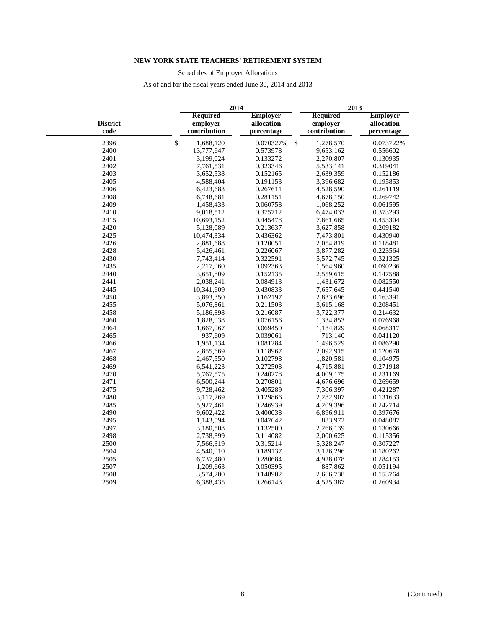Schedules of Employer Allocations

|                         |              | 2014                                        |                                             |               | 2013                                        |                                             |  |  |
|-------------------------|--------------|---------------------------------------------|---------------------------------------------|---------------|---------------------------------------------|---------------------------------------------|--|--|
| <b>District</b><br>code |              | <b>Required</b><br>emplover<br>contribution | <b>Employer</b><br>allocation<br>percentage |               | <b>Required</b><br>emplover<br>contribution | <b>Employer</b><br>allocation<br>percentage |  |  |
| 2396                    | $\mathbb{S}$ | 1,688,120                                   | 0.070327%                                   | $\mathcal{S}$ | 1,278,570                                   | 0.073722%                                   |  |  |
| 2400                    |              | 13,777,647                                  | 0.573978                                    |               | 9,653,162                                   | 0.556602                                    |  |  |
| 2401                    |              | 3,199,024                                   | 0.133272                                    |               | 2,270,807                                   | 0.130935                                    |  |  |
| 2402                    |              | 7,761,531                                   | 0.323346                                    |               | 5,533,141                                   | 0.319041                                    |  |  |
| 2403                    |              | 3,652,538                                   | 0.152165                                    |               | 2,639,359                                   | 0.152186                                    |  |  |
| 2405                    |              | 4,588,404                                   | 0.191153                                    |               | 3,396,682                                   | 0.195853                                    |  |  |
| 2406                    |              | 6,423,683                                   | 0.267611                                    |               | 4,528,590                                   | 0.261119                                    |  |  |
| 2408                    |              | 6,748,681                                   | 0.281151                                    |               | 4,678,150                                   | 0.269742                                    |  |  |
| 2409                    |              | 1,458,433                                   | 0.060758                                    |               | 1,068,252                                   | 0.061595                                    |  |  |
| 2410                    |              | 9,018,512                                   | 0.375712                                    |               | 6,474,033                                   | 0.373293                                    |  |  |
| 2415                    |              | 10,693,152                                  | 0.445478                                    |               | 7,861,665                                   | 0.453304                                    |  |  |
| 2420                    |              | 5,128,089                                   | 0.213637                                    |               | 3,627,858                                   | 0.209182                                    |  |  |
| 2425                    |              | 10,474,334                                  | 0.436362                                    |               | 7,473,801                                   | 0.430940                                    |  |  |
| 2426                    |              | 2,881,688                                   | 0.120051                                    |               | 2,054,819                                   | 0.118481                                    |  |  |
| 2428                    |              | 5,426,461                                   | 0.226067                                    |               | 3,877,282                                   | 0.223564                                    |  |  |
| 2430                    |              | 7,743,414                                   | 0.322591                                    |               | 5,572,745                                   | 0.321325                                    |  |  |
| 2435                    |              | 2,217,060                                   | 0.092363                                    |               | 1,564,960                                   | 0.090236                                    |  |  |
| 2440                    |              | 3,651,809                                   | 0.152135                                    |               | 2,559,615                                   | 0.147588                                    |  |  |
| 2441                    |              | 2,038,241                                   | 0.084913                                    |               | 1,431,672                                   | 0.082550                                    |  |  |
| 2445                    |              | 10,341,609                                  | 0.430833                                    |               | 7,657,645                                   | 0.441540                                    |  |  |
| 2450                    |              | 3,893,350                                   | 0.162197                                    |               | 2,833,696                                   | 0.163391                                    |  |  |
| 2455                    |              | 5,076,861                                   | 0.211503                                    |               | 3,615,168                                   | 0.208451                                    |  |  |
| 2458                    |              | 5,186,898                                   | 0.216087                                    |               | 3,722,377                                   | 0.214632                                    |  |  |
| 2460                    |              | 1,828,038                                   | 0.076156                                    |               | 1,334,853                                   | 0.076968                                    |  |  |
| 2464                    |              | 1,667,067                                   | 0.069450                                    |               | 1,184,829                                   | 0.068317                                    |  |  |
| 2465                    |              | 937,609                                     | 0.039061                                    |               | 713,140                                     | 0.041120                                    |  |  |
| 2466                    |              | 1,951,134                                   | 0.081284                                    |               | 1,496,529                                   | 0.086290                                    |  |  |
| 2467                    |              | 2,855,669                                   | 0.118967                                    |               | 2,092,915                                   | 0.120678                                    |  |  |
| 2468                    |              | 2,467,550                                   | 0.102798                                    |               | 1,820,581                                   | 0.104975                                    |  |  |
| 2469                    |              | 6,541,223                                   | 0.272508                                    |               | 4,715,881                                   | 0.271918                                    |  |  |
| 2470                    |              | 5,767,575                                   | 0.240278                                    |               | 4,009,175                                   | 0.231169                                    |  |  |
| 2471                    |              | 6,500,244                                   | 0.270801                                    |               | 4,676,696                                   | 0.269659                                    |  |  |
| 2475                    |              | 9,728,462                                   | 0.405289                                    |               | 7,306,397                                   | 0.421287                                    |  |  |
| 2480                    |              | 3,117,269                                   | 0.129866                                    |               | 2,282,907                                   | 0.131633                                    |  |  |
| 2485                    |              | 5,927,461                                   | 0.246939                                    |               | 4,209,396                                   | 0.242714                                    |  |  |
| 2490                    |              | 9,602,422                                   | 0.400038                                    |               | 6,896,911                                   | 0.397676                                    |  |  |
| 2495                    |              | 1,143,594                                   | 0.047642                                    |               | 833,972                                     | 0.048087                                    |  |  |
| 2497                    |              | 3,180,508                                   | 0.132500                                    |               | 2,266,139                                   | 0.130666                                    |  |  |
| 2498                    |              | 2,738,399                                   | 0.114082                                    |               | 2,000,625                                   | 0.115356                                    |  |  |
| 2500                    |              | 7,566,319                                   | 0.315214                                    |               | 5,328,247                                   | 0.307227                                    |  |  |
| 2504                    |              | 4,540,010                                   | 0.189137                                    |               | 3,126,296                                   | 0.180262                                    |  |  |
| 2505                    |              | 6,737,480                                   | 0.280684                                    |               | 4,928,078                                   | 0.284153                                    |  |  |
| 2507                    |              | 1,209,663                                   | 0.050395                                    |               | 887,862                                     | 0.051194                                    |  |  |
| 2508                    |              | 3,574,200                                   | 0.148902                                    |               | 2,666,738                                   | 0.153764                                    |  |  |
| 2509                    |              | 6,388,435                                   | 0.266143                                    |               | 4,525,387                                   | 0.260934                                    |  |  |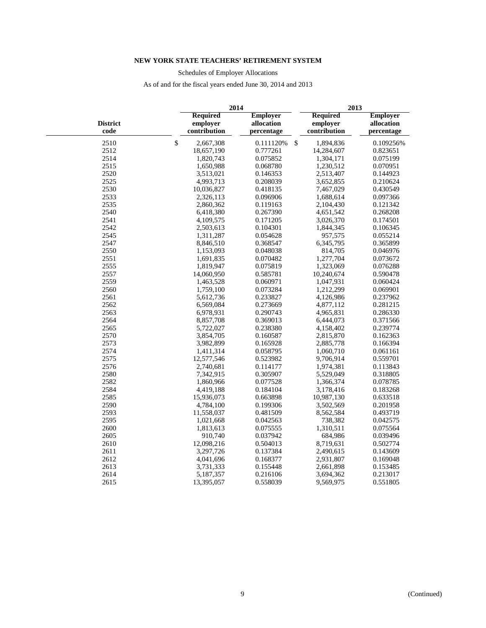Schedules of Employer Allocations

|                         | 2014                                        |                                             |    | 2013                                        |                                             |  |  |
|-------------------------|---------------------------------------------|---------------------------------------------|----|---------------------------------------------|---------------------------------------------|--|--|
| <b>District</b><br>code | <b>Required</b><br>emplover<br>contribution | <b>Employer</b><br>allocation<br>percentage |    | <b>Required</b><br>emplover<br>contribution | <b>Employer</b><br>allocation<br>percentage |  |  |
| 2510                    | \$<br>2,667,308                             | 0.111120%                                   | \$ | 1,894,836                                   | 0.109256%                                   |  |  |
| 2512                    | 18,657,190                                  | 0.777261                                    |    | 14,284,607                                  | 0.823651                                    |  |  |
| 2514                    | 1,820,743                                   | 0.075852                                    |    | 1,304,171                                   | 0.075199                                    |  |  |
| 2515                    | 1,650,988                                   | 0.068780                                    |    | 1,230,512                                   | 0.070951                                    |  |  |
| 2520                    | 3,513,021                                   | 0.146353                                    |    | 2,513,407                                   | 0.144923                                    |  |  |
| 2525                    | 4,993,713                                   | 0.208039                                    |    | 3,652,855                                   | 0.210624                                    |  |  |
| 2530                    | 10,036,827                                  | 0.418135                                    |    | 7,467,029                                   | 0.430549                                    |  |  |
| 2533                    | 2,326,113                                   | 0.096906                                    |    | 1,688,614                                   | 0.097366                                    |  |  |
| 2535                    | 2,860,362                                   | 0.119163                                    |    | 2,104,430                                   | 0.121342                                    |  |  |
| 2540                    | 6,418,380                                   | 0.267390                                    |    | 4,651,542                                   | 0.268208                                    |  |  |
| 2541                    | 4,109,575                                   | 0.171205                                    |    | 3,026,370                                   | 0.174501                                    |  |  |
| 2542                    | 2,503,613                                   | 0.104301                                    |    | 1,844,345                                   | 0.106345                                    |  |  |
| 2545                    | 1,311,287                                   | 0.054628                                    |    | 957,575                                     | 0.055214                                    |  |  |
| 2547                    | 8,846,510                                   | 0.368547                                    |    | 6,345,795                                   | 0.365899                                    |  |  |
| 2550                    | 1,153,093                                   | 0.048038                                    |    | 814,705                                     | 0.046976                                    |  |  |
| 2551                    | 1,691,835                                   | 0.070482                                    |    | 1,277,704                                   | 0.073672                                    |  |  |
| 2555                    | 1,819,947                                   | 0.075819                                    |    | 1,323,069                                   | 0.076288                                    |  |  |
| 2557                    | 14,060,950                                  | 0.585781                                    |    | 10,240,674                                  | 0.590478                                    |  |  |
| 2559                    | 1,463,528                                   | 0.060971                                    |    | 1,047,931                                   | 0.060424                                    |  |  |
| 2560                    | 1,759,100                                   | 0.073284                                    |    | 1,212,299                                   | 0.069901                                    |  |  |
| 2561                    | 5,612,736                                   | 0.233827                                    |    | 4,126,986                                   | 0.237962                                    |  |  |
| 2562                    | 6,569,084                                   | 0.273669                                    |    | 4,877,112                                   | 0.281215                                    |  |  |
| 2563                    | 6,978,931                                   | 0.290743                                    |    | 4,965,831                                   | 0.286330                                    |  |  |
| 2564                    | 8,857,708                                   | 0.369013                                    |    | 6,444,073                                   | 0.371566                                    |  |  |
| 2565                    | 5,722,027                                   | 0.238380                                    |    | 4,158,402                                   | 0.239774                                    |  |  |
| 2570                    | 3,854,705                                   | 0.160587                                    |    | 2,815,870                                   | 0.162363                                    |  |  |
| 2573                    | 3,982,899                                   | 0.165928                                    |    | 2,885,778                                   | 0.166394                                    |  |  |
| 2574                    | 1,411,314                                   | 0.058795                                    |    | 1,060,710                                   | 0.061161                                    |  |  |
| 2575                    | 12,577,546                                  | 0.523982                                    |    | 9,706,914                                   | 0.559701                                    |  |  |
| 2576                    | 2,740,681                                   | 0.114177                                    |    | 1,974,381                                   | 0.113843                                    |  |  |
| 2580                    | 7,342,915                                   | 0.305907                                    |    | 5,529,049                                   | 0.318805                                    |  |  |
| 2582                    | 1,860,966                                   | 0.077528                                    |    | 1,366,374                                   | 0.078785                                    |  |  |
| 2584                    | 4,419,188                                   | 0.184104                                    |    | 3,178,416                                   | 0.183268                                    |  |  |
| 2585                    | 15,936,073                                  | 0.663898                                    |    | 10,987,130                                  | 0.633518                                    |  |  |
| 2590                    | 4,784,100                                   | 0.199306                                    |    | 3,502,569                                   | 0.201958                                    |  |  |
| 2593                    | 11,558,037                                  | 0.481509                                    |    | 8,562,584                                   | 0.493719                                    |  |  |
| 2595                    | 1,021,668                                   | 0.042563                                    |    | 738,382                                     | 0.042575                                    |  |  |
| 2600                    | 1,813,613                                   | 0.075555                                    |    | 1,310,511                                   | 0.075564                                    |  |  |
| 2605                    | 910,740                                     | 0.037942                                    |    | 684,986                                     | 0.039496                                    |  |  |
| 2610                    | 12,098,216                                  | 0.504013                                    |    | 8,719,631                                   | 0.502774                                    |  |  |
| 2611                    | 3,297,726                                   | 0.137384                                    |    | 2,490,615                                   | 0.143609                                    |  |  |
| 2612                    | 4,041,696                                   | 0.168377                                    |    | 2,931,807                                   | 0.169048                                    |  |  |
| 2613                    | 3,731,333                                   | 0.155448                                    |    | 2,661,898                                   | 0.153485                                    |  |  |
| 2614                    | 5,187,357                                   | 0.216106                                    |    | 3,694,362                                   | 0.213017                                    |  |  |
| 2615                    | 13,395,057                                  | 0.558039                                    |    | 9,569,975                                   | 0.551805                                    |  |  |
|                         |                                             |                                             |    |                                             |                                             |  |  |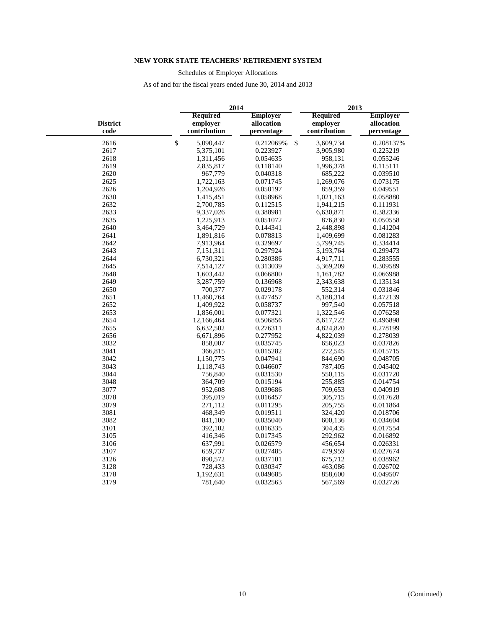Schedules of Employer Allocations

|                         | 2014                                        |                                             | 2013                                        |                                             |
|-------------------------|---------------------------------------------|---------------------------------------------|---------------------------------------------|---------------------------------------------|
| <b>District</b><br>code | <b>Required</b><br>employer<br>contribution | <b>Employer</b><br>allocation<br>percentage | <b>Required</b><br>employer<br>contribution | <b>Employer</b><br>allocation<br>percentage |
| 2616                    | $\mathbb{S}$<br>5,090,447                   | 0.212069%                                   | $\mathbb{S}$<br>3,609,734                   | 0.208137%                                   |
| 2617                    | 5,375,101                                   | 0.223927                                    | 3,905,980                                   | 0.225219                                    |
| 2618                    | 1,311,456                                   | 0.054635                                    | 958,131                                     | 0.055246                                    |
| 2619                    | 2,835,817                                   | 0.118140                                    | 1,996,378                                   | 0.115111                                    |
| 2620                    | 967,779                                     | 0.040318                                    | 685,222                                     | 0.039510                                    |
| 2625                    | 1,722,163                                   | 0.071745                                    | 1,269,076                                   | 0.073175                                    |
| 2626                    | 1,204,926                                   | 0.050197                                    | 859,359                                     | 0.049551                                    |
| 2630                    | 1,415,451                                   | 0.058968                                    | 1,021,163                                   | 0.058880                                    |
| 2632                    | 2,700,785                                   | 0.112515                                    | 1,941,215                                   | 0.111931                                    |
| 2633                    | 9,337,026                                   | 0.388981                                    | 6,630,871                                   | 0.382336                                    |
| 2635                    | 1,225,913                                   | 0.051072                                    | 876,830                                     | 0.050558                                    |
| 2640                    | 3,464,729                                   | 0.144341                                    | 2,448,898                                   | 0.141204                                    |
| 2641                    | 1,891,816                                   | 0.078813                                    | 1,409,699                                   | 0.081283                                    |
| 2642                    | 7,913,964                                   | 0.329697                                    | 5,799,745                                   | 0.334414                                    |
| 2643                    | 7,151,311                                   | 0.297924                                    | 5,193,764                                   | 0.299473                                    |
| 2644                    | 6,730,321                                   | 0.280386                                    | 4,917,711                                   | 0.283555                                    |
| 2645                    | 7,514,127                                   | 0.313039                                    | 5,369,209                                   | 0.309589                                    |
| 2648                    | 1,603,442                                   | 0.066800                                    | 1,161,782                                   | 0.066988                                    |
| 2649                    | 3,287,759                                   | 0.136968                                    | 2,343,638                                   | 0.135134                                    |
| 2650                    | 700,377                                     | 0.029178                                    | 552,314                                     | 0.031846                                    |
| 2651                    | 11,460,764                                  | 0.477457                                    | 8,188,314                                   | 0.472139                                    |
| 2652                    | 1,409,922                                   | 0.058737                                    | 997,540                                     | 0.057518                                    |
| 2653                    | 1,856,001                                   | 0.077321                                    | 1,322,546                                   | 0.076258                                    |
| 2654                    | 12,166,464                                  | 0.506856                                    | 8,617,722                                   | 0.496898                                    |
| 2655                    | 6,632,502                                   | 0.276311                                    | 4,824,820                                   | 0.278199                                    |
| 2656                    | 6,671,896                                   | 0.277952                                    | 4,822,039                                   | 0.278039                                    |
| 3032                    | 858,007                                     | 0.035745                                    | 656,023                                     | 0.037826                                    |
| 3041                    | 366,815                                     | 0.015282                                    | 272,545                                     | 0.015715                                    |
| 3042                    | 1,150,775                                   | 0.047941                                    | 844,690                                     | 0.048705                                    |
| 3043                    | 1,118,743                                   | 0.046607                                    | 787,405                                     | 0.045402                                    |
| 3044                    | 756,840                                     | 0.031530                                    | 550,115                                     | 0.031720                                    |
| 3048                    | 364,709                                     | 0.015194                                    | 255,885                                     | 0.014754                                    |
| 3077                    | 952,608                                     | 0.039686                                    | 709,653                                     | 0.040919                                    |
| 3078                    | 395,019                                     | 0.016457                                    | 305,715                                     | 0.017628                                    |
| 3079                    | 271,112                                     | 0.011295                                    | 205,755                                     | 0.011864                                    |
| 3081                    | 468,349                                     | 0.019511                                    | 324,420                                     | 0.018706                                    |
| 3082                    | 841,100                                     | 0.035040                                    | 600,136                                     | 0.034604                                    |
| 3101                    | 392,102                                     | 0.016335                                    | 304,435                                     | 0.017554                                    |
| 3105                    | 416,346                                     | 0.017345                                    | 292,962                                     | 0.016892                                    |
| 3106                    | 637,991                                     | 0.026579                                    | 456,654                                     | 0.026331                                    |
| 3107                    | 659,737                                     | 0.027485                                    | 479,959                                     | 0.027674                                    |
| 3126<br>3128            | 890,572<br>728,433                          | 0.037101<br>0.030347                        | 675,712<br>463,086                          | 0.038962<br>0.026702                        |
| 3178                    | 1,192,631                                   | 0.049685                                    | 858,600                                     | 0.049507                                    |
| 3179                    | 781,640                                     | 0.032563                                    | 567,569                                     | 0.032726                                    |
|                         |                                             |                                             |                                             |                                             |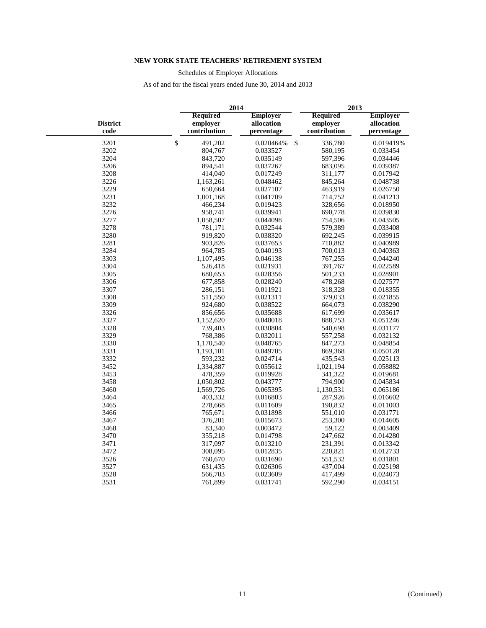Schedules of Employer Allocations

|                         | 2014                                        |                                             |              |                                             | 2013                                        |  |
|-------------------------|---------------------------------------------|---------------------------------------------|--------------|---------------------------------------------|---------------------------------------------|--|
| <b>District</b><br>code | <b>Required</b><br>employer<br>contribution | <b>Employer</b><br>allocation<br>percentage |              | <b>Required</b><br>employer<br>contribution | <b>Employer</b><br>allocation<br>percentage |  |
| 3201                    | $\mathbb{S}$<br>491,202                     | 0.020464%                                   | $\mathbb{S}$ | 336,780                                     | 0.019419%                                   |  |
| 3202                    | 804,767                                     | 0.033527                                    |              | 580,195                                     | 0.033454                                    |  |
| 3204                    | 843,720                                     | 0.035149                                    |              | 597,396                                     | 0.034446                                    |  |
| 3206                    | 894,541                                     | 0.037267                                    |              | 683,095                                     | 0.039387                                    |  |
| 3208                    | 414,040                                     | 0.017249                                    |              | 311,177                                     | 0.017942                                    |  |
| 3226                    | 1,163,261                                   | 0.048462                                    |              | 845,264                                     | 0.048738                                    |  |
| 3229                    | 650,664                                     | 0.027107                                    |              | 463,919                                     | 0.026750                                    |  |
| 3231                    | 1,001,168                                   | 0.041709                                    |              | 714,752                                     | 0.041213                                    |  |
| 3232                    | 466,234                                     | 0.019423                                    |              | 328,656                                     | 0.018950                                    |  |
| 3276                    | 958,741                                     | 0.039941                                    |              | 690,778                                     | 0.039830                                    |  |
| 3277                    | 1,058,507                                   | 0.044098                                    |              | 754,506                                     | 0.043505                                    |  |
| 3278                    | 781,171                                     | 0.032544                                    |              | 579,389                                     | 0.033408                                    |  |
| 3280                    | 919,820                                     | 0.038320                                    |              | 692,245                                     | 0.039915                                    |  |
| 3281                    | 903,826                                     | 0.037653                                    |              | 710,882                                     | 0.040989                                    |  |
| 3284                    | 964,785                                     | 0.040193                                    |              | 700,013                                     | 0.040363                                    |  |
| 3303                    | 1,107,495                                   | 0.046138                                    |              | 767,255                                     | 0.044240                                    |  |
| 3304                    | 526,418                                     | 0.021931                                    |              | 391,767                                     | 0.022589                                    |  |
| 3305                    | 680,653                                     | 0.028356                                    |              | 501,233                                     | 0.028901                                    |  |
| 3306                    | 677,858                                     | 0.028240                                    |              | 478,268                                     | 0.027577                                    |  |
| 3307                    | 286,151                                     | 0.011921                                    |              | 318,328                                     | 0.018355                                    |  |
| 3308                    | 511,550                                     | 0.021311                                    |              | 379,033                                     | 0.021855                                    |  |
| 3309                    | 924,680                                     | 0.038522                                    |              | 664,073                                     | 0.038290                                    |  |
| 3326                    | 856,656                                     | 0.035688                                    |              | 617,699                                     | 0.035617                                    |  |
| 3327                    | 1,152,620                                   | 0.048018                                    |              | 888,753                                     | 0.051246                                    |  |
| 3328                    | 739,403                                     | 0.030804                                    |              | 540,698                                     | 0.031177                                    |  |
| 3329                    | 768,386                                     | 0.032011                                    |              | 557,258                                     | 0.032132                                    |  |
| 3330                    | 1,170,540                                   | 0.048765                                    |              | 847,273                                     | 0.048854                                    |  |
| 3331                    | 1,193,101                                   | 0.049705                                    |              | 869,368                                     | 0.050128                                    |  |
| 3332                    | 593,232                                     | 0.024714                                    |              | 435,543                                     | 0.025113                                    |  |
| 3452                    | 1,334,887                                   | 0.055612                                    |              | 1,021,194                                   | 0.058882                                    |  |
| 3453                    | 478,359                                     | 0.019928                                    |              | 341,322                                     | 0.019681                                    |  |
| 3458                    | 1,050,802                                   | 0.043777                                    |              | 794,900                                     | 0.045834                                    |  |
| 3460                    | 1,569,726                                   | 0.065395                                    |              | 1,130,531                                   | 0.065186                                    |  |
| 3464                    | 403,332                                     | 0.016803                                    |              | 287,926                                     | 0.016602                                    |  |
| 3465                    | 278,668                                     | 0.011609                                    |              | 190,832                                     | 0.011003                                    |  |
| 3466                    | 765,671                                     | 0.031898                                    |              | 551,010                                     | 0.031771                                    |  |
| 3467                    | 376,201                                     | 0.015673                                    |              | 253,300                                     | 0.014605                                    |  |
| 3468                    | 83,340                                      | 0.003472                                    |              | 59,122                                      | 0.003409                                    |  |
| 3470                    | 355,218                                     | 0.014798                                    |              | 247,662                                     | 0.014280                                    |  |
| 3471                    | 317,097                                     | 0.013210                                    |              | 231,391                                     | 0.013342                                    |  |
| 3472                    | 308,095                                     | 0.012835                                    |              | 220,821                                     | 0.012733                                    |  |
| 3526                    | 760,670                                     | 0.031690                                    |              | 551,532                                     | 0.031801                                    |  |
| 3527                    | 631,435                                     | 0.026306                                    |              | 437,004                                     | 0.025198                                    |  |
| 3528                    | 566,703                                     | 0.023609                                    |              | 417,499                                     | 0.024073                                    |  |
| 3531                    | 761,899                                     | 0.031741                                    |              | 592,290                                     | 0.034151                                    |  |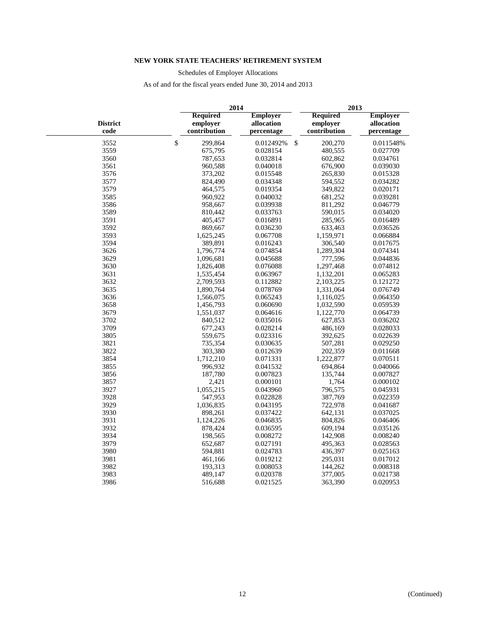Schedules of Employer Allocations

|                         | 2014                                        |                                             |               | 2013                                        |                                             |
|-------------------------|---------------------------------------------|---------------------------------------------|---------------|---------------------------------------------|---------------------------------------------|
| <b>District</b><br>code | <b>Required</b><br>employer<br>contribution | <b>Employer</b><br>allocation<br>percentage |               | <b>Required</b><br>employer<br>contribution | <b>Employer</b><br>allocation<br>percentage |
| 3552                    | \$<br>299,864                               | 0.012492%                                   | $\mathcal{S}$ | 200,270                                     | 0.011548%                                   |
| 3559                    | 675,795                                     | 0.028154                                    |               | 480,555                                     | 0.027709                                    |
| 3560                    | 787,653                                     | 0.032814                                    |               | 602,862                                     | 0.034761                                    |
| 3561                    | 960,588                                     | 0.040018                                    |               | 676,900                                     | 0.039030                                    |
| 3576                    | 373,202                                     | 0.015548                                    |               | 265,830                                     | 0.015328                                    |
| 3577                    | 824,490                                     | 0.034348                                    |               | 594,552                                     | 0.034282                                    |
| 3579                    | 464,575                                     | 0.019354                                    |               | 349,822                                     | 0.020171                                    |
| 3585                    | 960,922                                     | 0.040032                                    |               | 681,252                                     | 0.039281                                    |
| 3586                    | 958,667                                     | 0.039938                                    |               | 811,292                                     | 0.046779                                    |
| 3589                    | 810,442                                     | 0.033763                                    |               | 590,015                                     | 0.034020                                    |
| 3591                    | 405,457                                     | 0.016891                                    |               | 285,965                                     | 0.016489                                    |
| 3592                    | 869,667                                     | 0.036230                                    |               | 633,463                                     | 0.036526                                    |
| 3593                    | 1,625,245                                   | 0.067708                                    |               | 1,159,971                                   | 0.066884                                    |
| 3594                    | 389,891                                     | 0.016243                                    |               | 306,540                                     | 0.017675                                    |
| 3626                    | 1,796,774                                   | 0.074854                                    |               | 1,289,304                                   | 0.074341                                    |
| 3629                    | 1,096,681                                   | 0.045688                                    |               | 777,596                                     | 0.044836                                    |
| 3630                    | 1,826,408                                   | 0.076088                                    |               | 1,297,468                                   | 0.074812                                    |
| 3631                    | 1,535,454                                   | 0.063967                                    |               | 1,132,201                                   | 0.065283                                    |
| 3632                    | 2,709,593                                   | 0.112882                                    |               | 2,103,225                                   | 0.121272                                    |
| 3635                    | 1,890,764                                   | 0.078769                                    |               | 1,331,064                                   | 0.076749                                    |
| 3636                    | 1,566,075                                   | 0.065243                                    |               | 1,116,025                                   | 0.064350                                    |
| 3658                    | 1,456,793                                   | 0.060690                                    |               | 1,032,590                                   | 0.059539                                    |
| 3679                    | 1,551,037                                   | 0.064616                                    |               | 1,122,770                                   | 0.064739                                    |
| 3702                    | 840,512                                     | 0.035016                                    |               | 627,853                                     | 0.036202                                    |
| 3709                    | 677,243                                     | 0.028214                                    |               | 486,169                                     | 0.028033                                    |
| 3805                    | 559,675                                     | 0.023316                                    |               | 392,625                                     | 0.022639                                    |
| 3821                    | 735,354                                     | 0.030635                                    |               | 507,281                                     | 0.029250                                    |
| 3822                    | 303,380                                     | 0.012639                                    |               | 202,359                                     | 0.011668                                    |
| 3854                    | 1,712,210                                   | 0.071331                                    |               | 1,222,877                                   | 0.070511                                    |
| 3855                    | 996,932                                     | 0.041532                                    |               | 694,864                                     | 0.040066                                    |
| 3856                    | 187,780                                     | 0.007823                                    |               | 135,744                                     | 0.007827                                    |
| 3857                    | 2,421                                       | 0.000101                                    |               | 1,764                                       | 0.000102                                    |
| 3927                    | 1,055,215                                   | 0.043960                                    |               | 796,575                                     | 0.045931                                    |
| 3928                    | 547,953                                     | 0.022828                                    |               | 387,769                                     | 0.022359                                    |
| 3929                    | 1,036,835                                   | 0.043195                                    |               | 722,978                                     | 0.041687                                    |
| 3930                    | 898,261                                     | 0.037422                                    |               | 642,131                                     | 0.037025                                    |
| 3931                    | 1,124,226                                   | 0.046835                                    |               | 804,826                                     | 0.046406                                    |
| 3932                    | 878,424                                     | 0.036595                                    |               | 609,194                                     | 0.035126                                    |
| 3934                    | 198,565                                     | 0.008272                                    |               | 142,908                                     | 0.008240                                    |
| 3979                    | 652,687                                     | 0.027191                                    |               | 495,363                                     | 0.028563                                    |
| 3980                    | 594,881                                     | 0.024783                                    |               | 436,397                                     | 0.025163                                    |
| 3981                    | 461,166                                     | 0.019212                                    |               | 295,031                                     | 0.017012                                    |
| 3982                    | 193,313                                     | 0.008053                                    |               | 144,262                                     | 0.008318                                    |
| 3983                    | 489,147                                     | 0.020378                                    |               | 377,005                                     | 0.021738                                    |
| 3986                    | 516,688                                     | 0.021525                                    |               | 363,390                                     | 0.020953                                    |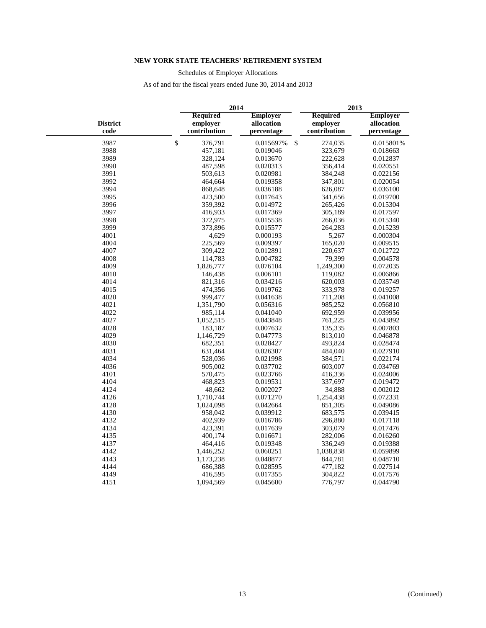Schedules of Employer Allocations

|                         |                                             | 2014                                        | 2013                                        |                                             |  |
|-------------------------|---------------------------------------------|---------------------------------------------|---------------------------------------------|---------------------------------------------|--|
| <b>District</b><br>code | <b>Required</b><br>employer<br>contribution | <b>Employer</b><br>allocation<br>percentage | <b>Required</b><br>employer<br>contribution | <b>Employer</b><br>allocation<br>percentage |  |
| 3987                    | \$<br>376,791                               | 0.015697%                                   | \$<br>274,035                               | 0.015801%                                   |  |
| 3988                    | 457,181                                     | 0.019046                                    | 323,679                                     | 0.018663                                    |  |
| 3989                    | 328,124                                     | 0.013670                                    | 222,628                                     | 0.012837                                    |  |
| 3990                    | 487,598                                     | 0.020313                                    | 356,414                                     | 0.020551                                    |  |
| 3991                    | 503,613                                     | 0.020981                                    | 384,248                                     | 0.022156                                    |  |
| 3992                    | 464,664                                     | 0.019358                                    | 347,801                                     | 0.020054                                    |  |
| 3994                    | 868,648                                     | 0.036188                                    | 626,087                                     | 0.036100                                    |  |
| 3995                    | 423,500                                     | 0.017643                                    | 341,656                                     | 0.019700                                    |  |
| 3996                    | 359,392                                     | 0.014972                                    | 265,426                                     | 0.015304                                    |  |
| 3997                    | 416,933                                     | 0.017369                                    | 305,189                                     | 0.017597                                    |  |
| 3998                    | 372,975                                     | 0.015538                                    | 266,036                                     | 0.015340                                    |  |
| 3999                    | 373,896                                     | 0.015577                                    | 264,283                                     | 0.015239                                    |  |
| 4001                    | 4,629                                       | 0.000193                                    | 5,267                                       | 0.000304                                    |  |
| 4004                    | 225,569                                     | 0.009397                                    | 165,020                                     | 0.009515                                    |  |
| 4007                    | 309,422                                     | 0.012891                                    | 220,637                                     | 0.012722                                    |  |
| 4008                    | 114,783                                     | 0.004782                                    | 79,399                                      | 0.004578                                    |  |
| 4009                    | 1,826,777                                   | 0.076104                                    | 1,249,300                                   | 0.072035                                    |  |
| 4010                    | 146,438                                     | 0.006101                                    | 119,082                                     | 0.006866                                    |  |
| 4014                    | 821,316                                     | 0.034216                                    | 620,003                                     | 0.035749                                    |  |
| 4015                    | 474,356                                     | 0.019762                                    | 333,978                                     | 0.019257                                    |  |
| 4020                    | 999,477                                     | 0.041638                                    | 711,208                                     | 0.041008                                    |  |
| 4021                    | 1,351,790                                   | 0.056316                                    | 985,252                                     | 0.056810                                    |  |
| 4022                    | 985,114                                     | 0.041040                                    | 692,959                                     | 0.039956                                    |  |
| 4027                    | 1,052,515                                   | 0.043848                                    | 761,225                                     | 0.043892                                    |  |
| 4028                    | 183,187                                     | 0.007632                                    | 135,335                                     | 0.007803                                    |  |
| 4029                    | 1,146,729                                   | 0.047773                                    | 813,010                                     | 0.046878                                    |  |
| 4030                    | 682,351                                     | 0.028427                                    | 493,824                                     | 0.028474                                    |  |
| 4031                    | 631,464                                     | 0.026307                                    | 484,040                                     | 0.027910                                    |  |
| 4034                    | 528,036                                     | 0.021998                                    | 384,571                                     | 0.022174                                    |  |
| 4036                    | 905,002                                     | 0.037702                                    | 603,007                                     | 0.034769                                    |  |
| 4101                    | 570,475                                     | 0.023766                                    | 416,336                                     | 0.024006                                    |  |
| 4104                    | 468,823                                     | 0.019531                                    | 337,697                                     | 0.019472                                    |  |
| 4124                    | 48,662                                      | 0.002027                                    | 34,888                                      | 0.002012                                    |  |
| 4126                    | 1,710,744                                   | 0.071270                                    | 1,254,438                                   | 0.072331                                    |  |
| 4128                    | 1,024,098                                   | 0.042664                                    | 851,305                                     | 0.049086                                    |  |
| 4130                    | 958,042                                     | 0.039912                                    | 683,575                                     | 0.039415                                    |  |
| 4132                    | 402,939                                     | 0.016786                                    | 296,880                                     | 0.017118                                    |  |
| 4134                    | 423,391                                     | 0.017639                                    | 303,079                                     | 0.017476                                    |  |
| 4135                    | 400,174                                     | 0.016671                                    | 282,006                                     | 0.016260                                    |  |
| 4137                    | 464,416                                     | 0.019348                                    | 336,249                                     | 0.019388                                    |  |
| 4142                    | 1,446,252                                   | 0.060251                                    | 1,038,838                                   | 0.059899                                    |  |
| 4143                    | 1,173,238                                   | 0.048877                                    | 844,781                                     | 0.048710                                    |  |
| 4144                    | 686,388                                     | 0.028595                                    | 477,182                                     | 0.027514                                    |  |
| 4149                    | 416,595                                     | 0.017355                                    | 304,822                                     | 0.017576                                    |  |
| 4151                    | 1,094,569                                   | 0.045600                                    | 776,797                                     | 0.044790                                    |  |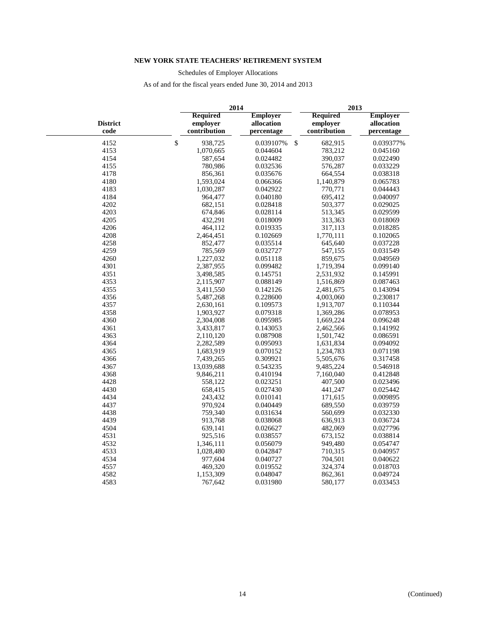Schedules of Employer Allocations

|                         |    |                                      | 2014                                        | 2013                                        |                                             |  |  |  |
|-------------------------|----|--------------------------------------|---------------------------------------------|---------------------------------------------|---------------------------------------------|--|--|--|
| <b>District</b><br>code |    | Required<br>employer<br>contribution | <b>Employer</b><br>allocation<br>percentage | <b>Required</b><br>employer<br>contribution | <b>Employer</b><br>allocation<br>percentage |  |  |  |
| 4152                    | \$ | 938,725                              | 0.039107%                                   | \$<br>682,915                               | 0.039377%                                   |  |  |  |
| 4153                    |    | 1,070,665                            | 0.044604                                    | 783,212                                     | 0.045160                                    |  |  |  |
| 4154                    |    | 587,654                              | 0.024482                                    | 390,037                                     | 0.022490                                    |  |  |  |
| 4155                    |    | 780,986                              | 0.032536                                    | 576,287                                     | 0.033229                                    |  |  |  |
| 4178                    |    | 856,361                              | 0.035676                                    | 664,554                                     | 0.038318                                    |  |  |  |
| 4180                    |    | 1,593,024                            | 0.066366                                    | 1,140,879                                   | 0.065783                                    |  |  |  |
| 4183                    |    | 1,030,287                            | 0.042922                                    | 770,771                                     | 0.044443                                    |  |  |  |
| 4184                    |    | 964,477                              | 0.040180                                    | 695,412                                     | 0.040097                                    |  |  |  |
| 4202                    |    | 682,151                              | 0.028418                                    | 503,377                                     | 0.029025                                    |  |  |  |
| 4203                    |    | 674,846                              | 0.028114                                    | 513,345                                     | 0.029599                                    |  |  |  |
| 4205                    |    | 432,291                              | 0.018009                                    | 313,363                                     | 0.018069                                    |  |  |  |
| 4206                    |    | 464,112                              | 0.019335                                    | 317,113                                     | 0.018285                                    |  |  |  |
| 4208                    |    | 2,464,451                            | 0.102669                                    | 1,770,111                                   | 0.102065                                    |  |  |  |
| 4258                    |    | 852,477                              | 0.035514                                    | 645,640                                     | 0.037228                                    |  |  |  |
| 4259                    |    | 785,569                              | 0.032727                                    | 547,155                                     | 0.031549                                    |  |  |  |
| 4260                    |    | 1,227,032                            | 0.051118                                    | 859,675                                     | 0.049569                                    |  |  |  |
| 4301                    |    | 2,387,955                            | 0.099482                                    | 1,719,394                                   | 0.099140                                    |  |  |  |
| 4351                    |    | 3,498,585                            | 0.145751                                    | 2,531,932                                   | 0.145991                                    |  |  |  |
| 4353                    |    | 2,115,907                            | 0.088149                                    | 1,516,869                                   | 0.087463                                    |  |  |  |
| 4355                    |    | 3,411,550                            | 0.142126                                    | 2,481,675                                   | 0.143094                                    |  |  |  |
| 4356                    |    | 5,487,268                            | 0.228600                                    | 4,003,060                                   | 0.230817                                    |  |  |  |
| 4357                    |    | 2,630,161                            | 0.109573                                    | 1,913,707                                   | 0.110344                                    |  |  |  |
| 4358                    |    | 1,903,927                            | 0.079318                                    | 1,369,286                                   | 0.078953                                    |  |  |  |
| 4360                    |    | 2,304,008                            | 0.095985                                    | 1,669,224                                   | 0.096248                                    |  |  |  |
| 4361                    |    | 3,433,817                            | 0.143053                                    | 2,462,566                                   | 0.141992                                    |  |  |  |
| 4363                    |    | 2,110,120                            | 0.087908                                    | 1,501,742                                   | 0.086591                                    |  |  |  |
| 4364                    |    | 2,282,589                            | 0.095093                                    | 1,631,834                                   | 0.094092                                    |  |  |  |
| 4365                    |    | 1,683,919                            | 0.070152                                    | 1,234,783                                   | 0.071198                                    |  |  |  |
| 4366                    |    | 7,439,265                            | 0.309921                                    | 5,505,676                                   | 0.317458                                    |  |  |  |
| 4367                    |    | 13,039,688                           | 0.543235                                    | 9,485,224                                   | 0.546918                                    |  |  |  |
| 4368                    |    | 9,846,211                            | 0.410194                                    | 7,160,040                                   | 0.412848                                    |  |  |  |
| 4428                    |    | 558,122                              | 0.023251                                    | 407,500                                     | 0.023496                                    |  |  |  |
| 4430                    |    | 658,415                              | 0.027430                                    | 441,247                                     | 0.025442                                    |  |  |  |
| 4434                    |    | 243,432                              | 0.010141                                    | 171,615                                     | 0.009895                                    |  |  |  |
| 4437                    |    | 970,924                              | 0.040449                                    | 689,550                                     | 0.039759                                    |  |  |  |
| 4438                    |    | 759,340                              | 0.031634                                    | 560,699                                     | 0.032330                                    |  |  |  |
| 4439                    |    | 913,768                              | 0.038068                                    | 636,913                                     | 0.036724                                    |  |  |  |
| 4504                    |    | 639,141                              | 0.026627                                    | 482,069                                     | 0.027796                                    |  |  |  |
| 4531                    |    | 925,516                              | 0.038557                                    | 673,152                                     | 0.038814                                    |  |  |  |
| 4532                    |    | 1,346,111                            | 0.056079                                    | 949,480                                     | 0.054747                                    |  |  |  |
| 4533                    |    | 1,028,480                            | 0.042847                                    | 710,315                                     | 0.040957                                    |  |  |  |
| 4534                    |    | 977,604                              | 0.040727                                    | 704,501                                     | 0.040622                                    |  |  |  |
| 4557                    |    | 469,320                              | 0.019552                                    | 324,374                                     | 0.018703                                    |  |  |  |
| 4582                    |    | 1,153,309                            | 0.048047                                    | 862,361                                     | 0.049724                                    |  |  |  |
| 4583                    |    | 767,642                              | 0.031980                                    | 580,177                                     | 0.033453                                    |  |  |  |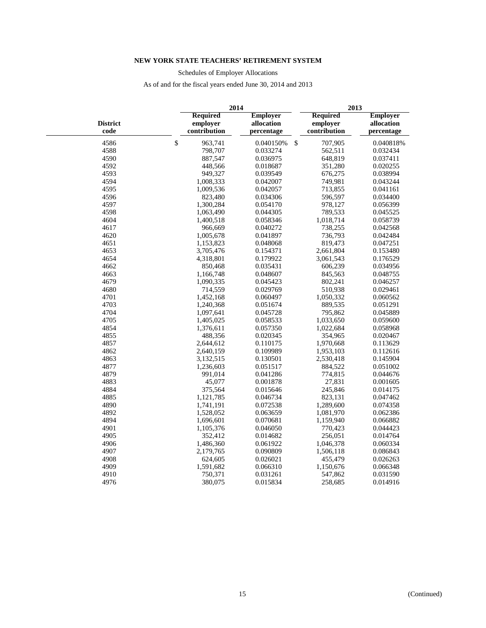Schedules of Employer Allocations

|                         |                                      | 2014                                        | 2013                                 |                                             |  |  |  |
|-------------------------|--------------------------------------|---------------------------------------------|--------------------------------------|---------------------------------------------|--|--|--|
| <b>District</b><br>code | Required<br>employer<br>contribution | <b>Employer</b><br>allocation<br>percentage | Required<br>employer<br>contribution | <b>Employer</b><br>allocation<br>percentage |  |  |  |
| 4586                    | \$<br>963,741                        | 0.040150%                                   | \$<br>707,905                        | 0.040818%                                   |  |  |  |
| 4588                    | 798,707                              | 0.033274                                    | 562,511                              | 0.032434                                    |  |  |  |
| 4590                    | 887,547                              | 0.036975                                    | 648,819                              | 0.037411                                    |  |  |  |
| 4592                    | 448,566                              | 0.018687                                    | 351,280                              | 0.020255                                    |  |  |  |
| 4593                    | 949,327                              | 0.039549                                    | 676,275                              | 0.038994                                    |  |  |  |
| 4594                    | 1,008,333                            | 0.042007                                    | 749,981                              | 0.043244                                    |  |  |  |
| 4595                    | 1,009,536                            | 0.042057                                    | 713,855                              | 0.041161                                    |  |  |  |
| 4596                    | 823,480                              | 0.034306                                    | 596,597                              | 0.034400                                    |  |  |  |
| 4597                    | 1,300,284                            | 0.054170                                    | 978,127                              | 0.056399                                    |  |  |  |
| 4598                    | 1,063,490                            | 0.044305                                    | 789,533                              | 0.045525                                    |  |  |  |
| 4604                    | 1,400,518                            | 0.058346                                    | 1,018,714                            | 0.058739                                    |  |  |  |
| 4617                    | 966,669                              | 0.040272                                    | 738,255                              | 0.042568                                    |  |  |  |
| 4620                    | 1,005,678                            | 0.041897                                    | 736,793                              | 0.042484                                    |  |  |  |
| 4651                    | 1,153,823                            | 0.048068                                    | 819,473                              | 0.047251                                    |  |  |  |
| 4653                    | 3,705,476                            | 0.154371                                    | 2,661,804                            | 0.153480                                    |  |  |  |
| 4654                    | 4,318,801                            | 0.179922                                    | 3,061,543                            | 0.176529                                    |  |  |  |
| 4662                    | 850,468                              | 0.035431                                    | 606,239                              | 0.034956                                    |  |  |  |
| 4663                    | 1,166,748                            | 0.048607                                    | 845,563                              | 0.048755                                    |  |  |  |
| 4679                    | 1,090,335                            | 0.045423                                    | 802,241                              | 0.046257                                    |  |  |  |
| 4680                    | 714,559                              | 0.029769                                    | 510,938                              | 0.029461                                    |  |  |  |
| 4701                    | 1,452,168                            | 0.060497                                    | 1,050,332                            | 0.060562                                    |  |  |  |
| 4703                    | 1,240,368                            | 0.051674                                    | 889,535                              | 0.051291                                    |  |  |  |
| 4704                    | 1,097,641                            | 0.045728                                    | 795,862                              | 0.045889                                    |  |  |  |
| 4705                    | 1,405,025                            | 0.058533                                    | 1,033,650                            | 0.059600                                    |  |  |  |
| 4854                    | 1,376,611                            | 0.057350                                    | 1,022,684                            | 0.058968                                    |  |  |  |
| 4855                    | 488,356                              | 0.020345                                    | 354,965                              | 0.020467                                    |  |  |  |
| 4857                    | 2,644,612                            | 0.110175                                    | 1,970,668                            | 0.113629                                    |  |  |  |
| 4862                    | 2,640,159                            | 0.109989                                    | 1,953,103                            | 0.112616                                    |  |  |  |
| 4863                    | 3,132,515                            | 0.130501                                    | 2,530,418                            | 0.145904                                    |  |  |  |
| 4877                    | 1,236,603                            | 0.051517                                    | 884,522                              | 0.051002                                    |  |  |  |
| 4879                    | 991,014                              | 0.041286                                    | 774,815                              | 0.044676                                    |  |  |  |
| 4883                    | 45,077                               | 0.001878                                    | 27,831                               | 0.001605                                    |  |  |  |
| 4884                    | 375,564                              | 0.015646                                    | 245,846                              | 0.014175                                    |  |  |  |
| 4885                    | 1,121,785                            | 0.046734                                    | 823,131                              | 0.047462                                    |  |  |  |
| 4890                    | 1,741,191                            | 0.072538                                    | 1,289,600                            | 0.074358                                    |  |  |  |
| 4892                    | 1,528,052                            | 0.063659                                    | 1,081,970                            | 0.062386                                    |  |  |  |
| 4894                    | 1,696,601                            | 0.070681                                    | 1,159,940                            | 0.066882                                    |  |  |  |
| 4901                    | 1,105,376                            | 0.046050                                    | 770,423                              | 0.044423                                    |  |  |  |
| 4905                    | 352,412                              | 0.014682                                    | 256,051                              | 0.014764                                    |  |  |  |
| 4906                    | 1,486,360                            | 0.061922                                    | 1,046,378                            | 0.060334                                    |  |  |  |
| 4907                    | 2,179,765                            | 0.090809                                    | 1,506,118                            | 0.086843                                    |  |  |  |
| 4908                    | 624,605                              | 0.026021                                    | 455,479                              | 0.026263                                    |  |  |  |
| 4909                    | 1,591,682                            | 0.066310                                    | 1,150,676                            | 0.066348                                    |  |  |  |
| 4910                    | 750,371                              | 0.031261                                    | 547,862                              | 0.031590                                    |  |  |  |
| 4976                    | 380,075                              | 0.015834                                    | 258,685                              | 0.014916                                    |  |  |  |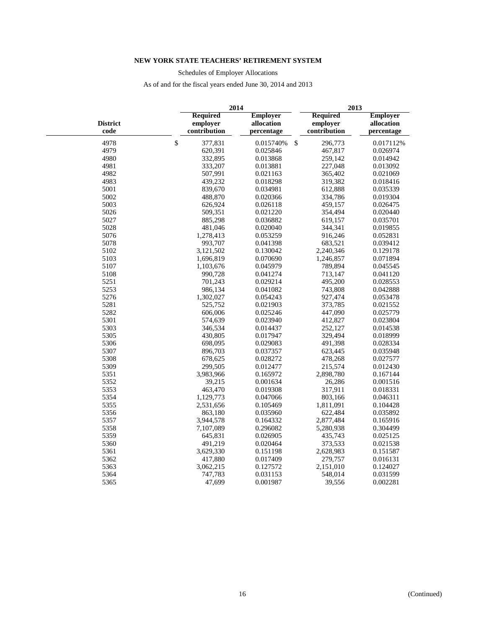Schedules of Employer Allocations

|                         |              |                                             | 2014                                        |              | 2013                                        |                                             |  |  |  |
|-------------------------|--------------|---------------------------------------------|---------------------------------------------|--------------|---------------------------------------------|---------------------------------------------|--|--|--|
| <b>District</b><br>code |              | <b>Required</b><br>employer<br>contribution | <b>Employer</b><br>allocation<br>percentage |              | <b>Required</b><br>employer<br>contribution | <b>Employer</b><br>allocation<br>percentage |  |  |  |
| 4978                    | $\mathbb{S}$ | 377,831                                     | 0.015740%                                   | $\mathbb{S}$ | 296,773                                     | 0.017112%                                   |  |  |  |
| 4979                    |              | 620,391                                     | 0.025846                                    |              | 467,817                                     | 0.026974                                    |  |  |  |
| 4980                    |              | 332,895                                     | 0.013868                                    |              | 259,142                                     | 0.014942                                    |  |  |  |
| 4981                    |              | 333,207                                     | 0.013881                                    |              | 227,048                                     | 0.013092                                    |  |  |  |
| 4982                    |              | 507,991                                     | 0.021163                                    |              | 365,402                                     | 0.021069                                    |  |  |  |
| 4983                    |              | 439,232                                     | 0.018298                                    |              | 319,382                                     | 0.018416                                    |  |  |  |
| 5001                    |              | 839,670                                     | 0.034981                                    |              | 612,888                                     | 0.035339                                    |  |  |  |
| 5002                    |              | 488,870                                     | 0.020366                                    |              | 334,786                                     | 0.019304                                    |  |  |  |
| 5003                    |              | 626,924                                     | 0.026118                                    |              | 459,157                                     | 0.026475                                    |  |  |  |
| 5026                    |              | 509,351                                     | 0.021220                                    |              | 354,494                                     | 0.020440                                    |  |  |  |
| 5027                    |              | 885,298                                     | 0.036882                                    |              | 619,157                                     | 0.035701                                    |  |  |  |
| 5028                    |              | 481,046                                     | 0.020040                                    |              | 344,341                                     | 0.019855                                    |  |  |  |
| 5076                    |              | 1,278,413                                   | 0.053259                                    |              | 916,246                                     | 0.052831                                    |  |  |  |
| 5078                    |              | 993,707                                     | 0.041398                                    |              | 683,521                                     | 0.039412                                    |  |  |  |
| 5102                    |              | 3,121,502                                   | 0.130042                                    |              | 2,240,346                                   | 0.129178                                    |  |  |  |
| 5103                    |              | 1,696,819                                   | 0.070690                                    |              | 1,246,857                                   | 0.071894                                    |  |  |  |
| 5107                    |              | 1,103,676                                   | 0.045979                                    |              | 789,894                                     | 0.045545                                    |  |  |  |
| 5108                    |              | 990,728                                     | 0.041274                                    |              | 713,147                                     | 0.041120                                    |  |  |  |
| 5251                    |              | 701,243                                     | 0.029214                                    |              | 495,200                                     | 0.028553                                    |  |  |  |
| 5253                    |              | 986,134                                     | 0.041082                                    |              | 743,808                                     | 0.042888                                    |  |  |  |
| 5276                    |              | 1,302,027                                   | 0.054243                                    |              | 927,474                                     | 0.053478                                    |  |  |  |
| 5281                    |              | 525,752                                     | 0.021903                                    |              | 373,785                                     | 0.021552                                    |  |  |  |
| 5282                    |              | 606,006                                     | 0.025246                                    |              | 447,090                                     | 0.025779                                    |  |  |  |
| 5301                    |              | 574,639                                     | 0.023940                                    |              | 412,827                                     | 0.023804                                    |  |  |  |
| 5303                    |              | 346,534                                     | 0.014437                                    |              | 252,127                                     | 0.014538                                    |  |  |  |
| 5305                    |              | 430,805                                     | 0.017947                                    |              | 329,494                                     | 0.018999                                    |  |  |  |
| 5306                    |              | 698,095                                     | 0.029083                                    |              | 491,398                                     | 0.028334                                    |  |  |  |
| 5307                    |              | 896,703                                     | 0.037357                                    |              | 623,445                                     | 0.035948                                    |  |  |  |
| 5308                    |              | 678,625                                     | 0.028272                                    |              | 478,268                                     | 0.027577                                    |  |  |  |
| 5309                    |              | 299,505                                     | 0.012477                                    |              | 215,574                                     | 0.012430                                    |  |  |  |
| 5351                    |              | 3,983,966                                   | 0.165972                                    |              | 2,898,780                                   | 0.167144                                    |  |  |  |
| 5352                    |              | 39,215                                      | 0.001634                                    |              | 26,286                                      | 0.001516                                    |  |  |  |
| 5353                    |              | 463,470                                     | 0.019308                                    |              | 317,911                                     | 0.018331                                    |  |  |  |
| 5354                    |              | 1,129,773                                   | 0.047066                                    |              | 803,166                                     | 0.046311                                    |  |  |  |
| 5355                    |              | 2,531,656                                   | 0.105469                                    |              | 1,811,091                                   | 0.104428                                    |  |  |  |
| 5356                    |              | 863,180                                     | 0.035960                                    |              | 622,484                                     | 0.035892                                    |  |  |  |
| 5357                    |              | 3,944,578                                   | 0.164332                                    |              | 2,877,484                                   | 0.165916                                    |  |  |  |
| 5358                    |              | 7,107,089                                   | 0.296082                                    |              | 5,280,938                                   | 0.304499                                    |  |  |  |
| 5359                    |              | 645,831                                     | 0.026905                                    |              | 435,743                                     | 0.025125                                    |  |  |  |
| 5360                    |              | 491,219                                     | 0.020464                                    |              | 373,533                                     | 0.021538                                    |  |  |  |
| 5361                    | 3,629,330    |                                             | 0.151198                                    |              | 2,628,983                                   | 0.151587                                    |  |  |  |
| 5362                    |              | 417,880                                     | 0.017409                                    |              | 279,757                                     | 0.016131                                    |  |  |  |
| 5363                    |              | 3,062,215                                   | 0.127572                                    |              | 2,151,010                                   | 0.124027                                    |  |  |  |
| 5364                    |              | 747,783                                     | 0.031153                                    |              | 548,014                                     | 0.031599                                    |  |  |  |
| 5365                    |              | 47,699                                      | 0.001987                                    |              | 39,556                                      | 0.002281                                    |  |  |  |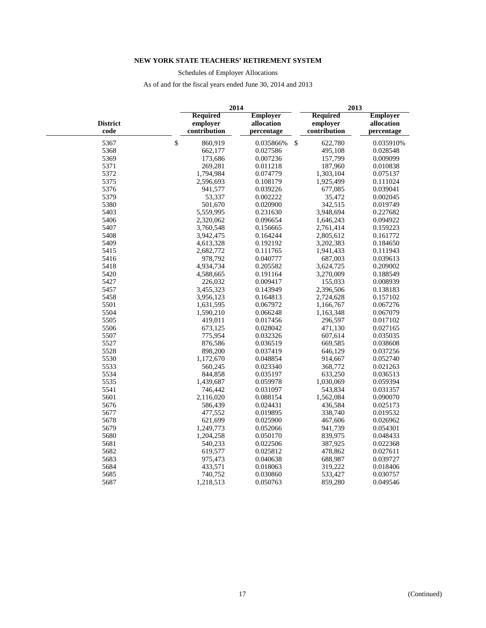Schedules of Employer Allocations

|                         |                                             | 2014                                        | 2013                                        |                                             |  |  |  |
|-------------------------|---------------------------------------------|---------------------------------------------|---------------------------------------------|---------------------------------------------|--|--|--|
| <b>District</b><br>code | <b>Required</b><br>employer<br>contribution | <b>Employer</b><br>allocation<br>percentage | <b>Required</b><br>employer<br>contribution | <b>Employer</b><br>allocation<br>percentage |  |  |  |
| 5367                    | $\mathbb{S}$<br>860,919                     | $\mathbb{S}$<br>0.035866%                   | 622,780                                     | 0.035910%                                   |  |  |  |
| 5368                    | 662,177                                     | 0.027586                                    | 495,108                                     | 0.028548                                    |  |  |  |
| 5369                    | 173,686                                     | 0.007236                                    | 157,799                                     | 0.009099                                    |  |  |  |
| 5371                    | 269,281                                     | 0.011218                                    | 187,960                                     | 0.010838                                    |  |  |  |
| 5372                    | 1,794,984                                   | 0.074779                                    | 1,303,104                                   | 0.075137                                    |  |  |  |
| 5375                    | 2,596,693                                   | 0.108179                                    | 1,925,499                                   | 0.111024                                    |  |  |  |
| 5376                    | 941,577                                     | 0.039226                                    | 677,085                                     | 0.039041                                    |  |  |  |
| 5379                    | 53,337                                      | 0.002222                                    | 35,472                                      | 0.002045                                    |  |  |  |
| 5380                    | 501,670                                     | 0.020900                                    | 342,515                                     | 0.019749                                    |  |  |  |
| 5403                    | 5,559,995                                   | 0.231630                                    | 3,948,694                                   | 0.227682                                    |  |  |  |
| 5406                    | 2,320,062                                   | 0.096654                                    | 1,646,243                                   | 0.094922                                    |  |  |  |
| 5407                    | 3,760,548                                   | 0.156665                                    | 2,761,414                                   | 0.159223                                    |  |  |  |
| 5408                    | 3,942,475                                   | 0.164244                                    | 2,805,612                                   | 0.161772                                    |  |  |  |
| 5409                    | 4,613,328                                   | 0.192192                                    | 3,202,383                                   | 0.184650                                    |  |  |  |
| 5415                    | 2,682,772                                   | 0.111765                                    | 1,941,433                                   | 0.111943                                    |  |  |  |
| 5416                    | 978,792                                     | 0.040777                                    | 687,003                                     | 0.039613                                    |  |  |  |
| 5418                    | 4,934,734                                   | 0.205582                                    | 3,624,725                                   | 0.209002                                    |  |  |  |
| 5420                    | 4,588,665                                   | 0.191164                                    | 3,270,009                                   | 0.188549                                    |  |  |  |
| 5427                    | 226,032                                     | 0.009417                                    | 155,033                                     | 0.008939                                    |  |  |  |
| 5457                    | 3,455,323                                   | 0.143949                                    | 2,396,506                                   | 0.138183                                    |  |  |  |
| 5458                    | 3,956,123                                   | 0.164813                                    | 2,724,628                                   | 0.157102                                    |  |  |  |
| 5501                    | 1,631,595                                   | 0.067972                                    | 1,166,767                                   | 0.067276                                    |  |  |  |
| 5504                    | 1,590,210                                   | 0.066248                                    | 1,163,348                                   | 0.067079                                    |  |  |  |
| 5505                    | 419,011                                     | 0.017456                                    | 296,597                                     | 0.017102                                    |  |  |  |
| 5506                    | 673,125                                     | 0.028042                                    | 471,130                                     | 0.027165                                    |  |  |  |
| 5507                    | 775,954                                     | 0.032326                                    | 607,614                                     | 0.035035                                    |  |  |  |
| 5527                    | 876,586                                     | 0.036519                                    | 669,585                                     | 0.038608                                    |  |  |  |
| 5528                    | 898,200                                     | 0.037419                                    | 646,129                                     | 0.037256                                    |  |  |  |
| 5530                    | 1,172,670                                   | 0.048854                                    | 914,667                                     | 0.052740                                    |  |  |  |
| 5533                    | 560,245                                     | 0.023340                                    | 368,772                                     | 0.021263                                    |  |  |  |
| 5534                    | 844,858                                     | 0.035197                                    | 633,250                                     | 0.036513                                    |  |  |  |
| 5535                    | 1,439,687                                   | 0.059978                                    | 1,030,069                                   | 0.059394                                    |  |  |  |
| 5541                    | 746,442                                     | 0.031097                                    | 543,834                                     | 0.031357                                    |  |  |  |
| 5601                    | 2,116,020                                   | 0.088154                                    | 1,562,084                                   | 0.090070                                    |  |  |  |
| 5676                    | 586,439                                     | 0.024431                                    | 436,584                                     | 0.025173                                    |  |  |  |
| 5677                    | 477,552                                     | 0.019895                                    | 338,740                                     | 0.019532                                    |  |  |  |
| 5678                    | 621,699                                     | 0.025900                                    | 467,606                                     | 0.026962                                    |  |  |  |
| 5679                    | 1,249,773                                   | 0.052066                                    | 941,739                                     | 0.054301                                    |  |  |  |
| 5680                    | 1,204,258                                   | 0.050170                                    | 839,975                                     | 0.048433                                    |  |  |  |
| 5681                    | 540,233                                     | 0.022506                                    | 387,925                                     | 0.022368                                    |  |  |  |
| 5682                    | 619,577                                     | 0.025812                                    | 478,862                                     | 0.027611                                    |  |  |  |
| 5683                    | 975,473                                     | 0.040638                                    | 688,987                                     | 0.039727                                    |  |  |  |
| 5684                    | 433,571                                     | 0.018063                                    | 319,222                                     | 0.018406                                    |  |  |  |
| 5685                    | 740,752                                     | 0.030860                                    | 533,427                                     | 0.030757                                    |  |  |  |
| 5687                    | 1,218,513                                   | 0.050763                                    | 859,280                                     | 0.049546                                    |  |  |  |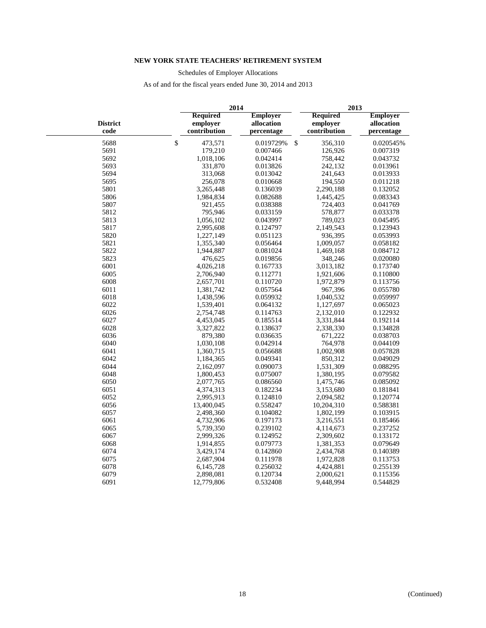Schedules of Employer Allocations

|                         |                                             | 2014                                        | 2013                                        |                                             |  |  |  |
|-------------------------|---------------------------------------------|---------------------------------------------|---------------------------------------------|---------------------------------------------|--|--|--|
| <b>District</b><br>code | <b>Required</b><br>employer<br>contribution | <b>Employer</b><br>allocation<br>percentage | <b>Required</b><br>employer<br>contribution | <b>Employer</b><br>allocation<br>percentage |  |  |  |
| 5688                    | \$<br>473,571                               | $\boldsymbol{\mathsf{S}}$<br>0.019729%      | 356,310                                     | 0.020545%                                   |  |  |  |
| 5691                    | 179,210                                     | 0.007466                                    | 126,926                                     | 0.007319                                    |  |  |  |
| 5692                    | 1,018,106                                   | 0.042414                                    | 758,442                                     | 0.043732                                    |  |  |  |
| 5693                    | 331,870                                     | 0.013826                                    | 242,132                                     | 0.013961                                    |  |  |  |
| 5694                    | 313,068                                     | 0.013042                                    | 241,643                                     | 0.013933                                    |  |  |  |
| 5695                    | 256,078                                     | 0.010668                                    | 194,550                                     | 0.011218                                    |  |  |  |
| 5801                    | 3,265,448                                   | 0.136039                                    | 2,290,188                                   | 0.132052                                    |  |  |  |
| 5806                    | 1,984,834                                   | 0.082688                                    | 1,445,425                                   | 0.083343                                    |  |  |  |
| 5807                    | 921,455                                     | 0.038388                                    | 724,403                                     | 0.041769                                    |  |  |  |
| 5812                    | 795,946                                     | 0.033159                                    | 578,877                                     | 0.033378                                    |  |  |  |
| 5813                    | 1,056,102                                   | 0.043997                                    | 789,023                                     | 0.045495                                    |  |  |  |
| 5817                    | 2,995,608                                   | 0.124797                                    | 2,149,543                                   | 0.123943                                    |  |  |  |
| 5820                    | 1,227,149                                   | 0.051123                                    | 936,395                                     | 0.053993                                    |  |  |  |
| 5821                    | 1,355,340                                   | 0.056464                                    | 1,009,057                                   | 0.058182                                    |  |  |  |
| 5822                    | 1,944,887                                   | 0.081024                                    | 1,469,168                                   | 0.084712                                    |  |  |  |
| 5823                    | 476,625                                     | 0.019856                                    | 348,246                                     | 0.020080                                    |  |  |  |
| 6001                    | 4,026,218                                   | 0.167733                                    | 3,013,182                                   | 0.173740                                    |  |  |  |
| 6005                    | 2,706,940                                   | 0.112771                                    | 1,921,606                                   | 0.110800                                    |  |  |  |
| 6008                    | 2,657,701                                   | 0.110720                                    | 1,972,879                                   | 0.113756                                    |  |  |  |
| 6011                    | 1,381,742                                   | 0.057564                                    | 967,396                                     | 0.055780                                    |  |  |  |
| 6018                    | 1,438,596                                   | 0.059932                                    | 1,040,532                                   | 0.059997                                    |  |  |  |
| 6022                    | 1,539,401                                   | 0.064132                                    | 1,127,697                                   | 0.065023                                    |  |  |  |
| 6026                    | 2,754,748                                   | 0.114763                                    | 2,132,010                                   | 0.122932                                    |  |  |  |
| 6027                    | 4,453,045                                   | 0.185514                                    | 3,331,844                                   | 0.192114                                    |  |  |  |
| 6028                    | 3,327,822                                   | 0.138637                                    | 2,338,330                                   | 0.134828                                    |  |  |  |
| 6036                    | 879,380                                     | 0.036635                                    | 671,222                                     | 0.038703                                    |  |  |  |
| 6040                    | 1,030,108                                   | 0.042914                                    | 764,978                                     | 0.044109                                    |  |  |  |
| 6041                    | 1,360,715                                   | 0.056688                                    | 1,002,908                                   | 0.057828                                    |  |  |  |
| 6042                    | 1,184,365                                   | 0.049341                                    | 850,312                                     | 0.049029                                    |  |  |  |
| 6044                    | 2,162,097                                   | 0.090073                                    | 1,531,309                                   | 0.088295                                    |  |  |  |
| 6048                    | 1,800,453                                   | 0.075007                                    | 1,380,195                                   | 0.079582                                    |  |  |  |
| 6050                    | 2,077,765                                   | 0.086560                                    | 1,475,746                                   | 0.085092                                    |  |  |  |
| 6051                    | 4,374,313                                   | 0.182234                                    | 3,153,680                                   | 0.181841                                    |  |  |  |
| 6052                    | 2,995,913                                   | 0.124810                                    | 2,094,582                                   | 0.120774                                    |  |  |  |
| 6056                    | 13,400,045                                  | 0.558247                                    | 10,204,310                                  | 0.588381                                    |  |  |  |
| 6057                    | 2,498,360                                   | 0.104082                                    | 1,802,199                                   | 0.103915                                    |  |  |  |
| 6061                    | 4,732,906                                   | 0.197173                                    | 3,216,551                                   | 0.185466                                    |  |  |  |
| 6065                    | 5,739,350                                   | 0.239102                                    | 4,114,673                                   | 0.237252                                    |  |  |  |
| 6067                    | 2,999,326                                   | 0.124952                                    | 2,309,602                                   | 0.133172                                    |  |  |  |
| 6068                    | 1,914,855                                   | 0.079773                                    | 1,381,353                                   | 0.079649                                    |  |  |  |
| 6074                    | 3,429,174                                   | 0.142860                                    | 2,434,768                                   | 0.140389                                    |  |  |  |
| 6075                    | 2,687,904                                   | 0.111978                                    | 1,972,828                                   | 0.113753                                    |  |  |  |
| 6078                    | 6,145,728                                   | 0.256032                                    | 4,424,881                                   | 0.255139                                    |  |  |  |
| 6079                    | 2,898,081                                   | 0.120734                                    | 2,000,621                                   | 0.115356                                    |  |  |  |
| 6091                    | 12,779,806                                  | 0.532408                                    | 9,448,994                                   | 0.544829                                    |  |  |  |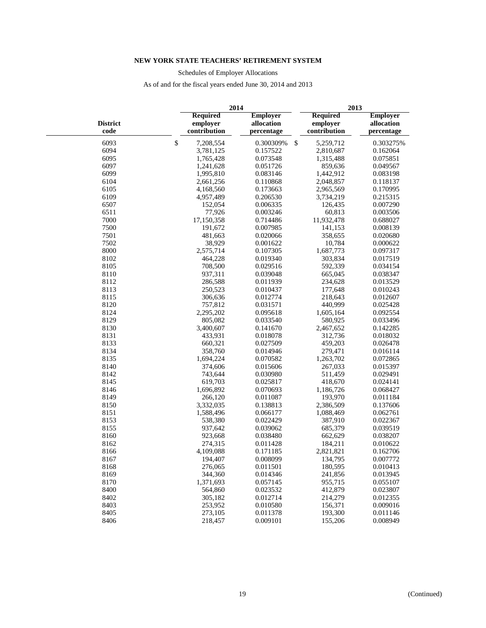Schedules of Employer Allocations

|                         |                                                                                            | 2014      |    | 2013                                        |                                             |  |  |  |
|-------------------------|--------------------------------------------------------------------------------------------|-----------|----|---------------------------------------------|---------------------------------------------|--|--|--|
| <b>District</b><br>code | <b>Required</b><br><b>Employer</b><br>employer<br>allocation<br>contribution<br>percentage |           |    | <b>Required</b><br>employer<br>contribution | <b>Employer</b><br>allocation<br>percentage |  |  |  |
| 6093                    | \$<br>7,208,554                                                                            | 0.300309% | \$ | 5,259,712                                   | 0.303275%                                   |  |  |  |
| 6094                    | 3,781,125                                                                                  | 0.157522  |    | 2,810,687                                   | 0.162064                                    |  |  |  |
| 6095                    | 1,765,428                                                                                  | 0.073548  |    | 1,315,488                                   | 0.075851                                    |  |  |  |
| 6097                    | 1,241,628                                                                                  | 0.051726  |    | 859,636                                     | 0.049567                                    |  |  |  |
| 6099                    | 1,995,810                                                                                  | 0.083146  |    | 1,442,912                                   | 0.083198                                    |  |  |  |
| 6104                    | 2,661,256                                                                                  | 0.110868  |    | 2,048,857                                   | 0.118137                                    |  |  |  |
| 6105                    | 4,168,560                                                                                  | 0.173663  |    | 2,965,569                                   | 0.170995                                    |  |  |  |
| 6109                    | 4,957,489                                                                                  | 0.206530  |    | 3,734,219                                   | 0.215315                                    |  |  |  |
| 6507                    | 152,054                                                                                    | 0.006335  |    | 126,435                                     | 0.007290                                    |  |  |  |
| 6511                    | 77,926                                                                                     | 0.003246  |    | 60,813                                      | 0.003506                                    |  |  |  |
| 7000                    | 17,150,358                                                                                 | 0.714486  |    | 11,932,478                                  | 0.688027                                    |  |  |  |
| 7500                    | 191,672                                                                                    | 0.007985  |    | 141,153                                     | 0.008139                                    |  |  |  |
| 7501                    | 481,663                                                                                    | 0.020066  |    | 358,655                                     | 0.020680                                    |  |  |  |
| 7502                    | 38,929                                                                                     | 0.001622  |    | 10,784                                      | 0.000622                                    |  |  |  |
| 8000                    | 2,575,714                                                                                  | 0.107305  |    | 1,687,773                                   | 0.097317                                    |  |  |  |
| 8102                    | 464,228                                                                                    | 0.019340  |    | 303,834                                     | 0.017519                                    |  |  |  |
| 8105                    | 708,500                                                                                    | 0.029516  |    | 592,339                                     | 0.034154                                    |  |  |  |
| 8110                    | 937,311                                                                                    | 0.039048  |    | 665,045                                     | 0.038347                                    |  |  |  |
| 8112                    | 286,588                                                                                    | 0.011939  |    | 234,628                                     | 0.013529                                    |  |  |  |
| 8113                    | 250,523                                                                                    | 0.010437  |    | 177,648                                     | 0.010243                                    |  |  |  |
| 8115                    | 306,636                                                                                    | 0.012774  |    | 218,643                                     | 0.012607                                    |  |  |  |
| 8120                    | 757,812                                                                                    | 0.031571  |    | 440,999                                     | 0.025428                                    |  |  |  |
| 8124                    | 2,295,202                                                                                  | 0.095618  |    | 1,605,164                                   | 0.092554                                    |  |  |  |
| 8129                    | 805,082                                                                                    | 0.033540  |    | 580,925                                     | 0.033496                                    |  |  |  |
| 8130                    | 3,400,607                                                                                  | 0.141670  |    | 2,467,652                                   | 0.142285                                    |  |  |  |
| 8131                    | 433,931                                                                                    | 0.018078  |    | 312,736                                     | 0.018032                                    |  |  |  |
| 8133                    | 660,321                                                                                    | 0.027509  |    | 459,203                                     | 0.026478                                    |  |  |  |
| 8134                    | 358,760                                                                                    | 0.014946  |    | 279,471                                     | 0.016114                                    |  |  |  |
| 8135                    | 1,694,224                                                                                  | 0.070582  |    | 1,263,702                                   | 0.072865                                    |  |  |  |
| 8140                    | 374,606                                                                                    | 0.015606  |    | 267,033                                     | 0.015397                                    |  |  |  |
| 8142                    | 743,644                                                                                    | 0.030980  |    | 511,459                                     | 0.029491                                    |  |  |  |
| 8145                    | 619,703                                                                                    | 0.025817  |    | 418,670                                     | 0.024141                                    |  |  |  |
| 8146                    | 1,696,892                                                                                  | 0.070693  |    | 1,186,726                                   | 0.068427                                    |  |  |  |
| 8149                    | 266,120                                                                                    | 0.011087  |    | 193,970                                     | 0.011184                                    |  |  |  |
| 8150                    | 3,332,035                                                                                  | 0.138813  |    | 2,386,509                                   | 0.137606                                    |  |  |  |
| 8151                    | 1,588,496                                                                                  | 0.066177  |    | 1,088,469                                   | 0.062761                                    |  |  |  |
| 8153                    | 538,380                                                                                    | 0.022429  |    | 387,910                                     | 0.022367                                    |  |  |  |
| 8155                    | 937,642                                                                                    | 0.039062  |    | 685,379                                     | 0.039519                                    |  |  |  |
| 8160                    | 923,668                                                                                    | 0.038480  |    | 662,629                                     | 0.038207                                    |  |  |  |
| 8162                    | 274,315                                                                                    | 0.011428  |    | 184,211                                     | 0.010622                                    |  |  |  |
| 8166                    | 4,109,088                                                                                  | 0.171185  |    | 2,821,821                                   | 0.162706                                    |  |  |  |
| 8167                    | 194,407                                                                                    | 0.008099  |    | 134,795                                     | 0.007772                                    |  |  |  |
| 8168                    | 276,065                                                                                    | 0.011501  |    | 180,595                                     | 0.010413                                    |  |  |  |
| 8169                    | 344,360                                                                                    | 0.014346  |    | 241,856                                     | 0.013945                                    |  |  |  |
| 8170                    | 1,371,693                                                                                  | 0.057145  |    | 955,715                                     | 0.055107                                    |  |  |  |
| 8400                    | 564,860                                                                                    | 0.023532  |    | 412,879                                     | 0.023807                                    |  |  |  |
| 8402                    | 305,182                                                                                    | 0.012714  |    | 214,279                                     | 0.012355                                    |  |  |  |
| 8403                    | 253,952                                                                                    | 0.010580  |    | 156,371                                     | 0.009016                                    |  |  |  |
| 8405                    | 273,105                                                                                    | 0.011378  |    | 193,300                                     | 0.011146                                    |  |  |  |
| 8406                    | 218,457                                                                                    | 0.009101  |    | 155,206                                     | 0.008949                                    |  |  |  |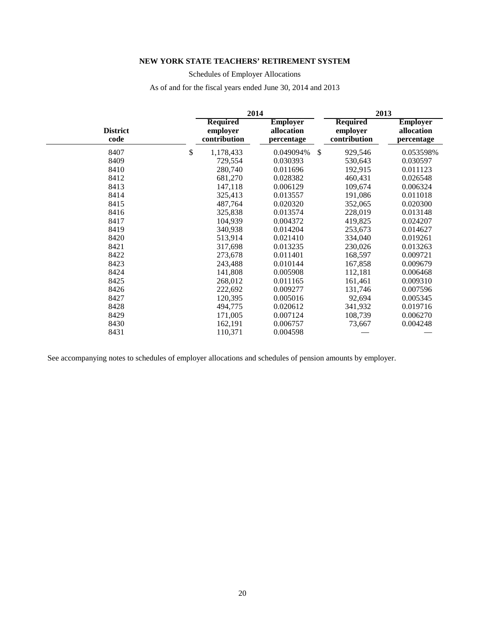# Schedules of Employer Allocations

As of and for the fiscal years ended June 30, 2014 and 2013

|                         | 2014                                        |                                             | 2013                                        |                                             |  |  |  |
|-------------------------|---------------------------------------------|---------------------------------------------|---------------------------------------------|---------------------------------------------|--|--|--|
| <b>District</b><br>code | <b>Required</b><br>employer<br>contribution | <b>Employer</b><br>allocation<br>percentage | <b>Required</b><br>employer<br>contribution | <b>Employer</b><br>allocation<br>percentage |  |  |  |
| 8407<br>\$              | 1,178,433                                   | \$<br>0.049094%                             | 929,546                                     | 0.053598%                                   |  |  |  |
| 8409                    | 729,554                                     | 0.030393                                    | 530,643                                     | 0.030597                                    |  |  |  |
| 8410                    | 280,740                                     | 0.011696                                    | 192,915                                     | 0.011123                                    |  |  |  |
| 8412                    | 681,270                                     | 0.028382                                    | 460,431                                     | 0.026548                                    |  |  |  |
| 8413                    | 147,118                                     | 0.006129                                    | 109,674                                     | 0.006324                                    |  |  |  |
| 8414                    | 325,413                                     | 0.013557                                    | 191,086                                     | 0.011018                                    |  |  |  |
| 8415                    | 487,764                                     | 0.020320                                    | 352,065                                     | 0.020300                                    |  |  |  |
| 8416                    | 325,838                                     | 0.013574                                    | 228,019                                     | 0.013148                                    |  |  |  |
| 8417                    | 104,939                                     | 0.004372                                    | 419,825                                     | 0.024207                                    |  |  |  |
| 8419                    | 340,938                                     | 0.014204                                    | 253,673                                     | 0.014627                                    |  |  |  |
| 8420                    | 513,914                                     | 0.021410                                    | 334,040                                     | 0.019261                                    |  |  |  |
| 8421                    | 317,698                                     | 0.013235                                    | 230,026                                     | 0.013263                                    |  |  |  |
| 8422                    | 273,678                                     | 0.011401                                    | 168,597                                     | 0.009721                                    |  |  |  |
| 8423                    | 243,488                                     | 0.010144                                    | 167,858                                     | 0.009679                                    |  |  |  |
| 8424                    | 141,808                                     | 0.005908                                    | 112,181                                     | 0.006468                                    |  |  |  |
| 8425                    | 268,012                                     | 0.011165                                    | 161,461                                     | 0.009310                                    |  |  |  |
| 8426                    | 222,692                                     | 0.009277                                    | 131,746                                     | 0.007596                                    |  |  |  |
| 8427                    | 120,395                                     | 0.005016                                    | 92,694                                      | 0.005345                                    |  |  |  |
| 8428                    | 494,775                                     | 0.020612                                    | 341,932                                     | 0.019716                                    |  |  |  |
| 8429                    | 171,005                                     | 0.007124                                    | 108,739                                     | 0.006270                                    |  |  |  |
| 8430                    | 162,191                                     | 0.006757                                    | 73,667                                      | 0.004248                                    |  |  |  |
| 8431                    | 110,371                                     | 0.004598                                    |                                             |                                             |  |  |  |

See accompanying notes to schedules of employer allocations and schedules of pension amounts by employer.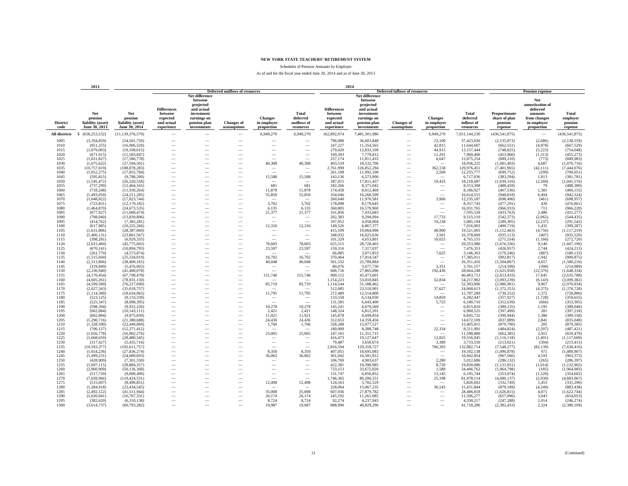Schedules of Pension Amounts by Employer

|                         | 2013                                                 |                                                      |                                                                       |                                                                                                                       |                                       |                                             |                                               |                                                                       | 2014                                                                                                             |                                      |                                             |                                              |                                                      |                                                                                            |                                         |
|-------------------------|------------------------------------------------------|------------------------------------------------------|-----------------------------------------------------------------------|-----------------------------------------------------------------------------------------------------------------------|---------------------------------------|---------------------------------------------|-----------------------------------------------|-----------------------------------------------------------------------|------------------------------------------------------------------------------------------------------------------|--------------------------------------|---------------------------------------------|----------------------------------------------|------------------------------------------------------|--------------------------------------------------------------------------------------------|-----------------------------------------|
|                         |                                                      |                                                      |                                                                       |                                                                                                                       | <b>Deferred outflows of resources</b> |                                             |                                               |                                                                       |                                                                                                                  | <b>Deferred inflows of resources</b> |                                             |                                              |                                                      | <b>Pension expense</b>                                                                     |                                         |
| <b>District</b><br>code | Net<br>pension<br>liability (asset)<br>June 30, 2013 | Net<br>pension<br>liability (asset)<br>June 30, 2014 | <b>Differences</b><br>between<br>expected<br>and actual<br>experience | Net difference<br>between<br>projected<br>and actual<br>investment<br>earnings on<br>pension plan<br>$\,$ investments | <b>Changes</b> of<br>assumptions      | <b>Changes</b><br>in employer<br>proportion | Total<br>deferred<br>outflows of<br>resources | <b>Differences</b><br>between<br>expected<br>and actual<br>experience | Net difference<br>between<br>projected<br>and actual<br>investment<br>earnings on<br>pension plan<br>investments | <b>Changes</b> of<br>assumptions     | <b>Changes</b><br>in employer<br>proportion | Total<br>deferred<br>inflows of<br>resources | Proportionate<br>share of plan<br>pension<br>expense | Net<br>amortization of<br>deferred<br>amounts<br>from changes<br>in employer<br>proportion | Total<br>emplover<br>pension<br>expense |
| <b>All districts</b>    | \$ (658,253,532)                                     | (11, 139, 376, 579)                                  |                                                                       |                                                                                                                       |                                       | 6,949,270                                   | 6,949,270                                     | 162,892,974                                                           | 7,481,301,986                                                                                                    |                                      | 6,949,270                                   | 7,651,144,230                                | (436, 541, 875)                                      |                                                                                            | (436, 541, 875)                         |
|                         |                                                      |                                                      |                                                                       |                                                                                                                       |                                       |                                             |                                               |                                                                       |                                                                                                                  |                                      |                                             |                                              |                                                      |                                                                                            |                                         |
| 1005<br>1010            | (3, 194, 859)<br>(951, 255)                          | (54, 501, 750)<br>(16,906,520)                       | -                                                                     | -                                                                                                                     | -<br>$\overline{\phantom{a}}$         | $\overline{\phantom{a}}$                    | -<br>$\sim$                                   | 796,988<br>247,227                                                    | 36,603,848<br>11,354,565                                                                                         | -<br>$\overline{\phantom{a}}$        | 23,100<br>42,815                            | 37,423,936<br>11,644,607                     | (2, 135, 873)<br>(662, 551)                          | (2,686)<br>(4,978)                                                                         | (2, 138, 559)<br>(667, 529)             |
| 1015                    | (1,079,003)                                          | (19, 108, 015)                                       | -                                                                     |                                                                                                                       |                                       |                                             | -                                             | 279,420                                                               | 12,833,109                                                                                                       |                                      | 44,915                                      | 13,157,444                                   | (748, 825)                                           | (5,223)                                                                                    | (754, 048)                              |
| 1020                    | (671, 915)                                           | (11, 583, 847)                                       |                                                                       |                                                                                                                       |                                       |                                             |                                               | 169,393                                                               | 7,779,812                                                                                                        |                                      | 11,291                                      | 7,960,496                                    | (453,960)                                            | (1,313)                                                                                    | (455, 273)                              |
| 1025                    | (1,031,827)                                          | (17, 586, 778)                                       |                                                                       |                                                                                                                       |                                       |                                             |                                               | 257,174                                                               | 11,811,433                                                                                                       |                                      | 6,647                                       | 12,075,254                                   | (689, 210)                                           | (773)                                                                                      | (689, 983)                              |
| 1030                    | (1,675,622)                                          | (27.594.501)                                         | -                                                                     |                                                                                                                       |                                       | 40.308                                      | 40,308                                        | 403.519                                                               | 18,532,706                                                                                                       | $\overline{\phantom{a}}$             |                                             | 18,936,225                                   | (1,081,403)                                          | 4.687                                                                                      | (1,076,716)                             |
| 1035                    | (10,757,019)                                         | (188, 878, 283)                                      | $\overline{\phantom{0}}$                                              | -                                                                                                                     |                                       | $\overline{\phantom{a}}$                    | -                                             | 2,761,999                                                             | 126,852,294                                                                                                      |                                      | 362,158                                     | 129,976,451                                  | (7,401,965)                                          | (42, 111)                                                                                  | (7,444,076)                             |
| 1040                    | (1,052,275)                                          | (17, 855, 784)                                       | -                                                                     |                                                                                                                       | $\overline{\phantom{a}}$              |                                             |                                               | 261,108                                                               | 11,992,100                                                                                                       | $\overline{\phantom{a}}$             | 2,569                                       | 12,255,777                                   | (699, 752)                                           | (299)                                                                                      | (700, 051)                              |
| 1045                    | (595, 815)                                           | (9,788,290)                                          | $\overline{\phantom{0}}$                                              |                                                                                                                       |                                       | 15,588                                      | 15,588                                        | 143,136                                                               | 6,573,900                                                                                                        |                                      |                                             | 6,717,036                                    | (383, 594)                                           | 1,813                                                                                      | (381, 781)                              |
| 1050                    | (1, 545, 472)                                        | (26,520,558)                                         | $\overline{\phantom{0}}$                                              |                                                                                                                       |                                       |                                             |                                               | 387,815                                                               | 17,811,437                                                                                                       |                                      | 19,435                                      | 18,218,687                                   | (1,039,316)                                          | (2,260)                                                                                    | (1,041,576)                             |
| 1055                    | (737, 299)                                           | (12, 464, 165)                                       |                                                                       |                                                                                                                       |                                       | 681                                         | 681                                           | 182,266                                                               | 8,371,042                                                                                                        |                                      |                                             | 8,553,308                                    | (488, 459)                                           | 79                                                                                         | (488, 380)                              |
| 1060<br>1065            | (718, 248)<br>(1,493,050)                            | (11,930,264)<br>(24, 211, 285)                       | $\overline{\phantom{0}}$                                              | -                                                                                                                     |                                       | 11,878<br>55,850                            | 11,878<br>55,850                              | 174,458<br>354,046                                                    | 8,012,469<br>16,260,509                                                                                          | -                                    | $\overbrace{\phantom{12322111}}$<br>$\sim$  | 8,186,927<br>16,614,555                      | (467, 536)<br>(948, 818)                             | 1,381<br>6.494                                                                             | (466, 155)<br>(942, 324)                |
| 1070                    | (1,048,822)                                          | (17,823,744)                                         | $\overline{\phantom{0}}$                                              | $\overline{\phantom{a}}$                                                                                              |                                       | $\hspace{0.1mm}-\hspace{0.1mm}$             | $\overline{\phantom{a}}$                      | 260,640                                                               | 11,970,581                                                                                                       | $\overline{\phantom{a}}$             | 3,966                                       | 12,235,187                                   | (698, 496)                                           | (461)                                                                                      | (698, 957)                              |
| 1075                    | (723, 831)                                           | (12, 179, 182)                                       | -                                                                     | -                                                                                                                     | $\overline{\phantom{a}}$              | 3,702                                       | 3,702                                         | 178,098                                                               | 8,179,645                                                                                                        | -                                    | $\overline{\phantom{a}}$                    | 8,357,743                                    | (477, 291)                                           | 430                                                                                        | (476, 861)                              |
| 1080                    | (1,464,870)                                          | (24, 673, 535)                                       |                                                                       |                                                                                                                       |                                       | 6,135                                       | 6,135                                         | 360,805                                                               | 16,570,960                                                                                                       |                                      | $\overline{\phantom{a}}$                    | 16,931,765                                   | (966, 933)                                           | 713                                                                                        | (966, 220)                              |
| 1085                    | (677, 927)                                           | (11,068,474)                                         |                                                                       |                                                                                                                       |                                       | 21,377                                      | 21,377                                        | 161,856                                                               | 7,433,683                                                                                                        |                                      | $\sim$                                      | 7,595,539                                    | (433,763)                                            | 2,486                                                                                      | (431, 277)                              |
| 1090                    | (798,040)                                            | (13,839,896)                                         |                                                                       |                                                                                                                       |                                       |                                             |                                               | 202,383                                                               | 9,294,994                                                                                                        |                                      | 17,733                                      | 9,515,110                                    | (542, 373)                                           | (2,062)                                                                                    | (544, 435)                              |
| 1095                    | (414, 762)                                           | (7,382,281)                                          |                                                                       |                                                                                                                       |                                       |                                             |                                               | 107,952                                                               | 4,958,004                                                                                                        |                                      | 19,238                                      | 5,085,194                                    | (289, 305)                                           | (2, 237)                                                                                   | (291, 542)                              |
| 1100                    | (617,985)                                            | (10, 225, 266)                                       | -                                                                     |                                                                                                                       |                                       | 12,316                                      | 12,316                                        | 149,526                                                               | 6,867,377                                                                                                        | -                                    | -                                           | 7,016,903                                    | (400, 719)                                           | 1,432                                                                                      | (399, 287)                              |
| 1105                    | (1,631,806)                                          | (28, 387, 060)                                       | -                                                                     |                                                                                                                       |                                       | $\overline{\phantom{a}}$                    |                                               | 415,109                                                               | 19,064,996                                                                                                       |                                      | 40,900                                      | 19,521,005                                   | (1, 112, 463)                                        | (4,756)                                                                                    | (1, 117, 219)                           |
| 1110                    | (1,406,131)                                          | (23,861,567)                                         | $\overline{\phantom{0}}$                                              |                                                                                                                       | -                                     | $\overline{\phantom{a}}$                    | -                                             | 348,932                                                               | 16,025,636                                                                                                       |                                      | 3,501                                       | 16,378,069                                   | (935, 113)                                           | (407)                                                                                      | (935, 520)                              |
| 1115                    | (398, 281)                                           | (6,929,335)                                          |                                                                       |                                                                                                                       |                                       |                                             |                                               | 101,329                                                               | 4,653,801                                                                                                        |                                      | 10,025                                      | 4,765,155                                    | (271, 554)                                           | (1,166)                                                                                    | (272, 720)                              |
| 1120<br>1125            | (2,615,460)<br>(670, 141)                            | (42, 775, 602)<br>(10.894.793)                       | $\overline{\phantom{0}}$                                              |                                                                                                                       |                                       | 78,603<br>23,597                            | 78,603<br>23,597                              | 625,515<br>159,316                                                    | 28,728,465<br>7,317,037                                                                                          | -                                    | $\overline{\phantom{a}}$<br>$\sim$          | 29,353,980<br>7,476,353                      | (1,676,336)<br>(426,957)                             | 9,140<br>2.744                                                                             | (1,667,196)<br>(424, 213)               |
| 1130                    | (261,770)                                            | (4,573,874)                                          | -                                                                     | $\overline{\phantom{a}}$                                                                                              |                                       | $\sim$                                      |                                               | 66,885                                                                | 3,071,853                                                                                                        | $\overline{\phantom{a}}$             | 7,625                                       | 3,146,363                                    | (179, 246)                                           | (887)                                                                                      | (180, 133)                              |
| 1135                    | (1,515,694)                                          | (25, 334, 019)                                       | -                                                                     | -                                                                                                                     | $\overline{\phantom{a}}$              | 16,702                                      | 16,702                                        | 370,464                                                               | 17,014,547                                                                                                       | $\overline{\phantom{a}}$             | $\overline{\phantom{a}}$                    | 17,385,011                                   | (992, 817)                                           | 1.942                                                                                      | (990, 875)                              |
| 1140                    | (2,313,866)                                          | (38, 400, 165)                                       | -                                                                     |                                                                                                                       | $\overline{\phantom{a}}$              | 40,048                                      | 40,048                                        | 561,532                                                               | 25,789,884                                                                                                       | $\overline{\phantom{a}}$             | $\overline{\phantom{a}}$                    | 26,351,416                                   | (1,504,867)                                          | 4,657                                                                                      | (1,500,210)                             |
| 1145                    | (319, 849)                                           | (5,476,002)                                          | $\overline{\phantom{0}}$                                              |                                                                                                                       |                                       | $\overline{\phantom{a}}$                    | $\overline{\phantom{a}}$                      | 80,076                                                                | 3,677,730                                                                                                        |                                      | 3,351                                       | 3,761,157                                    | (214, 599)                                           | (390)                                                                                      | (214,989)                               |
| 1150                    | (2, 236, 940)                                        | (41, 490, 078)                                       |                                                                       |                                                                                                                       |                                       |                                             |                                               | 606,716                                                               | 27,865,096                                                                                                       |                                      | 192,436                                     | 28,664,248                                   | (1,625,958)                                          | (22, 376)                                                                                  | (1,648,334)                             |
| 1155                    | (4,170,454)                                          | (67,708,478)                                         |                                                                       |                                                                                                                       |                                       | 151,746                                     | 151,746                                       | 990,112                                                               | 45,473,601                                                                                                       |                                      |                                             | 46,463,713                                   | (2,653,433)                                          | 17,645                                                                                     | (2,635,788)                             |
| 1160                    | (4,605,261)                                          | (78.931.150)                                         | $\overline{\phantom{0}}$                                              |                                                                                                                       |                                       |                                             |                                               | 1,154,223                                                             | 53,010,845                                                                                                       | $\overline{\phantom{a}}$             | 52,834                                      | 54,217,902                                   | (3,093,239)                                          | (6,143)                                                                                    | (3,099,382)                             |
| 1165                    | (4,599,580)                                          | (76, 217, 690)                                       | $\overline{\phantom{0}}$                                              | $\overline{\phantom{a}}$                                                                                              |                                       | 85,719                                      | 85,719                                        | 1,114,544                                                             | 51,188,462                                                                                                       | $\overline{\phantom{a}}$             | -                                           | 52,303,006                                   | (2,986,901)                                          | 9,967                                                                                      | (2,976,934)                             |
| 1170<br>1175            | (2,027,343)                                          | (35,018,757)                                         | -<br>-                                                                | -                                                                                                                     | $\overline{\phantom{a}}$              | 11,795                                      | $\overline{\phantom{a}}$<br>11,795            | 512,085<br>272,489                                                    | 23,518,901<br>12,514,800                                                                                         | $\overline{\phantom{a}}$             | 37,627                                      | 24,068,613                                   | (1,372,353)<br>(730, 252)                            | (4, 375)<br>1.372                                                                          | (1, 376, 728)<br>(728, 880)             |
| 1180                    | (1, 114, 300)<br>(523, 125)                          | (18,634,065)<br>(9,133,339)                          |                                                                       |                                                                                                                       |                                       | -                                           |                                               | 133,558                                                               | 6,134,030                                                                                                        |                                      | 14,859                                      | 12,787,289<br>6,282,447                      | (357, 927)                                           | (1,728)                                                                                    | (359, 655)                              |
| 1185                    | (525, 347)                                           | (8,998,395)                                          |                                                                       |                                                                                                                       |                                       |                                             |                                               | 131,585                                                               | 6,043,400                                                                                                        |                                      | 5,725                                       | 6,180,710                                    | (352, 639)                                           | (666)                                                                                      | (353, 305)                              |
| 1190                    | (598, 394)                                           | (9,932,226)                                          | $\overline{\phantom{0}}$                                              |                                                                                                                       |                                       | 10,278                                      | 10,278                                        | 145,241                                                               | 6,670,569                                                                                                        |                                      | $\overline{\phantom{a}}$                    | 6,815,810                                    | (389, 235)                                           | 1,195                                                                                      | (388,040)                               |
| 1195                    | (602, 084)                                           | (10, 143, 111)                                       | $\overline{\phantom{0}}$                                              |                                                                                                                       |                                       | 2,421                                       | 2,421                                         | 148.324                                                               | 6,812,201                                                                                                        |                                      | $\overline{\phantom{a}}$                    | 6,960,525                                    | (397, 499)                                           | 281                                                                                        | (397, 218)                              |
| 1200                    | (602, 804)                                           | (9,975,830)                                          | -                                                                     | $\overline{\phantom{a}}$                                                                                              |                                       | 11,921                                      | 11,921                                        | 145,878                                                               | 6,699,854                                                                                                        |                                      | $\overline{\phantom{a}}$                    | 6,845,732                                    | (390, 944)                                           | 1,386                                                                                      | (389, 558)                              |
| 1205                    | (1, 290, 716)                                        | (21, 380, 688)                                       | -                                                                     | -                                                                                                                     | $\overline{\phantom{a}}$              | 24,436                                      | 24,436                                        | 312,653                                                               | 14,359,456                                                                                                       |                                      | $\hspace{0.1mm}-\hspace{0.1mm}$             | 14,672,109                                   | (837, 889)                                           | 2,841                                                                                      | (835, 048)                              |
| 1210                    | (1,328,590)                                          | (22, 449, 869)                                       | -                                                                     | -                                                                                                                     | $\overline{\phantom{a}}$              | 1,766                                       | 1,766                                         | 328,288                                                               | 15,077,527                                                                                                       |                                      | $\sim$                                      | 15,405,815                                   | (879,790)                                            | 205                                                                                        | (879, 585)                              |
| 1215                    | (706, 127)                                           | (12, 371, 412)                                       |                                                                       |                                                                                                                       |                                       |                                             |                                               | 180,909                                                               | 8,308,748                                                                                                        |                                      | 22,334                                      | 8,511,991                                    | (484, 824)                                           | (2,597)                                                                                    | (487, 421)                              |
| 1220<br>1225            | (1,026,778)                                          | (16,902,276)                                         |                                                                       |                                                                                                                       |                                       | 25,065                                      | 25,065                                        | 247,165                                                               | 11,351,715                                                                                                       |                                      | $\overline{\phantom{0}}$<br>12,825          | 11,598,880                                   | (662, 385)                                           | 2,915                                                                                      | (659, 470)                              |
| 1230                    | (1,668,659)<br>(317, 427)                            | (28, 480, 345)<br>(5,435,716)                        | -                                                                     |                                                                                                                       | $\overline{\phantom{a}}$              | $\overline{\phantom{a}}$                    | $\overline{\phantom{a}}$                      | 416,473<br>79,487                                                     | 19,127,647<br>3,650,674                                                                                          | -                                    | 3,389                                       | 19,556,945<br>3,733,550                      | (1, 116, 118)<br>(213, 021)                          | (1,491)<br>(394)                                                                           | (1, 117, 609)<br>(213, 415)             |
| 1235                    | (10, 593, 377)                                       | (192, 611, 757)                                      | -                                                                     |                                                                                                                       |                                       | $\sim$                                      | $\overline{\phantom{a}}$                      | 2,816,594                                                             | 129,359,727                                                                                                      | $\overline{\phantom{a}}$             | 706,393                                     | 132,882,714                                  | (7,548,277)                                          | (82, 139)                                                                                  | (7,630,416)                             |
| 1240                    | (1,654,236)                                          | (27, 836, 274)                                       | -                                                                     |                                                                                                                       |                                       | 8,350                                       | 8,350                                         | 407,055                                                               | 18,695,083                                                                                                       |                                      | $\overline{\phantom{a}}$                    | 19,102,138                                   | (1,090,878)                                          | 971                                                                                        | (1,089,907)                             |
| 1245                    | (1,499,231)                                          | (24,689,693)                                         |                                                                       |                                                                                                                       |                                       | 36,062                                      | 36,062                                        | 361,042                                                               | 16,581,812                                                                                                       |                                      | $\sim$                                      | 16,942,854                                   | (967, 566)                                           | 4,193                                                                                      | (963, 373)                              |
| 1250                    | (428,909)                                            | (7,301,330)                                          | $\overline{\phantom{0}}$                                              |                                                                                                                       |                                       | $\overline{\phantom{a}}$                    |                                               | 106,769                                                               | 4,903,637                                                                                                        |                                      | 2,280                                       | 5,012,686                                    | (286, 132)                                           | (265)                                                                                      | (286, 397)                              |
| 1255                    | (1,697,115)                                          | (28.884.357)                                         | $\overline{\phantom{0}}$                                              |                                                                                                                       |                                       | $\hspace{0.1mm}-\hspace{0.1mm}$             | $\overline{\phantom{a}}$                      | 422.381                                                               | 19,398,985                                                                                                       |                                      | 8.720                                       | 19,830,086                                   | (1, 131, 951)                                        | (1,014)                                                                                    | (1, 132, 965)                           |
| 1260                    | (2,960,909)                                          | (50, 136, 368)                                       | $\overline{\phantom{0}}$                                              |                                                                                                                       |                                       | $\overline{\phantom{a}}$                    | $\overline{\phantom{a}}$                      | 733,153                                                               | 33,672,020                                                                                                       | $\overline{\phantom{a}}$             | 1,589                                       | 34,406,762                                   | (1,964,798)                                          | (185)                                                                                      | (1,964,983)                             |
| 1265                    | (517, 720)                                           | (9,009,490)                                          | -                                                                     |                                                                                                                       | $\overline{\phantom{a}}$              | $\overline{\phantom{a}}$                    | $\overline{\phantom{a}}$                      | 131,747                                                               | 6,050,852                                                                                                        | $\overline{\phantom{a}}$             | 13,145                                      | 6,195,744                                    | (353,074)                                            | (1,528)                                                                                    | (354, 602)                              |
| 1270                    | (7,028,966)                                          | (119, 424, 531)                                      | -                                                                     |                                                                                                                       | $\overline{\phantom{a}}$              |                                             |                                               | 1,746,365                                                             | 80,206,551                                                                                                       | $\overline{\phantom{a}}$             | 25,198                                      | 81,978,114                                   | (4,680,137)                                          | (2,930)                                                                                    | (4,683,067)                             |
| 1275<br>1280            | (515, 697)<br>(1, 284, 918)                          | (8,490,851)<br>(22, 434, 545)                        |                                                                       |                                                                                                                       | $\overline{\phantom{a}}$              | 12,498                                      | 12,498                                        | 124,163<br>328,064                                                    | 5,702,529<br>15,067,235                                                                                          |                                      | 36,545                                      | 5,826,692<br>15,431,844                      | (332,749)<br>(879, 189)                              | 1,453<br>(4,249)                                                                           | (331, 296)<br>(883, 438)                |
| 1285                    | (2, 492, 122)                                        | (41,511,944)                                         |                                                                       |                                                                                                                       |                                       | 35,008                                      | 35,008                                        | 607,036                                                               | 27,879,782                                                                                                       |                                      |                                             | 28,486,818                                   | (1,626,815)                                          | 4,071                                                                                      | (1,622,744)                             |
| 1290                    | (1,020,041)                                          | (16, 767, 331)                                       |                                                                       |                                                                                                                       | -                                     | 26,174                                      | 26.174                                        | 245.192                                                               | 11.261.085                                                                                                       |                                      |                                             | 11,506,277                                   | (657,096)                                            | 3.043                                                                                      | (654, 053)                              |
| 1295                    | (382, 620)                                           | (6.310.138)                                          |                                                                       |                                                                                                                       | $\overline{\phantom{a}}$              | 8,724                                       | 8,724                                         | 92,274                                                                | 4,237,943                                                                                                        |                                      |                                             | 4,330,217                                    | (247, 288)                                           | 1.014                                                                                      | (246, 274)                              |
| 1300                    | (3,614,737)                                          | (60, 793, 282)                                       |                                                                       |                                                                                                                       |                                       | 19,987                                      | 19,987                                        | 888,990                                                               | 40,829,296                                                                                                       |                                      |                                             | 41,718,286                                   | (2,382,433)                                          | 2,324                                                                                      | (2,380,109)                             |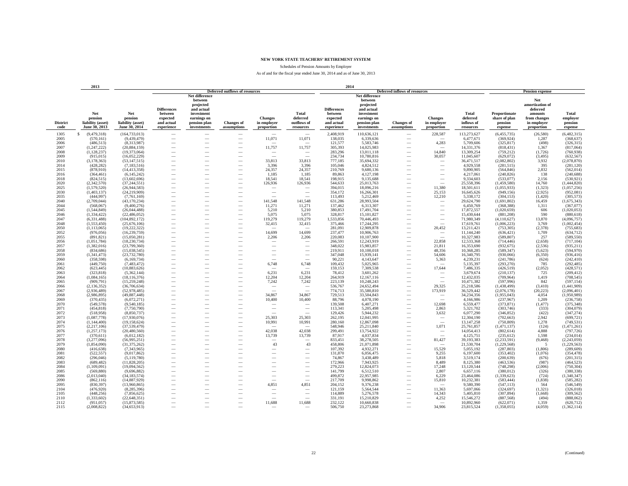Schedules of Pension Amounts by Employer

|                         | 2013                                                 |                                                      |                                                                       |                                                                                                                  |                                       |                                             |                                                      | 2014                                                                  |                                                                                                                  |                                                      |                                                      |                                              |                                                      |                                                                                            |                                         |
|-------------------------|------------------------------------------------------|------------------------------------------------------|-----------------------------------------------------------------------|------------------------------------------------------------------------------------------------------------------|---------------------------------------|---------------------------------------------|------------------------------------------------------|-----------------------------------------------------------------------|------------------------------------------------------------------------------------------------------------------|------------------------------------------------------|------------------------------------------------------|----------------------------------------------|------------------------------------------------------|--------------------------------------------------------------------------------------------|-----------------------------------------|
|                         |                                                      |                                                      |                                                                       |                                                                                                                  | <b>Deferred outflows of resources</b> |                                             |                                                      |                                                                       |                                                                                                                  | <b>Deferred inflows of resources</b>                 |                                                      |                                              |                                                      | <b>Pension expense</b>                                                                     |                                         |
| <b>District</b><br>code | Net<br>pension<br>liability (asset)<br>June 30, 2013 | Net<br>pension<br>liability (asset)<br>June 30, 2014 | <b>Differences</b><br>between<br>expected<br>and actual<br>experience | Net difference<br>between<br>projected<br>and actual<br>investment<br>earnings on<br>pension plan<br>investments | <b>Changes of</b><br>assumptions      | <b>Changes</b><br>in employer<br>proportion | <b>Total</b><br>deferred<br>outflows of<br>resources | <b>Differences</b><br>between<br>expected<br>and actual<br>experience | Net difference<br>between<br>projected<br>and actual<br>investment<br>earnings on<br>pension plan<br>investments | <b>Changes</b> of<br>assumptions                     | <b>Changes</b><br>in employer<br>proportion          | Total<br>deferred<br>inflows of<br>resources | Proportionate<br>share of plan<br>pension<br>expense | Net<br>amortization of<br>deferred<br>amounts<br>from changes<br>in employer<br>proportion | Total<br>employer<br>pension<br>expense |
| 1305                    | S<br>(9,479,318)                                     | (164, 733, 013)                                      | -                                                                     |                                                                                                                  |                                       | $\sim$                                      |                                                      | 2,408,919                                                             | 110,636,121                                                                                                      | $\overline{\phantom{a}}$                             | 228,587                                              | 113,273,627                                  | (6,455,735)                                          | (26,580)                                                                                   | (6,482,315)                             |
| 2005                    | (570, 161)                                           | (9,439,479)                                          | -                                                                     |                                                                                                                  | -                                     | 11,071                                      | 11,071                                               | 138,035                                                               | 6,339,636                                                                                                        |                                                      |                                                      | 6,477,671                                    | (369, 924)                                           | 1,287                                                                                      | (368, 637)                              |
| 2006                    | (486, 513)                                           | (8,313,987)                                          |                                                                       |                                                                                                                  |                                       |                                             |                                                      | 121,577                                                               | 5,583,746                                                                                                        |                                                      | 4,283                                                | 5,709,606                                    | (325, 817)                                           | (498)                                                                                      | (326, 315)                              |
| 2007                    | (1, 247, 222)                                        | (20, 884, 159)                                       |                                                                       |                                                                                                                  |                                       | 11,757                                      | 11,757                                               | 305,393                                                               | 14,025,983                                                                                                       |                                                      | $\overline{\phantom{a}}$                             | 14,331,376                                   | (818, 431)                                           | 1,367                                                                                      | (817,064)                               |
| 2008                    | (1, 128, 237)                                        | (19,373,064)                                         | -                                                                     | $\overline{\phantom{a}}$                                                                                         | $\overline{\phantom{a}}$              | $\overline{\phantom{a}}$                    | $\overline{\phantom{a}}$                             | 283,296                                                               | 13,011,118                                                                                                       | $\overline{\phantom{a}}$                             | 14,840                                               | 13,309,254                                   | (759, 212)                                           | (1,726)                                                                                    | (760, 938)                              |
| 2009                    | (915, 015)                                           | (16,052,229)                                         |                                                                       | -                                                                                                                | $\overline{\phantom{a}}$              | $\sim$                                      | $\overline{\phantom{a}}$                             | 234,734                                                               | 10,780,816                                                                                                       | $\overline{\phantom{a}}$                             | 30,057                                               | 11,045,607                                   | (629,072)                                            | (3, 495)                                                                                   | (632, 567)                              |
| 2010                    | (3, 178, 363)                                        | (53, 147, 515)                                       |                                                                       |                                                                                                                  | $\overline{\phantom{a}}$              | 33,813                                      | 33,813                                               | 777,185                                                               | 35,694,332                                                                                                       |                                                      |                                                      | 36,471,517                                   | (2,082,802)                                          | 3,932                                                                                      | (2,078,870)                             |
| 2014                    | (428, 282)                                           | (7,183,516)                                          |                                                                       |                                                                                                                  | $\overline{\phantom{0}}$              | 3,396                                       | 3,396                                                | 105,046                                                               | 4,824,512                                                                                                        |                                                      |                                                      | 4,929,558                                    | (281, 515)                                           | 395                                                                                        | (281, 120)                              |
| 2015                    | (878,910)                                            | (14, 413, 358)                                       |                                                                       |                                                                                                                  |                                       | 24,357                                      | 24,357                                               | 210,769                                                               | 9,680,136                                                                                                        |                                                      |                                                      | 9,890,905                                    | (564, 846)                                           | 2,832                                                                                      | (562, 014)                              |
| 2016                    | (364, 461)                                           | (6,145,242)                                          |                                                                       |                                                                                                                  |                                       | 1,185                                       | 1,185                                                | 89,863                                                                | 4,127,198                                                                                                        |                                                      |                                                      | 4,217,061                                    | (240, 826)                                           | 138                                                                                        | (240, 688)                              |
| 2018                    | (824, 515)                                           | (13,602,696)                                         | -                                                                     |                                                                                                                  |                                       | 18,541                                      | 18,541                                               | 198,915                                                               | 9,135,688                                                                                                        |                                                      | $\overline{\phantom{a}}$                             | 9,334,603                                    | (533,077)                                            | 2,156                                                                                      | (530, 921)                              |
| 2020                    | (2, 342, 570)                                        | (37.244.551)                                         | -                                                                     |                                                                                                                  |                                       | 126,936                                     | 126,936                                              | 544,633                                                               | 25,013,763                                                                                                       |                                                      | $\sim$                                               | 25,558,396                                   | (1,459,580)                                          | 14.760                                                                                     | (1,444,820)                             |
| 2025                    | (1,579,520)                                          | (26,944,583)                                         | -                                                                     |                                                                                                                  | $\overline{\phantom{a}}$              | $\sim$                                      |                                                      | 394,015                                                               | 18,096,216                                                                                                       |                                                      | 11,380                                               | 18,501,611                                   | (1,055,933)                                          | (1, 323)                                                                                   | (1,057,256)                             |
| 2030                    | (1, 403, 137)                                        | (24, 219, 909)                                       | -                                                                     |                                                                                                                  | $\overline{\phantom{0}}$              | $\overline{\phantom{a}}$                    |                                                      | 354,172                                                               | 16,266,301                                                                                                       |                                                      | 25,153                                               | 16,645,626                                   | (949, 156)                                           | (2.925)                                                                                    | (952, 081)                              |
| 2035                    | (444, 997)                                           | (7,761,169)                                          | $\overline{\phantom{0}}$                                              |                                                                                                                  |                                       |                                             |                                                      | 113,493                                                               | 5,212,469                                                                                                        |                                                      | 12,210                                               | 5,338,172                                    | (304, 153)                                           | (1,420)                                                                                    | (305, 573)                              |
| 2040                    | (2,709,044)                                          | (43, 170, 234)                                       |                                                                       |                                                                                                                  |                                       | 141,548                                     | 141,548                                              | 631,286                                                               | 28,993,504                                                                                                       |                                                      | $\overline{\phantom{a}}$                             | 29,624,790                                   | (1,691,802)                                          | 16,459                                                                                     | (1,675,343)                             |
| 2044                    | (568, 067)                                           | (9,400,276)                                          |                                                                       |                                                                                                                  |                                       | 11,271                                      | 11,271                                               | 137,462                                                               | 6,313,307                                                                                                        |                                                      | $\overbrace{\phantom{12322111}}$                     | 6,450,769                                    | (368, 388)                                           | 1,311                                                                                      | (367, 077)                              |
| 2045                    | (1,544,849)                                          | (26.044.488)                                         | $\overline{\phantom{0}}$                                              |                                                                                                                  |                                       | 5.210                                       | 5.210                                                | 380,853                                                               | 17.491.704                                                                                                       |                                                      | $\overbrace{\qquad \qquad }^{}$                      | 17,872,557                                   | (1,020,659)                                          | 606                                                                                        | (1,020,053)                             |
| 2046                    | (1, 334, 422)                                        | (22, 486, 052)                                       | $\overline{\phantom{0}}$                                              | -                                                                                                                | $\overline{\phantom{a}}$              | 5,075                                       | 5,075                                                | 328,817                                                               | 15,101,827                                                                                                       |                                                      | $\overbrace{\qquad \qquad }^{}$                      | 15,430,644                                   | (881, 208)                                           | 590                                                                                        | (880, 618)                              |
| 2047                    | (6, 331, 488)                                        | (104, 892, 172)                                      | -                                                                     |                                                                                                                  |                                       | 119,279                                     | 119,279                                              | 1,533,856                                                             | 70,446,493                                                                                                       |                                                      | $\overline{\phantom{a}}$                             | 71,980,349                                   | (4,110,627)                                          | 13,870                                                                                     | (4,096,757)                             |
| 2048                    | (1, 553, 450)                                        | (25,676,106)                                         | -                                                                     | -                                                                                                                | $\overline{\phantom{a}}$              | 32,415                                      | 32,415                                               | 375,466                                                               | 17,244,295                                                                                                       |                                                      | $\overline{\phantom{a}}$                             | 17,619,761                                   | (1,006,223)                                          | 3,769                                                                                      | (1,002,454)                             |
| 2050                    | (1, 113, 065)                                        | (19, 222, 322)                                       | -                                                                     |                                                                                                                  |                                       |                                             |                                                      | 281,091                                                               | 12,909,878                                                                                                       |                                                      | 20,452                                               | 13,211,421                                   | (753, 305)                                           | (2,378)                                                                                    | (755, 683)                              |
| 2052                    | (976, 056)                                           | (16, 239, 759)                                       | $\overline{\phantom{0}}$                                              |                                                                                                                  |                                       | 14,699                                      | 14,699                                               | 237,477                                                               | 10,906,763                                                                                                       |                                                      | -                                                    | 11,144,240                                   | (636, 421)                                           | 1,709                                                                                      | (634, 712)                              |
| 2055                    | (891, 821)                                           | (15,050,281)                                         |                                                                       |                                                                                                                  |                                       | 2,206                                       | 2,206                                                | 220,083                                                               | 10,107,900                                                                                                       |                                                      |                                                      | 10,327,983                                   | (589, 807)                                           | 257                                                                                        | (589, 550)                              |
| 2056                    | (1,051,784)                                          | (18, 230, 734)                                       |                                                                       |                                                                                                                  |                                       |                                             |                                                      | 266,591                                                               | 12,243,919                                                                                                       |                                                      | 22,858                                               | 12,533,368                                   | (714, 446)                                           | (2,658)                                                                                    | (717, 104)                              |
| 2057                    | (1,382,016)                                          | (23.799.360)                                         | $\overline{\phantom{0}}$                                              |                                                                                                                  |                                       | $\overline{\phantom{a}}$                    | $\overline{\phantom{0}}$                             | 348.022                                                               | 15.983.857                                                                                                       |                                                      | 21.811                                               | 16,353,690                                   | (932.675)                                            | (2.536)                                                                                    | (935, 211)                              |
| 2058                    | (834, 686)                                           | (15,038,545)                                         | $\overline{\phantom{0}}$                                              | -                                                                                                                | -                                     | $\hspace{0.1mm}-\hspace{0.1mm}$             | $\overline{\phantom{a}}$                             | 219,911                                                               | 10,100,018                                                                                                       | -                                                    | 48,356                                               | 10,368,285                                   | (589, 347)                                           | (5,623)                                                                                    | (594, 970)                              |
| 2059                    | (1, 341, 473)                                        | (23, 732, 780)                                       | -                                                                     |                                                                                                                  | $\overline{\phantom{a}}$              | $\overline{\phantom{a}}$                    | $\overline{\phantom{a}}$                             | 347,048                                                               | 15,939,141                                                                                                       | $\overline{\phantom{a}}$                             | 54,606                                               | 16,340,795                                   | (930,066)                                            | (6,350)                                                                                    | (936, 416)                              |
| 2060                    | (358, 598)                                           | (6,169,734)                                          | -                                                                     | -                                                                                                                | $\overline{\phantom{a}}$              | $\sim$                                      | $\overline{\phantom{a}}$                             | 90,221                                                                | 4,143,647                                                                                                        | $\overline{\phantom{a}}$                             | 5,363                                                | 4,239,231                                    | (241, 786)                                           | (624)                                                                                      | (242, 410)                              |
| 2061                    | (449, 750)                                           | (7,483,472)                                          |                                                                       |                                                                                                                  |                                       | 6,748                                       | 6,748                                                | 109,432                                                               | 5,025,965                                                                                                        |                                                      |                                                      | 5,135,397                                    | (293, 270)                                           | 785                                                                                        | (292, 485)                              |
| 2062                    | (623, 445)                                           | (10,883,626)                                         | $\overline{\phantom{0}}$                                              |                                                                                                                  |                                       |                                             | 6.231                                                | 159,153                                                               | 7,309,538                                                                                                        |                                                      | 17,644                                               | 7,486,335                                    | (426, 519)                                           | (2,052)                                                                                    | (428, 571)                              |
| 2063                    | (323, 818)                                           | (5,362,144)                                          | $\overline{\phantom{0}}$                                              |                                                                                                                  |                                       | 6.231                                       |                                                      | 78.412                                                                | 3,601,262                                                                                                        | -                                                    | $\overline{\phantom{a}}$                             | 3,679,674                                    | (210, 137)                                           | 725                                                                                        | (209, 412)                              |
| 2064<br>2065            | (1,084,165)                                          | (18, 116, 376)<br>(15, 259, 248)                     | -<br>$\overline{\phantom{a}}$                                         | -<br>-                                                                                                           | $\overline{\phantom{a}}$              | 12,204                                      | 12,204                                               | 264,919<br>223,139                                                    | 12,167,116                                                                                                       | $\overline{\phantom{a}}$<br>$\overline{\phantom{a}}$ | $\overline{\phantom{a}}$<br>$\overline{\phantom{a}}$ | 12,432,035                                   | (709, 964)<br>(597,996)                              | 1,419<br>842                                                                               | (708, 545)<br>(597, 154)                |
| 2066                    | (909, 791)<br>(2, 136, 352)                          | (36, 706, 634)                                       | -                                                                     | ÷.                                                                                                               | $\overline{\phantom{a}}$              | 7,242<br>$\sim$                             | 7,242<br>$\overline{\phantom{a}}$                    | 536,767                                                               | 10,248,243<br>24,652,494                                                                                         | $\overline{\phantom{a}}$                             | 29,325                                               | 10,471,382<br>25,218,586                     | (1,438,499)                                          | (3,410)                                                                                    | (1,441,909)                             |
| 2067                    | (2,936,489)                                          | (52,978,485)                                         |                                                                       |                                                                                                                  | $\overline{\phantom{a}}$              | $\sim$                                      | $\overline{\phantom{a}}$                             | 774,713                                                               | 35,580,810                                                                                                       | ÷.                                                   | 173,919                                              | 36,529,442                                   | (2,076,178)                                          | (20, 223)                                                                                  | (2,096,401)                             |
| 2068                    | (2,986,895)                                          | (49,887,448)                                         |                                                                       |                                                                                                                  | $\overline{\phantom{0}}$              | 34,867                                      | 34,867                                               | 729,513                                                               | 33,504,843                                                                                                       |                                                      | $\overline{\phantom{m}}$                             | 34,234,356                                   | (1,955,043)                                          | 4,054                                                                                      | (1.950.989)                             |
| 2069                    | (370, 435)                                           | (6,072,271)                                          |                                                                       |                                                                                                                  |                                       | 10,400                                      | 10,400                                               | 88,796                                                                | 4,078,190                                                                                                        |                                                      | L.                                                   | 4,166,986                                    | (237,967)                                            | 1,209                                                                                      | (236, 758)                              |
| 2070                    | (549, 578)                                           | (9,540,185)                                          |                                                                       |                                                                                                                  |                                       |                                             |                                                      | 139,508                                                               | 6,407,271                                                                                                        |                                                      | 12,698                                               | 6,559,477                                    | (373, 871)                                           | (1, 477)                                                                                   | (375, 348)                              |
| 2071                    | (454, 818)                                           | (7,750,790)                                          | -                                                                     |                                                                                                                  |                                       | $\sim$                                      | $\overline{\phantom{0}}$                             | 113,341                                                               | 5,205,498                                                                                                        |                                                      | 2.863                                                | 5,321,702                                    | (303, 746)                                           | (333)                                                                                      | (304, 079)                              |
| 2072                    | (518, 958)                                           | (8.850.737)                                          | $\overline{\phantom{0}}$                                              |                                                                                                                  |                                       |                                             |                                                      | 129,426                                                               | 5.944.232                                                                                                        |                                                      | 3,632                                                | 6,077,290                                    | (346, 852)                                           | (422)                                                                                      | (347, 274)                              |
| 2073                    | (1,087,778)                                          | (17,930,076)                                         | -                                                                     |                                                                                                                  | $\overline{\phantom{a}}$              | 25,303                                      | 25,303                                               | 262,195                                                               | 12,041,995                                                                                                       |                                                      | $\hspace{0.1mm}-\hspace{0.1mm}$                      | 12,304,190                                   | (702, 663)                                           | 2,942                                                                                      | (699, 721)                              |
| 2074                    | (1,144,400)                                          | (19, 158, 624)                                       | -                                                                     |                                                                                                                  |                                       | 10,991                                      | 10,991                                               | 280,160                                                               | 12,867,098                                                                                                       |                                                      | $\sim$                                               | 13,147,258                                   | (750, 809)                                           | 1,278                                                                                      | (749, 531)                              |
| 2075                    | (2, 217, 106)                                        | (37,539,479)                                         | -                                                                     |                                                                                                                  |                                       |                                             |                                                      | 548,946                                                               | 25,211,840                                                                                                       |                                                      | 1,071                                                | 25,761,857                                   | (1,471,137)                                          | (124)                                                                                      | (1,471,261)                             |
| 2076                    | (1, 257, 173)                                        | (20.480.560)                                         |                                                                       |                                                                                                                  | $\overline{\phantom{0}}$              | 42.038                                      | 42.038                                               | 299,491                                                               | 13,754,922                                                                                                       |                                                      | $\overline{\phantom{a}}$                             | 14,054,413                                   | (802, 614)                                           | 4.888                                                                                      | (797, 726)                              |
| 2077                    | (370, 611)                                           | (6,012,182)                                          |                                                                       |                                                                                                                  |                                       | 13,739                                      | 13,739                                               | 87,917                                                                | 4,037,834                                                                                                        |                                                      |                                                      | 4,125,751                                    | (235, 612)                                           | 1,598                                                                                      | (234, 014)                              |
| 2078                    | (3.277.096)                                          | (56.995.251)                                         | $\overline{\phantom{0}}$                                              |                                                                                                                  | -                                     | $\overline{\phantom{a}}$                    |                                                      | 833.451                                                               | 38,278,505                                                                                                       |                                                      | 81,427                                               | 39.193.383                                   | (2.233.591)                                          | (9, 468)                                                                                   | (2,243,059)                             |
| 2079                    | (1, 854, 090)                                        | (31, 375, 262)                                       | $\overline{\phantom{0}}$                                              |                                                                                                                  |                                       | 43                                          | 43                                                   | 458,806                                                               | 21,071,898                                                                                                       | $\overline{\phantom{m}}$                             | -                                                    | 21,530,704                                   | (1,229,568)                                          | - 5                                                                                        | (1, 229, 563)                           |
| 2080                    | (416, 638)                                           | (7,343,965)                                          | $\overline{\phantom{0}}$                                              |                                                                                                                  |                                       | $\overline{\phantom{a}}$                    | $\overline{\phantom{a}}$                             | 107,392                                                               | 4,932,271                                                                                                        | $\overline{\phantom{a}}$                             | 15,529                                               | 5,055,192                                    | (287, 803)                                           | (1,806)                                                                                    | (289, 609)                              |
| 2081                    | (522, 557)                                           | (9,017,862)                                          | -                                                                     |                                                                                                                  | $\overline{\phantom{a}}$              | $\overline{\phantom{a}}$                    | -                                                    | 131,870                                                               | 6,056,475                                                                                                        | $\overline{\phantom{a}}$                             | 9,255                                                | 6,197,600                                    | (353, 402)                                           | (1,076)                                                                                    | (354, 478)                              |
| 2082                    | (296, 046)                                           | (5,119,780)                                          | -                                                                     |                                                                                                                  | $\overline{\phantom{a}}$              | $\overline{\phantom{a}}$                    | $\overline{\phantom{a}}$                             | 74,867                                                                | 3,438,489                                                                                                        | $\overline{\phantom{a}}$                             | 5,818                                                | 3,519,174                                    | (200, 639)                                           | (676)                                                                                      | (201, 315)                              |
| 2083                    | (689, 482)                                           | (11,828,205)                                         | -                                                                     |                                                                                                                  | $\overline{\phantom{a}}$              | $\overline{\phantom{a}}$                    | $\overline{\phantom{a}}$                             | 172,966                                                               | 7,943,925                                                                                                        | $\overline{\phantom{a}}$                             | 8,489                                                | 8,125,380                                    | (463, 536)                                           | (987)                                                                                      | (464, 523)                              |
| 2084                    | (1,109,091)                                          | (19,094,562)                                         |                                                                       |                                                                                                                  |                                       |                                             |                                                      | 279,223                                                               | 12,824,073                                                                                                       |                                                      | 17,248                                               | 13,120,544                                   | (748, 298)                                           | (2,006)                                                                                    | (750, 304)                              |
| 2085                    | (569, 880)                                           | (9,696,882)                                          |                                                                       |                                                                                                                  |                                       |                                             |                                                      | 141,799                                                               | 6,512,510                                                                                                        |                                                      | 2,807                                                | 6,657,116                                    | (380, 012)                                           | (326)                                                                                      | (380, 338)                              |
| 2086                    | (2,013,040)                                          | (34, 183, 574)                                       | -                                                                     |                                                                                                                  | $\overline{\phantom{a}}$              | $\overline{\phantom{a}}$                    | $\overline{\phantom{a}}$                             | 499,872                                                               | 22,957,985                                                                                                       |                                                      | 6,229                                                | 23,464,086                                   | (1,339,623)                                          | (724)                                                                                      | (1,340,347)                             |
| 2090                    | (862, 116)                                           | (14, 887, 929)                                       |                                                                       |                                                                                                                  | $\overline{\phantom{a}}$              |                                             | -                                                    | 217,709                                                               | 9,998,862                                                                                                        | $\overline{\phantom{a}}$                             | 15,810                                               | 10,232,381                                   | (583, 444)                                           | (1, 838)                                                                                   | (585, 282)                              |
| 2095                    | (830, 397)                                           | (13,960,865)                                         |                                                                       |                                                                                                                  | $\overline{\phantom{a}}$              | 4,851                                       | 4,851                                                | 204,152                                                               | 9,376,238                                                                                                        |                                                      |                                                      | 9,580,390                                    | (547, 113)                                           | 564                                                                                        | (546, 549)                              |
| 2104                    | (476,920)                                            | (8,285,396)                                          |                                                                       |                                                                                                                  |                                       |                                             |                                                      | 121,159                                                               | 5,564,544                                                                                                        |                                                      | 11,363                                               | 5,697,066                                    | (324, 697)                                           | (1, 321)                                                                                   | (326, 018)                              |
| 2105                    | (448, 256)                                           | (7,856,625)                                          |                                                                       |                                                                                                                  |                                       | $\overline{\phantom{a}}$                    | $\overline{\phantom{0}}$                             | 114,889                                                               | 5,276,578                                                                                                        |                                                      | 14,343                                               | 5,405,810                                    | (307, 894)                                           | (1,668)                                                                                    | (309, 562)                              |
| 2110                    | (1,333,602)                                          | (22, 648, 351)                                       |                                                                       |                                                                                                                  |                                       |                                             |                                                      | 331,191                                                               | 15,210,829                                                                                                       |                                                      | 4,252                                                | 15,546,272                                   | (887, 568)                                           | (494)                                                                                      | (888,062)                               |
| 2112                    | (951, 057)                                           | (15.873.585)                                         | -                                                                     |                                                                                                                  | -                                     | 11,688                                      | 11,688                                               | 232.122                                                               | 10,660,838                                                                                                       |                                                      | $\overline{\phantom{a}}$                             | 10,892,960                                   | (622,071)                                            | 1.359                                                                                      | (620, 712)                              |
| 2115                    | (2,008,822)                                          | (34,653,913)                                         |                                                                       |                                                                                                                  |                                       |                                             |                                                      | 506,750                                                               | 23,273,868                                                                                                       |                                                      | 34,906                                               | 23,815,524                                   | (1,358,055)                                          | (4.059)                                                                                    | (1,362,114)                             |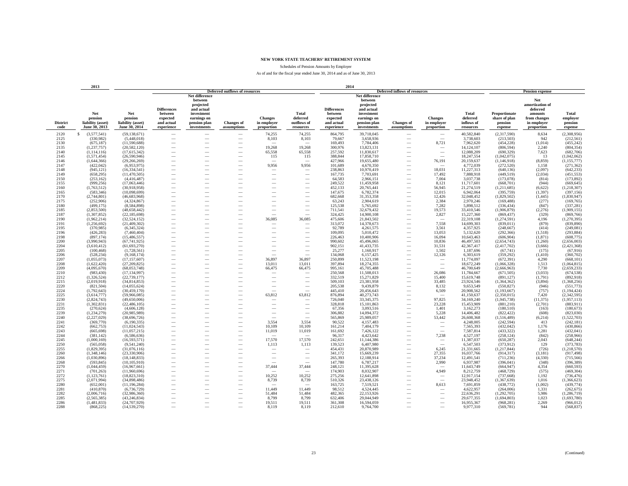Schedules of Pension Amounts by Employer

|                         | 2013                                                 |                                                      |                                                                       |                                                                                                                  |                                                      |                                                      |                                                      | 2014                                                                  |                                                                                                                  |                                  |                                             |                                              |                                                      |                                                                                            |                                         |
|-------------------------|------------------------------------------------------|------------------------------------------------------|-----------------------------------------------------------------------|------------------------------------------------------------------------------------------------------------------|------------------------------------------------------|------------------------------------------------------|------------------------------------------------------|-----------------------------------------------------------------------|------------------------------------------------------------------------------------------------------------------|----------------------------------|---------------------------------------------|----------------------------------------------|------------------------------------------------------|--------------------------------------------------------------------------------------------|-----------------------------------------|
|                         |                                                      |                                                      |                                                                       |                                                                                                                  | <b>Deferred outflows of resources</b>                |                                                      |                                                      |                                                                       |                                                                                                                  | Deferred inflows of resources    |                                             |                                              |                                                      | <b>Pension expense</b>                                                                     |                                         |
| <b>District</b><br>code | Net<br>pension<br>liability (asset)<br>June 30, 2013 | Net<br>pension<br>liability (asset)<br>June 30, 2014 | <b>Differences</b><br>between<br>expected<br>and actual<br>experience | Net difference<br>between<br>projected<br>and actual<br>investment<br>earnings on<br>pension plan<br>investments | <b>Changes</b> of<br>assumptions                     | <b>Changes</b><br>in employer<br>proportion          | <b>Total</b><br>deferred<br>outflows of<br>resources | <b>Differences</b><br>between<br>expected<br>and actual<br>experience | Net difference<br>between<br>projected<br>and actual<br>investment<br>earnings on<br>pension plan<br>investments | <b>Changes</b> of<br>assumptions | <b>Changes</b><br>in employer<br>proportion | Total<br>deferred<br>inflows of<br>resources | Proportionate<br>share of plan<br>pension<br>expense | Net<br>amortization of<br>deferred<br>amounts<br>from changes<br>in employer<br>proportion | Total<br>emplover<br>pension<br>expense |
| 2120                    | S<br>(3,577,541)                                     | (59, 138, 671)                                       | $\overline{\phantom{a}}$                                              |                                                                                                                  | $\overline{\phantom{a}}$                             | 74,255                                               | 74,255                                               | 864,795                                                               | 39,718,045                                                                                                       | $\overline{\phantom{a}}$         | $\overline{\phantom{m}}$                    | 40,582,840                                   | (2,317,590)                                          | 8,634                                                                                      | (2,308,956)                             |
| 2125                    | (330,982)                                            | (5,448,018)                                          | -                                                                     | -                                                                                                                |                                                      | 8,103                                                | 8,103                                                | 79,667                                                                | 3,658,936                                                                                                        |                                  | $\overline{\phantom{a}}$                    | 3,738,603                                    | (213, 503)                                           | 942                                                                                        | (212, 561)                              |
| 2130                    | (675, 187)                                           | (11,590,688)                                         |                                                                       |                                                                                                                  |                                                      |                                                      |                                                      | 169,493                                                               | 7,784,406                                                                                                        |                                  | 8,721                                       | 7,962,620                                    | (454, 228)                                           | (1,014)                                                                                    | (455, 242)                              |
| 2135                    | (1, 237, 757)                                        | (20, 582, 120)                                       |                                                                       |                                                                                                                  | -                                                    | 19,268                                               | 19,268                                               | 300,976                                                               | 13,823,131                                                                                                       |                                  | $\overline{\phantom{a}}$                    | 14,124,107                                   | (806, 594)                                           | 2,240                                                                                      | (804, 354)                              |
| 2140                    | (1, 114, 116)                                        | (17,615,342)                                         | -                                                                     |                                                                                                                  |                                                      | 65,558                                               | 65,558                                               | 257,592                                                               | 11,830,617                                                                                                       | $\overline{\phantom{a}}$         | $\overline{\phantom{a}}$                    | 12,088,209                                   | (690, 329)                                           | 7,623                                                                                      | (682, 706)                              |
| 2145                    | (1,571,454)                                          | (26,590,946)                                         |                                                                       |                                                                                                                  |                                                      | 115                                                  | 115                                                  | 388,844                                                               | 17,858,710                                                                                                       |                                  | $\overline{\phantom{a}}$                    | 18,247,554                                   | (1,042,075)                                          | 13                                                                                         | (1,042,062)                             |
| 2146                    | (1,644,366)                                          | (29, 266, 269)                                       |                                                                       |                                                                                                                  | $\overline{\phantom{a}}$                             | $\overline{\phantom{a}}$                             | $\overline{\phantom{a}}$                             | 427,966                                                               | 19,655,480                                                                                                       | -                                | 76,191                                      | 20,159,637                                   | (1,146,918)                                          | (8, 859)                                                                                   | (1, 155, 777)                           |
| 2147                    | (422, 042)                                           | (6,953,975)                                          |                                                                       |                                                                                                                  | $\overline{\phantom{a}}$                             | 9,956                                                | 9,956                                                | 101,689                                                               | 4,670,350                                                                                                        |                                  | $\overline{\phantom{a}}$                    | 4,772,039                                    | (272, 520)                                           | 1,158                                                                                      | (271, 362)                              |
| 2148                    | (945, 121)                                           | (16, 334, 541)                                       |                                                                       |                                                                                                                  |                                                      |                                                      |                                                      | 238,863                                                               | 10,970,419                                                                                                       |                                  | 18,031                                      | 11,227,313                                   | (640, 136)                                           | (2,097)                                                                                    | (642, 233)                              |
| 2149                    | (658, 295)                                           | (11, 470, 505)                                       |                                                                       |                                                                                                                  |                                                      |                                                      |                                                      | 167,735                                                               | 7,703,691                                                                                                        |                                  | 17,492                                      | 7,888,918                                    | (449, 519)                                           | (2,034)                                                                                    | (451, 553)                              |
| 2150                    | (253, 162)                                           | (4,416,487)                                          |                                                                       |                                                                                                                  |                                                      |                                                      |                                                      | 64,583                                                                | 2,966,151                                                                                                        |                                  | 7,004                                       | 3,037,738                                    | (173,078)                                            | (814)                                                                                      | (173, 892)                              |
| 2155                    | (999, 256)                                           | (17,063,446)                                         |                                                                       |                                                                                                                  | $\overline{\phantom{a}}$                             |                                                      |                                                      | 249,522                                                               | 11,459,958                                                                                                       |                                  | 8,121                                       | 11,717,601                                   | (668, 701)                                           | (944)                                                                                      | (669, 645)                              |
| 2160                    | (1,763,512)                                          | (30,918,958)                                         | -                                                                     |                                                                                                                  | -                                                    | $\overline{\phantom{a}}$                             | -                                                    | 452,133                                                               | 20,765,441                                                                                                       |                                  | 56,945                                      | 21,274,519                                   | (1,211,685)                                          | (6,622)                                                                                    | (1, 218, 307)                           |
| 2165                    | (583, 346)                                           | (10,098,699)                                         |                                                                       |                                                                                                                  | $\overline{\phantom{a}}$                             |                                                      | -                                                    | 147,675                                                               | 6,782,374                                                                                                        |                                  | 12,015                                      | 6,942,064                                    | (395, 759)                                           | (1, 397)                                                                                   | (397, 156)                              |
| 2170<br>2175            | (2,744,801)<br>(252,906)                             | (46,683,968)<br>(4,324,867)                          |                                                                       |                                                                                                                  | $\overline{\phantom{a}}$<br>$\overline{\phantom{a}}$ |                                                      | -                                                    | 682,668<br>63,243                                                     | 31,353,358<br>2,904,619                                                                                          |                                  | 12,426<br>2,384                             | 32,048,452<br>2,970,246                      | (1,829,502)<br>(169, 488)                            | (1, 445)<br>(277)                                                                          | (1, 830, 947)                           |
| 2180                    | (499, 175)                                           | (8,584,898)                                          |                                                                       |                                                                                                                  |                                                      |                                                      |                                                      | 125,538                                                               | 5,765,692                                                                                                        |                                  | 7,282                                       | 5,898,512                                    | (336, 434)                                           | (847)                                                                                      | (169, 765)<br>(337, 281)                |
| 2185                    | (2,853,500)                                          | (48, 658, 442)                                       |                                                                       |                                                                                                                  |                                                      |                                                      | $\overline{\phantom{0}}$                             | 711,541                                                               | 32,679,432                                                                                                       |                                  | 19,573                                      | 33,410,546                                   | (1,906,879)                                          | (2, 276)                                                                                   | (1,909,155)                             |
| 2187                    | (1,307,852)                                          | (22, 185, 698)                                       |                                                                       |                                                                                                                  |                                                      |                                                      |                                                      | 324,425                                                               | 14,900,108                                                                                                       |                                  | 2,827                                       | 15,227,360                                   | (869, 437)                                           | (329)                                                                                      | (869,766)                               |
| 2190                    | (1,962,214)                                          | (32, 524, 152)                                       | -                                                                     |                                                                                                                  | $\overline{\phantom{a}}$                             | 36,085                                               | 36,085                                               | 475,606                                                               | 21,843,502                                                                                                       |                                  | $\sim$                                      | 22,319,108                                   | (1,274,591)                                          | 4,196                                                                                      | (1, 270, 395)                           |
| 2191                    | (1, 256, 692)                                        | (21, 409, 302)                                       |                                                                       |                                                                                                                  | $\overline{\phantom{a}}$                             | $\overline{\phantom{a}}$                             | -                                                    | 313,072                                                               | 14,378,673                                                                                                       |                                  | 7,558                                       | 14,699,303                                   | (839, 011)                                           | (879)                                                                                      | (839, 890)                              |
| 2195                    | (370, 985)                                           | (6,345,324)                                          |                                                                       |                                                                                                                  | -                                                    | $\overline{\phantom{a}}$                             | $\overline{\phantom{a}}$                             | 92,789                                                                | 4,261,575                                                                                                        | $\overline{\phantom{a}}$         | 3,561                                       | 4,357,925                                    | (248, 667)                                           | (414)                                                                                      | (249, 081)                              |
| 2196                    | (426, 283)                                           | (7,460,404)                                          |                                                                       |                                                                                                                  | $\overline{\phantom{a}}$                             |                                                      | -                                                    | 109,095                                                               | 5,010,472                                                                                                        | $\overline{\phantom{a}}$         | 13,053                                      | 5,132,620                                    | (292, 366)                                           | (1.518)                                                                                    | (293, 884)                              |
| 2198                    | (897, 174)                                           | (15, 486, 557)                                       |                                                                       |                                                                                                                  |                                                      |                                                      |                                                      | 226,463                                                               | 10,400,906                                                                                                       |                                  | 16,094                                      | 10,643,463                                   | (606, 904)                                           | (1, 871)                                                                                   | (608, 775)                              |
| 2200                    | (3,990,943)                                          | (67, 741, 925)                                       |                                                                       |                                                                                                                  |                                                      |                                                      |                                                      | 990,602                                                               | 45,496,065                                                                                                       |                                  | 10.836                                      | 46,497,503                                   | (2,654,743)                                          | (1,260)                                                                                    | (2,656,003)                             |
| 2204                    | (3,610,412)                                          | (61, 693, 270)                                       |                                                                       |                                                                                                                  |                                                      |                                                      |                                                      | 902,151                                                               | 41,433,735                                                                                                       |                                  | 31,531                                      | 42,367,417                                   | (2,417,702)                                          | (3,666)                                                                                    | (2,421,368)                             |
| 2205                    | (100, 468)                                           | (1,728,561)                                          |                                                                       |                                                                                                                  |                                                      |                                                      | $\overline{\phantom{0}}$                             | 25,277                                                                | 1,160,917                                                                                                        | $\overline{\phantom{a}}$         | 1.502                                       | 1,187,696                                    | (67,741)                                             | (175)                                                                                      | (67,916)                                |
| 2206                    | (528, 234)                                           | (9,168,174)                                          | -                                                                     |                                                                                                                  | -                                                    |                                                      |                                                      | 134,068                                                               | 6,157,425                                                                                                        | -                                | 12,126                                      | 6,303,619                                    | (359, 292)                                           | (1,410)                                                                                    | (360, 702)                              |
| 2207                    | (1,055,073)                                          | (17, 157, 607)                                       |                                                                       |                                                                                                                  | $\overline{\phantom{a}}$                             | 36,897                                               | 36,897                                               | 250,899                                                               | 11,523,198                                                                                                       |                                  | $\overline{\phantom{a}}$                    | 11,774,097                                   | (672, 391)                                           | 4,290                                                                                      | (668, 101)                              |
| 2208                    | (1,622,420)                                          | (27,209,825)                                         |                                                                       |                                                                                                                  |                                                      | 13,011                                               | 13,011                                               | 397,894                                                               | 18,274,355                                                                                                       |                                  | $\overline{\phantom{m}}$                    | 18,672,249                                   | (1,066,328)                                          | 1,513                                                                                      | (1,064,815)                             |
| 2209                    | (4,095,670)                                          | (68,053,748)                                         |                                                                       |                                                                                                                  |                                                      | 66,475                                               | 66,475                                               | 995,161                                                               | 45,705,488                                                                                                       |                                  |                                             | 46,700,649                                   | (2,666,963)                                          | 7,730                                                                                      | (2,659,233)                             |
| 2210                    | (983, 430)                                           | (17, 134, 997)                                       |                                                                       |                                                                                                                  |                                                      | $\overline{\phantom{a}}$                             | -                                                    | 250,568                                                               | 11,508,013                                                                                                       |                                  | 26,086                                      | 11,784,667                                   | (671, 505)                                           | (3,033)                                                                                    | (674, 538)                              |
| 2212                    | (1,326,524)                                          | (22, 739, 177)                                       | -                                                                     |                                                                                                                  | $\overline{\phantom{a}}$                             | $\overline{\phantom{a}}$                             | $\overline{\phantom{a}}$                             | 332.519                                                               | 15,271,829                                                                                                       | -                                | 15.400                                      | 15,619,748                                   | (891, 127)                                           | (1,791)                                                                                    | (892, 918)                              |
| 2215<br>2220            | (2,019,918)<br>(821, 504)                            | (34,814,853)<br>(14,055,624)                         | -                                                                     |                                                                                                                  | $\overline{\phantom{a}}$<br>-                        | $\overline{\phantom{a}}$<br>$\overline{\phantom{a}}$ | $\overline{\phantom{a}}$<br>$\overline{\phantom{a}}$ | 509,103<br>205,538                                                    | 23,381,958<br>9,439,879                                                                                          | $\overline{\phantom{a}}$<br>-    | 33,485<br>8,132                             | 23,924,546<br>9,653,549                      | (1,364,362)<br>(550, 827)                            | (3,894)<br>(946)                                                                           | (1,368,256)<br>(551, 773)               |
| 2224                    | (1,792,643)                                          | (30, 459, 170)                                       |                                                                       |                                                                                                                  | $\overline{\phantom{a}}$                             | $\sim$                                               | $\sim$                                               | 445,410                                                               | 20,456,643                                                                                                       | $\overline{\phantom{a}}$         | 6,509                                       | 20,908,562                                   | (1, 193, 667)                                        | (757)                                                                                      | (1, 194, 424)                           |
| 2225                    | (3,614,777)                                          | (59,966,085)                                         |                                                                       |                                                                                                                  | $\overline{\phantom{a}}$                             | 63,812                                               | 63,812                                               | 876,894                                                               | 40,273,743                                                                                                       |                                  | $\sim$                                      | 41,150,637                                   | (2,350,015)                                          | 7,420                                                                                      | (2,342,595)                             |
| 2230                    | (2,824,743)                                          | (49,650,006)                                         |                                                                       |                                                                                                                  |                                                      |                                                      |                                                      | 726,040                                                               | 33, 345, 375                                                                                                     |                                  | 97,825                                      | 34,169,240                                   | (1,945,738)                                          | (11, 375)                                                                                  | (1,957,113)                             |
| 2231                    | (1,302,831)                                          | (22, 486, 105)                                       |                                                                       |                                                                                                                  |                                                      |                                                      |                                                      | 328,818                                                               | 15,101,863                                                                                                       |                                  | 23,228                                      | 15,453,909                                   | (881,210)                                            | (2,701)                                                                                    | (883, 911)                              |
| 2235                    | (270, 624)                                           | (4,606,128)                                          |                                                                       |                                                                                                                  |                                                      |                                                      |                                                      | 67,356                                                                | 3.093.516                                                                                                        |                                  | 1.401                                       | 3,162,273                                    | (180, 510)                                           | (163)                                                                                      | (180, 673)                              |
| 2239                    | (1, 234, 279)                                        | (20,985,989)                                         | -                                                                     |                                                                                                                  | -                                                    | $\overline{\phantom{a}}$                             | $\overline{\phantom{a}}$                             | 306,882                                                               | 14,094,372                                                                                                       | -                                | 5,228                                       | 14,406,482                                   | (822, 422)                                           | (608)                                                                                      | (823,030)                               |
| 2240                    | (2,227,029)                                          | (38,696,726)                                         |                                                                       |                                                                                                                  | $\overline{\phantom{a}}$                             |                                                      |                                                      | 565,869                                                               | 25,989,057                                                                                                       |                                  | 53,442                                      | 26,608,368                                   | (1,516,489)                                          | (6,214)                                                                                    | (1,522,703)                             |
| 2241                    | (369, 770)                                           | (6,190,335)                                          |                                                                       |                                                                                                                  | $\overline{\phantom{a}}$                             | 3,554                                                | 3,554                                                | 90,522                                                                | 4,157,483                                                                                                        |                                  | -                                           | 4,248,005                                    | (242, 594)                                           | 413                                                                                        | (242, 181)                              |
| 2242                    | (662, 753)                                           | (11,024,543)                                         | -                                                                     |                                                                                                                  |                                                      | 10,109                                               | 10,109                                               | 161,214                                                               | 7,404,179                                                                                                        |                                  | $\overline{\phantom{a}}$                    | 7,565,393                                    | (432, 042)                                           | 1,176                                                                                      | (430, 866)                              |
| 2243                    | (665, 698)                                           | (11,057,215)                                         |                                                                       |                                                                                                                  |                                                      | 11,019                                               | 11,019                                               | 161,692                                                               | 7,426,122                                                                                                        |                                  |                                             | 7,587,814                                    | (433, 322)                                           | 1,281                                                                                      | (432, 041)                              |
| 2244                    | (381, 142)                                           | (6,586,636)                                          |                                                                       |                                                                                                                  |                                                      |                                                      |                                                      | 96,317                                                                | 4,423,642                                                                                                        |                                  | 7,238                                       | 4,527,197                                    | (258, 124)                                           | (842)                                                                                      | (258,966)                               |
| 2245                    | (1,000,169)                                          | (16,593,571)                                         |                                                                       |                                                                                                                  |                                                      | 17,570                                               | 17,570                                               | 242,651                                                               | 11,144,386                                                                                                       |                                  | $\overline{\phantom{a}}$                    | 11,387,037                                   | (650, 287)                                           | 2,043                                                                                      | (648, 244)                              |
| 2250                    | (565, 058)                                           | (9,541,240)                                          | -                                                                     |                                                                                                                  |                                                      | 1,113                                                | 1,113                                                | 139.523                                                               | 6,407,980                                                                                                        |                                  | $\sim$                                      | 6,547,503                                    | (373,912)                                            | 129                                                                                        | (373, 783)                              |
| 2255                    | (1,829,395)                                          | (31,076,116)                                         | -                                                                     |                                                                                                                  |                                                      | $\overline{\phantom{a}}$                             | -                                                    | 454,431                                                               | 20,870,989                                                                                                       | $\overline{\phantom{a}}$         | 6,245                                       | 21,331,665                                   | (1,217,844)                                          | (726)                                                                                      | (1, 218, 570)                           |
| 2260                    | (1,348,146)                                          | (23, 330, 906)                                       |                                                                       |                                                                                                                  | $\overline{\phantom{a}}$                             | $\sim$<br>$\sim$                                     | $\overline{\phantom{a}}$                             | 341,172                                                               | 15,669,239                                                                                                       | $\overline{\phantom{a}}$         | 27,355                                      | 16,037,766                                   | (914, 317)                                           | (3,181)                                                                                    | (917, 498)                              |
| 2266<br>2268            | (1,030,896)                                          | (18, 148, 833)<br>(10, 105, 910)                     |                                                                       |                                                                                                                  | $\overline{\phantom{a}}$<br>$\overline{\phantom{a}}$ |                                                      | $\overline{\phantom{a}}$                             | 265,393<br>147,780                                                    | 12,188,914<br>6,787,217                                                                                          | $\overline{\phantom{a}}$         | 37,234<br>2,990                             | 12,491,541                                   | (711, 236)<br>(396, 041)                             | (4,330)<br>(348)                                                                           | (715, 566)<br>(396, 389)                |
| 2270                    | (593, 845)<br>(1,044,459)                            | (16,967,661)                                         |                                                                       |                                                                                                                  |                                                      | 37,444                                               | 37,444                                               | 248,121                                                               | 11,395,628                                                                                                       |                                  |                                             | 6,937,987<br>11,643,749                      | (664, 947)                                           | 4.354                                                                                      | (660, 593)                              |
| 2271                    | (701, 263)                                           | (11,960,696)                                         |                                                                       |                                                                                                                  |                                                      |                                                      |                                                      | 174,903                                                               | 8,032,907                                                                                                        |                                  | 4,949                                       | 8,212,759                                    | (468, 729)                                           | (575)                                                                                      | (469, 304)                              |
| 2272                    | (1, 123, 761)                                        | (18, 823, 310)                                       |                                                                       |                                                                                                                  |                                                      | 10,252                                               | 10,252                                               | 275,256                                                               | 12,641,898                                                                                                       |                                  | $\overline{\phantom{a}}$                    | 12,917,154                                   | (737, 668)                                           | 1,192                                                                                      | (736, 476)                              |
| 2275                    | (2,071,994)                                          | (34,898,486)                                         |                                                                       |                                                                                                                  | $\overline{\phantom{a}}$                             | 8,739                                                | 8,739                                                | 510,326                                                               | 23,438,126                                                                                                       |                                  | $\sim$                                      | 23,948,452                                   | (1,367,639)                                          | 1,016                                                                                      | (1,366,623)                             |
| 2280                    | (652,001)                                            | (11, 196, 284)                                       |                                                                       |                                                                                                                  | $\overline{\phantom{a}}$                             |                                                      |                                                      | 163,725                                                               | 7,519,521                                                                                                        |                                  | 8,613                                       | 7,691,859                                    | (438, 772)                                           | (1,002)                                                                                    | (439, 774)                              |
| 2281                    | (410, 870)                                           | (6,736,729)                                          |                                                                       |                                                                                                                  |                                                      | 11,449                                               | 11,449                                               | 98,512                                                                | 4,524,445                                                                                                        |                                  |                                             | 4,622,957                                    | (264,006)                                            | 1,331                                                                                      | (262, 675)                              |
| 2282                    | (2,006,716)                                          | (32,986,360)                                         |                                                                       |                                                                                                                  |                                                      | 51,484                                               | 51,484                                               | 482.365                                                               | 22,153,926                                                                                                       |                                  |                                             | 22,636,291                                   | (1,292,705)                                          | 5,986                                                                                      | (1, 286, 719)                           |
| 2285                    | (2,565,385)                                          | (43, 246, 834)                                       |                                                                       |                                                                                                                  |                                                      | 8,799                                                | 8,799                                                | 632,406                                                               | 29,044,949                                                                                                       |                                  | -                                           | 29,677,355                                   | (1,694,803)                                          | 1,023                                                                                      | (1,693,780)                             |
| 2286                    | (1, 481, 833)                                        | (24.707.929)                                         |                                                                       |                                                                                                                  | -                                                    | 19,511                                               | 19.511                                               | 361.308                                                               | 16,594,059                                                                                                       |                                  | $\overline{\phantom{a}}$                    | 16,955,367                                   | (968, 281)                                           | 2.269                                                                                      | (966, 012)                              |
| 2288                    | (868, 225)                                           | (14, 539, 270)                                       |                                                                       |                                                                                                                  |                                                      | 8,119                                                | 8,119                                                | 212,610                                                               | 9,764,700                                                                                                        |                                  |                                             | 9,977,310                                    | (569, 781)                                           | 944                                                                                        | (568, 837)                              |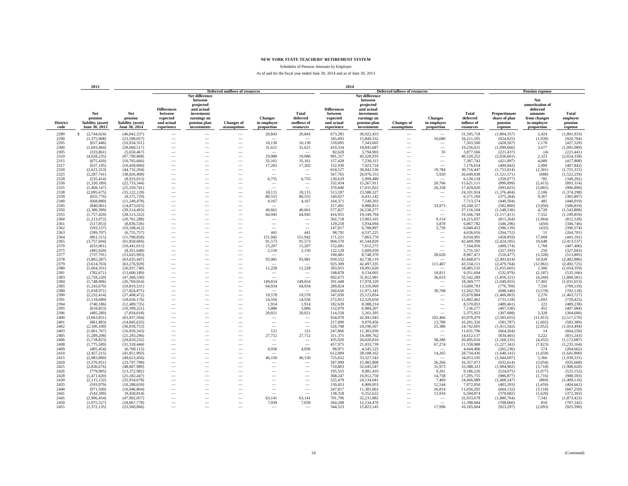Schedules of Pension Amounts by Employer

|                         | 2013                                                 |                                                      |                                                                       |                                                                                                                  |                                                      |                                             |                                                      | 2014                                                                  |                                                                                                                  |                                      |                                                      |                                              |                                                      |                                                                                            |                                         |
|-------------------------|------------------------------------------------------|------------------------------------------------------|-----------------------------------------------------------------------|------------------------------------------------------------------------------------------------------------------|------------------------------------------------------|---------------------------------------------|------------------------------------------------------|-----------------------------------------------------------------------|------------------------------------------------------------------------------------------------------------------|--------------------------------------|------------------------------------------------------|----------------------------------------------|------------------------------------------------------|--------------------------------------------------------------------------------------------|-----------------------------------------|
|                         |                                                      |                                                      |                                                                       |                                                                                                                  | <b>Deferred outflows of resources</b>                |                                             |                                                      |                                                                       |                                                                                                                  | <b>Deferred inflows of resources</b> |                                                      |                                              |                                                      | <b>Pension expense</b>                                                                     |                                         |
| <b>District</b><br>code | Net<br>pension<br>liability (asset)<br>June 30, 2013 | Net<br>pension<br>liability (asset)<br>June 30, 2014 | <b>Differences</b><br>between<br>expected<br>and actual<br>experience | Net difference<br>between<br>projected<br>and actual<br>investment<br>earnings on<br>pension plan<br>investments | <b>Changes of</b><br>assumptions                     | <b>Changes</b><br>in employer<br>proportion | <b>Total</b><br>deferred<br>outflows of<br>resources | <b>Differences</b><br>between<br>expected<br>and actual<br>experience | Net difference<br>between<br>projected<br>and actual<br>investment<br>earnings on<br>pension plan<br>investments | <b>Changes</b> of<br>assumptions     | <b>Changes</b><br>in employer<br>proportion          | Total<br>deferred<br>inflows of<br>resources | Proportionate<br>share of plan<br>pension<br>expense | Net<br>amortization of<br>deferred<br>amounts<br>from changes<br>in employer<br>proportion | Total<br>employer<br>pension<br>expense |
| 2289                    | S<br>(2,744,024)                                     | (46,042,337)                                         | -                                                                     |                                                                                                                  |                                                      | 20,843                                      | 20,843                                               | 673,285                                                               | 30,922,433                                                                                                       |                                      |                                                      | 31,595,718                                   | (1,804,357)                                          | 2,424                                                                                      | (1,801,933)                             |
| 2290                    | (1,375,908)                                          | (23,599,057)                                         | -                                                                     |                                                                                                                  | -                                                    |                                             |                                                      | 345,093                                                               | 15,849,332                                                                                                       | -                                    | 16,680                                               | 16,211,105                                   | (924, 825)                                           | (1,939)                                                                                    | (926, 764)                              |
| 2295                    | (657, 446)                                           | (10,934,351)                                         |                                                                       |                                                                                                                  |                                                      | 10,130                                      | 10,130                                               | 159,895                                                               | 7,343,605                                                                                                        |                                      | -                                                    | 7,503,500                                    | (428, 507)                                           | 1,178                                                                                      | (427, 329)                              |
| 2300                    | (1,693,464)                                          | (28,060,517)                                         |                                                                       |                                                                                                                  |                                                      | 31,621                                      | 31,621                                               | 410,334                                                               | 18,845,687                                                                                                       |                                      |                                                      | 19,256,021                                   | (1,099,666)                                          | 3,677                                                                                      | (1,095,989)                             |
| 2305                    | (333, 861)                                           | (5,650,467)                                          | -                                                                     | -                                                                                                                | $\overline{\phantom{a}}$                             | $\overline{\phantom{a}}$                    | $\sim$                                               | 82,628                                                                | 3,794,903                                                                                                        | $\overline{\phantom{a}}$             | 35                                                   | 3,877,566                                    | (221, 437)                                           | (4)                                                                                        | (221, 441)                              |
| 2310                    | (4,028,235)                                          | (67,790,868)                                         |                                                                       | -                                                                                                                |                                                      | 19,980                                      | 19,980                                               | 991,317                                                               | 45,528,935                                                                                                       |                                      | $\overline{\phantom{a}}$                             | 46,520,252                                   | (2,656,661)                                          | 2,323                                                                                      | (2,654,338)                             |
| 2315                    | (675, 420)                                           | (10,765,666)                                         |                                                                       |                                                                                                                  | $\overline{\phantom{a}}$                             | 35,161                                      | 35,161                                               | 157,428                                                               | 7,230,315                                                                                                        |                                      | $\overbrace{\phantom{12322111}}$                     | 7,387,743                                    | (421, 897)                                           | 4,089                                                                                      | (417,808)                               |
| 2317                    | (637, 195)                                           | (10, 458, 060)                                       |                                                                       |                                                                                                                  |                                                      | 17,202                                      | 17,202                                               | 152,930                                                               | 7,023,724                                                                                                        |                                      |                                                      | 7,176,654                                    | (409, 842)                                           | 2,000                                                                                      | (407, 842)                              |
| 2320                    | (2,621,253)                                          | (44, 732, 204)                                       |                                                                       |                                                                                                                  |                                                      |                                             |                                                      | 654,127                                                               | 30,042,536                                                                                                       |                                      | 19,784                                               | 30,716,447                                   | (1,753,014)                                          | (2,301)                                                                                    | (1,755,315)                             |
| 2325                    | (2, 287, 741)                                        | (38, 826, 408)                                       |                                                                       |                                                                                                                  |                                                      |                                             |                                                      | 567,765                                                               | 26,076,153                                                                                                       |                                      | 5,920                                                | 26,649,838                                   | (1,521,571)                                          | (688)                                                                                      | (1,522,259)                             |
| 2328                    | (535, 414)                                           | (8.933.013)                                          | -                                                                     |                                                                                                                  |                                                      | 6,755                                       | 6,755                                                | 130,629                                                               | 5,999,489                                                                                                        | -                                    |                                                      | 6,130,118                                    | (350,077)                                            | 785                                                                                        | (349, 292)                              |
| 2330                    | (1,320,189)                                          | (22.733.344)                                         | -                                                                     | -                                                                                                                |                                                      | $\hspace{0.1mm}-\hspace{0.1mm}$             | $\overline{\phantom{a}}$                             | 332,434                                                               | 15,267,911                                                                                                       | $\overline{\phantom{a}}$             | 20,766                                               | 15,621,111                                   | (890, 899)                                           | (2,415)                                                                                    | (893, 314)                              |
| 2335                    | (1, 469, 147)                                        | (25, 359, 741)                                       | -                                                                     |                                                                                                                  | $\overline{\phantom{a}}$                             | $\sim$                                      |                                                      | 370,840                                                               | 17,031,822                                                                                                       | $\overline{\phantom{a}}$             | 26,358                                               | 17,429,020                                   | (993, 825)                                           | (3,065)                                                                                    | (996, 890)                              |
| 2338                    | (2,095,675)                                          | (35, 122, 129)                                       | -                                                                     |                                                                                                                  | $\overline{\phantom{0}}$                             | 18,115                                      | 18,115                                               | 513,597                                                               | 23,588,327                                                                                                       |                                      | -                                                    | 24,101,924                                   | (1,376,404)                                          | 2,106                                                                                      | (1, 374, 298)                           |
| 2339                    | (655, 776)                                           | (9,575,729)                                          | $\overline{\phantom{0}}$                                              |                                                                                                                  | -                                                    | 80,555                                      | 80,555                                               | 140,027                                                               | 6,431,142                                                                                                        |                                      | $\overline{\phantom{a}}$                             | 6,571,169                                    | (375, 264)                                           | 9,367                                                                                      | (365, 897)                              |
| 2340                    | (668, 880)                                           | (11, 240, 478)                                       |                                                                       |                                                                                                                  | $\overline{\phantom{0}}$                             | 4,167                                       | 4,167                                                | 164,371                                                               | 7,549,203                                                                                                        |                                      |                                                      | 7,713,574                                    | (440, 504)                                           | 485                                                                                        | (440, 019)                              |
| 2345                    | (840,961)                                            | (14,873,025)                                         |                                                                       |                                                                                                                  |                                                      |                                             |                                                      | 217,491                                                               | 9,988,853                                                                                                        |                                      | 33,973                                               | 10,240,317                                   | (582, 860)                                           | (3,950)                                                                                    | (586, 810)                              |
| 2350<br>2355            | (2,380,399)                                          | (39.514.493)                                         | $\overline{\phantom{0}}$                                              |                                                                                                                  | $\overline{\phantom{0}}$                             | 40,661<br>64,945                            | 40.661<br>64,945                                     | 577,827<br>416,955                                                    | 26.538.277<br>19,149,794                                                                                         |                                      | $\overline{\phantom{m}}$<br>$\overline{\phantom{a}}$ | 27,116,104<br>19,566,749                     | (1.548.536)                                          | 4.728<br>7,552                                                                             | (1,543,808)                             |
| 2360                    | (1,757,420)<br>(1, 213, 072)                         | (28, 513, 322)<br>(20, 701, 288)                     | $\overline{\phantom{0}}$<br>-                                         |                                                                                                                  |                                                      | $\sim$                                      |                                                      | 302,718                                                               | 13,903,165                                                                                                       | -                                    | 9,154                                                | 14,215,037                                   | (1,117,411)<br>(811, 264)                            | (1,064)                                                                                    | (1,109,859)<br>(812, 328)               |
| 2361                    | (517, 853)                                           | (8,836,536)                                          | -                                                                     |                                                                                                                  | $\overline{\phantom{a}}$                             | $\overline{\phantom{a}}$                    | $\overline{\phantom{a}}$                             | 129,218                                                               | 5,934,694                                                                                                        | -                                    | 3,870                                                | 6,067,782                                    | (346, 296)                                           | (450)                                                                                      | (346, 746)                              |
| 2362                    | (593, 157)                                           | (10, 108, 412)                                       | -                                                                     |                                                                                                                  | $\overline{\phantom{a}}$                             | $\overline{\phantom{a}}$                    | $\overline{\phantom{a}}$                             | 147,817                                                               | 6,788,897                                                                                                        | $\overline{\phantom{a}}$             | 3,739                                                | 6,940,453                                    | (396, 139)                                           | (435)                                                                                      | (396, 574)                              |
| 2363                    | (399, 707)                                           | (6,755,757)                                          | $\overline{\phantom{0}}$                                              |                                                                                                                  |                                                      | 441                                         | 441                                                  | 98,791                                                                | 4,537,225                                                                                                        |                                      | -                                                    | 4,636,016                                    | (264, 752)                                           | 51                                                                                         | (264, 701)                              |
| 2364                    | (861, 515)                                           | (11,708,858)                                         |                                                                       |                                                                                                                  |                                                      | 151,942                                     | 151,942                                              | 171,221                                                               | 7,863,770                                                                                                        |                                      |                                                      | 8,034,991                                    | (458, 859)                                           | 17,668                                                                                     | (441, 191)                              |
| 2365                    | (3,757,604)                                          | (61, 858, 684)                                       |                                                                       |                                                                                                                  |                                                      | 91,573                                      | 91,573                                               | 904,570                                                               | 41,544,829                                                                                                       |                                      |                                                      | 42,449,399                                   | (2,424,185)                                          | 10,648                                                                                     | (2,413,537)                             |
| 2370                    | (633,961)                                            | (10.441.013)                                         | $\overline{\phantom{0}}$                                              |                                                                                                                  |                                                      | 15,207                                      | 15.207                                               | 152.681                                                               | 7.012.275                                                                                                        |                                      | $\overbrace{\qquad \qquad }^{}$                      | 7,164,956                                    | (409, 174)                                           | 1.768                                                                                      | (407, 406)                              |
| 2375                    | (495, 920)                                           | (8,351,648)                                          | $\overline{\phantom{0}}$                                              | -                                                                                                                |                                                      | 2,150                                       | 2,150                                                | 122,128                                                               | 5,609,039                                                                                                        |                                      | $\overline{\phantom{a}}$                             | 5,731,167                                    | (327, 293)                                           | 250                                                                                        | (327, 043)                              |
| 2377                    | (737, 791)                                           | (13,025,993)                                         | -                                                                     |                                                                                                                  | $\overline{\phantom{a}}$                             |                                             |                                                      | 190,481                                                               | 8,748,370                                                                                                        | $\overline{\phantom{a}}$             | 28,620                                               | 8,967,471                                    | (510, 477)                                           | (3,328)                                                                                    | (513, 805)                              |
| 2378                    | (3,865,287)                                          | (63, 635, 447)                                       | -                                                                     |                                                                                                                  | $\overline{\phantom{a}}$                             | 93,981                                      | 93,981                                               | 930,552                                                               | 42,738,119                                                                                                       | $\overline{\phantom{a}}$             |                                                      | 43,668,671                                   | (2,493,814)                                          | 10,928                                                                                     | (2,482,886)                             |
| 2379                    | (3,614,763)                                          | (63, 276, 929)                                       |                                                                       |                                                                                                                  |                                                      |                                             |                                                      | 925.309                                                               | 42,497,335                                                                                                       |                                      | 111,467                                              | 43,534,111                                   | (2,479,764)                                          | (12.961)                                                                                   | (2,492,725)                             |
| 2380                    | (1,604,351)                                          | (26,937,740)                                         | $\overline{\phantom{0}}$                                              |                                                                                                                  |                                                      | 11,228                                      | 11,228                                               | 393,915                                                               | 18,091,620                                                                                                       |                                      |                                                      | 18,485,535                                   | (1,055,665)                                          | 1,306                                                                                      | (1,054,359)                             |
| 2381                    | (782, 671)                                           | (13,600,189)                                         | $\overline{\phantom{0}}$                                              |                                                                                                                  |                                                      | $\overline{\phantom{a}}$                    | $\overline{\phantom{a}}$                             | 198,878                                                               | 9,134,005                                                                                                        | -                                    | 18.811                                               | 9,351,694                                    | (532,979)                                            | (2,187)                                                                                    | (535, 166)                              |
| 2383                    | (2,758,220)                                          | (47,368,330)                                         | -                                                                     | -                                                                                                                |                                                      |                                             | $\overline{\phantom{a}}$                             | 692,675                                                               | 31,812,981                                                                                                       | $\overline{\phantom{a}}$             | 36,633                                               | 32,542,289                                   | (1,856,321)                                          | (4,260)                                                                                    | (1,860,581)                             |
| 2384                    | (1,748,906)                                          | (26,769,054)                                         | $\overline{\phantom{a}}$                                              | -<br>÷.                                                                                                          | $\overline{\phantom{a}}$<br>$\overline{\phantom{a}}$ | 149,654                                     | 149,654                                              | 391,448                                                               | 17,978,329                                                                                                       | $\overline{\phantom{a}}$             | $\overline{\phantom{a}}$<br>$\overline{\phantom{a}}$ | 18,369,777                                   | (1,049,055)                                          | 17,402                                                                                     | (1,031,653)                             |
| 2385<br>2389            | (1,243,670)<br>(1,018,971)                           | (19, 819, 531)<br>(17,824,875)                       | -                                                                     |                                                                                                                  | $\overline{\phantom{a}}$                             | 64,934<br>-                                 | 64,934                                               | 289,824<br>260,656                                                    | 13,310,969<br>11,971,341                                                                                         | $\overline{\phantom{a}}$             | 30,768                                               | 13,600,793<br>12,262,765                     | (776, 709)<br>(698, 540)                             | 7,550<br>(3,578)                                                                           | (769, 159)<br>(702, 118)                |
| 2390                    | (2, 232, 414)                                        | (37, 408, 472)                                       |                                                                       |                                                                                                                  |                                                      | 19,578                                      | 19,578                                               | 547,030                                                               | 25,123,854                                                                                                       |                                      |                                                      | 25,670,884                                   | (1,466,003)                                          | 2,276                                                                                      | (1,463,727)                             |
| 2391                    | (1, 118, 689)                                        | (18,656,176)                                         |                                                                       |                                                                                                                  |                                                      | 14,556                                      | 14,556                                               | 272,812                                                               | 12,529,650                                                                                                       |                                      |                                                      | 12,802,462                                   | (731, 118)                                           | 1,693                                                                                      | (729, 425)                              |
| 2394                    | (740, 186)                                           | (12, 489, 735)                                       |                                                                       |                                                                                                                  |                                                      | 1,914                                       | 1,914                                                | 182,639                                                               | 8,388,214                                                                                                        |                                      |                                                      | 8,570,853                                    | (489, 461)                                           | 223                                                                                        | (489, 238)                              |
| 2395                    | (618, 853)                                           | (10, 399, 221)                                       | -                                                                     |                                                                                                                  |                                                      | 3,886                                       | 3.886                                                | 152,070                                                               | 6,984,207                                                                                                        |                                      | $\overbrace{\qquad \qquad }^{}$                      | 7,136,277                                    | (407, 536)                                           | 452                                                                                        | (407, 084)                              |
| 2396                    | (485, 280)                                           | (7,834,018)                                          | $\overline{\phantom{0}}$                                              |                                                                                                                  |                                                      | 20,021                                      | 20,021                                               | 114,558                                                               | 5,261,395                                                                                                        |                                      | $\sim$                                               | 5,375,953                                    | (307,008)                                            | 2,328                                                                                      | (304, 680)                              |
| 2400                    | (3,663,851)                                          | (63,937,594)                                         | -                                                                     |                                                                                                                  | $\overline{\phantom{a}}$                             | $\sim$                                      |                                                      | 934,970                                                               | 42,941,043                                                                                                       |                                      | 102,466                                              | 43,978,479                                   | (2,505,655)                                          | (11, 915)                                                                                  | (2,517,570)                             |
| 2401                    | (861, 883)                                           | (14, 845, 633)                                       | -                                                                     |                                                                                                                  |                                                      | $\overline{\phantom{a}}$                    | $\overline{\phantom{a}}$                             | 217,090                                                               | 9,970,456                                                                                                        | $\overline{\phantom{a}}$             | 13,780                                               | 10,201,326                                   | (581, 787)                                           | (1,602)                                                                                    | (583, 389)                              |
| 2402                    | (2,100,100)                                          | (36,018,753)                                         | -                                                                     |                                                                                                                  |                                                      | -                                           |                                                      | 526,708                                                               | 24,190,507                                                                                                       |                                      | 25,386                                               | 24,742,601                                   | (1,411,542)                                          | (2,952)                                                                                    | (1,414,494)                             |
| 2403                    | (1,001,767)                                          | (16,950,243)                                         |                                                                       |                                                                                                                  | $\overline{\phantom{0}}$                             | 121                                         | 121                                                  | 247,866                                                               | 11,383,930                                                                                                       |                                      | $\overline{\phantom{a}}$                             | 11,631,796                                   | (664, 264)                                           | 14                                                                                         | (664, 250)                              |
| 2405                    | (1, 289, 208)                                        | (21, 293, 296)                                       |                                                                       |                                                                                                                  |                                                      | 27,712                                      | 27,712                                               | 311,375                                                               | 14,300,762                                                                                                       |                                      |                                                      | 14,612,137                                   | (834, 465)                                           | 3,222                                                                                      | (831, 243)                              |
| 2406                    | (1,718,823)                                          | (29,810,232)                                         | $\overline{\phantom{0}}$                                              |                                                                                                                  | -                                                    | $\hspace{0.1mm}-\hspace{0.1mm}$             | -                                                    | 435.920                                                               | 20.020.810                                                                                                       |                                      | 38,286                                               | 20.495.016                                   | (1.168.235)                                          | (4.452)                                                                                    | (1, 172, 687)                           |
| 2408                    | (1,775,589)                                          | (31, 318, 444)                                       | $\overline{\phantom{0}}$                                              | -                                                                                                                |                                                      |                                             |                                                      | 457,975                                                               | 21,033,739                                                                                                       | $\overline{\phantom{m}}$             | 67,274                                               | 21,558,988                                   | (1,227,341)                                          | (7, 823)                                                                                   | (1, 235, 164)                           |
| 2409<br>2410            | (405, 454)                                           | (6,768,115)                                          | $\overline{\phantom{0}}$<br>-                                         |                                                                                                                  | $\overline{\phantom{a}}$                             | 4,936                                       | 4,936                                                | 98,971                                                                | 4,545,525                                                                                                        | $\overline{\phantom{a}}$             |                                                      | 4,644,496                                    | (265, 236)                                           | 574                                                                                        | (264, 662)<br>(1,641,800)               |
| 2415                    | (2,457,215)<br>(2,983,890)                           | (41, 851, 993)<br>(49,623,456)                       | -                                                                     |                                                                                                                  | $\overline{\phantom{a}}$                             | 46,150                                      | 46,150                                               | 612,009<br>725,652                                                    | 28,108,162<br>33,327,543                                                                                         | $\overline{\phantom{a}}$             | 14,265<br>$\overline{\phantom{a}}$                   | 28,734,436<br>34,053,195                     | (1,640,141)<br>(1,944,697)                           | (1,659)<br>5,366                                                                           | (1,939,331)                             |
| 2420                    | (1,376,951)                                          | (23,797,798)                                         | -                                                                     |                                                                                                                  | $\overline{\phantom{a}}$                             |                                             |                                                      | 347,999                                                               | 15,982,808                                                                                                       | $\overline{\phantom{a}}$             | 26,266                                               | 16,357,073                                   | (932, 614)                                           | (3,054)                                                                                    | (935, 668)                              |
| 2425                    | (2,836,676)                                          | (48,607,989)                                         |                                                                       |                                                                                                                  |                                                      |                                             |                                                      | 710,803                                                               | 32,645,547                                                                                                       |                                      | 31,973                                               | 33,388,323                                   | (1,904,902)                                          | (3,718)                                                                                    | (1,908,620)                             |
| 2426                    | (779, 905)                                           | (13,372,982)                                         |                                                                       |                                                                                                                  |                                                      |                                             |                                                      | 195,555                                                               | 8,981,410                                                                                                        |                                      | 9,261                                                | 9,186,226                                    | (524, 075)                                           | (1,077)                                                                                    | (525, 152)                              |
| 2428                    | (1,471,620)                                          | (25, 182, 447)                                       | -                                                                     |                                                                                                                  | $\overline{\phantom{a}}$                             | $\overline{\phantom{a}}$                    | -                                                    | 368,247                                                               | 16,912,750                                                                                                       | $\overline{\phantom{a}}$             | 14,758                                               | 17,295,755                                   | (986, 877)                                           | (1,716)                                                                                    | (988, 593)                              |
| 2430                    | (2, 115, 132)                                        | (35,934,678)                                         |                                                                       |                                                                                                                  | $\overline{\phantom{a}}$                             | $\overline{\phantom{a}}$                    | -                                                    | 525,479                                                               | 24,134,041                                                                                                       |                                      | 7,469                                                | 24,666,989                                   | (1,408,247)                                          | (869)                                                                                      | (1,409,116)                             |
| 2435                    | (593, 979)                                           | (10, 288, 659)                                       |                                                                       |                                                                                                                  | $\overline{\phantom{a}}$                             | $\overline{\phantom{a}}$                    | $\overline{\phantom{a}}$                             | 150,453                                                               | 6,909,953                                                                                                        |                                      | 12,544                                               | 7,072,950                                    | (403, 203)                                           | (1, 459)                                                                                   | (404, 662)                              |
| 2440                    | (971, 500)                                           | (16,946,864)                                         |                                                                       |                                                                                                                  |                                                      |                                             |                                                      | 247,817                                                               | 11,381,661                                                                                                       |                                      | 26,814                                               | 11,656,292                                   | (664, 132)                                           | (3,118)                                                                                    | (667, 250)                              |
| 2441                    | (543,390)                                            | (9,458,814)                                          |                                                                       |                                                                                                                  |                                                      |                                             |                                                      | 138,318                                                               | 6,352,622                                                                                                        |                                      | 13,934                                               | 6,504,874                                    | (370, 682)                                           | (1,620)                                                                                    | (372, 302)                              |
| 2445                    | (2,906,454)                                          | (47,992,057)                                         |                                                                       |                                                                                                                  |                                                      | 63,141                                      | 63,141                                               | 701,796                                                               | 32,231,882                                                                                                       |                                      | $\overline{\phantom{m}}$                             | 32,933,678                                   | (1,880,764)                                          | 7,342                                                                                      | (1,873,422)                             |
| 2450                    | (1,075,527)                                          | (18.067.778)                                         | -                                                                     |                                                                                                                  | -                                                    | 7,039                                       | 7.039                                                | 264.208                                                               | 12.134.476                                                                                                       |                                      | $\sim$                                               | 12,398,684                                   | (708,060)                                            | 818                                                                                        | (707, 242)                              |
| 2455                    | (1,372,135)                                          | (23,560,066)                                         |                                                                       |                                                                                                                  |                                                      |                                             |                                                      | 344.523                                                               | 15,823,145                                                                                                       |                                      | 17,996                                               | 16,185,664                                   | (923, 297)                                           | (2,093)                                                                                    | (925, 390)                              |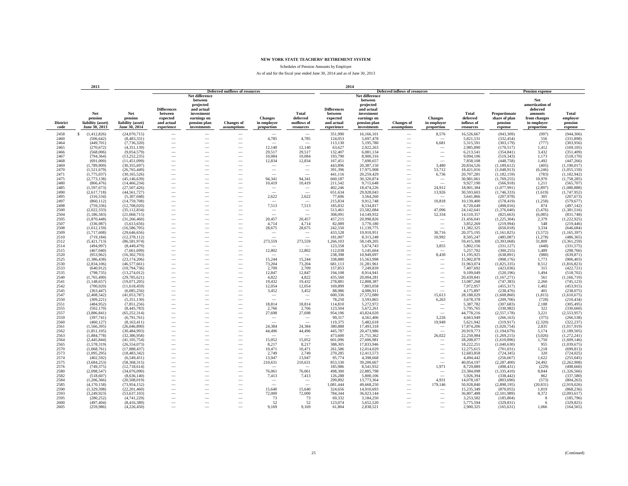Schedules of Pension Amounts by Employer

|                         | 2013                                                 |                                                      |                                                                       |                                                                                                                  |                                       |                                             |                                                      | 2014                                                                  |                                                                                                                  |                                      |                                                      |                                              |                                                      |                                                                                            |                                         |
|-------------------------|------------------------------------------------------|------------------------------------------------------|-----------------------------------------------------------------------|------------------------------------------------------------------------------------------------------------------|---------------------------------------|---------------------------------------------|------------------------------------------------------|-----------------------------------------------------------------------|------------------------------------------------------------------------------------------------------------------|--------------------------------------|------------------------------------------------------|----------------------------------------------|------------------------------------------------------|--------------------------------------------------------------------------------------------|-----------------------------------------|
|                         |                                                      |                                                      |                                                                       |                                                                                                                  | <b>Deferred outflows of resources</b> |                                             |                                                      |                                                                       |                                                                                                                  | <b>Deferred inflows of resources</b> |                                                      |                                              |                                                      | <b>Pension expense</b>                                                                     |                                         |
| <b>District</b><br>code | Net<br>pension<br>liability (asset)<br>June 30, 2013 | Net<br>pension<br>liability (asset)<br>June 30, 2014 | <b>Differences</b><br>between<br>expected<br>and actual<br>experience | Net difference<br>between<br>projected<br>and actual<br>investment<br>earnings on<br>pension plan<br>investments | <b>Changes of</b><br>assumptions      | <b>Changes</b><br>in employer<br>proportion | <b>Total</b><br>deferred<br>outflows of<br>resources | <b>Differences</b><br>between<br>expected<br>and actual<br>experience | Net difference<br>between<br>projected<br>and actual<br>investment<br>earnings on<br>pension plan<br>investments | <b>Changes</b> of<br>assumptions     | <b>Changes</b><br>in employer<br>proportion          | Total<br>deferred<br>inflows of<br>resources | Proportionate<br>share of plan<br>pension<br>expense | Net<br>amortization of<br>deferred<br>amounts<br>from changes<br>in employer<br>proportion | Total<br>employer<br>pension<br>expense |
| 2458                    | S<br>(1,412,826)                                     | (24,070,715)                                         | -                                                                     |                                                                                                                  |                                       |                                             | $\sim$                                               | 351,990                                                               | 16,166,101                                                                                                       | $\overline{\phantom{a}}$             | 8,576                                                | 16,526,667                                   | (943, 309)                                           | (997)                                                                                      | (944, 306)                              |
| 2460                    | (506, 642)                                           | (8,483,331)                                          | -                                                                     |                                                                                                                  | -                                     | 4,785                                       | 4,785                                                | 124,053                                                               | 5,697,478                                                                                                        |                                      |                                                      | 5,821,531                                    | (332, 454)                                           | 556                                                                                        | (331, 898)                              |
| 2464                    | (449,701)                                            | (7,736,320)                                          |                                                                       |                                                                                                                  |                                       |                                             |                                                      | 113,130                                                               | 5,195,780                                                                                                        |                                      | 6,681                                                | 5,315,591                                    | (303, 179)                                           | (777)                                                                                      | (303,956)                               |
| 2465                    | (270, 672)                                           | (4,351,139)                                          |                                                                       |                                                                                                                  |                                       | 12,140                                      | 12,140                                               | 63,627                                                                | 2,922,263                                                                                                        |                                      | -                                                    | 2,985,890                                    | (170, 517)                                           | 1,412                                                                                      | (169, 105)                              |
| 2466                    | (568,006)                                            | (9,054,579)                                          | $\overline{\phantom{a}}$                                              | $\overline{\phantom{a}}$                                                                                         | $\overline{\phantom{a}}$              | 29,517                                      | 29,517                                               | 132,407                                                               | 6,081,134                                                                                                        | $\overline{\phantom{a}}$             | $\sim$                                               | 6,213,541                                    | (354, 841)                                           | 3,432                                                                                      | (351, 409)                              |
| 2467                    | (794, 364)                                           | (13, 252, 235)                                       |                                                                       | -                                                                                                                | $\overline{\phantom{a}}$              | 10,084                                      | 10,084                                               | 193,790                                                               | 8,900,316                                                                                                        |                                      | $\overline{\phantom{a}}$                             | 9,094,106                                    | (519, 343)                                           | 1,173                                                                                      | (518, 170)                              |
| 2468                    | (691,000)                                            | (11, 451, 099)                                       |                                                                       |                                                                                                                  | $\overline{\phantom{a}}$              | 12,834                                      | 12,834                                               | 167,451                                                               | 7,690,657                                                                                                        |                                      | $\sim$                                               | 7,858,108                                    | (448, 758)                                           | 1,492                                                                                      | (447, 266)                              |
| 2469                    | (1,789,909)                                          | (30, 355, 697)                                       |                                                                       |                                                                                                                  |                                       |                                             |                                                      | 443,896                                                               | 20,387,150                                                                                                       |                                      | 3,480                                                | 20,834,526                                   | (1,189,612)                                          | (405)                                                                                      | (1,190,017)                             |
| 2470                    | (1,521,679)                                          | (26, 765, 449)                                       |                                                                       |                                                                                                                  |                                       |                                             |                                                      | 391,396                                                               | 17,975,908                                                                                                       |                                      | 53,712                                               | 18,421,016                                   | (1,048,913)                                          | (6, 246)                                                                                   | (1,055,159)                             |
| 2471                    | (1,775,037)                                          | (30, 165, 526)                                       |                                                                       |                                                                                                                  |                                       |                                             |                                                      | 441,116                                                               | 20,259,429                                                                                                       |                                      | 6,736                                                | 20,707,281                                   | (1,182,159)                                          | (783)                                                                                      | (1,182,942)                             |
| 2475                    | (2,773,138)                                          | (45, 146, 639)                                       | -                                                                     |                                                                                                                  |                                       | 94,341                                      | 94.341                                               | 660,187                                                               | 30,320,874                                                                                                       |                                      | $\hspace{0.1mm}-\hspace{0.1mm}$                      | 30,981,061                                   | (1,769,255)                                          | 10,970                                                                                     | (1,758,285)                             |
| 2480                    | (866, 476)                                           | (14, 466, 234)                                       | -                                                                     | -                                                                                                                |                                       | 10,419                                      | 10,419                                               | 211,542                                                               | 9,715,648                                                                                                        |                                      | $\sim$                                               | 9,927,190                                    | (566, 918)                                           | 1,211                                                                                      | (565, 707)                              |
| 2485                    | (1, 597, 673)                                        | (27, 507, 426)                                       | -                                                                     |                                                                                                                  | $\overline{\phantom{a}}$              | $\sim$                                      | -                                                    | 402,246                                                               | 18,474,226                                                                                                       |                                      | 24,912                                               | 18,901,384                                   | (1,077,991)                                          | (2, 897)                                                                                   | (1,080,888)                             |
| 2490                    | (2,617,718)                                          | (44, 561, 727)                                       | -                                                                     |                                                                                                                  |                                       | $\sim$                                      |                                                      | 651,634                                                               | 29,928,043                                                                                                       |                                      | 13,926                                               | 30,593,603                                   | (1,746,333)                                          | (1,619)                                                                                    | (1,747,952)                             |
| 2495                    | (316, 534)                                           | (5,307,048)                                          | $\overline{\phantom{0}}$                                              |                                                                                                                  |                                       | 2,622                                       | 2,622                                                | 77,606                                                                | 3,564,260                                                                                                        |                                      |                                                      | 3,641,866                                    | (207,978)                                            | 305                                                                                        | (207, 673)                              |
| 2497                    | (860, 112)                                           | (14, 759, 708)                                       |                                                                       |                                                                                                                  | $\overline{\phantom{0}}$              |                                             |                                                      | 215,834                                                               | 9,912,748                                                                                                        |                                      | 10,818                                               | 10,139,400                                   | (578, 419)                                           | (1,258)                                                                                    | (579, 677)                              |
| 2498                    | (759, 336)                                           | (12,708,020)                                         |                                                                       |                                                                                                                  |                                       | 7,513                                       | 7,513                                                | 185,832                                                               | 8,534,817                                                                                                        |                                      |                                                      | 8,720,649                                    | (498, 016)                                           | 874                                                                                        | (497, 142)                              |
| 2500                    | (2,022,333)                                          | (35, 112, 834)                                       | $\overline{\phantom{0}}$                                              |                                                                                                                  | $\overline{\phantom{0}}$              | $\hspace{0.1mm}-\hspace{0.1mm}$             | -                                                    | 513.461                                                               | 23.582.084                                                                                                       |                                      | 47,096                                               | 24,142,641                                   | (1,376,040)                                          | (5.476)                                                                                    | (1,381,516)                             |
| 2504                    | (1, 186, 583)                                        | (21,068,715)                                         | $\overline{\phantom{0}}$                                              |                                                                                                                  |                                       | $\overline{\phantom{a}}$                    |                                                      | 308,091                                                               | 14,149,932                                                                                                       | -                                    | 52,334                                               | 14,510,357                                   | (825, 663)                                           | (6,085)                                                                                    | (831,748)                               |
| 2505                    | (1,870,448)                                          | (31, 266, 460)                                       | -                                                                     |                                                                                                                  |                                       | 20.457                                      | 20,457                                               | 457,215                                                               | 20,998,826                                                                                                       |                                      | $\overline{\phantom{a}}$                             | 21,456,041                                   | (1,225,304)                                          | 2,379                                                                                      | (1, 222, 925)                           |
| 2507                    | (336,987)                                            | (5,613,656)                                          | -                                                                     |                                                                                                                  | $\overline{\phantom{a}}$              | 4,714                                       | 4,714                                                | 82,089                                                                | 3,770,180                                                                                                        | $\overline{\phantom{a}}$             | $\overline{\phantom{a}}$                             | 3,852,269                                    | (219,994)                                            | 548                                                                                        | (219, 446)                              |
| 2508<br>2509            | (1,012,159)                                          | (16, 586, 705)                                       | -                                                                     |                                                                                                                  | $\overline{\phantom{a}}$              | 28,675                                      | 28,675                                               | 242,550<br>433,528                                                    | 11,139,775                                                                                                       |                                      | $\overline{\phantom{a}}$<br>30,716                   | 11,382,325                                   | (650, 018)                                           | 3,334<br>(3,572)                                                                           | (646, 684)<br>(1, 165, 397)             |
| 2510                    | (1,717,608)<br>(719, 184)                            | (29, 646, 656)<br>(12, 378, 112)                     | $\overline{\phantom{0}}$                                              |                                                                                                                  |                                       | $\overline{\phantom{a}}$                    | $\overline{\phantom{a}}$                             | 181,007                                                               | 19,910,951<br>8,313,248                                                                                          |                                      | 10,992                                               | 20,375,195<br>8,505,247                      | (1,161,825)<br>(485, 087)                            | (1,278)                                                                                    | (486, 365)                              |
| 2512                    | (5,421,713)                                          | (86,581,974)                                         |                                                                       |                                                                                                                  |                                       | 273,559                                     | 273,559                                              | 1,266,103                                                             | 58,149,205                                                                                                       |                                      |                                                      | 59,415,308                                   | (3,393,068)                                          | 31,809                                                                                     | (3,361,259)                             |
| 2514                    | (494.997)                                            | (8,449,479)                                          | $\overline{\phantom{0}}$                                              |                                                                                                                  |                                       |                                             |                                                      | 123.558                                                               | 5,674,743                                                                                                        |                                      | 3,855                                                | 5.802.156                                    | (331.127)                                            | (448)                                                                                      | (331, 575)                              |
| 2515                    | (467, 040)                                           | (7,661,699)                                          | $\overline{\phantom{0}}$                                              | -                                                                                                                |                                       | 12,802                                      | 12,802                                               | 112,038                                                               | 5,145,664                                                                                                        | -                                    | $\sim$                                               | 5,257,702                                    | (300, 255)                                           | 1,489                                                                                      | (298, 766)                              |
| 2520                    | (953, 962)                                           | (16, 302, 793)                                       | -                                                                     |                                                                                                                  | $\overline{\phantom{a}}$              |                                             |                                                      | 238,398                                                               | 10,949,097                                                                                                       | $\overline{\phantom{a}}$             | 8,430                                                | 11,195,925                                   | (638, 891)                                           | (980)                                                                                      | (639, 871)                              |
| 2525                    | (1, 386, 438)                                        | (23, 174, 206)                                       | -                                                                     |                                                                                                                  | $\overline{\phantom{a}}$              | 15,244                                      | 15,244                                               | 338,880                                                               | 15,563,998                                                                                                       |                                      | $\hspace{0.1mm}-\hspace{0.1mm}$                      | 15,902,878                                   | (908, 176)                                           | 1,773                                                                                      | (906, 403)                              |
| 2530                    | (2,834,106)                                          | (46,577,661)                                         |                                                                       |                                                                                                                  |                                       | 73,204                                      | 73.204                                               | 681,113                                                               | 31,281,961                                                                                                       |                                      |                                                      | 31,963,074                                   | (1,825,335)                                          | 8,512                                                                                      | (1,816,823)                             |
| 2533                    | (640, 912)                                           | (10,794,736)                                         | $\overline{\phantom{0}}$                                              |                                                                                                                  |                                       | 2,709                                       | 2,709                                                | 157,853                                                               | 7,249,839                                                                                                        |                                      |                                                      | 7,407,692                                    | (423, 036)                                           | 315                                                                                        | (422, 721)                              |
| 2535                    | (798, 735)                                           | (13,274,012)                                         | $\overline{\phantom{0}}$                                              |                                                                                                                  |                                       | 12.847                                      | 12.847                                               | 194.108                                                               | 8,914,941                                                                                                        |                                      |                                                      | 9,109,049                                    | (520.196)                                            | 1.494                                                                                      | (518, 702)                              |
| 2540                    | (1,765,490)                                          | (29, 785, 621)                                       | -                                                                     | -                                                                                                                |                                       | 4,822                                       | 4,822                                                | 435,560                                                               | 20,004,281                                                                                                       |                                      | $\overline{\phantom{a}}$                             | 20,439,841                                   | (1,167,271)                                          | 561                                                                                        | (1,166,710)                             |
| 2541                    | (1,148,657)                                          | (19,071,205)                                         | $\overline{\phantom{a}}$                                              | -                                                                                                                | $\overline{\phantom{a}}$              | 19,432                                      | 19,432                                               | 278,881                                                               | 12,808,387                                                                                                       |                                      | $\sim$                                               | 13,087,268                                   | (747, 383)                                           | 2,260                                                                                      | (745, 123)                              |
| 2542                    | (700, 020)                                           | (11,618,459)                                         | -                                                                     | ÷.                                                                                                               | $\overline{\phantom{a}}$              | 12,054                                      | 12,054                                               | 169,899                                                               | 7,803,058                                                                                                        |                                      | $\overline{\phantom{a}}$                             | 7,972,957                                    | (455, 317)                                           | 1,402                                                                                      | (453, 915)                              |
| 2545                    | (363, 447)                                           | (6,085,256)                                          |                                                                       |                                                                                                                  | $\overline{\phantom{a}}$              | 3,452                                       | 3,452                                                | 88,986                                                                | 4,086,911                                                                                                        |                                      | $\sim$                                               | 4,175,897                                    | (238, 476)                                           | 401                                                                                        | (238,075)                               |
| 2547                    | (2,408,542)                                          | (41,053,787)                                         |                                                                       |                                                                                                                  |                                       | $\overline{\phantom{a}}$                    |                                                      | 600,336                                                               | 27,572,080                                                                                                       |                                      | 15,613                                               | 28,188,029                                   | (1,608,860)                                          | (1, 815)                                                                                   | (1,610,675)                             |
| 2550                    | (309, 221)                                           | (5,351,130)                                          |                                                                       |                                                                                                                  |                                       |                                             |                                                      | 78,250                                                                | 3,593,865                                                                                                        |                                      | 6,263                                                | 3,678,378                                    | (209, 706)                                           | (728)                                                                                      | (210, 434)                              |
| 2551                    | (484, 952)                                           | (7,851,256)                                          |                                                                       |                                                                                                                  |                                       | 18,814                                      | 18,814                                               | 114,810                                                               | 5,272,972                                                                                                        |                                      |                                                      | 5,387,782                                    | (307, 683)                                           | 2,188                                                                                      | (305, 495)                              |
| 2555                    | (502, 170)                                           | (8,445,783)                                          | -                                                                     |                                                                                                                  |                                       | 2,766                                       | 2,766                                                | 123,504                                                               | 5,672,261                                                                                                        |                                      | $\overline{\phantom{a}}$                             | 5,795,765                                    | (330.982)                                            | 322                                                                                        | (330, 660)                              |
| 2557                    | (3,886,841)                                          | (65, 252, 314)                                       | $\overline{\phantom{0}}$                                              |                                                                                                                  |                                       | 27,698                                      | 27,698                                               | 954,196                                                               | 43.824.020                                                                                                       |                                      | $\sim$                                               | 44,778,216                                   | (2,557,178)                                          | 3,221                                                                                      | (2, 553, 957)                           |
| 2559                    | (397, 741)                                           | (6,791,761)                                          | -                                                                     |                                                                                                                  | $\overline{\phantom{a}}$              | -                                           | -                                                    | 99,317                                                                | 4,561,406                                                                                                        |                                      | 3,226                                                | 4,663,949                                    | (266, 163)                                           | (375)                                                                                      | (266, 538)                              |
| 2560                    | (460, 127)                                           | (8,163,411)                                          | -                                                                     |                                                                                                                  |                                       | $\sim$                                      |                                                      | 119,375                                                               | 5,482,618                                                                                                        |                                      | 19,949                                               | 5,621,942                                    | (319, 917)                                           | (2,320)                                                                                    | (322, 237)                              |
| 2561                    | (1, 566, 395)                                        | (26,046,890)                                         | -                                                                     |                                                                                                                  |                                       | 24,384                                      | 24,384                                               | 380,888                                                               | 17,493,318                                                                                                       |                                      | -                                                    | 17,874,206                                   | (1,020,754)                                          | 2,835                                                                                      | (1,017,919)                             |
| 2562                    | (1,851,105)                                          | (30, 484, 993)                                       |                                                                       |                                                                                                                  | $\overline{\phantom{0}}$              | 44,496                                      | 44,496                                               | 445,787                                                               | 20,473,986                                                                                                       |                                      |                                                      | 20,919,773                                   | (1,194,679)                                          | 5,174                                                                                      | (1,189,505)                             |
| 2563                    | (1,884,778)                                          | (32, 386, 958)                                       |                                                                       |                                                                                                                  |                                       |                                             |                                                      | 473,600                                                               | 21,751,362                                                                                                       |                                      | 26,022                                               | 22,250,984                                   | (1,269,215)                                          | (3,026)<br>1.750                                                                           | (1,272,241)                             |
| 2564<br>2565            | (2,445,844)<br>(1, 578, 319)                         | (41, 105, 754)<br>(26, 554, 073)                     | $\overline{\phantom{0}}$<br>$\overline{\phantom{0}}$                  |                                                                                                                  | $\overline{\phantom{0}}$              | 15.052<br>8,217                             | 15.052<br>8,217                                      | 601.096<br>388,305                                                    | 27,606,981<br>17,833,946                                                                                         |                                      | $\overline{\phantom{m}}$<br>$\overline{\phantom{a}}$ | 28,208,077<br>18,222,251                     | (1,610,896)<br>(1,040,630)                           | 955                                                                                        | (1,609,146)<br>(1,039,675)              |
| 2570                    | (1,068,761)                                          | (17,888,437)                                         | $\overline{\phantom{0}}$                                              |                                                                                                                  |                                       | 10,471                                      | 10,471                                               | 261,586                                                               | 12,014,029                                                                                                       |                                      | $\overline{\phantom{a}}$                             | 12,275,615                                   | (701, 031)                                           | 1,218                                                                                      | (699, 813)                              |
| 2573                    | (1,095,295)                                          | (18, 483, 342)                                       | -                                                                     |                                                                                                                  | $\overline{\phantom{a}}$              | 2,749                                       | 2,749                                                | 270,285                                                               | 12,413,573                                                                                                       |                                      | $\overline{\phantom{a}}$                             | 12,683,858                                   | (724, 345)                                           | 320                                                                                        | (724, 025)                              |
| 2574                    | (402, 592)                                           | (6,549,451)                                          | -                                                                     |                                                                                                                  | $\overline{\phantom{a}}$              | 13,947                                      | 13,947                                               | 95,774                                                                | 4,398,668                                                                                                        |                                      | $\overline{\phantom{a}}$                             | 4,494,442                                    | (256, 667)                                           | 1,622                                                                                      | (255, 045)                              |
| 2575                    | (3,684,253)                                          | (58, 368, 315)                                       | -                                                                     |                                                                                                                  | $\overline{\phantom{a}}$              | 210,631                                     | 210,631                                              | 853,530                                                               | 39,200,667                                                                                                       |                                      | $\sim$                                               | 40,054,197                                   | (2, 287, 400)                                        | 24,492                                                                                     | (2, 262, 908)                           |
| 2576                    | (749, 375)                                           | (12,718,614)                                         |                                                                       |                                                                                                                  |                                       |                                             |                                                      | 185,986                                                               | 8,541,932                                                                                                        |                                      | 1,971                                                | 8,729,889                                    | (498, 431)                                           | (229)                                                                                      | (498, 660)                              |
| 2580                    | (2,098,547)                                          | (34,076,090)                                         |                                                                       |                                                                                                                  |                                       | 76,061                                      | 76,061                                               | 498,300                                                               | 22,885,798                                                                                                       |                                      | $\overline{\phantom{a}}$                             | 23,384,098                                   | (1,335,410)                                          | 8,844                                                                                      | (1,326,566)                             |
| 2582                    | (518, 607)                                           | (8,636,140)                                          | -                                                                     |                                                                                                                  | $\overline{\phantom{a}}$              | 7,413                                       | 7,413                                                | 126,288                                                               | 5,800,106                                                                                                        |                                      | $\sim$                                               | 5,926,394                                    | (338, 442)                                           | 862                                                                                        | (337, 580)                              |
| 2584                    | (1,206,366)                                          | (20,508,019)                                         |                                                                       |                                                                                                                  | $\overline{\phantom{a}}$              | $\sim$                                      | $\overline{\phantom{a}}$                             | 299,892                                                               | 13,773,364                                                                                                       |                                      | 4,931                                                | 14,078,187                                   | (803, 690)                                           | (573)                                                                                      | (804, 263)                              |
| 2585                    | (4,170,158)                                          | (73,954,152)                                         |                                                                       |                                                                                                                  | $\overline{\phantom{a}}$              |                                             |                                                      | 1,081,444                                                             | 49,668,250                                                                                                       |                                      | 179,146                                              | 50,928,840                                   | (2,898,195)                                          | (20, 831)                                                                                  | (2,919,026)                             |
| 2590                    | (1,329,398)                                          | (22, 201, 460)                                       |                                                                       |                                                                                                                  |                                       | 15,640                                      | 15,640                                               | 324,656                                                               | 14,910,693                                                                                                       |                                      |                                                      | 15,235,349                                   | (870, 055)                                           | 1,819                                                                                      | (868, 236)                              |
| 2593                    | (3,249,923)                                          | (53,637,103)                                         |                                                                       |                                                                                                                  |                                       | 72,000                                      | 72,000                                               | 784,344                                                               | 36,023,144                                                                                                       |                                      |                                                      | 36,807,488                                   | (2,101,989)                                          | 8,372                                                                                      | (2,093,617)                             |
| 2595                    | (280, 252)                                           | (4,741,229)                                          |                                                                       |                                                                                                                  |                                       | 73                                          | 73                                                   | 69,332                                                                | 3,184,250                                                                                                        |                                      | -                                                    | 3,253,582                                    | (185, 804)                                           | 8                                                                                          | (185,796)                               |
| 2600                    | (497, 404)                                           | (8,416,389)                                          | -                                                                     |                                                                                                                  | -                                     | 52                                          | 52                                                   | 123,074                                                               | 5,652,520                                                                                                        |                                      |                                                      | 5,775,594                                    | (329, 831)                                           | 6                                                                                          | (329, 825)                              |
| 2605                    | (259,986)                                            | (4,226,450)                                          |                                                                       |                                                                                                                  |                                       | 9.169                                       | 9.169                                                | 61,804                                                                | 2,838,521                                                                                                        |                                      |                                                      | 2,900,325                                    | (165, 631)                                           | 1.066                                                                                      | (164, 565)                              |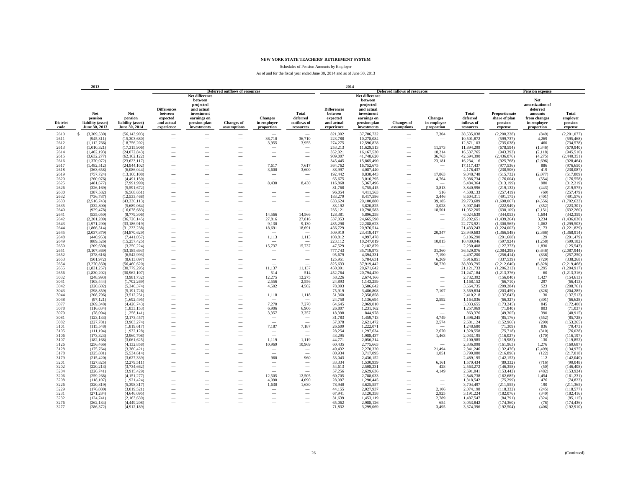Schedules of Pension Amounts by Employer

|                         | 2013                                                 |                                                      |                                                                       |                                                                                                                  |                                                      |                                             |                                                      | 2014                                                                  |                                                                                                                  |                                  |                                                      |                                              |                                                      |                                                                                            |                                         |
|-------------------------|------------------------------------------------------|------------------------------------------------------|-----------------------------------------------------------------------|------------------------------------------------------------------------------------------------------------------|------------------------------------------------------|---------------------------------------------|------------------------------------------------------|-----------------------------------------------------------------------|------------------------------------------------------------------------------------------------------------------|----------------------------------|------------------------------------------------------|----------------------------------------------|------------------------------------------------------|--------------------------------------------------------------------------------------------|-----------------------------------------|
|                         |                                                      |                                                      |                                                                       |                                                                                                                  | <b>Deferred outflows of resources</b>                |                                             |                                                      |                                                                       |                                                                                                                  | Deferred inflows of resources    |                                                      |                                              |                                                      | <b>Pension expense</b>                                                                     |                                         |
| <b>District</b><br>code | Net<br>pension<br>liability (asset)<br>June 30, 2013 | Net<br>pension<br>liability (asset)<br>June 30, 2014 | <b>Differences</b><br>between<br>expected<br>and actual<br>experience | Net difference<br>between<br>projected<br>and actual<br>investment<br>earnings on<br>pension plan<br>investments | <b>Changes</b> of<br>assumptions                     | <b>Changes</b><br>in employer<br>proportion | <b>Total</b><br>deferred<br>outflows of<br>resources | <b>Differences</b><br>between<br>expected<br>and actual<br>experience | Net difference<br>between<br>projected<br>and actual<br>investment<br>earnings on<br>pension plan<br>investments | <b>Changes</b> of<br>assumptions | <b>Changes</b><br>in employer<br>proportion          | Total<br>deferred<br>inflows of<br>resources | Proportionate<br>share of plan<br>pension<br>expense | Net<br>amortization of<br>deferred<br>amounts<br>from changes<br>in employer<br>proportion | Total<br>emplover<br>pension<br>expense |
| 2610                    | S<br>(3,309,530)                                     | (56, 143, 903)                                       | $\overline{\phantom{a}}$                                              | $\overline{\phantom{a}}$                                                                                         | $\overline{\phantom{a}}$                             | $\sim$                                      | $\sim$                                               | 821.002                                                               | 37,706,732                                                                                                       | $\overline{\phantom{a}}$         | 7,304                                                | 38,535,038                                   | (2,200,228)                                          | (849)                                                                                      | (2,201,077)                             |
| 2611                    | (945, 311)                                           | (15,303,680)                                         | -                                                                     | -                                                                                                                |                                                      | 36,710                                      | 36,710                                               | 223,788                                                               | 10,278,084                                                                                                       |                                  |                                                      | 10,501,872                                   | (599, 737)                                           | 4,269                                                                                      | (595, 468)                              |
| 2612                    | (1, 112, 766)                                        | (18, 756, 202)                                       |                                                                       |                                                                                                                  |                                                      | 3,955                                       | 3,955                                                | 274,275                                                               | 12,596,828                                                                                                       |                                  | $\overline{\phantom{a}}$                             | 12,871,103                                   | (735, 038)                                           | 460                                                                                        | (734, 578)                              |
| 2613                    | (1,010,321)                                          | (17,315,906)                                         |                                                                       |                                                                                                                  | -                                                    | -                                           |                                                      | 253,213                                                               | 11,629,513                                                                                                       |                                  | 11,573                                               | 11,894,299                                   | (678, 594)                                           | (1,346)                                                                                    | (679, 940)                              |
| 2614                    | (1,402,193)                                          | (24,072,843)                                         | -                                                                     |                                                                                                                  |                                                      | $\overline{\phantom{a}}$                    | $\overline{\phantom{a}}$                             | 352,021                                                               | 16,167,530                                                                                                       | -                                | 18,214                                               | 16,537,765                                   | (943, 392)                                           | (2, 118)                                                                                   | (945, 510)                              |
| 2615                    | (3,632,277)                                          | (62, 162, 122)                                       | -                                                                     |                                                                                                                  |                                                      | $\overline{\phantom{a}}$                    | $\overline{\phantom{0}}$                             | 909,007                                                               | 41,748,620                                                                                                       | $\overline{\phantom{a}}$         | 36,763                                               | 42,694,390                                   | (2,436,076)                                          | (4,275)                                                                                    | (2,440,351)                             |
| 2616                    | (1,370,072)                                          | (23,623,117)                                         |                                                                       |                                                                                                                  | $\overline{\phantom{a}}$                             | -                                           | $\overline{\phantom{a}}$                             | 345,445                                                               | 15,865,490                                                                                                       | $\overline{\phantom{a}}$         | 23,181                                               | 16,234,116                                   | (925, 768)                                           | (2,696)                                                                                    | (928, 464)                              |
| 2617                    | (1,482,512)                                          | (24, 944, 102)                                       |                                                                       |                                                                                                                  | $\overline{\phantom{a}}$                             | 7,617                                       | 7,617                                                | 364,762                                                               | 16,752,675                                                                                                       | $\overline{\phantom{a}}$         | $\overline{\phantom{m}}$                             | 17,117,437                                   | (977, 536)                                           | 886                                                                                        | (976, 650)                              |
| 2618                    | (363, 658)                                           | (6,086,044)                                          |                                                                       |                                                                                                                  |                                                      | 3,600                                       | 3,600                                                | 88,997                                                                | 4,087,440                                                                                                        |                                  | $\overline{\phantom{a}}$                             | 4,176,437                                    | (238, 506)                                           | 419                                                                                        | (238, 087)                              |
| 2619                    | (757, 724)                                           | (13,160,108)                                         |                                                                       |                                                                                                                  |                                                      | -                                           |                                                      | 192,442                                                               | 8,838,443                                                                                                        |                                  | 17,863                                               | 9,048,748                                    | (515, 732)                                           | (2,077)                                                                                    | (517, 809)                              |
| 2620                    | (260, 076)                                           | (4,491,150)                                          |                                                                       |                                                                                                                  |                                                      |                                             |                                                      | 65,675                                                                | 3,016,295                                                                                                        |                                  | 4,764                                                | 3,086,734                                    | (176,004)                                            | (554)                                                                                      | (176, 558)                              |
| 2625                    | (481, 677)                                           | (7.991.999)                                          |                                                                       |                                                                                                                  | $\overline{\phantom{a}}$                             | 8,430                                       | 8,430                                                | 116,868                                                               | 5,367,496                                                                                                        |                                  |                                                      | 5,484,364                                    | (313.199)                                            | 980                                                                                        | (312, 219)                              |
| 2626                    | (326, 169)                                           | (5,591,672)                                          | -                                                                     |                                                                                                                  |                                                      |                                             |                                                      | 81,768                                                                | 3,755,415                                                                                                        |                                  | 3,813                                                | 3,840,996                                    | (219, 132)                                           | (443)                                                                                      | (219, 575)                              |
| 2630                    | (387, 582)                                           | (6,568,651)                                          |                                                                       |                                                                                                                  | $\overline{\phantom{a}}$                             | $\overline{\phantom{a}}$                    | $\overline{\phantom{a}}$                             | 96,054                                                                | 4,411,563                                                                                                        |                                  | 516                                                  | 4,508,133                                    | (257, 419)                                           | (60)                                                                                       | (257, 479)                              |
| 2632                    | (736, 787)                                           | (12, 533, 468)                                       | -                                                                     |                                                                                                                  | $\overline{\phantom{a}}$                             | $\overline{\phantom{a}}$                    | $\overline{\phantom{a}}$                             | 183,279                                                               | 8,417,586                                                                                                        |                                  | 3,446                                                | 8,604,311                                    | (491, 175)                                           | (401)                                                                                      | (491, 576)                              |
| 2633<br>2635            | (2,516,743)<br>(332, 800)                            | (43, 330, 113)                                       | -                                                                     |                                                                                                                  |                                                      | $\sim$                                      |                                                      | 633,624                                                               | 29,100,880<br>3,820,825                                                                                          |                                  | 39,185                                               | 29,773,689                                   | (1,698,067)                                          | (4,556)<br>(352)                                                                           | (1,702,623)<br>(223, 301)               |
| 2640                    | (929, 478)                                           | (5,689,064)<br>(16,078,683)                          |                                                                       |                                                                                                                  | -                                                    | -                                           | -                                                    | 83,192<br>235,121                                                     | 10,798,583                                                                                                       |                                  | 3,028<br>18,501                                      | 3,907,045<br>11,052,205                      | (222, 949)<br>(630, 109)                             | (2, 151)                                                                                   | (632, 260)                              |
| 2641                    | (535,050)                                            | (8,779,306)                                          |                                                                       |                                                                                                                  |                                                      | 14,566                                      | 14,566                                               | 128,381                                                               | 5,896,258                                                                                                        |                                  |                                                      | 6,024,639                                    | (344, 053)                                           | 1,694                                                                                      | (342, 359)                              |
| 2642                    | (2,201,289)                                          | (36, 726, 145)                                       | -                                                                     |                                                                                                                  |                                                      | 27,816                                      | 27,816                                               | 537.053                                                               | 24,665,598                                                                                                       |                                  | $\overline{\phantom{a}}$<br>$\overline{\phantom{a}}$ | 25,202,651                                   | (1,439,264)                                          | 3.234                                                                                      | (1,436,030)                             |
| 2643                    | (1,971,290)                                          | (33, 186, 919)                                       | -                                                                     |                                                                                                                  |                                                      | 9,130                                       | 9,130                                                | 485.298                                                               | 22,288,623                                                                                                       |                                  | $\overline{\phantom{a}}$                             | 22,773,921                                   | (1,300,565)                                          | 1.062                                                                                      | (1, 299, 503)                           |
| 2644                    | (1,866,514)                                          | (31, 233, 238)                                       | $\overline{\phantom{a}}$                                              |                                                                                                                  | $\overline{\phantom{a}}$                             | 18,691                                      | 18,691                                               | 456,729                                                               | 20,976,514                                                                                                       |                                  | $\overline{\phantom{a}}$                             | 21,433,243                                   | (1,224,002)                                          | 2,173                                                                                      | (1, 221, 829)                           |
| 2645                    | (2,037,879)                                          | (34,870,629)                                         |                                                                       |                                                                                                                  | $\overline{\phantom{a}}$                             |                                             |                                                      | 509,919                                                               | 23,419,417                                                                                                       | $\overline{\phantom{a}}$         | 20,347                                               | 23,949,683                                   | (1,366,548)                                          | (2,366)                                                                                    | (1,368,914)                             |
| 2648                    | (440, 953)                                           | (7,441,057)                                          |                                                                       |                                                                                                                  | $\overline{\phantom{a}}$                             | 1,113                                       | 1,113                                                | 108,812                                                               | 4,997,478                                                                                                        |                                  |                                                      | 5,106,290                                    | (291, 608)                                           | 129                                                                                        | (291, 479)                              |
| 2649                    | (889, 526)                                           | (15, 257, 425)                                       |                                                                       |                                                                                                                  |                                                      |                                             |                                                      | 223.112                                                               | 10,247,019                                                                                                       |                                  | 10,815                                               | 10,480,946                                   | (597, 924)                                           | (1,258)                                                                                    | (599, 182)                              |
| 2650                    | (209, 630)                                           | (3,250,224)                                          |                                                                       |                                                                                                                  |                                                      | 15,737                                      | 15,737                                               | 47,529                                                                | 2,182,879                                                                                                        |                                  |                                                      | 2,230,408                                    | (127, 373)                                           | 1,830                                                                                      | (125, 543)                              |
| 2651                    | (3,107,869)                                          | (53.185.693)                                         | $\overline{\phantom{0}}$                                              |                                                                                                                  |                                                      | $\overline{\phantom{a}}$                    | -                                                    | 777,743                                                               | 35,719,973                                                                                                       |                                  | 31,360                                               | 36.529.076                                   | (2.084.298)                                          | (3.646)                                                                                    | (2,087,944)                             |
| 2652                    | (378, 616)                                           | (6.542.993)                                          | -                                                                     |                                                                                                                  | $\overline{\phantom{a}}$                             | $\overline{\phantom{a}}$                    | $\overline{\phantom{0}}$                             | 95,679                                                                | 4,394,331                                                                                                        | -                                | 7,190                                                | 4,497,200                                    | (256, 414)                                           | (836)                                                                                      | (257, 250)                              |
| 2653                    | (501, 972)                                           | (8,613,097)                                          | -                                                                     |                                                                                                                  | $\overline{\phantom{a}}$                             | $\overline{\phantom{a}}$                    | $\overline{\phantom{a}}$                             | 125,951                                                               | 5,784,631                                                                                                        | $\overline{\phantom{a}}$         | 6,269                                                | 5,916,851                                    | (337,539)                                            | (729)                                                                                      | (338, 268)                              |
| 2654                    | (3,270,850)                                          | (56, 460, 620)                                       |                                                                       |                                                                                                                  | -                                                    |                                             |                                                      | 825,633                                                               | 37,919,442                                                                                                       |                                  | 58,720                                               | 38,803,795                                   | (2,212,640)                                          | (6,828)                                                                                    | (2,219,468)                             |
| 2655                    | (1, 831, 257)                                        | (30,779,295)                                         |                                                                       |                                                                                                                  |                                                      | 11,137                                      | 11,137                                               | 450,091                                                               | 20,671,642                                                                                                       |                                  | $\overline{\phantom{m}}$                             | 21,121,733                                   | (1,206,212)                                          | 1,295                                                                                      | (1,204,917)                             |
| 2656                    | (1,830,202)                                          | (30,962,107)                                         |                                                                       |                                                                                                                  |                                                      | 514                                         | 514                                                  | 452,764                                                               | 20,794,420                                                                                                       |                                  | $\overline{\phantom{m}}$                             | 21,247,184                                   | (1,213,376)                                          | 60                                                                                         | (1,213,316)                             |
| 3032                    | (248,993)                                            | (3,981,732)                                          | -                                                                     |                                                                                                                  |                                                      | 12,275                                      | 12,275                                               | 58.226                                                                | 2,674,166                                                                                                        |                                  | $\overline{\phantom{a}}$                             | 2,732,392                                    | (156,040)                                            | 1,427                                                                                      | (154, 613)                              |
| 3041                    | (103, 444)                                           | (1,702,269)                                          | -                                                                     |                                                                                                                  |                                                      | 2,556                                       | 2,556                                                | 24,893                                                                | 1,143,259                                                                                                        |                                  | $\overline{\phantom{a}}$                             | 1,168,152                                    | (66,710)                                             | 297                                                                                        | (66, 413)                               |
| 3042                    | (320, 602)                                           | (5,340,374)                                          |                                                                       |                                                                                                                  | $\overline{\phantom{a}}$                             | 4,502                                       | 4,502                                                | 78,093                                                                | 3,586,642                                                                                                        |                                  | $\overline{\phantom{a}}$                             | 3,664,735                                    | (209, 284)                                           | 523                                                                                        | (208, 761)                              |
| 3043                    | (298, 859)                                           | (5, 191, 726)                                        |                                                                       |                                                                                                                  | $\overline{\phantom{a}}$                             | -                                           |                                                      | 75,919                                                                | 3,486,808                                                                                                        |                                  | 7,107                                                | 3,569,834                                    | (203, 459)                                           | (826)                                                                                      | (204, 285)                              |
| 3044<br>3048            | (208, 796)                                           | (3,512,251)                                          |                                                                       |                                                                                                                  | $\overline{\phantom{a}}$                             | 1,118                                       | 1,118                                                | 51,360                                                                | 2,358,858                                                                                                        |                                  | $\overline{\phantom{a}}$                             | 2,410,218                                    | (137, 642)                                           | 130<br>(301)                                                                               | (137, 512)                              |
| 3077                    | (97, 121)<br>(269, 348)                              | (1,692,495)<br>(4,420,743)                           |                                                                       |                                                                                                                  |                                                      | 7,270                                       | 7,270                                                | 24,750<br>64,645                                                      | 1,136,694<br>2,969,010                                                                                           |                                  | 2,592                                                | 1,164,036<br>3,033,655                       | (66, 327)<br>(173, 245)                              | 845                                                                                        | (66, 628)<br>(172, 400)                 |
| 3078                    | (116, 034)                                           | (1.833.153)                                          |                                                                       |                                                                                                                  |                                                      | 6.906                                       | 6.906                                                | 26.807                                                                | 1.231.162                                                                                                        |                                  | $\overline{\phantom{a}}$                             | 1,257,969                                    | (71, 840)                                            | 803                                                                                        | (71, 037)                               |
| 3079                    | (78,094)                                             | (1,258,141)                                          | -                                                                     |                                                                                                                  |                                                      | 3,357                                       | 3,357                                                | 18,398                                                                | 844,978                                                                                                          |                                  | $\overline{\phantom{a}}$                             | 863,376                                      | (49,305)                                             | 390                                                                                        | (48,915)                                |
| 3081                    | (123, 133)                                           | (2,173,457)                                          |                                                                       |                                                                                                                  | $\overline{\phantom{a}}$                             | $\overline{\phantom{a}}$                    | -                                                    | 31,783                                                                | 1,459,713                                                                                                        |                                  | 4.749                                                | 1,496,245                                    | (85, 176)                                            | (552)                                                                                      | (85, 728)                               |
| 3082                    | (227, 781)                                           | (3,903,274)                                          | -                                                                     |                                                                                                                  | $\overline{\phantom{a}}$                             | -                                           |                                                      | 57,078                                                                | 2,621,472                                                                                                        |                                  | 2,574                                                | 2,681,124                                    | (152,966)                                            | (299)                                                                                      | (153, 265)                              |
| 3101                    | (115, 548)                                           | (1,819,617)                                          | -                                                                     |                                                                                                                  |                                                      | 7,187                                       | 7,187                                                | 26,609                                                                | 1,222,071                                                                                                        |                                  |                                                      | 1,248,680                                    | (71, 309)                                            | 836                                                                                        | (70, 473)                               |
| 3105                    | (111, 194)                                           | (1,932,128)                                          |                                                                       |                                                                                                                  |                                                      | -                                           |                                                      | 28,254                                                                | 1,297,634                                                                                                        |                                  | 2,670                                                | 1,328,558                                    | (75,718)                                             | (310)                                                                                      | (76, 028)                               |
| 3106                    | (173, 323)                                           | (2,960,708)                                          |                                                                       |                                                                                                                  |                                                      |                                             |                                                      | 43,295                                                                | 1,988,437                                                                                                        |                                  | 1,463                                                | 2,033,195                                    | (116, 027)                                           | (170)                                                                                      | (116, 197)                              |
| 3107                    | (182, 168)                                           | (3,061,625)                                          |                                                                       |                                                                                                                  |                                                      | 1,119                                       | 1,119                                                | 44,771                                                                | 2,056,214                                                                                                        |                                  | $\overline{\phantom{a}}$                             | 2,100,985                                    | (119,982)                                            | 130                                                                                        | (119, 852)                              |
| 3126                    | (256, 466)                                           | (4.132.858)                                          | -                                                                     |                                                                                                                  |                                                      | 10,969                                      | 10,969                                               | 60.435                                                                | 2.775.663                                                                                                        | -                                |                                                      | 2,836,098                                    | (161, 963)                                           | 1.276                                                                                      | (160, 687)                              |
| 3128                    | (175, 764)                                           | (3,380,421)                                          | -                                                                     |                                                                                                                  |                                                      | $\hspace{0.1mm}-\hspace{0.1mm}$             | $\overline{\phantom{a}}$                             | 49,432                                                                | 2,270,320                                                                                                        | $\overline{\phantom{a}}$         | 21,494                                               | 2,341,246                                    | (132, 476)                                           | (2, 499)                                                                                   | (134, 975)                              |
| 3178                    | (325, 881)                                           | (5,534,614)                                          |                                                                       |                                                                                                                  | $\overline{\phantom{a}}$                             |                                             |                                                      | 80,934                                                                | 3,717,095                                                                                                        | $\overline{\phantom{a}}$         | 1,051                                                | 3,799,080                                    | (216, 896)                                           | (122)                                                                                      | (217, 018)                              |
| 3179                    | (215, 420)                                           | (3,627,339)                                          |                                                                       |                                                                                                                  | $\overline{\phantom{a}}$                             | 960                                         | 960                                                  | 53,043                                                                | 2,436,152                                                                                                        | $\overline{\phantom{a}}$         |                                                      | 2,489,195                                    | (142, 152)                                           | 112                                                                                        | (142, 040)                              |
| 3201                    | (127, 825)                                           | (2,279,511)                                          |                                                                       |                                                                                                                  | $\overline{\phantom{a}}$                             | $\sim$                                      |                                                      | 33,334                                                                | 1,530,939                                                                                                        |                                  | 6,161                                                | 1,570,434                                    | (89, 332)                                            | (716)                                                                                      | (90,048)                                |
| 3202                    | (220, 213)                                           | (3,734,662)                                          |                                                                       |                                                                                                                  |                                                      | $\overline{\phantom{a}}$                    |                                                      | 54,613                                                                | 2,508,231                                                                                                        |                                  | 428                                                  | 2,563,272                                    | (146, 358)                                           | (50)                                                                                       | (146, 408)                              |
| 3204                    | (226, 741)                                           | (3,915,429)                                          |                                                                       |                                                                                                                  |                                                      |                                             |                                                      | 57,256                                                                | 2,629,636                                                                                                        |                                  | 4,149                                                | 2,691,041                                    | (153, 442)                                           | (482)                                                                                      | (153, 924)                              |
| 3206                    | (259, 268)                                           | (4, 151, 277)                                        | -                                                                     |                                                                                                                  |                                                      | 12,505                                      | 12,505                                               | 60.705                                                                | 2,788,033                                                                                                        | $\overline{\phantom{a}}$         | $\overline{\phantom{a}}$                             | 2,848,738                                    | (162, 685)                                           | 1,454                                                                                      | (161, 231)                              |
| 3208<br>3226            | (118, 107)<br>(320, 819)                             | (1,921,424)<br>(5,398,317)                           |                                                                       |                                                                                                                  | $\overline{\phantom{a}}$<br>$\overline{\phantom{a}}$ | 4,090<br>1,630                              | 4,090<br>1,630                                       | 28,097<br>78,940                                                      | 1,290,445<br>3,625,557                                                                                           |                                  | $\sim$<br>$\sim$                                     | 1,318,542<br>3,704,497                       | (75,299)<br>(211, 555)                               | 476<br>190                                                                                 | (74, 823)<br>(211, 365)                 |
| 3229                    | (176,080)                                            | (3,019,521)                                          |                                                                       |                                                                                                                  |                                                      |                                             |                                                      | 44,155                                                                | 2,027,937                                                                                                        |                                  | 2,106                                                | 2,074,198                                    | (118, 332)                                           | (245)                                                                                      | (118, 577)                              |
| 3231                    | (271, 284)                                           | (4,646,095)                                          |                                                                       |                                                                                                                  |                                                      | $\overline{\phantom{a}}$                    |                                                      | 67,941                                                                | 3,120,358                                                                                                        |                                  | 2.925                                                | 3,191,224                                    | (182,076)                                            | (340)                                                                                      | (182, 416)                              |
| 3232                    | (124, 741)                                           | (2,163,639)                                          |                                                                       |                                                                                                                  |                                                      | $\overline{\phantom{a}}$                    |                                                      | 31,639                                                                | 1,453,119                                                                                                        |                                  | 2,789                                                | 1,487,547                                    | (84,791)                                             | (324)                                                                                      | (85, 115)                               |
| 3276                    | (262, 184)                                           | (4.449.208)                                          |                                                                       |                                                                                                                  | -                                                    |                                             |                                                      | 65,062                                                                | 2.988.126                                                                                                        |                                  | 654                                                  | 3,053,842                                    | (174.360)                                            | (76)                                                                                       | (174, 436)                              |
| 3277                    | (286, 372)                                           | (4,912,189)                                          |                                                                       |                                                                                                                  |                                                      |                                             |                                                      | 71,832                                                                | 3,299,069                                                                                                        |                                  | 3,495                                                | 3,374,396                                    | (192, 504)                                           | (406)                                                                                      | (192, 910)                              |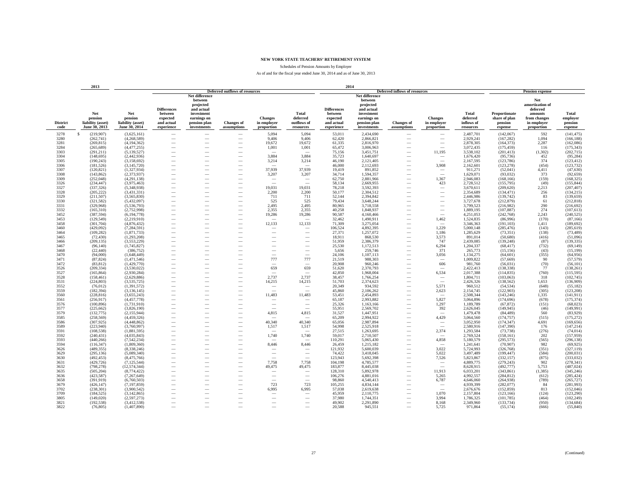Schedules of Pension Amounts by Employer

|                         | 2013                                                 |                                                      |                                                                       |                                                                                                                  |                                                      |                                             |                                                      | 2014                                                                  |                                                                                                                  |                                                      |                                             |                                              |                                                      |                                                                                            |                                         |
|-------------------------|------------------------------------------------------|------------------------------------------------------|-----------------------------------------------------------------------|------------------------------------------------------------------------------------------------------------------|------------------------------------------------------|---------------------------------------------|------------------------------------------------------|-----------------------------------------------------------------------|------------------------------------------------------------------------------------------------------------------|------------------------------------------------------|---------------------------------------------|----------------------------------------------|------------------------------------------------------|--------------------------------------------------------------------------------------------|-----------------------------------------|
|                         |                                                      |                                                      |                                                                       |                                                                                                                  | <b>Deferred outflows of resources</b>                |                                             |                                                      |                                                                       |                                                                                                                  | <b>Deferred inflows of resources</b>                 |                                             |                                              |                                                      | <b>Pension expense</b>                                                                     |                                         |
| <b>District</b><br>code | Net<br>pension<br>liability (asset)<br>June 30, 2013 | Net<br>pension<br>liability (asset)<br>June 30, 2014 | <b>Differences</b><br>between<br>expected<br>and actual<br>experience | Net difference<br>between<br>projected<br>and actual<br>investment<br>earnings on<br>pension plan<br>investments | <b>Changes of</b><br>assumptions                     | <b>Changes</b><br>in employer<br>proportion | <b>Total</b><br>deferred<br>outflows of<br>resources | <b>Differences</b><br>between<br>expected<br>and actual<br>experience | Net difference<br>between<br>projected<br>and actual<br>investment<br>earnings on<br>pension plan<br>investments | <b>Changes</b> of<br>assumptions                     | <b>Changes</b><br>in employer<br>proportion | Total<br>deferred<br>inflows of<br>resources | Proportionate<br>share of plan<br>pension<br>expense | Net<br>amortization of<br>deferred<br>amounts<br>from changes<br>in employer<br>proportion | Total<br>employer<br>pension<br>expense |
| 3278                    | $\mathbf{s}$<br>(219,907)                            | (3,625,161)                                          | -                                                                     |                                                                                                                  |                                                      | 5,094                                       | 5,094                                                | 53,011                                                                | 2,434,690                                                                                                        |                                                      |                                             | 2,487,701                                    | (142,067)                                            | 592                                                                                        | (141, 475)                              |
| 3280                    | (262, 741)                                           | (4,268,589)                                          | $\overline{\phantom{0}}$                                              |                                                                                                                  | -                                                    | 9,406                                       | 9,406                                                | 62,420                                                                | 2,866,821                                                                                                        |                                                      | -                                           | 2,929,241                                    | (167, 282)                                           | 1,094                                                                                      | (166, 188)                              |
| 3281                    | (269, 815)                                           | (4,194,362)                                          |                                                                       |                                                                                                                  |                                                      | 19,672                                      | 19,672                                               | 61,335                                                                | 2,816,970                                                                                                        |                                                      |                                             | 2,878,305                                    | (164, 373)                                           | 2,287                                                                                      | (162,086)                               |
| 3284                    | (265, 689)                                           | (4,477,255)                                          |                                                                       |                                                                                                                  |                                                      | 1,001                                       | 1,001                                                | 65,472                                                                | 3,006,963                                                                                                        |                                                      |                                             | 3,072,435                                    | (175, 459)                                           | 116                                                                                        | (175, 343)                              |
| 3303                    | (291, 211)                                           | (5,139,527)                                          | -                                                                     | $\overline{\phantom{a}}$                                                                                         | $\overline{\phantom{a}}$                             | $\overline{\phantom{a}}$                    | $\sim$                                               | 75,156                                                                | 3,451,751                                                                                                        | $\overline{\phantom{a}}$                             | 11,195                                      | 3,538,102                                    | (201, 413)                                           | (1,302)                                                                                    | (202, 715)                              |
| 3304                    | (148, 695)                                           | (2,442,936)                                          |                                                                       | -                                                                                                                | $\overline{\phantom{a}}$                             | 3,884                                       | 3,884                                                | 35,723                                                                | 1,640,697                                                                                                        | -                                                    | -                                           | 1,676,420                                    | (95, 736)                                            | 452                                                                                        | (95, 284)                               |
| 3305                    | (190, 243)                                           | (3,158,692)                                          |                                                                       |                                                                                                                  | $\overline{\phantom{a}}$                             | 3,214                                       | 3,214                                                | 46,190                                                                | 2,121,405                                                                                                        |                                                      | $\sim$                                      | 2,167,595                                    | (123, 786)                                           | 374                                                                                        | (123, 412)                              |
| 3306                    | (181, 526)                                           | (3,145,720)                                          |                                                                       |                                                                                                                  |                                                      | $\sim$                                      |                                                      | 46,000                                                                | 2,112,693                                                                                                        |                                                      | 3,908                                       | 2,162,601                                    | (123, 278)                                           | (454)                                                                                      | (123, 732)                              |
| 3307                    | (120, 821)                                           | (1,327,934)                                          |                                                                       |                                                                                                                  |                                                      | 37,939                                      | 37,939                                               | 19,419                                                                | 891,852                                                                                                          |                                                      |                                             | 911,271                                      | (52,041)                                             | 4,411                                                                                      | (47, 630)                               |
| 3308                    | (143, 862)                                           | (2,373,937)                                          |                                                                       |                                                                                                                  |                                                      | 3,207                                       | 3,207                                                | 34,714                                                                | 1,594,357                                                                                                        |                                                      |                                             | 1,629,071                                    | (93, 032)                                            | 373                                                                                        | (92, 659)                               |
| 3309                    | (252, 048)                                           | (4,291,138)                                          | -                                                                     |                                                                                                                  |                                                      | $\hspace{0.1mm}-\hspace{0.1mm}$<br>$\sim$   | -                                                    | 62,750                                                                | 2,881,966                                                                                                        |                                                      | 1,367                                       | 2,946,083                                    | (168, 166)                                           | (159)                                                                                      | (168, 325)                              |
| 3326<br>3327            | (234, 447)<br>(337, 326)                             | (3,975,463)<br>(5,348,938)                           | -<br>-                                                                | -                                                                                                                | $\overline{\phantom{a}}$                             |                                             | -                                                    | 58,134                                                                | 2,669,955<br>3,592,393                                                                                           |                                                      | 423<br>$\overline{\phantom{a}}$             | 2,728,512                                    | (155, 795)                                           | (49)<br>2,213                                                                              | (155, 844)                              |
| 3328                    | (205, 222)                                           | (3,431,331)                                          | -                                                                     |                                                                                                                  | $\overline{\phantom{0}}$                             | 19,031<br>2,200                             | 19,031<br>2,200                                      | 78,218<br>50,177                                                      | 2,304,512                                                                                                        |                                                      |                                             | 3,670,611<br>2,354,689                       | (209, 620)<br>(134, 471)                             | 256                                                                                        | (207, 407)<br>(134, 215)                |
| 3329                    | (211, 507)                                           | (3,565,830)                                          | $\overline{\phantom{0}}$                                              |                                                                                                                  |                                                      | 711                                         | 711                                                  | 52,144                                                                | 2,394,842                                                                                                        |                                                      |                                             | 2,446,986                                    | (139, 742)                                           | 83                                                                                         | (139, 659)                              |
| 3330                    | (321, 582)                                           | (5.432.097)                                          |                                                                       |                                                                                                                  | $\overline{\phantom{0}}$                             | 525                                         | 525                                                  | 79,434                                                                | 3,648,244                                                                                                        |                                                      |                                             | 3,727,678                                    | (212, 879)                                           | 61                                                                                         | (212, 818)                              |
| 3331                    | (329,968)                                            | (5,536,793)                                          |                                                                       |                                                                                                                  |                                                      | 2,495                                       | 2,495                                                | 80,965                                                                | 3,718,558                                                                                                        |                                                      |                                             | 3,799,523                                    | (216,982)                                            | 290                                                                                        | (216, 692)                              |
| 3332                    | (165.310)                                            | (2.752.998)                                          | $\overline{\phantom{0}}$                                              |                                                                                                                  | $\overline{\phantom{0}}$                             | 2.355                                       | 2.355                                                | 40.258                                                                | 1.848.937                                                                                                        |                                                      | $\overbrace{\qquad \qquad }^{}$             | 1.889.195                                    | (107, 887)                                           | 274                                                                                        | (107, 613)                              |
| 3452                    | (387, 594)                                           | (6, 194, 778)                                        | $\overline{\phantom{0}}$                                              |                                                                                                                  |                                                      | 19,286                                      | 19,286                                               | 90.587                                                                | 4,160,466                                                                                                        |                                                      | $\overline{\phantom{a}}$                    | 4,251,053                                    | (242, 768)                                           | 2,243                                                                                      | (240, 525)                              |
| 3453                    | (129, 549)                                           | (2,219,910)                                          | -                                                                     |                                                                                                                  |                                                      | $\sim$                                      |                                                      | 32,462                                                                | 1,490,911                                                                                                        |                                                      | 1,462                                       | 1,524,835                                    | (86,996)                                             | (170)                                                                                      | (87, 166)                               |
| 3458                    | (301, 704)                                           | (4,876,432)                                          | -                                                                     |                                                                                                                  | $\overline{\phantom{a}}$                             | 12,133                                      | 12,133                                               | 71,309                                                                | 3,275,054                                                                                                        | $\overline{\phantom{a}}$                             | -                                           | 3,346,363                                    | (191, 103)                                           | 1,411                                                                                      | (189, 692)                              |
| 3460                    | (429, 092)                                           | (7, 284, 591)                                        | -                                                                     |                                                                                                                  | $\overline{\phantom{a}}$                             | $\overline{\phantom{a}}$                    | $\overline{\phantom{a}}$                             | 106,524                                                               | 4,892,395                                                                                                        |                                                      | 1,229                                       | 5,000,148                                    | (285, 476)                                           | (143)                                                                                      | (285, 619)                              |
| 3464                    | (109, 282)                                           | (1,871,733)                                          |                                                                       |                                                                                                                  | $\overline{\phantom{a}}$                             | $\overline{\phantom{a}}$                    | $\overline{\phantom{a}}$                             | 27,371                                                                | 1,257,072                                                                                                        |                                                      | 1,186                                       | 1,285,629                                    | (73, 351)                                            | (138)                                                                                      | (73, 489)                               |
| 3465                    | (72, 430)                                            | (1,293,208)                                          |                                                                       |                                                                                                                  |                                                      |                                             |                                                      | 18,911                                                                | 868,530                                                                                                          |                                                      | 3,573                                       | 891,014                                      | (50,680)                                             | (416)                                                                                      | (51,096)                                |
| 3466<br>3467            | (209, 135)<br>(96, 140)                              | (3,553,229)<br>(1.745.827)                           |                                                                       |                                                                                                                  |                                                      |                                             |                                                      | 51,959<br>25.530                                                      | 2,386,379<br>1.172.513                                                                                           |                                                      | 747<br>6.294                                | 2,439,085                                    | (139, 248)                                           | (87)                                                                                       | (139, 335)                              |
| 3468                    | (22, 440)                                            | (386, 752)                                           | $\overline{\phantom{0}}$<br>$\overline{\phantom{0}}$                  | -                                                                                                                |                                                      | -<br>$\overline{\phantom{m}}$               | $\overline{\phantom{0}}$                             | 5,656                                                                 | 259,746                                                                                                          | -                                                    | 371                                         | 1,204,337<br>265,773                         | (68, 417)<br>(15, 156)                               | (732)<br>(43)                                                                              | (69, 149)<br>(15, 199)                  |
| 3470                    | (94,000)                                             | (1,648,449)                                          | -                                                                     |                                                                                                                  | $\overline{\phantom{a}}$                             | $\overline{\phantom{a}}$                    | $\overline{\phantom{a}}$                             | 24.106                                                                | 1,107,113                                                                                                        | $\overline{\phantom{a}}$                             | 3,056                                       | 1,134,275                                    | (64, 601)                                            | (355)                                                                                      | (64,956)                                |
| 3471                    | (87, 824)                                            | (1,471,546)                                          | -                                                                     |                                                                                                                  | $\overline{\phantom{a}}$                             | 777                                         | 777                                                  | 21,519                                                                | 988,303                                                                                                          |                                                      | $\sim$                                      | 1,009,822                                    | (57, 669)                                            | 90                                                                                         | (57, 579)                               |
| 3472                    | (83, 812)                                            | (1,429,770)                                          |                                                                       |                                                                                                                  |                                                      |                                             |                                                      | 20.908                                                                | 960,246                                                                                                          |                                                      | 606                                         | 981,760                                      | (56, 031)                                            | (70)                                                                                       | (56, 101)                               |
| 3526                    | (209, 334)                                           | (3,530,022)                                          |                                                                       |                                                                                                                  |                                                      | 659                                         | 659                                                  | 51,620                                                                | 2,370,793                                                                                                        |                                                      |                                             | 2,422,413                                    | (138, 338)                                           | 77                                                                                         | (138, 261)                              |
| 3527                    | (165, 864)                                           | (2.930.284)                                          | -                                                                     |                                                                                                                  |                                                      | $\overline{\phantom{a}}$                    | -                                                    | 42.850                                                                | 1.968.004                                                                                                        | -                                                    | 6,534                                       | 2,017,388                                    | (114, 835)                                           | (760)                                                                                      | (115, 595)                              |
| 3528                    | (158, 461)                                           | (2,629,886)                                          | -                                                                     | -                                                                                                                |                                                      | 2,737                                       | 2,737                                                | 38,457                                                                | 1,766,254                                                                                                        | $\overline{\phantom{a}}$                             | $\hspace{0.1mm}-\hspace{0.1mm}$             | 1,804,711                                    | (103,063)                                            | 318                                                                                        | (102, 745)                              |
| 3531                    | (224, 803)                                           | (3,535,725)                                          | $\overline{\phantom{a}}$                                              | -                                                                                                                | $\overline{\phantom{a}}$                             | 14,215                                      | 14,215                                               | 51,703                                                                | 2,374,623                                                                                                        | $\overline{\phantom{a}}$                             | $\overline{\phantom{a}}$                    | 2,426,326                                    | (138, 562)                                           | 1,653                                                                                      | (136,909)                               |
| 3552                    | (76, 012)                                            | (1,391,572)                                          | -                                                                     | ÷.                                                                                                               | $\overline{\phantom{a}}$                             | $\overline{\phantom{a}}$                    | $\overline{\phantom{a}}$                             | 20,349                                                                | 934,592                                                                                                          | -                                                    | 5,571                                       | 960,512                                      | (54, 534)                                            | (648)                                                                                      | (55, 182)                               |
| 3559                    | (182, 394)                                           | (3, 136, 145)                                        |                                                                       |                                                                                                                  | $\overline{\phantom{a}}$                             | $\sim$                                      | $\overline{\phantom{a}}$                             | 45,860                                                                | 2,106,262                                                                                                        |                                                      | 2,623                                       | 2,154,745                                    | (122,903)                                            | (305)                                                                                      | (123, 208)                              |
| 3560                    | (228, 816)                                           | (3,655,243)                                          |                                                                       |                                                                                                                  |                                                      | 11,483                                      | 11,483                                               | 53,451                                                                | 2,454,893                                                                                                        |                                                      | $\overline{\phantom{a}}$                    | 2,508,344                                    | (143, 246)                                           | 1,335                                                                                      | (141, 911)                              |
| 3561<br>3576            | (256, 917)                                           | (4,457,778)                                          |                                                                       |                                                                                                                  |                                                      |                                             |                                                      | 65,187                                                                | 2,993,882                                                                                                        |                                                      | 5,827<br>1,297                              | 3,064,896                                    | (174, 696)                                           | (678)                                                                                      | (175, 374)<br>(68, 023)                 |
| 3577                    | (100, 896)<br>(225, 662)                             | (1,731,910)<br>(3,826,190)                           | -                                                                     |                                                                                                                  |                                                      | $\overline{\phantom{a}}$                    | $\overline{\phantom{0}}$                             | 25,326<br>55.951                                                      | 1,163,166<br>2,569,702                                                                                           |                                                      | 392                                         | 1,189,789<br>2,626,045                       | (67, 872)<br>(149, 945)                              | (151)<br>(46)                                                                              | (149, 991)                              |
| 3579                    | (132, 775)                                           | (2,155,944)                                          | -                                                                     |                                                                                                                  |                                                      | 4,815                                       | 4,815                                                | 31,527                                                                | 1,447,951                                                                                                        |                                                      | $\overline{\phantom{a}}$                    | 1,479,478                                    | (84, 489)                                            | 560                                                                                        | (83,929)                                |
| 3585                    | (258, 569)                                           | (4,459,326)                                          |                                                                       |                                                                                                                  | $\overline{\phantom{a}}$                             |                                             |                                                      | 65,209                                                                | 2,994,922                                                                                                        |                                                      | 4,429                                       | 3,064,560                                    | (174, 757)                                           | (515)                                                                                      | (175, 272)                              |
| 3586                    | (307, 925)                                           | (4.448.862)                                          | -                                                                     |                                                                                                                  |                                                      | 40,340                                      | 40,340                                               | 65,056                                                                | 2,987,894                                                                                                        |                                                      | -                                           | 3,052,950                                    | (174, 347)                                           | 4,691                                                                                      | (169, 656)                              |
| 3589                    | (223,940)                                            | (3,760,997)                                          | -                                                                     |                                                                                                                  |                                                      | 1,517                                       | 1,517                                                | 54,998                                                                | 2,525,918                                                                                                        |                                                      | $\overline{\phantom{a}}$                    | 2,580,916                                    | (147, 390)                                           | 176                                                                                        | (147, 214)                              |
| 3591                    | (108, 538)                                           | (1,881,595)                                          |                                                                       |                                                                                                                  | $\overline{\phantom{0}}$                             |                                             |                                                      | 27,515                                                                | 1,263,695                                                                                                        |                                                      | 2,374                                       | 1,293,584                                    | (73, 738)                                            | (276)                                                                                      | (74, 014)                               |
| 3592                    | (240, 431)                                           | (4,035,843)                                          |                                                                       |                                                                                                                  |                                                      | 1,740                                       | 1,740                                                | 59,017                                                                | 2,710,507                                                                                                        |                                                      |                                             | 2,769,524                                    | (158, 161)                                           | 202                                                                                        | (157, 959)                              |
| 3593                    | (440, 266)                                           | (7.542.234)                                          | $\overline{\phantom{0}}$                                              |                                                                                                                  |                                                      |                                             |                                                      | 110.291                                                               | 5.065.430                                                                                                        |                                                      | 4.858                                       | 5,180,579                                    | (295.573)                                            | (565)                                                                                      | (296, 138)                              |
| 3594                    | (116, 347)                                           | (1,809,360)                                          | -                                                                     |                                                                                                                  |                                                      | 8,446                                       | 8,446                                                | 26,459                                                                | 1,215,182                                                                                                        | -                                                    |                                             | 1,241,641                                    | (70,907)                                             | 982                                                                                        | (69, 925)                               |
| 3626                    | (489, 355)                                           | (8,338,246)                                          | $\overline{\phantom{0}}$                                              |                                                                                                                  |                                                      | $\sim$                                      |                                                      | 121,932                                                               | 5,600,039                                                                                                        |                                                      | 3,022                                       | 5,724,993                                    | (326, 768)                                           | (351)                                                                                      | (327, 119)                              |
| 3629<br>3630            | (295, 136)<br>(492, 453)                             | (5,089,340)<br>(8, 475, 766)                         | -<br>-                                                                |                                                                                                                  | $\overline{\phantom{a}}$<br>$\overline{\phantom{a}}$ | $\overline{\phantom{a}}$<br>$\sim$          | $\overline{\phantom{a}}$<br>$\overline{\phantom{a}}$ | 74,422<br>123,943                                                     | 3,418,045<br>5,692,398                                                                                           | $\overline{\phantom{a}}$<br>$\overline{\phantom{a}}$ | 5,022<br>7,526                              | 3,497,489<br>5,823,867                       | (199, 447)<br>(332, 157)                             | (584)<br>(875)                                                                             | (200, 031)<br>(333, 032)                |
| 3631                    | (429, 726)                                           | (7, 125, 544)                                        | -                                                                     |                                                                                                                  |                                                      | 7,758                                       | 7,758                                                | 104,198                                                               | 4,785,577                                                                                                        |                                                      | $\overline{\phantom{a}}$                    | 4,889,775                                    | (279, 243)                                           | 902                                                                                        | (278, 341)                              |
| 3632                    | (798, 278)                                           | (12, 574, 344)                                       |                                                                       |                                                                                                                  |                                                      | 49,475                                      | 49,475                                               | 183,877                                                               | 8,445,038                                                                                                        |                                                      |                                             | 8,628,915                                    | (492, 777)                                           | 5,753                                                                                      | (487, 024)                              |
| 3635                    | (505, 204)                                           | (8,774,422)                                          |                                                                       |                                                                                                                  |                                                      | $\overline{\phantom{a}}$                    |                                                      | 128,310                                                               | 5,892,978                                                                                                        |                                                      | 11,913                                      | 6,033,201                                    | (343, 861)                                           | (1,385)                                                                                    | (345, 246)                              |
| 3636                    | (423, 587)                                           | (7,267,649)                                          | -                                                                     |                                                                                                                  | $\overline{\phantom{a}}$                             | $\overline{\phantom{a}}$                    | $\overline{\phantom{a}}$                             | 106,276                                                               | 4,881,016                                                                                                        | $\overline{\phantom{a}}$                             | 5,265                                       | 4,992,557                                    | (284, 812)                                           | (612)                                                                                      | (285, 424)                              |
| 3658                    | (391, 919)                                           | (6,760,503)                                          |                                                                       |                                                                                                                  | $\overline{\phantom{a}}$                             | $\sim$                                      | -                                                    | 98,860                                                                | 4,540,413                                                                                                        |                                                      | 6,787                                       | 4,646,060                                    | (264, 938)                                           | (789)                                                                                      | (265, 727)                              |
| 3679                    | (426, 147)                                           | (7, 197, 859)                                        |                                                                       |                                                                                                                  | $\overline{\phantom{a}}$                             | 723                                         | 723                                                  | 105,255                                                               | 4,834,144                                                                                                        |                                                      | $\overline{\phantom{a}}$                    | 4,939,399                                    | (282,077)                                            | 84                                                                                         | (281, 993)                              |
| 3702                    | (238, 301)                                           | (3,900,542)                                          |                                                                       |                                                                                                                  |                                                      | 6,995                                       | 6,995                                                | 57,038                                                                | 2,619,638                                                                                                        |                                                      | $\overline{\phantom{a}}$                    | 2,676,676                                    | (152, 859)                                           | 813                                                                                        | (152, 046)                              |
| 3709                    | (184, 525)                                           | (3,142,865)                                          |                                                                       |                                                                                                                  |                                                      | $\overline{\phantom{a}}$                    |                                                      | 45,959                                                                | 2,110,775                                                                                                        |                                                      | 1,070                                       | 2,157,804                                    | (123, 166)                                           | (124)                                                                                      | (123, 290)                              |
| 3805                    | (149, 020)                                           | (2,597,273)                                          |                                                                       |                                                                                                                  |                                                      | $\overline{\phantom{a}}$                    | $\overline{\phantom{a}}$                             | 37,980                                                                | 1,744,351                                                                                                        |                                                      | 3,994                                       | 1,786,325                                    | (101, 785)                                           | (464)                                                                                      | (102, 249)                              |
| 3821<br>3822            | (192.538)                                            | (3.412.538)                                          | -                                                                     |                                                                                                                  | -                                                    | $\overline{\phantom{a}}$                    | $\overline{\phantom{a}}$                             | 49.902                                                                | 2.291.890<br>945.551                                                                                             |                                                      | 8.168<br>5,725                              | 2,349,960                                    | (133.734)                                            | (950)<br>(666)                                                                             | (134, 684)<br>(55, 840)                 |
|                         | (76, 805)                                            | (1,407,890)                                          |                                                                       |                                                                                                                  |                                                      |                                             |                                                      | 20,588                                                                |                                                                                                                  |                                                      |                                             | 971,864                                      | (55, 174)                                            |                                                                                            |                                         |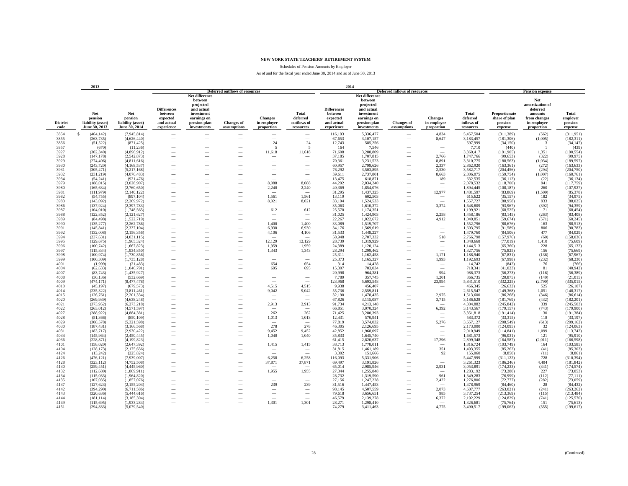Schedules of Pension Amounts by Employer

|                         | 2013                                                 |                                                      |                                                                       |                                                                                                                  |                                                      |                                             |                                                      | 2014                                                                  |                                                                                                                  |                                      |                                             |                                              |                                                      |                                                                                            |                                         |
|-------------------------|------------------------------------------------------|------------------------------------------------------|-----------------------------------------------------------------------|------------------------------------------------------------------------------------------------------------------|------------------------------------------------------|---------------------------------------------|------------------------------------------------------|-----------------------------------------------------------------------|------------------------------------------------------------------------------------------------------------------|--------------------------------------|---------------------------------------------|----------------------------------------------|------------------------------------------------------|--------------------------------------------------------------------------------------------|-----------------------------------------|
|                         |                                                      |                                                      |                                                                       |                                                                                                                  | <b>Deferred outflows of resources</b>                |                                             |                                                      |                                                                       |                                                                                                                  | <b>Deferred inflows of resources</b> |                                             |                                              |                                                      | <b>Pension expense</b>                                                                     |                                         |
| <b>District</b><br>code | Net<br>pension<br>liability (asset)<br>June 30, 2013 | Net<br>pension<br>liability (asset)<br>June 30, 2014 | <b>Differences</b><br>between<br>expected<br>and actual<br>experience | Net difference<br>between<br>projected<br>and actual<br>investment<br>earnings on<br>pension plan<br>investments | <b>Changes of</b><br>assumptions                     | <b>Changes</b><br>in employer<br>proportion | <b>Total</b><br>deferred<br>outflows of<br>resources | <b>Differences</b><br>between<br>expected<br>and actual<br>experience | Net difference<br>between<br>projected<br>and actual<br>investment<br>earnings on<br>pension plan<br>investments | <b>Changes</b> of<br>assumptions     | <b>Changes</b><br>in employer<br>proportion | Total<br>deferred<br>inflows of<br>resources | Proportionate<br>share of plan<br>pension<br>expense | Net<br>amortization of<br>deferred<br>amounts<br>from changes<br>in employer<br>proportion | Total<br>employer<br>pension<br>expense |
| 3854                    | $\mathbf{s}$<br>(464, 142)                           | (7,945,814)                                          | -                                                                     |                                                                                                                  |                                                      | $\overline{\phantom{a}}$                    | $\overline{\phantom{0}}$                             | 116,193                                                               | 5,336,477                                                                                                        |                                      | 4,834                                       | 5,457,504                                    | (311, 389)                                           | (562)                                                                                      | (311,951)                               |
| 3855                    | (263, 735)                                           | (4,626,440)                                          | -                                                                     |                                                                                                                  | -                                                    |                                             | $\overline{\phantom{a}}$                             | 67,653                                                                | 3,107,157                                                                                                        |                                      | 8,647                                       | 3,183,457                                    | (181, 306)                                           | (1,005)                                                                                    | (182, 311)                              |
| 3856                    | (51, 522)                                            | (871, 425)                                           |                                                                       |                                                                                                                  |                                                      | 24                                          | 24                                                   | 12,743                                                                | 585,256                                                                                                          |                                      | $\overline{\phantom{a}}$                    | 597,999                                      | (34, 150)                                            | 3                                                                                          | (34, 147)                               |
| 3857                    | (670)                                                | (11,236)                                             |                                                                       |                                                                                                                  |                                                      | $\overline{5}$                              | -5                                                   | 164                                                                   | 7,546                                                                                                            |                                      |                                             | 7,710                                        | (440)                                                |                                                                                            | (439)                                   |
| 3927                    | (302, 340)                                           | (4,896,912)                                          | -                                                                     | -                                                                                                                | $\overline{\phantom{a}}$                             | 11,618                                      | 11,618                                               | 71,608                                                                | 3,288,809                                                                                                        | $\overline{\phantom{a}}$             | $\overline{\phantom{a}}$                    | 3,360,417                                    | (191, 905)                                           | 1,351                                                                                      | (190, 554)                              |
| 3928                    | (147, 178)                                           | (2,542,873)                                          |                                                                       | -                                                                                                                | $\overline{\phantom{a}}$                             |                                             | $\overline{\phantom{a}}$                             | 37,185                                                                | 1,707,815                                                                                                        |                                      | 2,766                                       | 1,747,766                                    | (99, 653)                                            | (322)                                                                                      | (99, 975)                               |
| 3929                    | (274, 406)                                           | (4,811,616)                                          |                                                                       |                                                                                                                  | $\overline{\phantom{a}}$                             | $\overline{\phantom{a}}$                    | $\overline{\phantom{a}}$                             | 70,361                                                                | 3,231,523                                                                                                        |                                      | 8,891                                       | 3,310,775                                    | (188, 563)                                           | (1,034)                                                                                    | (189, 597)                              |
| 3930                    | (243, 720)                                           | (4,168,537)                                          |                                                                       |                                                                                                                  |                                                      |                                             |                                                      | 60,957                                                                | 2,799,626                                                                                                        |                                      | 2,337                                       | 2,862,920                                    | (163, 361)                                           | (272)                                                                                      | (163, 633)                              |
| 3931                    | (305, 471)                                           | (5,217,168)                                          |                                                                       |                                                                                                                  |                                                      |                                             |                                                      | 76,292                                                                | 3,503,895                                                                                                        |                                      | 2,530                                       | 3,582,717                                    | (204, 456)                                           | (294)                                                                                      | (204, 750)                              |
| 3932<br>3934            | (231, 219)                                           | (4,076,483)                                          |                                                                       |                                                                                                                  |                                                      | $\overline{\phantom{a}}$                    |                                                      | 59,611                                                                | 2,737,801                                                                                                        |                                      | 8,663                                       | 2,806,075                                    | (159, 754)                                           | (1,007)                                                                                    | (160, 761)                              |
| 3979                    | (54, 241)<br>(188, 015)                              | (921, 476)<br>(3,028,907)                            | -<br>-                                                                | -                                                                                                                |                                                      | 8.088                                       | $\overline{\phantom{a}}$<br>8.088                    | 13,475<br>44,292                                                      | 618,871<br>2.034.240                                                                                             | $\overline{\phantom{a}}$             | 189<br>$\hspace{0.1mm}-\hspace{0.1mm}$      | 632,535<br>2,078,532                         | (36, 112)<br>(118,700)                               | (22)<br>941                                                                                | (36, 134)<br>(117, 759)                 |
| 3980                    | (165, 634)                                           | (2,760,650)                                          | -                                                                     | -                                                                                                                | $\overline{\phantom{a}}$                             | 2,240                                       | 2,240                                                | 40,369                                                                | 1,854,076                                                                                                        |                                      | $\sim$                                      | 1,894,445                                    | (108, 187)                                           | 260                                                                                        | (107, 927)                              |
| 3981                    | (111,979)                                            | (2,140,122)                                          | -                                                                     |                                                                                                                  |                                                      |                                             |                                                      | 31,295                                                                | 1,437,325                                                                                                        |                                      | 12,977                                      | 1,481,597                                    | (83, 869)                                            | (1,509)                                                                                    | (85,378)                                |
| 3982                    | (54, 755)                                            | (897, 104)                                           | $\overline{\phantom{0}}$                                              |                                                                                                                  |                                                      | 1,561                                       | 1,561                                                | 13,119                                                                | 602,503                                                                                                          |                                      | -                                           | 615,622                                      | (35, 157)                                            | 182                                                                                        | (34,975)                                |
| 3983                    | (143,092)                                            | (2,269,972)                                          |                                                                       |                                                                                                                  | $\overline{\phantom{0}}$                             | 8,021                                       | 8,021                                                | 33,194                                                                | 1,524,533                                                                                                        |                                      |                                             | 1,557,727                                    | (88,958)                                             | 933                                                                                        | (88, 025)                               |
| 3986                    | (137,924)                                            | (2,397,783)                                          |                                                                       |                                                                                                                  |                                                      |                                             |                                                      | 35,063                                                                | 1,610,372                                                                                                        |                                      | 3,374                                       | 1,648,809                                    | (93, 967)                                            | (392)                                                                                      | (94, 359)                               |
| 3987                    | (104.010)                                            | (1.748.565)                                          | $\overline{\phantom{0}}$                                              |                                                                                                                  |                                                      | 612                                         | 612                                                  | 25.570                                                                | 1,174,351                                                                                                        |                                      |                                             | 1,199,921                                    | (68.525)                                             | 71                                                                                         | (68, 454)                               |
| 3988                    | (122, 852)                                           | (2,121,627)                                          | $\overline{\phantom{0}}$                                              |                                                                                                                  |                                                      | $\hspace{0.1mm}-\hspace{0.1mm}$             | $\hspace{0.1mm}-\hspace{0.1mm}$                      | 31,025                                                                | 1,424,903                                                                                                        | -                                    | 2,258                                       | 1,458,186                                    | (83, 145)                                            | (263)                                                                                      | (83, 408)                               |
| 3989                    | (84, 498)                                            | (1,522,719)                                          | -                                                                     |                                                                                                                  |                                                      | $\overline{\phantom{a}}$                    | $\overline{\phantom{a}}$                             | 22,267                                                                | 1,022,672                                                                                                        |                                      | 4,912                                       | 1,049,851                                    | (59, 674)                                            | (571)                                                                                      | (60, 245)                               |
| 3990                    | (135, 277)                                           | (2,262,786)                                          | -                                                                     |                                                                                                                  | $\overline{\phantom{a}}$                             | 1,400                                       | 1,400                                                | 33,089                                                                | 1,519,707                                                                                                        |                                      | $\sim$                                      | 1,552,796                                    | (88, 676)                                            | 163                                                                                        | (88, 513)                               |
| 3991                    | (145, 841)                                           | (2,337,104)                                          | -                                                                     |                                                                                                                  | $\overline{\phantom{a}}$                             | 6,930                                       | 6,930                                                | 34,176                                                                | 1,569,619                                                                                                        |                                      | $\overline{\phantom{a}}$                    | 1,603,795                                    | (91, 589)                                            | 806                                                                                        | (90, 783)                               |
| 3992                    | (132,008)                                            | (2,156,356)                                          |                                                                       |                                                                                                                  |                                                      | 4,106                                       | 4,106                                                | 31,533                                                                | 1,448,227                                                                                                        |                                      | $\overline{\phantom{a}}$                    | 1,479,760                                    | (84, 506)                                            | 477                                                                                        | (84, 029)                               |
| 3994                    | (237, 631)                                           | (4,031,115)                                          |                                                                       |                                                                                                                  |                                                      |                                             |                                                      | 58.948                                                                | 2,707,332                                                                                                        |                                      | 518                                         | 2,766,798                                    | (157,976)                                            | (60)                                                                                       | (158, 036)                              |
| 3995<br>3996            | (129, 675)<br>(100, 742)                             | (1,965,324)<br>(1.667.823)                           |                                                                       |                                                                                                                  |                                                      | 12,129<br>1.959                             | 12,129<br>1.959                                      | 28,739<br>24.389                                                      | 1,319,929<br>1,120,124                                                                                           |                                      | -<br>$\overbrace{\qquad \qquad }^{}$        | 1,348,668<br>1.144.513                       | (77, 019)<br>(65, 360)                               | 1,410<br>228                                                                               | (75, 609)                               |
| 3997                    | (115, 834)                                           | (1,934,850)                                          | $\overline{\phantom{0}}$<br>$\overline{\phantom{0}}$                  | -                                                                                                                |                                                      | 1,343                                       | 1,343                                                | 28,294                                                                | 1,299,462                                                                                                        |                                      | $\sim$                                      | 1,327,756                                    | (75, 825)                                            | 156                                                                                        | (65, 132)<br>(75, 669)                  |
| 3998                    | (100, 974)                                           | (1,730,856)                                          | -                                                                     |                                                                                                                  | $\overline{\phantom{a}}$                             | $\overline{\phantom{a}}$                    | $\overline{\phantom{a}}$                             | 25,311                                                                | 1,162,458                                                                                                        |                                      | 1,171                                       | 1,188,940                                    | (67, 831)                                            | (136)                                                                                      | (67, 967)                               |
| 3999                    | (100, 309)                                           | (1,735,128)                                          | -                                                                     | -                                                                                                                | $\overline{\phantom{a}}$                             | $\overline{\phantom{a}}$                    | $\overline{\phantom{a}}$                             | 25,373                                                                | 1,165,327                                                                                                        | $\overline{\phantom{a}}$             | 1,993                                       | 1,192,693                                    | (67,998)                                             | (232)                                                                                      | (68, 230)                               |
| 4001                    | (1,999)                                              | (21, 483)                                            |                                                                       |                                                                                                                  |                                                      | 654                                         | 654                                                  | 314                                                                   | 14,428                                                                                                           |                                      | $\overline{\phantom{a}}$                    | 14,742                                       | (842)                                                | 76                                                                                         | (766)                                   |
| 4004                    | (62, 633)                                            | (1,046,791)                                          |                                                                       |                                                                                                                  |                                                      | 695                                         | 695                                                  | 15,307                                                                | 703,034                                                                                                          |                                      |                                             | 718,341                                      | (41,023)                                             | 81                                                                                         | (40, 942)                               |
| 4007                    | (83,743)                                             | (1.435.927)                                          | -                                                                     |                                                                                                                  |                                                      | $\overline{\phantom{a}}$                    | $\overline{\phantom{a}}$                             | 20.998                                                                | 964.381                                                                                                          | -                                    | 994                                         | 986,373                                      | (56, 273)                                            | (116)                                                                                      | (56, 389)                               |
| 4008                    | (30, 136)                                            | (532, 669)                                           | -                                                                     |                                                                                                                  |                                                      | $\overline{\phantom{a}}$                    | $\overline{\phantom{0}}$                             | 7,789                                                                 | 357,745                                                                                                          | $\overline{\phantom{a}}$             | 1,201                                       | 366,735                                      | (20, 875)                                            | (140)                                                                                      | (21, 015)                               |
| 4009                    | (474, 171)                                           | (8,477,478)                                          | $\overline{\phantom{a}}$                                              | -                                                                                                                | $\overline{\phantom{a}}$                             | $\overline{\phantom{a}}$                    | $\overline{\phantom{a}}$                             | 123,968                                                               | 5,693,548                                                                                                        | $\overline{\phantom{a}}$             | 23,994                                      | 5,841,510                                    | (332, 225)                                           | (2,790)                                                                                    | (335, 015)                              |
| 4010                    | (45, 197)                                            | (679, 573)                                           | -                                                                     | ÷.                                                                                                               | $\overline{\phantom{a}}$                             | 4,515                                       | 4,515                                                | 9,938                                                                 | 456,407                                                                                                          | $\overline{\phantom{a}}$             |                                             | 466,345                                      | (26, 632)                                            | 525                                                                                        | (26, 107)                               |
| 4014                    | (235, 322)                                           | (3,811,461)                                          |                                                                       |                                                                                                                  | $\overline{\phantom{a}}$                             | 9,042                                       | 9,042                                                | 55,736                                                                | 2,559,811                                                                                                        | $\overline{\phantom{a}}$             | $\overline{\phantom{a}}$                    | 2,615,547                                    | (149, 368)                                           | 1,051                                                                                      | (148, 317)                              |
| 4015                    | (126, 761)                                           | (2,201,334)                                          |                                                                       |                                                                                                                  |                                                      | $\overline{\phantom{a}}$                    |                                                      | 32,190                                                                | 1,478,435                                                                                                        |                                      | 2,975                                       | 1,513,600                                    | (86, 268)                                            | (346)                                                                                      | (86, 614)                               |
| 4020                    | (269,939)                                            | (4,638,248)                                          |                                                                       |                                                                                                                  |                                                      |                                             |                                                      | 67,826                                                                | 3,115,087                                                                                                        |                                      | 3,715                                       | 3,186,628                                    | (181,769)                                            | (432)                                                                                      | (182, 201)                              |
| 4021<br>4022            | (373,952)                                            | (6,273,218)                                          |                                                                       |                                                                                                                  |                                                      | 2,913                                       | 2,913                                                | 91,734                                                                | 4,213,148                                                                                                        |                                      |                                             | 4,304,882                                    | (245, 842)                                           | 339                                                                                        | (245, 503)                              |
| 4027                    | (263, 012)<br>(288, 922)                             | (4,571,597)<br>(4,884,381)                           | -<br>-                                                                |                                                                                                                  |                                                      | 262                                         | 262                                                  | 66,851<br>71,425                                                      | 3,070,324<br>3,280,393                                                                                           |                                      | 6,392<br>$\hspace{0.1mm}-\hspace{0.1mm}$    | 3,143,567<br>3,351,818                       | (179, 157)<br>(191, 414)                             | (743)<br>30                                                                                | (179,900)<br>(191, 384)                 |
| 4028                    | (51, 366)                                            | (850, 109)                                           | -                                                                     |                                                                                                                  | $\overline{\phantom{a}}$                             | 1,013                                       | 1,013                                                | 12,431                                                                | 570,941                                                                                                          |                                      | $\sim$                                      | 583,372                                      | (33,315)                                             | 118                                                                                        | (33, 197)                               |
| 4029                    | (308, 578)                                           | (5,321,598)                                          | -                                                                     |                                                                                                                  |                                                      |                                             |                                                      | 77,819                                                                | 3,574,032                                                                                                        |                                      | 5,276                                       | 3,657,127                                    | (208, 549)                                           | (613)                                                                                      | (209, 162)                              |
| 4030                    | (187, 431)                                           | (3,166,568)                                          | -                                                                     |                                                                                                                  |                                                      | 278                                         | 278                                                  | 46,305                                                                | 2,126,695                                                                                                        |                                      |                                             | 2,173,000                                    | (124,095)                                            | 32                                                                                         | (124, 063)                              |
| 4031                    | (183, 717)                                           | (2.930.422)                                          |                                                                       |                                                                                                                  | $\overline{\phantom{0}}$                             | 9.452                                       | 9.452                                                | 42.852                                                                | 1.968.097                                                                                                        |                                      | $\overbrace{\phantom{12322111}}$            | 2,010,949                                    | (114, 841)                                           | 1.099                                                                                      | (113, 742)                              |
| 4034                    | (145, 964)                                           | (2,450,445)                                          |                                                                       |                                                                                                                  |                                                      | 1,040                                       | 1,040                                                | 35,833                                                                | 1,645,740                                                                                                        |                                      |                                             | 1,681,573                                    | (96,031)                                             | 121                                                                                        | (95, 910)                               |
| 4036                    | (228.871)                                            | (4.199.823)                                          | $\overline{\phantom{0}}$                                              |                                                                                                                  |                                                      |                                             |                                                      | 61.415                                                                | 2.820.637                                                                                                        |                                      | 17.296                                      | 2.899.348                                    | (164.587)                                            | (2.011)                                                                                    | (166, 598)                              |
| 4101                    | (158, 020)                                           | (2.647.392)                                          | -                                                                     |                                                                                                                  |                                                      | 1,415                                       | 1,415                                                | 38,713                                                                | 1,778,011                                                                                                        | -                                    | $\overline{\phantom{a}}$                    | 1,816,724                                    | (103, 749)                                           | 164                                                                                        | (103, 585)                              |
| 4104                    | (128, 173)                                           | (2,175,656)                                          | $\overline{\phantom{0}}$                                              |                                                                                                                  |                                                      | $\hspace{0.1mm}-\hspace{0.1mm}$             | -                                                    | 31,815                                                                | 1,461,189                                                                                                        |                                      | 351                                         | 1,493,355                                    | (85, 262)                                            | (41)                                                                                       | (85,303)                                |
| 4124                    | (13, 242)                                            | (225, 824)                                           | -                                                                     |                                                                                                                  | $\overline{\phantom{a}}$                             | -                                           | $\overline{\phantom{a}}$                             | 3,302                                                                 | 151,666                                                                                                          |                                      | 92                                          | 155,060                                      | (8, 850)                                             | (11)                                                                                       | (8, 861)                                |
| 4126                    | (476, 121)                                           | (7,939,007)                                          | -                                                                     |                                                                                                                  | $\overline{\phantom{a}}$                             | 6,258                                       | 6,258                                                | 116,093                                                               | 5,331,906                                                                                                        |                                      | $\overline{\phantom{a}}$                    | 5,447,999                                    | (311, 122)                                           | 728                                                                                        | (310, 394)                              |
| 4128                    | (323, 112)                                           | (4,752,508)                                          | -                                                                     |                                                                                                                  | $\overline{\phantom{a}}$                             | 37,871                                      | 37,871                                               | 69,497                                                                | 3,191,826                                                                                                        |                                      | $\overline{\phantom{a}}$                    | 3,261,323                                    | (186, 246)                                           | 4,404                                                                                      | (181, 842)                              |
| 4130                    | (259, 451)                                           | (4,445,960)                                          |                                                                       |                                                                                                                  |                                                      |                                             |                                                      | 65,014                                                                | 2,985,946                                                                                                        |                                      | 2,931                                       | 3,053,891                                    | (174, 233)                                           | (341)                                                                                      | (174, 574)                              |
| 4132                    | (112,680)                                            | (1,869.911)                                          |                                                                       |                                                                                                                  |                                                      | 1,955                                       | 1,955                                                | 27,344<br>28,732                                                      | 1,255,848                                                                                                        |                                      | $\overline{\phantom{a}}$<br>961             | 1,283,192                                    | (73, 280)                                            | 227                                                                                        | (73, 053)                               |
| 4134<br>4135            | (115,033)<br>(107, 035)                              | (1,964,820)<br>(1, 857, 076)                         | -                                                                     |                                                                                                                  | $\overline{\phantom{a}}$<br>$\overline{\phantom{a}}$ | $\sim$<br>$\sim$                            | -<br>$\overline{\phantom{a}}$                        | 27,156                                                                | 1,319,590<br>1,247,228                                                                                           |                                      | 2,422                                       | 1,349,283<br>1,276,806                       | (76,999)<br>(72, 777)                                | (112)<br>(282)                                                                             | (77, 111)<br>(73, 059)                  |
| 4137                    | (127, 623)                                           | (2,155,203)                                          |                                                                       |                                                                                                                  | $\overline{\phantom{a}}$                             | 239                                         | 239                                                  | 31,516                                                                | 1,447,453                                                                                                        |                                      | $\overline{\phantom{a}}$                    | 1,478,969                                    | (84, 460)                                            | 28                                                                                         | (84, 432)                               |
| 4142                    | (394, 290)                                           | (6,711,586)                                          |                                                                       |                                                                                                                  |                                                      | -                                           |                                                      | 98,145                                                                | 4,507,559                                                                                                        |                                      | 2,073                                       | 4,607,777                                    | (263, 021)                                           | (241)                                                                                      | (263, 262)                              |
| 4143                    | (320, 636)                                           | (5,444,616)                                          |                                                                       |                                                                                                                  |                                                      | $\overline{\phantom{a}}$                    | $\overline{\phantom{0}}$                             | 79,618                                                                | 3,656,651                                                                                                        |                                      | 985                                         | 3,737,254                                    | (213, 369)                                           | (115)                                                                                      | (213, 484)                              |
| 4144                    | (181, 114)                                           | (3,185,304)                                          |                                                                       |                                                                                                                  |                                                      |                                             |                                                      | 46,579                                                                | 2,139,278                                                                                                        |                                      | 6,372                                       | 2,192,229                                    | (124, 829)                                           | (741)                                                                                      | (125, 570)                              |
| 4149                    | (115, 695)                                           | (1.933.284)                                          |                                                                       |                                                                                                                  | $\overline{\phantom{a}}$                             | 1.301                                       | 1.301                                                | 28.271                                                                | 1,298,410                                                                                                        |                                      | $\overline{\phantom{a}}$                    | 1,326,681                                    | (75, 764)                                            | 151                                                                                        | (75, 613)                               |
| 4151                    | (294, 833)                                           | (5,079,540)                                          |                                                                       |                                                                                                                  |                                                      |                                             |                                                      | 74,279                                                                | 3,411,463                                                                                                        |                                      | 4,775                                       | 3,490,517                                    | (199,062)                                            | (555)                                                                                      | (199, 617)                              |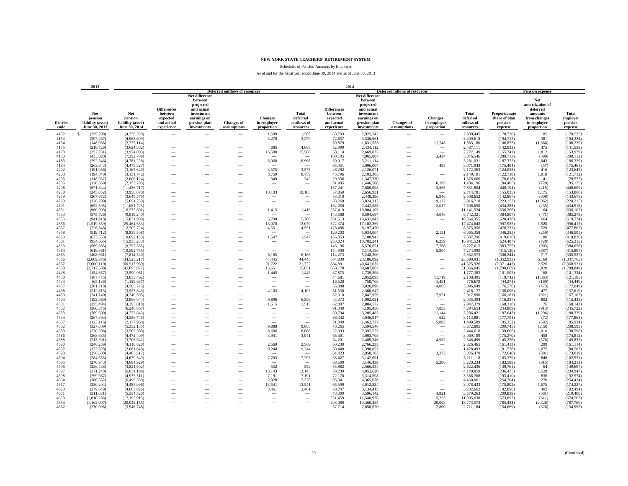Schedules of Pension Amounts by Employer

|                         | 2013                                                 |                                                      |                                                                       |                                                                                                                  |                                                      |                                                      |                                                      | 2014                                                                  |                                                                                                                  |                                      |                                                              |                                              |                                                      |                                                                                            |                                         |
|-------------------------|------------------------------------------------------|------------------------------------------------------|-----------------------------------------------------------------------|------------------------------------------------------------------------------------------------------------------|------------------------------------------------------|------------------------------------------------------|------------------------------------------------------|-----------------------------------------------------------------------|------------------------------------------------------------------------------------------------------------------|--------------------------------------|--------------------------------------------------------------|----------------------------------------------|------------------------------------------------------|--------------------------------------------------------------------------------------------|-----------------------------------------|
|                         |                                                      |                                                      |                                                                       |                                                                                                                  | <b>Deferred outflows of resources</b>                |                                                      |                                                      |                                                                       |                                                                                                                  | <b>Deferred inflows of resources</b> |                                                              |                                              |                                                      | <b>Pension expense</b>                                                                     |                                         |
| <b>District</b><br>code | Net<br>pension<br>liability (asset)<br>June 30, 2013 | Net<br>pension<br>liability (asset)<br>June 30, 2014 | <b>Differences</b><br>between<br>expected<br>and actual<br>experience | Net difference<br>between<br>projected<br>and actual<br>investment<br>earnings on<br>pension plan<br>investments | <b>Changes of</b><br>assumptions                     | <b>Changes</b><br>in employer<br>proportion          | <b>Total</b><br>deferred<br>outflows of<br>resources | <b>Differences</b><br>between<br>expected<br>and actual<br>experience | Net difference<br>between<br>projected<br>and actual<br>investment<br>earnings on<br>pension plan<br>investments | <b>Changes</b> of<br>assumptions     | <b>Changes</b><br>in employer<br>proportion                  | Total<br>deferred<br>inflows of<br>resources | Proportionate<br>share of plan<br>pension<br>expense | Net<br>amortization of<br>deferred<br>amounts<br>from changes<br>in employer<br>proportion | Total<br>employer<br>pension<br>expense |
| 4152                    | $\mathbf{s}$<br>(259, 200)                           | (4,356,320)                                          | -                                                                     |                                                                                                                  |                                                      | 1,589                                                | 1,589                                                | 63,703                                                                | 2,925,742                                                                                                        | $\sim$                               |                                                              | 2,989,445                                    | (170, 720)                                           | 185                                                                                        | (170, 535)                              |
| 4153                    | (297, 267)                                           | (4,968,609)                                          | $\overline{\phantom{0}}$                                              |                                                                                                                  | -                                                    | 3,279                                                | 3,279                                                | 72,657                                                                | 3,336,961                                                                                                        |                                      |                                                              | 3,409,618                                    | (194, 715)                                           | 381                                                                                        | (194, 334)                              |
| 4154                    | (148, 038)                                           | (2,727,114)                                          |                                                                       |                                                                                                                  |                                                      |                                                      |                                                      | 39,879                                                                | 1,831,553                                                                                                        |                                      | 11,748                                                       | 1,883,180                                    | (106, 873)                                           | (1,366)                                                                                    | (108, 239)                              |
| 4155                    | (218, 729)                                           | (3,624,302)                                          |                                                                       |                                                                                                                  |                                                      | 4,085                                                | 4,085                                                | 52,999                                                                | 2,434,112                                                                                                        |                                      | -                                                            | 2,487,111                                    | (142, 033)                                           | 475                                                                                        | (141, 558)                              |
| 4178                    | (252, 231)                                           | (3,974,093)                                          | -                                                                     | $\overline{\phantom{a}}$                                                                                         | $\overline{\phantom{a}}$                             | 15,580                                               | 15,580                                               | 58,114                                                                | 2,669,035                                                                                                        | -                                    | $\overline{\phantom{a}}$                                     | 2,727,149                                    | (155, 741)                                           | 1,812                                                                                      | (153, 929)                              |
| 4180                    | (433, 020)                                           | (7, 392, 708)                                        |                                                                       | -                                                                                                                | $\overline{\phantom{a}}$                             | $\sim$                                               |                                                      | 108,105                                                               | 4,965,007                                                                                                        |                                      | 3,434                                                        | 5,076,546                                    | (289,713)                                            | (399)                                                                                      | (290, 112)                              |
| 4183                    | (292, 546)                                           | (4, 781, 228)                                        |                                                                       |                                                                                                                  | $\overline{\phantom{a}}$                             | 8,968                                                | 8,968                                                | 69,917                                                                | 3,211,114                                                                                                        |                                      | $\overline{\phantom{a}}$                                     | 3,281,031                                    | (187, 372)                                           | 1,043                                                                                      | (186, 329)                              |
| 4184                    | (263,943)                                            | (4,475,827)                                          |                                                                       |                                                                                                                  |                                                      |                                                      |                                                      | 65,451                                                                | 3,006,004                                                                                                        |                                      | 488                                                          | 3,071,943                                    | (175, 404)                                           | (57)                                                                                       | (175, 461)                              |
| 4202                    | (191, 056)                                           | (3,165,640)                                          |                                                                       |                                                                                                                  |                                                      | 3,575                                                | 3.575                                                | 46,292                                                                | 2,126,071                                                                                                        |                                      |                                                              | 2,172,363                                    | (124, 058)                                           | 416                                                                                        | (123, 642)                              |
| 4203                    | (194, 840)                                           | (3, 131, 742)                                        |                                                                       |                                                                                                                  |                                                      | 8,759                                                | 8,759                                                | 45,796                                                                | 2,103,305                                                                                                        |                                      | $\overbrace{\phantom{12322111}}$                             | 2,149,101                                    | (122, 730)                                           | 1,018                                                                                      | (121, 712)                              |
| 4205                    | (118,937)                                            | (2,006,124)                                          | -                                                                     |                                                                                                                  |                                                      | 349                                                  | 349                                                  | 29,336                                                                | 1,347,330                                                                                                        |                                      | L.                                                           | 1,376,666                                    | (78, 618)                                            | 41                                                                                         | (78, 577)                               |
| 4206                    | (120, 360)                                           | (2,153,795)                                          | -                                                                     | -                                                                                                                |                                                      | $\hspace{0.1mm}-\hspace{0.1mm}$                      | $\overline{\phantom{0}}$                             | 31,495                                                                | 1,446,508                                                                                                        |                                      | 6.193                                                        | 1,484,196                                    | (84, 405)                                            | (720)                                                                                      | (85, 125)                               |
| 4208<br>4258            | (671, 844)<br>(245, 052)                             | (11, 436, 717)<br>(3,956,070)                        | -<br>-                                                                |                                                                                                                  | $\overline{\phantom{a}}$                             | $\sim$<br>10,103                                     |                                                      | 167,241<br>57,850                                                     | 7,680,998<br>2,656,931                                                                                           |                                      | 3,565                                                        | 7,851,804<br>2,714,781                       | (448, 194)<br>(155, 035)                             | (415)<br>1,175                                                                             | (448, 609)<br>(153, 860)                |
| 4259                    | (207, 672)                                           | (3,645,570)                                          | $\overline{\phantom{0}}$                                              |                                                                                                                  |                                                      | $\overline{\phantom{a}}$                             | 10,103                                               | 53,310                                                                | 2,448,396                                                                                                        |                                      | 6,946                                                        | 2,508,652                                    | (142, 867)                                           | (808)                                                                                      | (143, 675)                              |
| 4260                    | (326, 289)                                           | (5.694.259)                                          |                                                                       |                                                                                                                  | $\overline{\phantom{0}}$                             | $\overline{\phantom{a}}$                             |                                                      | 83,268                                                                | 3,824,313                                                                                                        |                                      | 9.137                                                        | 3,916,718                                    | (223, 153)                                           | (1,062)                                                                                    | (224, 215)                              |
| 4301                    | (652, 595)                                           | (11,081,725)                                         |                                                                       |                                                                                                                  |                                                      |                                                      |                                                      | 162,050                                                               | 7,442,583                                                                                                        |                                      | 2,017                                                        | 7,606,650                                    | (434, 283)                                           | (235)                                                                                      | (434, 518)                              |
| 4351                    | (960.993)                                            | (16, 235, 801)                                       | $\overline{\phantom{0}}$                                              |                                                                                                                  | $\overline{\phantom{0}}$                             | 1.415                                                | 1,415                                                | 237.419                                                               | 10,904,105                                                                                                       |                                      |                                                              | 11,141,524                                   | (636.266)                                            | 164                                                                                        | (636, 102)                              |
| 4353                    | (575, 726)                                           | (9,819,240)                                          | $\overline{\phantom{0}}$                                              | -                                                                                                                |                                                      |                                                      |                                                      | 143.588                                                               | 6.594.687                                                                                                        |                                      | 4,046                                                        | 6,742,321                                    | (384, 807)                                           | (471)                                                                                      | (385, 278)                              |
| 4355                    | (941, 918)                                           | (15,831,900)                                         | -                                                                     |                                                                                                                  |                                                      | 5,708                                                | 5,708                                                | 231,513                                                               | 10,632,842                                                                                                       |                                      | $\overline{\phantom{a}}$                                     | 10,864,355                                   | (620, 438)                                           | 664                                                                                        | (619, 774)                              |
| 4356                    | (1, 519, 359)                                        | (25, 464, 633)                                       | -                                                                     | -                                                                                                                | $\overline{\phantom{a}}$                             | 13,070                                               | 13,070                                               | 372,374                                                               | 17,102,269                                                                                                       | -                                    | $\overline{\phantom{a}}$                                     | 17,474,643                                   | (997, 935)                                           | 1,520                                                                                      | (996, 415)                              |
| 4357                    | (726, 346)                                           | (12, 205, 724)                                       | -                                                                     |                                                                                                                  | $\overline{\phantom{a}}$                             | 4,551                                                | 4,551                                                | 178,486                                                               | 8,197,470                                                                                                        |                                      | $\sim$                                                       | 8,375,956                                    | (478, 331)                                           | 529                                                                                        | (477, 802)                              |
| 4358                    | (519, 712)                                           | (8,835,508)                                          | $\overline{\phantom{0}}$                                              |                                                                                                                  |                                                      |                                                      |                                                      | 129,203                                                               | 5,934,004                                                                                                        |                                      | 2,151                                                        | 6,065,358                                    | (346, 255)                                           | (250)                                                                                      | (346, 505)                              |
| 4360                    | (633, 553)                                           | (10,692,153)                                         |                                                                       |                                                                                                                  |                                                      | 1,547                                                | 1,547                                                | 156,353                                                               | 7,180,943                                                                                                        |                                      |                                                              | 7,337,296                                    | (419,016)                                            | 180                                                                                        | (418, 836)                              |
| 4361                    | (934, 665)                                           | (15,935,233)                                         |                                                                       |                                                                                                                  |                                                      |                                                      |                                                      | 233,024                                                               | 10,702,241                                                                                                       |                                      | 6,259                                                        | 10,941,524                                   | (624, 487)                                           | (728)                                                                                      | (625, 215)                              |
| 4363                    | (569, 985)                                           | (9.792.385)                                          | $\overline{\phantom{0}}$                                              |                                                                                                                  |                                                      | $\overline{\phantom{m}}$                             | $\overline{\phantom{0}}$                             | 143.196                                                               | 6.576.651                                                                                                        |                                      | 7.768                                                        | 6,727,615                                    | (383,755)                                            | (903)                                                                                      | (384, 658)                              |
| 4364                    | (619, 361)                                           | (10,592,755)                                         | $\overline{\phantom{0}}$                                              | -                                                                                                                | $\overline{\phantom{a}}$                             |                                                      |                                                      | 154,900                                                               | 7,114,186<br>5,248,300                                                                                           | -                                    | 5,904                                                        | 7,274,990                                    | (415, 120)                                           | (687)<br>717                                                                               | (415, 807)                              |
| 4365<br>4366            | (468, 661)<br>(2,089,676)                            | (7,814,520)<br>(34, 523, 217)                        | -<br>-                                                                | -                                                                                                                | $\overline{\phantom{a}}$                             | 6,165<br>44,445                                      | 6,165<br>44,445                                      | 114,273<br>504,839                                                    | 23,186,092                                                                                                       |                                      | $\overline{\phantom{a}}$<br>$\overline{\phantom{a}}$         | 5,362,573<br>23,690,931                      | (306, 244)<br>(1,352,933)                            | 5,168                                                                                      | (305, 527)                              |
| 4367                    | (3,600,110)                                          | (60, 512, 969)                                       |                                                                       |                                                                                                                  |                                                      | 21,722                                               | 21,722                                               | 884,891                                                               | 40,641,035                                                                                                       |                                      |                                                              | 41,525,926                                   | (2,371,447)                                          | 2,526                                                                                      | (1, 347, 765)<br>(2,368,921)            |
| 4368                    | (2,717,588)                                          | (45,693,077)                                         | $\overline{\phantom{0}}$                                              |                                                                                                                  |                                                      | 15,651                                               | 15,651                                               | 668,178                                                               | 30,687,867                                                                                                       |                                      | $\overbrace{\phantom{12322111}}$<br>$\overline{\phantom{m}}$ | 31,356,045                                   | (1,790,669)                                          | 1,820                                                                                      | (1,788,849)                             |
| 4428                    | (154, 667)                                           | (2.590.061)                                          | $\overline{\phantom{0}}$                                              |                                                                                                                  |                                                      | 1,445                                                | 1,445                                                | 37,875                                                                | 1,739,508                                                                                                        |                                      | $\sim$                                                       | 1,777,383                                    | (101, 502)                                           | 168                                                                                        | (101, 334)                              |
| 4430                    | (167, 475)                                           | (3,055,492)                                          | -                                                                     | -                                                                                                                |                                                      | $\overline{\phantom{a}}$                             | $\overline{\phantom{0}}$                             | 44,681                                                                | 2,052,095                                                                                                        | $\overline{\phantom{a}}$             | 11,719                                                       | 2,108,495                                    | (119, 742)                                           | (1, 363)                                                                                   | (121, 105)                              |
| 4434                    | (65, 136)                                            | (1, 129, 687)                                        | $\overline{\phantom{a}}$                                              | -                                                                                                                | $\overline{\phantom{a}}$                             | $\overline{\phantom{a}}$                             | $\overline{\phantom{a}}$                             | 16,520                                                                | 758,708                                                                                                          | $\overline{\phantom{a}}$             | 1,451                                                        | 776,679                                      | (44, 271)                                            | (169)                                                                                      | (44, 440)                               |
| 4437                    | (261,718)                                            | (4,505,743)                                          | -                                                                     | ÷.                                                                                                               | $\overline{\phantom{a}}$                             | $\sim$                                               | $\overline{\phantom{a}}$                             | 65,888                                                                | 3,026,096                                                                                                        | $\overline{\phantom{a}}$             | 4,065                                                        | 3,096,049                                    | (176, 576)                                           | (473)                                                                                      | (177, 049)                              |
| 4438                    | (212, 813)                                           | (3,523,849)                                          |                                                                       |                                                                                                                  | $\overline{\phantom{a}}$                             | 4,103                                                | 4,103                                                | 51,530                                                                | 2,366,647                                                                                                        |                                      | $\sim$                                                       | 2,418,177                                    | (138,096)                                            | 477                                                                                        | (137, 619)                              |
| 4439                    | (241,740)                                            | (4,240,503)                                          |                                                                       |                                                                                                                  |                                                      |                                                      |                                                      | 62,010                                                                | 2,847,959                                                                                                        |                                      | 7,921                                                        | 2,917,890                                    | (166, 181)                                           | (921)                                                                                      | (167, 102)                              |
| 4504                    | (182,969)                                            | (2,966,044)                                          |                                                                       |                                                                                                                  |                                                      | 6,896                                                | 6,896                                                | 43,373                                                                | 1,992,021                                                                                                        |                                      | $\overline{\phantom{m}}$                                     | 2,035,394                                    | (116, 237)                                           | 802                                                                                        | (115, 435)                              |
| 4531                    | (255, 494)                                           | (4,295,018)                                          |                                                                       |                                                                                                                  |                                                      | 1,515                                                | 1,515                                                | 62,807                                                                | 2,884,572                                                                                                        |                                      |                                                              | 2,947,379                                    | (168, 318)                                           | 176                                                                                        | (168, 142)                              |
| 4532                    | (360, 375)                                           | (6, 246, 867)                                        | -                                                                     |                                                                                                                  |                                                      | $\overline{\phantom{a}}$                             | -                                                    | 91,349                                                                | 4,195,450                                                                                                        |                                      | 7,855                                                        | 4,294,654                                    | (244.809)                                            | (913)                                                                                      | (245, 722)                              |
| 4533<br>4534            | (269, 600)<br>(267, 393)                             | (4,772,843)<br>(4, 536, 745)                         | -                                                                     |                                                                                                                  | $\overline{\phantom{a}}$                             | $\overline{\phantom{a}}$<br>$\overline{\phantom{a}}$ | $\overline{\phantom{a}}$<br>$\overline{\phantom{a}}$ | 69,794<br>66,342                                                      | 3,205,483<br>3,046,917                                                                                           | $\overline{\phantom{a}}$             | 11,144<br>622                                                | 3,286,421<br>3,113,881                       | (187, 043)<br>(177, 791)                             | (1,296)<br>(72)                                                                            | (188, 339)<br>(177, 863)                |
| 4557                    | (123, 116)                                           | (2,177,960)                                          | -                                                                     |                                                                                                                  |                                                      | $\sim$                                               | $\sim$                                               | 31,849                                                                | 1,462,737                                                                                                        |                                      | 5,003                                                        | 1,499,589                                    | (85,352)                                             | (582)                                                                                      | (85,934)                                |
| 4582                    | (327, 309)                                           | (5,352,135)                                          | -                                                                     |                                                                                                                  |                                                      | 9,888                                                | 9,888                                                | 78,265                                                                | 3,594,540                                                                                                        |                                      |                                                              | 3,672,805                                    | (209, 745)                                           | 1,150                                                                                      | (208, 595)                              |
| 4583                    | (220, 206)                                           | (3.562.380)                                          |                                                                       |                                                                                                                  |                                                      | 8,686                                                | 8,686                                                | 52,093                                                                | 2,392,525                                                                                                        |                                      | $\overbrace{\phantom{12322111}}$                             | 2,444,618                                    | (139,606)                                            | 1.010                                                                                      | (138, 596)                              |
| 4586                    | (268, 685)                                           | (4,472,409)                                          |                                                                       |                                                                                                                  |                                                      | 3,941                                                | 3,941                                                | 65,401                                                                | 3,003,708                                                                                                        |                                      |                                                              | 3,069,109                                    | (175, 270)                                           | 458                                                                                        | (174, 812)                              |
| 4588                    | (213.501)                                            | (3.706.542)                                          | $\overline{\phantom{0}}$                                              |                                                                                                                  |                                                      |                                                      |                                                      | 54.201                                                                | 2.489.346                                                                                                        |                                      | 4.952                                                        | 2.548.499                                    | (145, 256)                                           | (576)                                                                                      | (145, 832)                              |
| 4590                    | (246, 259)                                           | (4, 118, 820)                                        | $\overline{\phantom{0}}$                                              | -                                                                                                                |                                                      | 2,569                                                | 2,569                                                | 60.230                                                                | 2,766,235                                                                                                        | -                                    | $\overline{\phantom{a}}$                                     | 2,826,465                                    | (161, 413)                                           | 299                                                                                        | (161, 114)                              |
| 4592                    | (133, 328)                                           | (2.081.648)                                          | $\overline{\phantom{0}}$                                              |                                                                                                                  |                                                      | 9,244                                                | 9,244                                                | 30.440                                                                | 1,398,053                                                                                                        |                                      | $\overline{\phantom{a}}$                                     | 1,428,493                                    | (81,578)                                             | 1.075                                                                                      | (80, 503)                               |
| 4593                    | (256, 680)                                           | (4,405,517)                                          | -                                                                     |                                                                                                                  | $\overline{\phantom{a}}$                             |                                                      |                                                      | 64,423                                                                | 2,958,783                                                                                                        |                                      | 3,273                                                        | 3,026,479                                    | (172, 648)                                           | (381)                                                                                      | (173, 029)                              |
| 4594                    | (284, 655)                                           | (4,679,349)                                          | -                                                                     |                                                                                                                  | $\overline{\phantom{a}}$                             | 7,293                                                | 7,293                                                | 68,427                                                                | 3,142,691                                                                                                        |                                      |                                                              | 3,211,118                                    | (183, 379)                                           | 848                                                                                        | (182, 531)                              |
| 4595                    | (270, 943)                                           | (4,684,929)                                          | -                                                                     |                                                                                                                  | $\overline{\phantom{a}}$                             |                                                      |                                                      | 68,509                                                                | 3,146,439                                                                                                        |                                      | 5,286                                                        | 3,220,234                                    | (183, 598)                                           | (615)                                                                                      | (184, 213)                              |
| 4596                    | (226, 438)                                           | (3,821,502)                                          |                                                                       |                                                                                                                  |                                                      | 552                                                  | 552                                                  | 55,882                                                                | 2,566,554                                                                                                        |                                      |                                                              | 2,622,436                                    | (149,761)                                            | 64                                                                                         | (149, 697)                              |
| 4597                    | (371, 248)                                           | (6,034,198)                                          |                                                                       |                                                                                                                  |                                                      | 13,143                                               | 13,143                                               | 88,239                                                                | 4,052,620                                                                                                        |                                      |                                                              | 4,140,859                                    | (236, 475)                                           | 1,528                                                                                      | (234, 947)                              |
| 4598                    | (299, 667)                                           | (4.935.311)                                          | -                                                                     |                                                                                                                  | $\overline{\phantom{a}}$                             | 7,191                                                | 7,191                                                | 72,170                                                                | 3,314,598                                                                                                        |                                      | $\sim$                                                       | 3,386,768                                    | (193, 410)                                           | 836                                                                                        | (192, 574)                              |
| 4604<br>4617            | (386, 652)<br>(280, 204)                             | (6,499,350)<br>(4,485,996)                           |                                                                       |                                                                                                                  | $\overline{\phantom{a}}$<br>$\overline{\phantom{a}}$ | 2,320<br>13,541                                      | 2,320<br>13,541                                      | 95,041<br>65,599                                                      | 4,365,020<br>3,012,834                                                                                           |                                      | $\overline{\phantom{a}}$<br>$\overbrace{\phantom{12322111}}$ | 4,460,061<br>3,078,433                       | (254, 704)<br>(175, 802)                             | 270<br>1,575                                                                               | (254, 434)<br>(174, 227)                |
| 4620                    | (279, 649)                                           | (4,667,026)                                          |                                                                       |                                                                                                                  |                                                      | 3,461                                                | 3,461                                                | 68,247                                                                | 3,134,415                                                                                                        |                                      | $\overline{\phantom{a}}$                                     | 3,202,662                                    | (182, 896)                                           | 402                                                                                        | (182, 494)                              |
| 4651                    | (311, 031)                                           | (5,354,520)                                          |                                                                       |                                                                                                                  |                                                      | $\overline{\phantom{a}}$                             |                                                      | 78.300                                                                | 3,596,142                                                                                                        |                                      | 4,821                                                        | 3,679,263                                    | (209, 839)                                           | (561)                                                                                      | (210, 400)                              |
| 4653                    | (1,010,286)                                          | (17, 195, 915)                                       |                                                                       |                                                                                                                  |                                                      | $\overline{\phantom{a}}$                             | $\overline{\phantom{0}}$                             | 251,459                                                               | 11,548,926                                                                                                       |                                      | 5,253                                                        | 11,805,638                                   | (673, 892)                                           | (611)                                                                                      | (674, 503)                              |
| 4654                    | (1,162,007)                                          | (20.042.155)                                         | -                                                                     |                                                                                                                  | -                                                    | $\overline{\phantom{a}}$                             | $\overline{\phantom{a}}$                             | 293.080                                                               | 13,460,485                                                                                                       |                                      | 20,008                                                       | 13,773,573                                   | (785.434)                                            | (2,326)                                                                                    | (787,760)                               |
| 4662                    | (230,098)                                            | (3,946,748)                                          |                                                                       |                                                                                                                  |                                                      |                                                      |                                                      | 57,714                                                                | 2,650,670                                                                                                        |                                      | 2.800                                                        | 2,711,184                                    | (154, 669)                                           | (326)                                                                                      | (154, 995)                              |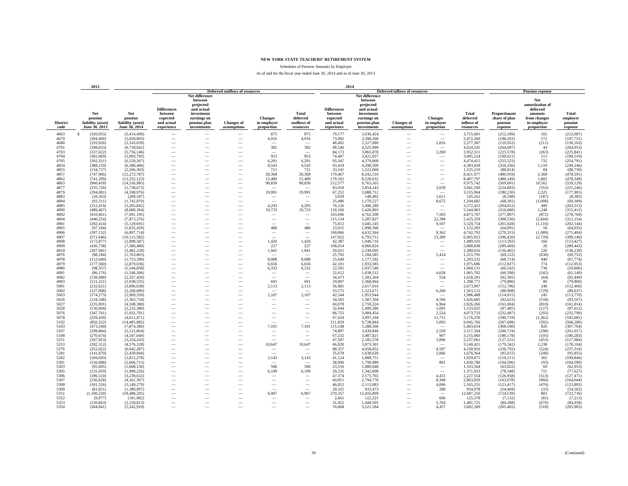Schedules of Pension Amounts by Employer

|                         | 2013                                                 |                                                      |                                                                       |                                                                                                                  |                                                      |                                             |                                                      | 2014                                                                  |                                                                                                                  |                                                      |                                             |                                              |                                                      |                                                                                            |                                         |
|-------------------------|------------------------------------------------------|------------------------------------------------------|-----------------------------------------------------------------------|------------------------------------------------------------------------------------------------------------------|------------------------------------------------------|---------------------------------------------|------------------------------------------------------|-----------------------------------------------------------------------|------------------------------------------------------------------------------------------------------------------|------------------------------------------------------|---------------------------------------------|----------------------------------------------|------------------------------------------------------|--------------------------------------------------------------------------------------------|-----------------------------------------|
|                         |                                                      |                                                      |                                                                       |                                                                                                                  | <b>Deferred outflows of resources</b>                |                                             |                                                      |                                                                       |                                                                                                                  | <b>Deferred inflows of resources</b>                 |                                             |                                              |                                                      | <b>Pension expense</b>                                                                     |                                         |
| <b>District</b><br>code | Net<br>pension<br>liability (asset)<br>June 30, 2013 | Net<br>pension<br>liability (asset)<br>June 30, 2014 | <b>Differences</b><br>between<br>expected<br>and actual<br>experience | Net difference<br>between<br>projected<br>and actual<br>investment<br>earnings on<br>pension plan<br>investments | <b>Changes of</b><br>assumptions                     | <b>Changes</b><br>in employer<br>proportion | <b>Total</b><br>deferred<br>outflows of<br>resources | <b>Differences</b><br>between<br>expected<br>and actual<br>experience | Net difference<br>between<br>projected<br>and actual<br>investment<br>earnings on<br>pension plan<br>investments | <b>Changes</b> of<br>assumptions                     | <b>Changes</b><br>in employer<br>proportion | Total<br>deferred<br>inflows of<br>resources | Proportionate<br>share of plan<br>pension<br>expense | Net<br>amortization of<br>deferred<br>amounts<br>from changes<br>in employer<br>proportion | Total<br>employer<br>pension<br>expense |
| 4663                    | $\mathbf{s}$<br>(320, 933)                           | (5,414,499)                                          | -                                                                     |                                                                                                                  |                                                      | 875                                         | 875                                                  | 79,177                                                                | 3,636,424                                                                                                        |                                                      |                                             | 3,715,601                                    | (212, 189)                                           | 102                                                                                        | (212,087)                               |
| 4679                    | (304, 490)                                           | (5,059,893)                                          | $\overline{\phantom{0}}$                                              |                                                                                                                  | -                                                    | 4,916                                       | 4,916                                                | 73,992                                                                | 3,398,268                                                                                                        |                                                      | $\overline{\phantom{a}}$                    | 3,472,260                                    | (198, 293)                                           | 572                                                                                        | (197, 721)                              |
| 4680                    | (193, 926)                                           | (3,316,039)                                          |                                                                       |                                                                                                                  |                                                      |                                             |                                                      | 48,491                                                                | 2,227,080                                                                                                        |                                                      | 1,816                                       | 2,277,387                                    | (129, 952)                                           | (211)                                                                                      | (130, 163)                              |
| 4701                    | (398, 653)                                           | (6,739,042)                                          |                                                                       |                                                                                                                  |                                                      | 382                                         | 382                                                  | 98,546                                                                | 4,525,999                                                                                                        |                                                      |                                             | 4,624,545                                    | (264,097)                                            | 44                                                                                         | (264, 053)                              |
| 4703                    | (337, 622)                                           | (5,756,146)                                          | $\overline{\phantom{a}}$                                              | $\overline{\phantom{a}}$                                                                                         | $\overline{\phantom{a}}$                             | $\overline{\phantom{a}}$                    | $\overline{\phantom{a}}$                             | 84,173                                                                | 3,865,878                                                                                                        | $\overline{\phantom{a}}$                             | 2,260                                       | 3,952,311                                    | (225, 578)                                           | (263)                                                                                      | (225, 841)                              |
| 4704                    | (302,069)                                            | (5,093,795)                                          |                                                                       | -                                                                                                                | $\overline{\phantom{a}}$                             | 953                                         | 953                                                  | 74,487                                                                | 3,421,037                                                                                                        |                                                      | $\overline{\phantom{a}}$                    | 3,495,524                                    | (199, 621)                                           | 111                                                                                        | (199, 510)                              |
| 4705                    | (392, 321)                                           | (6,520,267)                                          |                                                                       |                                                                                                                  | $\overline{\phantom{a}}$                             | 6,291                                       | 6,291                                                | 95,347                                                                | 4,379,068                                                                                                        |                                                      |                                             | 4,474,415                                    | (255, 523)                                           | 732                                                                                        | (254, 791)                              |
| 4854                    | (388, 159)                                           | (6,388,406)                                          |                                                                       |                                                                                                                  |                                                      | 9,543                                       | 9,543                                                | 93,419                                                                | 4,290,509                                                                                                        |                                                      |                                             | 4,383,928                                    | (250, 356)                                           | 1,110                                                                                      | (249, 246)                              |
| 4855                    | (134, 727)                                           | (2,266,303)                                          |                                                                       |                                                                                                                  |                                                      | 721                                         | 721                                                  | 33,141                                                                | 1,522,069                                                                                                        |                                                      | -                                           | 1,555,210                                    | (88, 814)                                            | 84                                                                                         | (88, 730)                               |
| 4857<br>4862            | (747, 966)<br>(741, 299)                             | (12, 272, 787)<br>(12, 252, 123)                     | -                                                                     |                                                                                                                  | $\overline{\phantom{0}}$                             | 20,368<br>15,489                            | 20,368<br>15,489                                     | 179,467<br>179,165                                                    | 8,242,510<br>8,228,632                                                                                           |                                                      | $\overline{\phantom{a}}$                    | 8,421,977<br>8,407,797                       | (480, 959)<br>(480, 149)                             | 2,368<br>1.801                                                                             | (478, 591)<br>(478, 348)                |
| 4863                    | (960, 418)                                           | (14, 536, 985)                                       | -                                                                     | -                                                                                                                |                                                      | 90,830                                      | 90,830                                               | 212,577                                                               | 9,763,165                                                                                                        |                                                      | $\overline{\phantom{a}}$                    | 9,975,742                                    | (569, 691)                                           | 10,562                                                                                     | (559, 129)                              |
| 4877                    | (335, 720)                                           | (5,738,673)                                          | -                                                                     |                                                                                                                  | $\overline{\phantom{a}}$                             |                                             |                                                      | 83,918                                                                | 3,854,143                                                                                                        |                                                      | 3,039                                       | 3,941,100                                    | (224, 893)                                           | (353)                                                                                      | (225, 246)                              |
| 4879                    | (294, 081)                                           | (4,598,976)                                          | -                                                                     |                                                                                                                  |                                                      | 19,991                                      | 19,991                                               | 67,252                                                                | 3,088,712                                                                                                        |                                                      |                                             | 3,155,964                                    | (180, 230)                                           | 2,325                                                                                      | (177,905)                               |
| 4883                    | (10, 563)                                            | (209, 187)                                           | $\overline{\phantom{0}}$                                              |                                                                                                                  |                                                      | -                                           |                                                      | 3,059                                                                 | 140,492                                                                                                          |                                                      | 1,611                                       | 145,162                                      | (8,198)                                              | (187)                                                                                      | (8,385)                                 |
| 4884                    | (93,311)                                             | (1,742,870)                                          |                                                                       |                                                                                                                  |                                                      |                                             |                                                      | 25,486                                                                | 1,170,527                                                                                                        |                                                      | 8,672                                       | 1,204,685                                    | (68, 301)                                            | (1,008)                                                                                    | (69, 309)                               |
| 4885                    | (312, 419)                                           | (5,205,842)                                          |                                                                       |                                                                                                                  |                                                      | 4,293                                       | 4,293                                                | 76,126                                                                | 3,496,289                                                                                                        |                                                      | $\overline{\phantom{a}}$                    | 3,572,415                                    | (204, 012)                                           | 499                                                                                        | (203, 513)                              |
| 4890                    | (489.467)                                            | (8.080.304)                                          | $\overline{\phantom{0}}$                                              |                                                                                                                  |                                                      | 10,733                                      | 10.733                                               | 118.160                                                               | 5.426.803                                                                                                        |                                                      |                                             | 5.544.963                                    | (316,660)                                            | 1.248                                                                                      | (315, 412)                              |
| 4892                    | (410, 661)                                           | (7,091,195)                                          | $\overline{\phantom{0}}$                                              |                                                                                                                  |                                                      | $\hspace{0.1mm}-\hspace{0.1mm}$             | $\overline{\phantom{a}}$                             | 103,696                                                               | 4,762,508                                                                                                        | -                                                    | 7,503                                       | 4,873,707                                    | (277, 897)                                           | (872)                                                                                      | (278, 769)                              |
| 4894                    | (440, 254)                                           | (7,873,376)                                          | -                                                                     |                                                                                                                  |                                                      | $\hspace{0.1mm}-\hspace{0.1mm}$             | $\overline{\phantom{0}}$                             | 115,134                                                               | 5,287,827                                                                                                        | $\overline{\phantom{a}}$                             | 22.398                                      | 5,425,359                                    | (308, 550)                                           | (2,604)                                                                                    | (311, 154)                              |
| 4901<br>4905            | (292, 414)<br>(97, 184)                              | (5,129,691)<br>(1,635,429)                           | -<br>-                                                                |                                                                                                                  | $\overline{\phantom{a}}$<br>$\overline{\phantom{a}}$ | $\sim$<br>486                               | $\overline{\phantom{a}}$<br>486                      | 75,012<br>23,915                                                      | 3,445,145<br>1,098,368                                                                                           | -<br>$\overline{\phantom{a}}$                        | 9,597<br>$\overline{\phantom{a}}$           | 3,529,754<br>1,122,283                       | (201, 028)<br>(64,091)                               | (1, 116)<br>56                                                                             | (202, 144)<br>(64, 035)                 |
| 4906                    | (397, 152)                                           | (6,897,714)                                          |                                                                       |                                                                                                                  |                                                      | $\overline{\phantom{a}}$                    | $\overline{\phantom{0}}$                             | 100,866                                                               | 4,632,564                                                                                                        |                                                      | 9,362                                       | 4,742,792                                    | (270, 315)                                           | (1,089)                                                                                    | (271, 404)                              |
| 4907                    | (571, 646)                                           | (10, 115, 582)                                       |                                                                       |                                                                                                                  |                                                      |                                             |                                                      | 147,922                                                               | 6,793,712                                                                                                        |                                                      | 23,389                                      | 6,965,023                                    | (396, 420)                                           | (2,720)                                                                                    | (399, 140)                              |
| 4908                    | (172, 877)                                           | (2,898,587)                                          |                                                                       |                                                                                                                  |                                                      | 1,426                                       | 1,426                                                | 42,387                                                                | 1,946,716                                                                                                        |                                                      | -                                           | 1,989,103                                    | (113, 593)                                           | 166                                                                                        | (113, 427)                              |
| 4909                    | (436, 738)                                           | (7.386.480)                                          | $\overline{\phantom{0}}$                                              |                                                                                                                  |                                                      | 227                                         | 227                                                  | 108,014                                                               | 4.960.824                                                                                                        |                                                      | $\overline{\phantom{a}}$                    | 5.068.838                                    | (289, 469)                                           | 26                                                                                         | (289, 443)                              |
| 4910                    | (207, 941)                                           | (3,482,228)                                          | $\overline{\phantom{0}}$                                              | -                                                                                                                | $\overline{\phantom{0}}$                             | 1,941                                       | 1,941                                                | 50,921                                                                | 2,338,695                                                                                                        | -                                                    | $\sim$                                      | 2,389,616                                    | (136, 465)                                           | 226                                                                                        | (136, 239)                              |
| 4976                    | (98, 184)                                            | (1,763,803)                                          | -                                                                     |                                                                                                                  | $\overline{\phantom{a}}$                             |                                             |                                                      | 25,792                                                                | 1,184,585                                                                                                        | $\overline{\phantom{a}}$                             | 5,414                                       | 1,215,791                                    | (69, 122)                                            | (630)                                                                                      | (69, 752)                               |
| 4978                    | (112, 640)                                           | (1,753,390)                                          | -                                                                     | -                                                                                                                | $\overline{\phantom{a}}$                             | 8,088                                       | 8,088                                                | 25,640                                                                | 1,177,592                                                                                                        | $\overline{\phantom{a}}$                             | $\overline{\phantom{a}}$                    | 1,203,232                                    | (68, 714)                                            | 940                                                                                        | (67, 774)                               |
| 4979                    | (177, 560)                                           | (2,879,036)                                          |                                                                       |                                                                                                                  |                                                      | 6,656                                       | 6,656                                                | 42,101                                                                | 1,933,585                                                                                                        |                                                      | $\overline{\phantom{m}}$                    | 1,975,686                                    | (112, 827)                                           | 774                                                                                        | (112,053)                               |
| 4980                    | (98, 357)                                            | (1,544,858)                                          |                                                                       |                                                                                                                  |                                                      | 6,332                                       | 6,332                                                | 22,591                                                                | 1,037,540                                                                                                        |                                                      |                                             | 1,060,131                                    | (60, 542)                                            | 736                                                                                        | (59, 806)                               |
| 4981                    | (86, 176)                                            | (1,546,306)                                          | -                                                                     |                                                                                                                  |                                                      | $\hspace{0.1mm}-\hspace{0.1mm}$             | $\hspace{0.1mm}-\hspace{0.1mm}$                      | 22.612                                                                | 1,038,512                                                                                                        | -                                                    | 4.658                                       | 1,065,782                                    | (60, 598)                                            | (542)                                                                                      | (61, 140)                               |
| 4982<br>4983            | (138, 688)<br>(121, 221)                             | (2,357,420)<br>(2,038,335)                           | -<br>$\overline{\phantom{a}}$                                         | -<br>-                                                                                                           | $\overline{\phantom{a}}$                             | $\overline{\phantom{a}}$<br>691             | $\overline{\phantom{a}}$<br>691                      | 34,473<br>29,807                                                      | 1,583,264<br>1,368,964                                                                                           | $\overline{\phantom{a}}$<br>$\overline{\phantom{a}}$ | 554<br>$\hspace{0.1mm}-\hspace{0.1mm}$      | 1,618,291<br>1,398,771                       | (92, 385)<br>(79, 880)                               | (64)<br>-80                                                                                | (92, 449)<br>(79, 800)                  |
| 5001                    | (232, 621)                                           | (3,896,638)                                          |                                                                       | ÷.                                                                                                               | $\overline{\phantom{a}}$                             | 2,113                                       | 2,113                                                | 56,981                                                                | 2,617,016                                                                                                        | -                                                    | $\overline{\phantom{a}}$                    | 2,673,997                                    | (152,706)                                            | 246                                                                                        | (152, 460)                              |
| 5002                    | (127,068)                                            | (2,268,689)                                          |                                                                       |                                                                                                                  | $\overline{\phantom{a}}$                             | -                                           | $\overline{\phantom{a}}$                             | 33,175                                                                | 1,523,671                                                                                                        |                                                      | 6,266                                       | 1,563,112                                    | (88,908)                                             | (729)                                                                                      | (89, 637)                               |
| 5003                    | (174, 273)                                           | (2,909,350)                                          |                                                                       |                                                                                                                  |                                                      | 2,107                                       | 2,107                                                | 42,544                                                                | 1,953,944                                                                                                        |                                                      |                                             | 1,996,488                                    | (114, 015)                                           | 245                                                                                        | (113,770)                               |
| 5026                    | (134, 548)                                           | (2,363,734)                                          |                                                                       |                                                                                                                  |                                                      | $\overline{\phantom{a}}$                    |                                                      | 34,565                                                                | 1,587,504                                                                                                        |                                                      | 4.596                                       | 1,626,665                                    | (92, 633)                                            | (534)                                                                                      | (93, 167)                               |
| 5027                    | (235,001)                                            | (4,108,380)                                          |                                                                       |                                                                                                                  |                                                      | $\overline{\phantom{a}}$                    |                                                      | 60,078                                                                | 2,759,224                                                                                                        |                                                      | 6,964                                       | 2,826,266                                    | (161,004)                                            | (810)                                                                                      | (161, 814)                              |
| 5028                    | (130, 694)                                           | (2.232.380)                                          | -                                                                     |                                                                                                                  |                                                      | $\overline{\phantom{a}}$                    | -                                                    | 32,644                                                                | 1,499,286                                                                                                        |                                                      | 1.095                                       | 1,533,025                                    | (87, 485)                                            | (127)                                                                                      | (87, 612)                               |
| 5076                    | (347,761)                                            | (5,932,701)                                          | -                                                                     |                                                                                                                  |                                                      | $\overline{\phantom{a}}$                    | -                                                    | 86,755                                                                | 3,984,454                                                                                                        |                                                      | 2.524                                       | 4,073,733                                    | (232, 497)                                           | (293)                                                                                      | (232,790)                               |
| 5078                    | (259, 430)                                           | (4,611,471)                                          |                                                                       |                                                                                                                  | $\overline{\phantom{a}}$                             | $\overline{\phantom{a}}$                    | $\overline{\phantom{a}}$                             | 67,434                                                                | 3,097,104                                                                                                        |                                                      | 11,712                                      | 3,176,250                                    | (180, 719)                                           | (1, 362)                                                                                   | (182, 081)                              |
| 5102<br>5103            | (850, 322)<br>(473, 244)                             | (14, 485, 882)<br>(7,874,386)                        | -<br>-                                                                |                                                                                                                  |                                                      | 7,101                                       | 7,101                                                | 211,829<br>115,148                                                    | 9,728,844<br>5,288,506                                                                                           |                                                      | 5,093                                       | 9,945,766<br>5,403,654                       | (567, 688)<br>(308, 590)                             | (592)<br>826                                                                               | (568, 280)<br>(307, 764)                |
| 5107                    | (299, 804)                                           | (5,121,804)                                          |                                                                       |                                                                                                                  | $\overline{\phantom{0}}$                             |                                             |                                                      | 74,897                                                                | 3.439.848                                                                                                        |                                                      | 2,559                                       | 3,517,304                                    | (200, 719)                                           | (298)                                                                                      | (201, 017)                              |
| 5108                    | (270, 674)                                           | (4,597,649)                                          |                                                                       |                                                                                                                  |                                                      | $\overline{\phantom{a}}$                    | $\overline{\phantom{0}}$                             | 67,232                                                                | 3,087,821                                                                                                        |                                                      | 907                                         | 3,155,960                                    | (180, 178)                                           | (105)                                                                                      | (180, 283)                              |
| 5251                    | (187.953)                                            | (3.254.243)                                          | $\overline{\phantom{0}}$                                              |                                                                                                                  | -                                                    |                                             |                                                      | 47.587                                                                | 2.185.578                                                                                                        |                                                      | 3.896                                       | 2.237.061                                    | (127, 531)                                           | (453)                                                                                      | (127, 984)                              |
| 5253                    | (282, 312)                                           | (4,576,328)                                          | -                                                                     |                                                                                                                  | $\overline{\phantom{0}}$                             | 10,647                                      | 10,647                                               | 66,920                                                                | 3,073,501                                                                                                        | -                                                    |                                             | 3,140,421                                    | (179, 342)                                           | 1.238                                                                                      | (178, 104)                              |
| 5276                    | (352, 022)                                           | (6,042,287)                                          | $\overline{\phantom{0}}$                                              |                                                                                                                  |                                                      | $\hspace{0.1mm}-\hspace{0.1mm}$             | -                                                    | 88.357                                                                | 4,058,052                                                                                                        |                                                      | 4.507                                       | 4,150,916                                    | (236,792)                                            | (524)                                                                                      | (237, 316)                              |
| 5281                    | (141, 870)                                           | (2,439,844)                                          | -                                                                     |                                                                                                                  | $\overline{\phantom{a}}$                             |                                             |                                                      | 35,678                                                                | 1,638,620                                                                                                        |                                                      | 2,066                                       | 1,676,364                                    | (95, 615)                                            | (240)                                                                                      | (95, 855)                               |
| 5282                    | (169, 693)                                           | (2,812,278)                                          | -                                                                     |                                                                                                                  | $\overline{\phantom{a}}$                             | 3,143                                       | 3,143                                                | 41,124                                                                | 1,888,751                                                                                                        |                                                      | $\overline{\phantom{a}}$                    | 1,929,875                                    | (110, 211)                                           | 365                                                                                        | (109, 846)                              |
| 5301<br>5303            | (156, 688)                                           | (2,666,715)<br>(1.608.150)                           | -                                                                     |                                                                                                                  | $\overline{\phantom{a}}$                             | 596                                         | 596                                                  | 38,996<br>23.516                                                      | 1,790,989                                                                                                        |                                                      | 801                                         | 1,830,786                                    | (104, 506)                                           | (93)<br>69                                                                                 | (104, 599)                              |
| 5305                    | (95, 695)<br>(125, 059)                              | (1,999,226)                                          |                                                                       |                                                                                                                  |                                                      | 6,199                                       | 6,199                                                | 29,235                                                                | 1,080,048<br>1,342,698                                                                                           |                                                      |                                             | 1,103,564<br>1,371,933                       | (63,022)<br>(78, 348)                                | 721                                                                                        | (62, 953)<br>(77, 627)                  |
| 5306                    | (186, 510)                                           | (3,239,632)                                          | -                                                                     |                                                                                                                  | $\overline{\phantom{a}}$                             | $\sim$                                      | -                                                    | 47,374                                                                | 2,175,765                                                                                                        |                                                      | 4,415                                       | 2,227,554                                    | (126,958)                                            | (513)                                                                                      | (127, 471)                              |
| 5307                    | (236, 628)                                           | (4,161,307)                                          |                                                                       |                                                                                                                  | $\overline{\phantom{a}}$                             | $\overline{\phantom{a}}$                    | $\overline{\phantom{a}}$                             | 60,851                                                                | 2,794,770                                                                                                        |                                                      | 8,308                                       | 2,863,929                                    | (163,078)                                            | (966)                                                                                      | (164, 044)                              |
| 5308                    | (181, 526)                                           | (3,149,279)                                          |                                                                       |                                                                                                                  | $\overline{\phantom{a}}$                             | $\overline{\phantom{a}}$                    | $\overline{\phantom{a}}$                             | 46,052                                                                | 2,115,083                                                                                                        |                                                      | 4,096                                       | 2,165,231                                    | (123, 417)                                           | (476)                                                                                      | (123, 893)                              |
| 5309                    | (81, 821)                                            | (1,389,907)                                          |                                                                       |                                                                                                                  |                                                      |                                             |                                                      | 20,325                                                                | 933,473                                                                                                          |                                                      | 280                                         | 954,078                                      | (54, 469)                                            | (33)                                                                                       | (54, 502)                               |
| 5351                    | (1,100,230)                                          | (18, 488, 295)                                       |                                                                       |                                                                                                                  |                                                      | 6,907                                       | 6,907                                                | 270,357                                                               | 12,416,899                                                                                                       |                                                      |                                             | 12,687,256                                   | (724, 539)                                           | 803                                                                                        | (723, 736)                              |
| 5352                    | (9,977)                                              | (181,982)                                            |                                                                       |                                                                                                                  |                                                      | $\hspace{0.1mm}-\hspace{0.1mm}$             |                                                      | 2,661                                                                 | 122,221                                                                                                          |                                                      | 696                                         | 125,578                                      | (7,132)                                              | (81)                                                                                       | (7,213)                                 |
| 5353                    | (120, 663)                                           | (2.150.813)                                          | -                                                                     |                                                                                                                  | -                                                    | $\overline{\phantom{a}}$                    | $\overline{\phantom{a}}$                             | 31.452                                                                | 1.444.505                                                                                                        |                                                      | 5.764                                       | 1,481,721                                    | (84.288)                                             | (670)                                                                                      | (84,958)                                |
| 5354                    | (304.841)                                            | (5,242,910)                                          |                                                                       |                                                                                                                  |                                                      |                                             |                                                      | 76,668                                                                | 3,521,184                                                                                                        |                                                      | 4.457                                       | 3,602,309                                    | (205, 465)                                           | (518)                                                                                      | (205, 983)                              |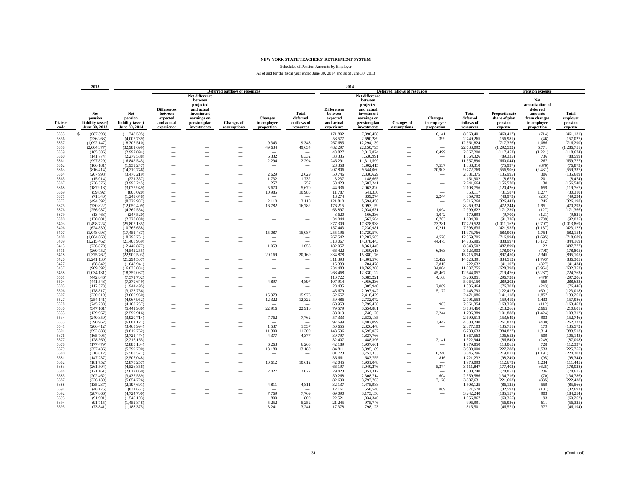Schedules of Pension Amounts by Employer

|                         | 2013                                                 |                                                      |                                                                       |                                                                                                                  |                                       |                                             |                                                      | 2014                                                                  |                                                                                                                  |                                                      |                                             |                                              |                                                      |                                                                                            |                                         |
|-------------------------|------------------------------------------------------|------------------------------------------------------|-----------------------------------------------------------------------|------------------------------------------------------------------------------------------------------------------|---------------------------------------|---------------------------------------------|------------------------------------------------------|-----------------------------------------------------------------------|------------------------------------------------------------------------------------------------------------------|------------------------------------------------------|---------------------------------------------|----------------------------------------------|------------------------------------------------------|--------------------------------------------------------------------------------------------|-----------------------------------------|
|                         |                                                      |                                                      |                                                                       |                                                                                                                  | <b>Deferred outflows of resources</b> |                                             |                                                      |                                                                       |                                                                                                                  | <b>Deferred inflows of resources</b>                 |                                             |                                              |                                                      | <b>Pension expense</b>                                                                     |                                         |
| <b>District</b><br>code | Net<br>pension<br>liability (asset)<br>June 30, 2013 | Net<br>pension<br>liability (asset)<br>June 30, 2014 | <b>Differences</b><br>between<br>expected<br>and actual<br>experience | Net difference<br>between<br>projected<br>and actual<br>investment<br>earnings on<br>pension plan<br>investments | <b>Changes of</b><br>assumptions      | <b>Changes</b><br>in employer<br>proportion | <b>Total</b><br>deferred<br>outflows of<br>resources | <b>Differences</b><br>between<br>expected<br>and actual<br>experience | Net difference<br>between<br>projected<br>and actual<br>investment<br>earnings on<br>pension plan<br>investments | <b>Changes</b> of<br>assumptions                     | <b>Changes</b><br>in employer<br>proportion | Total<br>deferred<br>inflows of<br>resources | Proportionate<br>share of plan<br>pension<br>expense | Net<br>amortization of<br>deferred<br>amounts<br>from changes<br>in employer<br>proportion | Total<br>employer<br>pension<br>expense |
| 5355                    | S<br>(687, 398)                                      | (11,748,595)                                         | -                                                                     |                                                                                                                  |                                       | $\overline{\phantom{a}}$                    | $\overline{\phantom{0}}$                             | 171,802                                                               | 7,890,458                                                                                                        |                                                      | 6,141                                       | 8,068,401                                    | (460, 417)                                           | (714)                                                                                      | (461, 131)                              |
| 5356                    | (236, 263)                                           | (4,005,739)                                          | $\overline{\phantom{0}}$                                              |                                                                                                                  | -                                     |                                             |                                                      | 58,577                                                                | 2,690,289                                                                                                        |                                                      | 399                                         | 2,749,265                                    | (156,981)                                            | (46)                                                                                       | (157, 027)                              |
| 5357                    | (1,092,147)                                          | (18,305,510)                                         |                                                                       |                                                                                                                  |                                       | 9,343                                       | 9,343                                                | 267,685                                                               | 12,294,139                                                                                                       |                                                      | $\overline{\phantom{a}}$                    | 12,561,824                                   | (717, 376)                                           | 1.086                                                                                      | (716, 290)                              |
| 5358                    | (2,004,377)                                          | (32,981,699)                                         |                                                                       |                                                                                                                  |                                       | 49,634                                      | 49,634                                               | 482,297                                                               | 22,150,795                                                                                                       |                                                      | $\overline{\phantom{a}}$                    | 22,633,092                                   | (1,292,522)                                          | 5,771                                                                                      | (1, 286, 751)                           |
| 5359                    | (165, 386)                                           | (2.997.094)                                          | $\overline{\phantom{a}}$                                              | $\overline{\phantom{a}}$                                                                                         | $\overline{\phantom{a}}$              | $\overline{\phantom{a}}$                    | $\overline{\phantom{a}}$                             | 43,827                                                                | 2,012,874                                                                                                        | $\overline{\phantom{a}}$                             | 10,499                                      | 2,067,200                                    | (117, 453)                                           | (1,221)                                                                                    | (118, 674)                              |
| 5360                    | (141, 774)                                           | (2,279,588)                                          |                                                                       | -                                                                                                                | $\overline{\phantom{a}}$              | 6,332                                       | 6,332                                                | 33,335                                                                | 1,530,991                                                                                                        | $\overline{\phantom{a}}$                             | $\overline{\phantom{0}}$                    | 1,564,326                                    | (89, 335)                                            | 736                                                                                        | (88, 599)                               |
| 5361                    | (997, 829)                                           | (16, 842, 545)                                       |                                                                       |                                                                                                                  | $\overline{\phantom{a}}$              | 2.294                                       | 2,294                                                | 246,291                                                               | 11,311,599                                                                                                       |                                                      | $\sim$                                      | 11,557,890                                   | (660, 044)                                           | 267                                                                                        | (659, 777)                              |
| 5362                    | (106, 181)                                           | (1,939,247)                                          |                                                                       |                                                                                                                  |                                       | $\overline{\phantom{a}}$                    |                                                      | 28,358                                                                | 1,302,415                                                                                                        |                                                      | 7,537                                       | 1,338,310                                    | (75,997)                                             | (876)                                                                                      | (76, 873)                               |
| 5363                    | (816, 414)                                           | (14,210,746)                                         |                                                                       |                                                                                                                  |                                       |                                             |                                                      | 207,806                                                               | 9,544,060                                                                                                        |                                                      | 20,903                                      | 9,772,769                                    | (556,906)                                            | (2, 431)                                                                                   | (559, 337)                              |
| 5364                    | (207,998)                                            | (3,470,219)                                          |                                                                       |                                                                                                                  |                                       | 2,629                                       | 2,629                                                | 50,746                                                                | 2,330,629                                                                                                        |                                                      |                                             | 2,381,375                                    | (135,995)                                            | 306                                                                                        | (135, 689)                              |
| 5365                    | (15,014)                                             | (221, 357)                                           | -                                                                     |                                                                                                                  |                                       | 1,732                                       | 1,732                                                | 3,237                                                                 | 148,665                                                                                                          |                                                      | $\overline{\phantom{a}}$                    | 151,902                                      | (8,675)                                              | 201                                                                                        | (8, 474)                                |
| 5367                    | (236, 376)                                           | (3,995,245)                                          | -                                                                     | $\overline{\phantom{a}}$                                                                                         |                                       | 257                                         | 257                                                  | 58,423                                                                | 2,683,241                                                                                                        |                                                      | $\overline{\phantom{a}}$                    | 2,741,664                                    | (156, 570)                                           | 30                                                                                         | (156, 540)                              |
| 5368                    | (187, 918)                                           | (3,072,949)                                          | -                                                                     |                                                                                                                  | $\overline{\phantom{a}}$              | 5,670                                       | 5,670                                                | 44,936                                                                | 2,063,820                                                                                                        |                                                      | $\sim$                                      | 2,108,756                                    | (120, 426)                                           | 659                                                                                        | (119, 767)                              |
| 5369                    | (59, 892)                                            | (806, 020)                                           | -                                                                     |                                                                                                                  |                                       | 10,985                                      | 10,985                                               | 11,787                                                                | 541,330                                                                                                          |                                                      | $\overline{\phantom{a}}$                    | 553,117                                      | (31,587)                                             | 1,277                                                                                      | (30,310)                                |
| 5371<br>5372            | (71, 340)                                            | (1,249,648)                                          | $\overline{\phantom{0}}$                                              |                                                                                                                  |                                       |                                             |                                                      | 18,274                                                                | 839,274                                                                                                          |                                                      | 2,244                                       | 859,792                                      | (48,973)                                             | (261)                                                                                      | (49, 234)                               |
| 5375                    | (494, 592)<br>(730, 822)                             | (8,329,937)<br>(12,050,409)                          |                                                                       |                                                                                                                  | $\overline{\phantom{0}}$              | 2,110<br>16,782                             | 2,110<br>16,782                                      | 121,810<br>176,215                                                    | 5,594,458<br>8,093,159                                                                                           |                                                      | $\overline{\phantom{a}}$                    | 5,716,268<br>8,269,374                       | (326, 443)<br>(472, 244)                             | 245<br>1,951                                                                               | (326, 198)<br>(470, 293)                |
| 5376                    | (256,987)                                            | (4.369.554)                                          | $\overline{\phantom{0}}$                                              |                                                                                                                  |                                       | $\hspace{0.1mm}-\hspace{0.1mm}$             | -                                                    | 63.897                                                                | 2.934.631                                                                                                        |                                                      | 1.094                                       | 2.999.622                                    | (171, 239)                                           | (127)                                                                                      | (171, 366)                              |
| 5379                    | (13, 463)                                            | (247.520)                                            | $\overline{\phantom{0}}$                                              |                                                                                                                  |                                       | $\overline{\phantom{a}}$                    | $\overline{\phantom{a}}$                             | 3,620                                                                 | 166,236                                                                                                          | -                                                    | 1.042                                       | 170,898                                      | (9,700)                                              | (121)                                                                                      | (9,821)                                 |
| 5380                    | (130,001)                                            | (2,328,088)                                          | -                                                                     |                                                                                                                  |                                       | $\overline{\phantom{a}}$                    | $\overline{\phantom{a}}$                             | 34,044                                                                | 1,563,564                                                                                                        | $\overline{\phantom{a}}$                             | 6,783                                       | 1,604,391                                    | (91, 236)                                            | (789)                                                                                      | (92, 025)                               |
| 5403                    | (1, 498, 724)                                        | (25,802,135)                                         | -                                                                     |                                                                                                                  | $\overline{\phantom{a}}$              | $\overline{\phantom{a}}$                    | $\overline{\phantom{a}}$                             | 377,309                                                               | 17,328,938                                                                                                       | $\overline{\phantom{a}}$                             | 23,281                                      | 17,729,528                                   | (1,011,162)                                          | (2,707)                                                                                    | (1,013,869)                             |
| 5406                    | (624, 830)                                           | (10, 766, 658)                                       | -                                                                     |                                                                                                                  | $\overline{\phantom{a}}$              |                                             |                                                      | 157,443                                                               | 7,230,981                                                                                                        | $\overline{\phantom{a}}$                             | 10,211                                      | 7,398,635                                    | (421, 935)                                           | (1, 187)                                                                                   | (423, 122)                              |
| 5407                    | (1,048,093)                                          | (17, 451, 487)                                       |                                                                       |                                                                                                                  |                                       | 15,087                                      | 15,087                                               | 255,196                                                               | 11,720,570                                                                                                       |                                                      |                                             | 11,975,766                                   | (683,908)                                            | 1,754                                                                                      | (682, 154)                              |
| 5408                    | (1,064,868)                                          | (18, 295, 751)                                       |                                                                       |                                                                                                                  |                                       | $\overline{\phantom{a}}$                    |                                                      | 267,542                                                               | 12,287,585                                                                                                       |                                                      | 14.578                                      | 12,569,705                                   | (716,994)                                            | (1,695)                                                                                    | (718, 689)                              |
| 5409                    | (1,215,462)                                          | (21, 408, 959)                                       |                                                                       |                                                                                                                  |                                       |                                             |                                                      | 313,067                                                               | 14,378,443                                                                                                       |                                                      | 44,475                                      | 14,735,985                                   | (838,997)                                            | (5,172)                                                                                    | (844, 169)                              |
| 5415                    | (736, 870)                                           | (12.449.877)                                         | $\overline{\phantom{0}}$                                              |                                                                                                                  |                                       | 1,053                                       | 1,053                                                | 182,057                                                               | 8.361.445                                                                                                        |                                                      |                                             | 8,543,502                                    | (487, 899)                                           | 122                                                                                        | (487, 777)                              |
| 5416                    | (260, 752)                                           | (4,542,255)                                          | $\overline{\phantom{0}}$                                              | -                                                                                                                |                                       |                                             |                                                      | 66,422                                                                | 3,050,618                                                                                                        | -                                                    | 6,863                                       | 3,123,903                                    | (178,007)                                            | (798)                                                                                      | (178, 805)                              |
| 5418                    | (1, 375, 762)                                        | (22.900.503)                                         | -                                                                     |                                                                                                                  | $\overline{\phantom{a}}$              | 20,169                                      | 20,169                                               | 334,878                                                               | 15,380,176                                                                                                       |                                                      |                                             | 15,715,054                                   | (897, 450)                                           | 2,345                                                                                      | (895, 105)                              |
| 5420                    | (1, 241, 130)                                        | (21, 294, 507)                                       | -                                                                     |                                                                                                                  | $\overline{\phantom{a}}$              | $\sim$                                      | -                                                    | 311,393                                                               | 14,301,576                                                                                                       | $\overline{\phantom{a}}$                             | 15,422                                      | 14,628,391                                   | (834, 512)                                           | (1,793)                                                                                    | (836, 305)                              |
| 5427                    | (58, 842)                                            | (1,048,941)                                          |                                                                       |                                                                                                                  |                                       | $\overline{\phantom{a}}$                    |                                                      | 15,339                                                                | 704,478                                                                                                          |                                                      | 2,815                                       | 722,632                                      | (41, 107)                                            | (327)                                                                                      | (41, 434)                               |
| 5457                    | (909, 592)                                           | (16,035,034)                                         | $\overline{\phantom{0}}$                                              |                                                                                                                  |                                       | $\overline{\phantom{a}}$                    |                                                      | 234,483                                                               | 10,769,268                                                                                                       |                                                      | 34,004                                      | 11,037,755                                   | (628, 398)                                           | (3,954)                                                                                    | (632, 352)                              |
| 5458                    | (1,034,131)                                          | (18, 359, 087)                                       | -                                                                     |                                                                                                                  |                                       | $\overline{\phantom{a}}$                    | $\overline{\phantom{a}}$                             | 268,468                                                               | 12,330,122                                                                                                       | $\overline{\phantom{a}}$                             | 45.467                                      | 12,644,057                                   | (719, 476)                                           | (5, 287)                                                                                   | (724, 763)                              |
| 5501<br>5504            | (442, 846)<br>(441, 548)                             | (7,571,702)<br>(7,379,649)                           | -<br>$\overline{\phantom{a}}$                                         | -<br>-                                                                                                           | $\overline{\phantom{a}}$              | $\overline{\phantom{a}}$<br>4,897           | $\overline{\phantom{a}}$<br>4,897                    | 110,722<br>107,914                                                    | 5,085,221<br>4,956,236                                                                                           | $\overline{\phantom{a}}$<br>$\overline{\phantom{a}}$ | 4,108<br>$\overline{\phantom{a}}$           | 5,200,051<br>5,064,150                       | (296, 728)<br>(289, 202)                             | (478)<br>569                                                                               | (297, 206)<br>(288, 633)                |
| 5505                    | (112, 573)                                           | (1,944,495)                                          | -                                                                     | ÷.                                                                                                               | $\overline{\phantom{a}}$              | $\overline{\phantom{a}}$                    | $\overline{\phantom{a}}$                             | 28,435                                                                | 1,305,940                                                                                                        | $\overline{\phantom{a}}$                             | 2,089                                       | 1,336,464                                    | (76, 203)                                            | (243)                                                                                      | (76, 446)                               |
| 5506                    | (178, 817)                                           | (3,123,756)                                          |                                                                       |                                                                                                                  | $\overline{\phantom{a}}$              | $\sim$                                      | $\overline{\phantom{a}}$                             | 45,679                                                                | 2,097,942                                                                                                        |                                                      | 5,172                                       | 2,148,793                                    | (122, 417)                                           | (601)                                                                                      | (123, 018)                              |
| 5507                    | (230, 619)                                           | (3,600,950)                                          |                                                                       |                                                                                                                  | $\overline{\phantom{0}}$              | 15,973                                      | 15,973                                               | 52,657                                                                | 2,418,429                                                                                                        |                                                      | $\overbrace{\phantom{12322111}}$            | 2,471,086                                    | (141, 118)                                           | 1,857                                                                                      | (139, 261)                              |
| 5527                    | (254, 141)                                           | (4,067,952)                                          |                                                                       |                                                                                                                  |                                       | 12,322                                      | 12,322                                               | 59,486                                                                | 2,732,072                                                                                                        |                                                      | $\overline{\phantom{0}}$                    | 2,791,558                                    | (159, 419)                                           | 1,433                                                                                      | (157, 986)                              |
| 5528                    | (245, 238)                                           | (4,168,257)                                          |                                                                       |                                                                                                                  | $\overline{\phantom{0}}$              |                                             |                                                      | 60,953                                                                | 2,799,438                                                                                                        |                                                      | 963                                         | 2,861,354                                    | (163, 350)                                           | (112)                                                                                      | (163, 462)                              |
| 5530                    | (347, 161)                                           | (5,441,980)                                          | -                                                                     |                                                                                                                  |                                       | 22,916                                      | 22,916                                               | 79,579                                                                | 3,654,881                                                                                                        |                                                      |                                             | 3,734,460                                    | (213, 266)                                           | 2.665                                                                                      | (210, 601)                              |
| 5533                    | (139, 967)                                           | (2,599,916)                                          | -                                                                     |                                                                                                                  |                                       |                                             |                                                      | 38,019                                                                | 1,746,126                                                                                                        |                                                      | 12,244                                      | 1,796,389                                    | (101, 888)                                           | (1, 424)                                                                                   | (103, 312)                              |
| 5534                    | (240, 350)                                           | (3,920,714)                                          |                                                                       |                                                                                                                  | $\overline{\phantom{a}}$              | 7,762                                       | 7,762                                                | 57,333                                                                | 2,633,185                                                                                                        |                                                      |                                             | 2,690,518                                    | (153, 649)                                           | 903                                                                                        | (152, 746)                              |
| 5535                    | (390, 962)                                           | (6,681,121)                                          | -                                                                     |                                                                                                                  |                                       |                                             |                                                      | 97,699                                                                | 4,487,099                                                                                                        |                                                      | 3,442                                       | 4,588,240                                    | (261, 827)                                           | (400)                                                                                      | (262, 227)                              |
| 5541                    | (206, 412)                                           | (3,463,994)                                          | -                                                                     |                                                                                                                  |                                       | 1,537                                       | 1,537                                                | 50,655                                                                | 2,326,448                                                                                                        |                                                      |                                             | 2,377,103                                    | (135,751)                                            | 179                                                                                        | (135, 572)                              |
| 5601<br>5676            | (592, 888)<br>(165, 705)                             | (9,819,762)                                          |                                                                       |                                                                                                                  | $\overline{\phantom{0}}$              | 11,300<br>4,377                             | 11,300<br>4,377                                      | 143,596                                                               | 6,595,037                                                                                                        |                                                      | $\overbrace{\phantom{12322111}}$            | 6,738,633<br>1,867,563                       | (384, 827)                                           | 1.314<br>509                                                                               | (383, 513)<br>(106, 143)                |
| 5677                    | (128, 569)                                           | (2,721,474)<br>(2.216.165)                           | $\overline{\phantom{0}}$                                              |                                                                                                                  | $\overline{\phantom{0}}$              |                                             |                                                      | 39,797<br>32.407                                                      | 1,827,766<br>1.488.396                                                                                           |                                                      | 2.141                                       | 1,522,944                                    | (106, 652)<br>(86, 849)                              | (249)                                                                                      | (87,098)                                |
| 5678                    | (177, 479)                                           | (2.885.104)                                          | $\overline{\phantom{0}}$                                              |                                                                                                                  |                                       | 6,263                                       | 6,263                                                | 42.189                                                                | 1,937,661                                                                                                        | -                                                    | $\overline{\phantom{a}}$                    | 1,979,850                                    | (113,065)                                            | 728                                                                                        | (112, 337)                              |
| 5679                    | (357, 436)                                           | (5,799,790)                                          | $\overline{\phantom{0}}$                                              |                                                                                                                  |                                       | 13,180                                      | 13,180                                               | 84.811                                                                | 3,895,189                                                                                                        |                                                      | $\sim$                                      | 3,980,000                                    | (227, 288)                                           | 1.533                                                                                      | (225, 755)                              |
| 5680                    | (318, 812)                                           | (5,588,571)                                          | -                                                                     |                                                                                                                  | $\overline{\phantom{a}}$              | $\sim$                                      | -                                                    | 81,723                                                                | 3,753,333                                                                                                        |                                                      | 10,240                                      | 3,845,296                                    | (219, 011)                                           | (1, 191)                                                                                   | (220, 202)                              |
| 5681                    | (147, 237)                                           | (2,507,048)                                          | -                                                                     |                                                                                                                  | $\overline{\phantom{a}}$              | $\sim$                                      |                                                      | 36,661                                                                | 1,683,755                                                                                                        | $\overline{\phantom{a}}$                             | 816                                         | 1,721,232                                    | (98, 249)                                            | (95)                                                                                       | (98, 344)                               |
| 5682                    | (181, 752)                                           | (2,875,257)                                          | -                                                                     |                                                                                                                  | $\overline{\phantom{a}}$              | 10,612                                      | 10,612                                               | 42,045                                                                | 1,931,048                                                                                                        | $\overline{\phantom{a}}$                             | $\overline{\phantom{a}}$                    | 1,973,093                                    | (112, 679)                                           | 1,234                                                                                      | (111, 445)                              |
| 5683                    | (261, 504)                                           | (4,526,856)                                          |                                                                       |                                                                                                                  |                                       |                                             |                                                      | 66,197                                                                | 3,040,276                                                                                                        |                                                      | 5,374                                       | 3,111,847                                    | (177, 403)                                           | (625)                                                                                      | (178, 028)                              |
| 5684                    | (121, 161)                                           | (2,012,060)                                          |                                                                       |                                                                                                                  |                                       | 2,027                                       | 2,027                                                | 29,423                                                                | 1,351,317                                                                                                        |                                                      | $\overline{\phantom{a}}$                    | 1,380,740                                    | (78, 851)                                            | 236                                                                                        | (78, 615)                               |
| 5685                    | (202, 462)                                           | (3,437,589)                                          | -                                                                     |                                                                                                                  | $\overline{\phantom{a}}$              | $\overline{\phantom{a}}$                    | -                                                    | 50,268                                                                | 2,308,714                                                                                                        |                                                      | 604                                         | 2,359,586                                    | (134, 716)                                           | (70)                                                                                       | (134, 786)                              |
| 5687                    | (326, 139)                                           | (5,654,726)                                          |                                                                       |                                                                                                                  | $\overline{\phantom{a}}$              |                                             |                                                      | 82,690                                                                | 3,797,763                                                                                                        | $\overline{\phantom{a}}$                             | 7,178                                       | 3,887,631                                    | (221, 603)                                           | (835)                                                                                      | (222, 438)                              |
| 5688                    | (135, 237)                                           | (2,197,691)                                          |                                                                       |                                                                                                                  | $\overline{\phantom{a}}$              | 4,811                                       | 4,811                                                | 32,137                                                                | 1,475,988                                                                                                        |                                                      | $\overline{\phantom{a}}$                    | 1,508,125                                    | (86, 125)                                            | 559                                                                                        | (85, 566)                               |
| 5691                    | (48, 175)                                            | (831, 657)                                           |                                                                       |                                                                                                                  |                                       |                                             |                                                      | 12,161                                                                | 558,548                                                                                                          |                                                      | 869                                         | 571,578                                      | (32, 592)                                            | (101)                                                                                      | (32, 693)                               |
| 5692                    | (287, 866)                                           | (4,724,700)                                          |                                                                       |                                                                                                                  |                                       | 7,769                                       | 7,769                                                | 69,090                                                                | 3,173,150                                                                                                        |                                                      |                                             | 3,242,240                                    | (185, 157)                                           | 903                                                                                        | (184, 254)                              |
| 5693                    | (91,901)                                             | (1,540,103)                                          |                                                                       |                                                                                                                  |                                       | 800                                         | 800                                                  | 22,521                                                                | 1,034,346                                                                                                        |                                                      |                                             | 1,056,867                                    | (60, 355)                                            | 93                                                                                         | (60, 262)                               |
| 5694<br>5695            | (91, 715)<br>(73, 841)                               | (1,452,848)<br>(1,188,375)                           | -                                                                     |                                                                                                                  | $\overline{\phantom{a}}$              | 5.252<br>3,241                              | 5.252<br>3,241                                       | 21.245<br>17,378                                                      | 975,746<br>798,123                                                                                               |                                                      | $\overline{\phantom{a}}$                    | 996,991<br>815,501                           | (56,936)<br>(46, 571)                                | 611<br>377                                                                                 | (56, 325)<br>(46, 194)                  |
|                         |                                                      |                                                      |                                                                       |                                                                                                                  |                                       |                                             |                                                      |                                                                       |                                                                                                                  |                                                      |                                             |                                              |                                                      |                                                                                            |                                         |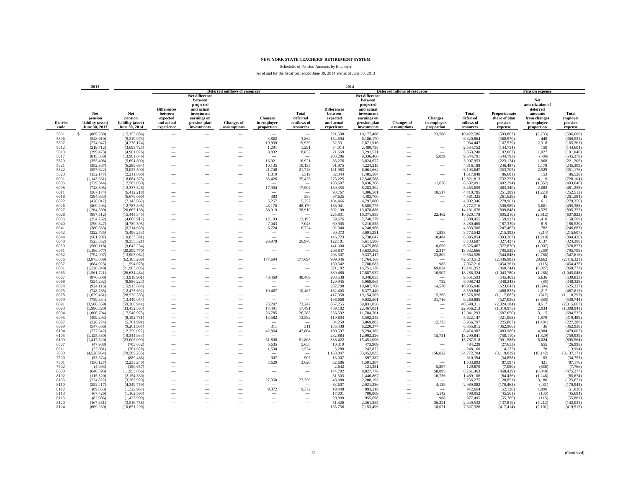Schedules of Pension Amounts by Employer

|                         | 2013                                                 |                                                      |                                                                       |                                                                                                |                                                      |                                             |                                                      | 2014<br>Deferred inflows of resources                                 |                                                                                                                  |                                  |                                             |                                              |                                                      |                                                                                            |                                         |
|-------------------------|------------------------------------------------------|------------------------------------------------------|-----------------------------------------------------------------------|------------------------------------------------------------------------------------------------|------------------------------------------------------|---------------------------------------------|------------------------------------------------------|-----------------------------------------------------------------------|------------------------------------------------------------------------------------------------------------------|----------------------------------|---------------------------------------------|----------------------------------------------|------------------------------------------------------|--------------------------------------------------------------------------------------------|-----------------------------------------|
|                         |                                                      |                                                      |                                                                       | <b>Deferred outflows of resources</b><br>Net difference                                        |                                                      |                                             |                                                      |                                                                       |                                                                                                                  |                                  |                                             |                                              | <b>Pension expense</b>                               |                                                                                            |                                         |
| <b>District</b><br>code | Net<br>pension<br>liability (asset)<br>June 30, 2013 | Net<br>pension<br>liability (asset)<br>June 30, 2014 | <b>Differences</b><br>between<br>expected<br>and actual<br>experience | between<br>projected<br>and actual<br>investment<br>earnings on<br>pension plan<br>investments | <b>Changes</b> of<br>assumptions                     | <b>Changes</b><br>in employer<br>proportion | <b>Total</b><br>deferred<br>outflows of<br>resources | <b>Differences</b><br>between<br>expected<br>and actual<br>experience | Net difference<br>between<br>projected<br>and actual<br>investment<br>earnings on<br>pension plan<br>investments | <b>Changes</b> of<br>assumptions | <b>Changes</b><br>in employer<br>proportion | Total<br>deferred<br>inflows of<br>resources | Proportionate<br>share of plan<br>pension<br>expense | Net<br>amortization of<br>deferred<br>amounts<br>from changes<br>in employer<br>proportion | Total<br>emplover<br>pension<br>expense |
| 5801                    | $\mathbf{s}$<br>(869, 239)                           | (15, 153, 884)                                       | $\overline{\phantom{a}}$                                              | $\overline{\phantom{a}}$                                                                       | $\overline{\phantom{a}}$                             | $\sim$                                      | $\sim$                                               | 221,598                                                               | 10,177,480                                                                                                       | $\overline{\phantom{a}}$         | 23,508                                      | 10,422,586                                   | (593, 867)                                           | (2,733)                                                                                    | (596, 600)                              |
| 5806                    | (548, 610)                                           | (9,210,973)                                          | -                                                                     | -                                                                                              |                                                      | 3,862                                       | 3,862                                                | 134,694                                                               | 6,186,170                                                                                                        |                                  |                                             | 6,320,864                                    | (360,970)                                            | 449                                                                                        | (360, 521)                              |
| 5807                    | (274, 947)                                           | (4,276,174)                                          |                                                                       |                                                                                                |                                                      | 19,939                                      | 19,939                                               | 62,531                                                                | 2,871,916                                                                                                        |                                  |                                             | 2,934,447                                    | (167, 579)                                           | 2,318                                                                                      | (165, 261)                              |
| 5812                    | (219, 712)                                           | (3,693,725)                                          |                                                                       |                                                                                                | -                                                    | 1,291                                       | 1,291                                                | 54,014                                                                | 2,480,738                                                                                                        |                                  | -                                           | 2,534,752                                    | (144, 754)                                           | 150                                                                                        | (144, 604)                              |
| 5813                    | (299, 473)                                           | (4,901,026)                                          | -                                                                     |                                                                                                |                                                      | 8,832                                       | 8,832                                                | 71.669                                                                | 3,291,571                                                                                                        |                                  | $\sim$                                      | 3,363,240                                    | (192,067)                                            | 1,027                                                                                      | (191, 040)                              |
| 5817                    | (815, 858)                                           | (13,901,646)                                         | -                                                                     |                                                                                                |                                                      | $\overline{\phantom{a}}$                    | $\sim$                                               | 203.286                                                               | 9,336,466                                                                                                        |                                  | 5,039                                       | 9,544,791                                    | (544, 793)                                           | (586)                                                                                      | (545, 379)                              |
| 5820                    | (355, 408)                                           | (5,694,800)                                          |                                                                       |                                                                                                | $\overline{\phantom{a}}$                             | 16,921                                      | 16,921                                               | 83,276                                                                | 3,824,677                                                                                                        |                                  | $\overline{\phantom{a}}$                    | 3,907,953                                    | (223, 174)                                           | 1,968                                                                                      | (221, 206)                              |
| 5821                    | (382, 987)                                           | (6,289,694)                                          |                                                                       |                                                                                                |                                                      | 10,135                                      | 10,135                                               | 91.975                                                                | 4,224,213                                                                                                        |                                  |                                             | 4,316,188                                    | (246, 487)                                           | 1,178                                                                                      | (245, 309)                              |
| 5822                    | (557, 622)                                           | (9,025,590)                                          |                                                                       |                                                                                                |                                                      | 21,748                                      | 21,748                                               | 131,983                                                               | 6,061,664                                                                                                        |                                  |                                             | 6,193,647                                    | (353,705)                                            | 2,529                                                                                      | (351, 176)                              |
| 5823                    | (132, 177)                                           | (2,211,860)                                          |                                                                       |                                                                                                |                                                      | 1,319                                       | 1,319                                                | 32,344                                                                | 1,485,504                                                                                                        |                                  |                                             | 1,517,848                                    | (86,681)                                             | 153                                                                                        | (86, 528)                               |
| 6001                    | (1, 143, 651)                                        | (18,684,375)                                         |                                                                       |                                                                                                |                                                      | 35,426                                      | 35,426                                               | 273,225                                                               | 12,548,588                                                                                                       |                                  |                                             | 12,821,813                                   | (732, 223)                                           | 4,119                                                                                      | (728, 104)                              |
| 6005                    | (729, 344)                                           | (12.562.030)                                         |                                                                       |                                                                                                |                                                      |                                             |                                                      | 183,697                                                               | 8,436,768                                                                                                        |                                  | 11,626                                      | 8,632,091                                    | (492.294)                                            | (1.352)                                                                                    | (493, 646)                              |
| 6008                    | (748, 805)                                           | (12, 333, 528)                                       | -                                                                     |                                                                                                |                                                      | 17,904                                      | 17,904                                               | 180,355                                                               | 8,283,304                                                                                                        |                                  |                                             | 8,463,659                                    | (483, 340)                                           | 2,082                                                                                      | (481, 258)                              |
| 6011                    | (367, 174)                                           | (6,412,218)                                          | -                                                                     |                                                                                                | $\overline{\phantom{a}}$                             | 383                                         |                                                      | 93,767                                                                | 4,306,501                                                                                                        | $\overline{\phantom{a}}$         | 10,517                                      | 4,410,785                                    | (251, 289)                                           | (1,223)<br>45                                                                              | (252, 512)                              |
| 6018<br>6022            | (394, 933)<br>(428, 017)                             | (6,676,060)<br>(7,143,862)                           | -<br>-                                                                |                                                                                                |                                                      | 5,257                                       | 383<br>5,257                                         | 97,625<br>104,466                                                     | 4,483,700<br>4,797,880                                                                                           |                                  | $\overline{\phantom{a}}$                    | 4,581,325<br>4,902,346                       | (261, 629)<br>(279,961)                              | 611                                                                                        | (261, 584)<br>(279, 350)                |
| 6026                    | (809, 203)                                           | (12, 783, 895)                                       |                                                                       |                                                                                                | -                                                    | 48,170                                      | 48,170                                               | 186,941                                                               | 8,585,775                                                                                                        |                                  | $\overbrace{\phantom{12322111}}$            | 8,772,716                                    | (500, 989)                                           | 5,601                                                                                      | (495, 388)                              |
| 6027                    | (1, 264, 599)                                        | (20, 665, 138)                                       |                                                                       |                                                                                                |                                                      | 38,919                                      | 38,919                                               | 302,190                                                               | 13,878,886                                                                                                       |                                  |                                             | 14,181,076                                   | (809, 848)                                           | 4,525                                                                                      | (805, 323)                              |
| 6028                    | (887, 512)                                           | (15, 443, 345)                                       |                                                                       |                                                                                                |                                                      |                                             |                                                      | 225,831                                                               | 10,371,885                                                                                                       |                                  | 22,462                                      | 10,620,178                                   | (605, 210)                                           | (2,612)                                                                                    | (607, 822)                              |
| 6036                    | (254, 762)                                           | (4.080.917)                                          | -                                                                     |                                                                                                |                                                      | 12,193                                      | 12,193                                               | 59,676                                                                | 2,740,779                                                                                                        |                                  | -                                           | 2,800,455                                    | (159, 927)                                           | 1,418                                                                                      | (158, 509)                              |
| 6040                    | (290, 347)                                           | (4.780.395)                                          | -                                                                     |                                                                                                |                                                      | 7,043                                       | 7.043                                                | 69.905                                                                | 3,210,555                                                                                                        |                                  | $\overline{\phantom{a}}$                    | 3,280,460                                    | (187, 339)                                           | 819                                                                                        | (186, 520)                              |
| 6041                    | (380, 653)                                           | (6,314,639)                                          | $\overline{\phantom{a}}$                                              |                                                                                                | $\overline{\phantom{a}}$                             | 6,724                                       | 6,724                                                | 92,340                                                                | 4,240,966                                                                                                        | $\overline{\phantom{a}}$         | $\overline{\phantom{a}}$                    | 4,333,306                                    | (247, 465)                                           | 782                                                                                        | (246, 683)                              |
| 6042                    | (322, 735)                                           | (5,496,253)                                          |                                                                       |                                                                                                | $\overline{\phantom{a}}$                             | $\overline{\phantom{a}}$                    | $\overline{\phantom{a}}$                             | 80,373                                                                | 3,691,331                                                                                                        | -                                | 1,838                                       | 3,773,542                                    | (215, 393)                                           | (214)                                                                                      | (215, 607)                              |
| 6044                    | (581, 207)                                           | (10,033,591)                                         |                                                                       |                                                                                                |                                                      |                                             |                                                      | 146,723                                                               | 6,738,647                                                                                                        |                                  | 10,484                                      | 6,895,854                                    | (393, 207)                                           | (1,219)                                                                                    | (394, 426)                              |
| 6048                    | (523, 852)                                           | (8,355,321)                                          |                                                                       |                                                                                                |                                                      | 26,978                                      | 26,978                                               | 122,181                                                               | 5,611,506                                                                                                        |                                  |                                             | 5,733,687                                    | (327, 437)                                           | 3.137                                                                                      | (324, 300)                              |
| 6050                    | (560, 118)                                           | (9,642,234)                                          |                                                                       |                                                                                                |                                                      |                                             |                                                      | 141,000                                                               | 6,475,808                                                                                                        |                                  | 8,659                                       | 6,625,467                                    | (377, 870)                                           | (1,007)                                                                                    | (378, 877)                              |
| 6051                    | (1,196,977)                                          | (20.299.770)                                         | $\overline{\phantom{0}}$                                              |                                                                                                |                                                      | $\overline{\phantom{m}}$                    | $\overline{\phantom{0}}$                             | 296.847                                                               | 13.633.502                                                                                                       | $\overline{\phantom{a}}$         | 2.317                                       | 13.932.666                                   | (795.529)                                            | (269)                                                                                      | (795, 798)                              |
| 6052                    | (794, 997)                                           | (13,903,062)                                         | -                                                                     |                                                                                                |                                                      |                                             |                                                      | 203,307                                                               | 9,337,417                                                                                                        | -                                | 23,802                                      | 9,564,526                                    | (544, 848)                                           | (2,768)                                                                                    | (547, 616)                              |
| 6056                    | (3,873,039)                                          | (62, 185, 269)                                       | -                                                                     |                                                                                                | $\overline{\phantom{a}}$                             | 177,694                                     | 177,694                                              | 909,346                                                               | 41,764,166                                                                                                       | $\overline{\phantom{a}}$         | $\overline{\phantom{a}}$                    | 42,673,512                                   | (2,436,983)                                          | 20.662                                                                                     | (2,416,321)                             |
| 6057                    | (684, 023)                                           | (11,594,078)                                         |                                                                       |                                                                                                | -                                                    |                                             |                                                      | 169,542                                                               | 7,786,683                                                                                                        |                                  | 985                                         | 7,957,210                                    | (454, 361)                                           | (115)                                                                                      | (454, 476)                              |
| 6061                    | (1,220,840)                                          | (21,963,885)                                         |                                                                       |                                                                                                |                                                      | $\overline{\phantom{a}}$                    |                                                      | 321,182                                                               | 14,751,136                                                                                                       |                                  | 69.034                                      | 15,141,352                                   | (860, 744)                                           | (8,027)                                                                                    | (868, 771)                              |
| 6065                    | (1, 561, 721)                                        | (26, 634, 464)                                       |                                                                       |                                                                                                |                                                      |                                             |                                                      | 389,480                                                               | 17,887,937                                                                                                       |                                  | 10,907                                      | 18,288,324                                   | (1,043,780)                                          | (1,268)                                                                                    | (1,045,048)                             |
| 6067                    | (876, 608)                                           | (13,918,901)                                         | -                                                                     |                                                                                                |                                                      | 48,469                                      | 48,469                                               | 203.538                                                               | 9,348,055                                                                                                        | -                                | $\overline{\phantom{a}}$                    | 9,551,593                                    | (545, 469)                                           | 5,636                                                                                      | (539, 833)                              |
| 6068                    | (524, 292)                                           | (8,886,223)                                          | -                                                                     |                                                                                                |                                                      | $\sim$                                      | -                                                    | 129,945                                                               | 5,968,065                                                                                                        | $\overline{\phantom{a}}$         | 732                                         | 6,098,742                                    | (348, 243)                                           | (85)                                                                                       | (348, 328)                              |
| 6074                    | (924, 115)                                           | (15,913,684)                                         |                                                                       |                                                                                                | $\overline{\phantom{a}}$                             | $\sim$                                      | $\sim$                                               | 232,708                                                               | 10,687,768                                                                                                       | $\overline{\phantom{a}}$         | 14,570                                      | 10,935,046                                   | (623, 643)                                           | (1,694)                                                                                    | (625, 337)                              |
| 6075                    | (748, 785)                                           | (12, 473, 692)                                       |                                                                       |                                                                                                | $\overline{\phantom{a}}$                             | 10,467                                      | 10,467                                               | 182,405                                                               | 8,377,440                                                                                                        | $\overline{\phantom{a}}$         | $\overline{\phantom{a}}$                    | 8,559,845                                    | (488, 832)                                           | 1,217                                                                                      | (487, 615)                              |
| 6078<br>6079            | (1,679,461)                                          | (28,520,333)                                         |                                                                       |                                                                                                | $\overline{\phantom{a}}$                             |                                             |                                                      | 417,058                                                               | 19,154,503<br>9,032,501                                                                                          | $\overline{\phantom{a}}$         | 5,265                                       | 19,576,826<br>9,260,885                      | (1,117,685)                                          | (612)<br>(3,688)                                                                           | (1, 118, 297)<br>(530, 744)             |
| 6091                    | (759, 334)<br>(3,586,359)                            | (13,449,054)<br>(59,306,941)                         |                                                                       |                                                                                                |                                                      | 73,247                                      | 73,247                                               | 196,668<br>867,255                                                    | 39,831,056                                                                                                       |                                  | 31,716                                      | 40,698,311                                   | (527, 056)<br>(2,324,184)                            | 8,517                                                                                      | (2,315,667)                             |
| 6093                    | (1,996,320)                                          | (33.452.563)                                         |                                                                       |                                                                                                |                                                      | 17.491                                      | 17.491                                               | 489.182                                                               | 22,467,031                                                                                                       |                                  | -<br>$\overbrace{\qquad \qquad }^{}$        | 22,956,213                                   | (1,310,975)                                          | 2.034                                                                                      | (1,308,941)                             |
| 6094                    | (1,066,794)                                          | (17,546,975)                                         | -                                                                     |                                                                                                |                                                      | 26,785                                      | 26,785                                               | 256,592                                                               | 11,784,701                                                                                                       |                                  | $\overline{\phantom{a}}$                    | 12,041,293                                   | (687, 650)                                           | 3,115                                                                                      | (684, 535)                              |
| 6095                    | (499, 293)                                           | (8,192,781)                                          |                                                                       |                                                                                                | $\overline{\phantom{a}}$                             | 13,582                                      | 13,582                                               | 119,804                                                               | 5,502,343                                                                                                        |                                  | L.                                          | 5,622,147                                    | (321,068)                                            | 1.579                                                                                      | (319, 489)                              |
| 6097                    | (326, 274)                                           | (5,761,991)                                          | -                                                                     |                                                                                                |                                                      |                                             |                                                      | 84,259                                                                | 3,869,803                                                                                                        |                                  | 12,735                                      | 3,966,797                                    | (225, 807)                                           | (1,481)                                                                                    | (227, 288)                              |
| 6099                    | (547, 656)                                           | (9,261,907)                                          | -                                                                     |                                                                                                |                                                      | 311                                         | 311                                                  | 135,438                                                               | 6,220,377                                                                                                        |                                  |                                             | 6,355,815                                    | (362,966)                                            | 36                                                                                         | (362, 930)                              |
| 6104                    | (777, 642)                                           | (12,350,027)                                         |                                                                       |                                                                                                | -                                                    | 42,864                                      | 42,864                                               | 180,597                                                               | 8,294,385                                                                                                        |                                  | $\overline{\phantom{a}}$                    | 8,474,982                                    | (483,986)                                            | 4,984                                                                                      | (479,002)                               |
| 6105                    | (1, 125, 580)                                        | (19,344,934)                                         |                                                                       |                                                                                                |                                                      |                                             |                                                      | 282.884                                                               | 12,992,226                                                                                                       |                                  | 15,731                                      | 13,290,841                                   | (758, 110)                                           | (1,829)                                                                                    | (759, 939)                              |
| 6109                    | (1,417,320)                                          | (23,006,099)                                         |                                                                       |                                                                                                |                                                      | 51,808                                      | 51,808                                               | 336,422                                                               | 15,451,096                                                                                                       |                                  | $\overline{\phantom{a}}$                    | 15,787,518                                   | (901, 588)                                           | 6,024                                                                                      | (895, 564)                              |
| 6507                    | (47,988)                                             | (705, 632)                                           | -                                                                     |                                                                                                |                                                      | 5.635                                       | 5.635                                                | 10.319                                                                | 473,909                                                                                                          | -                                | $\overline{\phantom{a}}$                    | 484,228                                      | (27, 653)                                            | 655                                                                                        | (26,998)                                |
| 6511                    | (23,081)                                             | (361, 628)                                           | -                                                                     |                                                                                                |                                                      | 1,534                                       | 1,534                                                | 5,288                                                                 | 242,872                                                                                                          | $\overline{\phantom{a}}$         |                                             | 248,160                                      | (14, 172)                                            | 178                                                                                        | (13,994)                                |
| 7000                    | (4,528,964)                                          | (79, 589, 255)                                       |                                                                       |                                                                                                | $\overline{\phantom{a}}$                             | -                                           |                                                      | 1,163,847                                                             | 53,452,835                                                                                                       | $\overline{\phantom{a}}$         | 156,022                                     | 54,772,704                                   | (3,119,029)                                          | (18, 142)                                                                                  | (3, 137, 171)                           |
| 7500                    | (53, 574)                                            | (889, 486)                                           |                                                                       |                                                                                                | $\overline{\phantom{a}}$                             | 907                                         | 907                                                  | 13,007                                                                | 597,387                                                                                                          | $\overline{\phantom{a}}$         |                                             | 610,394                                      | (34, 858)                                            | 105                                                                                        | (34,753)                                |
| 7501                    | (136, 127)                                           | (2, 235, 240)                                        |                                                                       |                                                                                                | $\overline{\phantom{a}}$                             | 3,620                                       | 3,620                                                | 32,686                                                                | 1,501,207                                                                                                        |                                  | $\sim$                                      | 1,533,893                                    | (87, 597)                                            | 421                                                                                        | (87, 176)                               |
| 7502                    | (4,093)                                              | (180.657)                                            |                                                                       |                                                                                                |                                                      |                                             |                                                      | 2.642                                                                 | 121,331                                                                                                          |                                  | 5,897                                       | 129,870                                      | (7,080)                                              | (686)                                                                                      | (7,766)                                 |
| 8000                    | (640, 593)                                           | (11,953,056)                                         |                                                                       |                                                                                                |                                                      | $\overline{\phantom{a}}$                    | $\overline{\phantom{m}}$                             | 174,792                                                               | 8,027,776                                                                                                        |                                  | 58,895                                      | 8,261,463                                    | (468, 429)                                           | (6, 848)                                                                                   | (475, 277)                              |
| 8102                    | (115,320)                                            | (2,154,330)                                          | -                                                                     |                                                                                                |                                                      |                                             |                                                      | 31,503                                                                | 1,446,867                                                                                                        | $\overline{\phantom{a}}$         | 10,736                                      | 1,489,106                                    | (84, 426)                                            | (1,248)                                                                                    | (85, 674)                               |
| 8105<br>8110            | (224, 822)<br>(252, 417)                             | (3, 287, 920)<br>(4,349,759)                         |                                                                       |                                                                                                | $\overline{\phantom{a}}$<br>$\overline{\phantom{a}}$ | 27,350                                      | 27,350                                               | 48,080<br>63,607                                                      | 2,208,195<br>2,921,336                                                                                           |                                  | 4,139                                       | 2,256,275<br>2,989,082                       | (128, 851)<br>(170, 463)                             | 3,180<br>(481)                                                                             | (125, 671)<br>(170, 944)                |
| 8112                    | (89, 053)                                            | (1,329,964)                                          |                                                                       |                                                                                                |                                                      | 9,372                                       | 9,372                                                | 19,448                                                                | 893,216                                                                                                          |                                  |                                             | 912,664                                      | (52, 120)                                            | 1,090                                                                                      | (51,030)                                |
| 8113                    | (67, 426)                                            | (1,162,595)                                          |                                                                       |                                                                                                |                                                      | $\overline{\phantom{a}}$                    |                                                      | 17,001                                                                | 780,809                                                                                                          |                                  | 1,142                                       | 798,952                                      | (45, 561)                                            | (133)                                                                                      | (45, 694)                               |
| 8115                    | (82,986)                                             | (1,422,999)                                          |                                                                       |                                                                                                |                                                      | $\overline{\phantom{a}}$                    |                                                      | 20,809                                                                | 955,698                                                                                                          |                                  | 988                                         | 977,495                                      | (55,766)                                             | (115)                                                                                      | (55, 881)                               |
| 8120                    | (167, 381)                                           | (3,516,758)                                          |                                                                       |                                                                                                | -                                                    | $\overline{\phantom{a}}$                    |                                                      | 51.426                                                                | 2.361.885                                                                                                        |                                  | 36.221                                      | 2,449,532                                    | (137, 819)                                           | (4,212)                                                                                    | (142, 031)                              |
| 8124                    | (609, 239)                                           | (10,651,290)                                         |                                                                       |                                                                                                |                                                      |                                             |                                                      | 155,756                                                               | 7,153,499                                                                                                        |                                  | 18.071                                      | 7,327,326                                    | (417, 414)                                           | (2,101)                                                                                    | (419, 515)                              |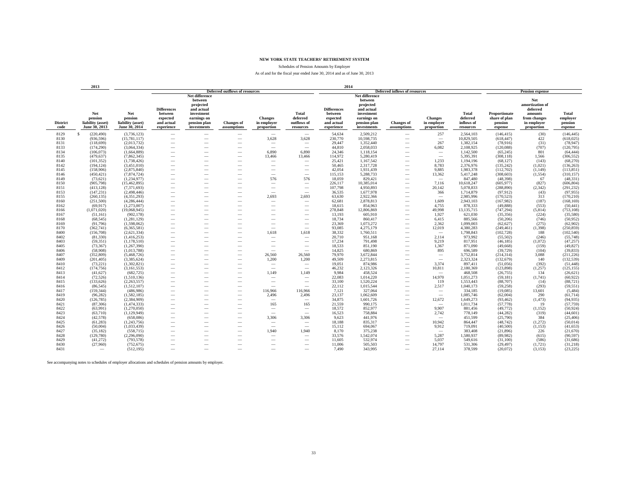Schedules of Pension Amounts by Employer

#### As of and for the fiscal year ended June 30, 2014 and as of June 30, 2013

|                         | 2013                                                 |                                                      | 2014                                                                  |                                                                                                                  |                                                      |                                             |                                                      |                                                                       |                                                                                                                  |                                                                                                       |                                             |                                                     |                                                      |                                                                                            |                                                |
|-------------------------|------------------------------------------------------|------------------------------------------------------|-----------------------------------------------------------------------|------------------------------------------------------------------------------------------------------------------|------------------------------------------------------|---------------------------------------------|------------------------------------------------------|-----------------------------------------------------------------------|------------------------------------------------------------------------------------------------------------------|-------------------------------------------------------------------------------------------------------|---------------------------------------------|-----------------------------------------------------|------------------------------------------------------|--------------------------------------------------------------------------------------------|------------------------------------------------|
|                         |                                                      |                                                      |                                                                       |                                                                                                                  | <b>Deferred outflows of resources</b>                |                                             |                                                      |                                                                       |                                                                                                                  | <b>Deferred inflows of resources</b>                                                                  |                                             |                                                     |                                                      | <b>Pension expense</b>                                                                     |                                                |
| <b>District</b><br>code | Net<br>pension<br>liability (asset)<br>June 30, 2013 | Net<br>pension<br>liability (asset)<br>June 30, 2014 | <b>Differences</b><br>between<br>expected<br>and actual<br>experience | Net difference<br>between<br>projected<br>and actual<br>investment<br>earnings on<br>pension plan<br>investments | <b>Changes of</b><br>assumptions                     | <b>Changes</b><br>in employer<br>proportion | <b>Total</b><br>deferred<br>outflows of<br>resources | <b>Differences</b><br>between<br>expected<br>and actual<br>experience | Net difference<br>between<br>projected<br>and actual<br>investment<br>earnings on<br>pension plan<br>investments | <b>Changes</b> of<br>assumptions                                                                      | <b>Changes</b><br>in employer<br>proportion | <b>Total</b><br>deferred<br>inflows of<br>resources | Proportionate<br>share of plan<br>pension<br>expense | Net<br>amortization of<br>deferred<br>amounts<br>from changes<br>in employer<br>proportion | <b>Total</b><br>employer<br>pension<br>expense |
| 8129                    | -S<br>(220, 490)                                     | (3,736,123)                                          | $\overline{\phantom{a}}$                                              | $\overline{\phantom{a}}$                                                                                         | $\overline{\phantom{a}}$                             | $\overline{\phantom{a}}$                    | $\overline{\phantom{a}}$                             | 54.634                                                                | 2,509,212                                                                                                        | $\overline{\phantom{a}}$                                                                              | 257                                         | 2,564,103                                           | (146, 415)                                           | (30)                                                                                       | (146, 445)                                     |
| 8130                    | (936, 596)                                           | (15,781,117)                                         | $\overline{\phantom{a}}$                                              | $\overline{\phantom{a}}$                                                                                         | $\overline{\phantom{a}}$                             | 3,628                                       | 3,628                                                | 230,770                                                               | 10,598,735                                                                                                       | $\overline{\phantom{a}}$                                                                              | $\overline{\phantom{a}}$                    | 10,829,505                                          | (618, 447)                                           | 422                                                                                        | (618, 025)                                     |
| 8131                    | (118,699)                                            | (2,013,732)                                          | $\overline{\phantom{a}}$                                              | $\overline{\phantom{a}}$                                                                                         | $\overline{\phantom{a}}$                             | $\overline{\phantom{a}}$                    | $\sim$                                               | 29,447                                                                | 1,352,440                                                                                                        | $\overline{\phantom{a}}$                                                                              | 267                                         | 1,382,154                                           | (78,916)                                             | (31)                                                                                       | (78, 947)                                      |
| 8133                    | (174, 290)                                           | (3,064,334)                                          | $\overline{\phantom{a}}$                                              | -                                                                                                                | $\overline{\phantom{a}}$                             | $\overline{\phantom{a}}$                    | $\hspace{0.1mm}-\hspace{0.1mm}$                      | 44,810                                                                | 2,058,033                                                                                                        | $\overline{\phantom{a}}$                                                                              | 6,082                                       | 2,108,925                                           | (120,088)                                            | (707)                                                                                      | (120, 795)                                     |
| 8134                    | (106, 073)                                           | (1,664,889)                                          |                                                                       |                                                                                                                  |                                                      | 6.890                                       | 6.890                                                | 24.346                                                                | 1.118.154                                                                                                        |                                                                                                       | $\qquad \qquad -$                           | 1.142.500                                           | (65.245)                                             | 801                                                                                        | (64, 444)                                      |
| 8135                    | (479, 637)                                           | (7,862,345)                                          |                                                                       |                                                                                                                  |                                                      | 13,466                                      | 13,466                                               | 114.972                                                               | 5.280.419                                                                                                        |                                                                                                       | $\qquad \qquad -$                           | 5.395.391                                           | (308.118)                                            | 1.566                                                                                      | (306, 552)                                     |
| 8140                    | (101, 352)                                           | (1,738,426)                                          |                                                                       |                                                                                                                  |                                                      | $\overline{\phantom{a}}$                    | $\overline{\phantom{a}}$                             | 25,421                                                                | 1.167.542                                                                                                        |                                                                                                       | 1.233                                       | 1.194.196                                           | (68, 127)                                            | (143)                                                                                      | (68,270)                                       |
| 8142                    | (194, 124)                                           | (3,451,010)                                          |                                                                       |                                                                                                                  |                                                      | $\overline{\phantom{a}}$                    | $\overline{\phantom{a}}$                             | 50.465                                                                | 2,317,728                                                                                                        |                                                                                                       | 8.783                                       | 2,376,976                                           | (135, 242)                                           | (1,021)                                                                                    | (136, 263)                                     |
| 8145                    | (158,906)<br>(450, 421)                              | (2,875,840)                                          |                                                                       | -                                                                                                                |                                                      | $\overline{\phantom{a}}$                    | $\overline{\phantom{m}}$                             | 42.054                                                                | 1,931,439<br>5,288,733                                                                                           | $\overline{\phantom{a}}$                                                                              | 9.885<br>13,362                             | 1,983,378                                           | (112,702)<br>(308, 603)                              | (1,149)                                                                                    | (113, 851)                                     |
| 8146<br>8149            | (73, 621)                                            | (7,874,724)<br>(1,234,977)                           | $\overline{\phantom{a}}$<br>$\overline{\phantom{a}}$                  | $\overline{\phantom{a}}$                                                                                         | $\overline{\phantom{a}}$<br>$\overline{\phantom{a}}$ | $\qquad \qquad -$<br>576                    | $\overline{\phantom{a}}$<br>576                      | 115,153<br>18,059                                                     | 829,421                                                                                                          | $\overline{\phantom{a}}$<br>$\overline{\phantom{a}}$                                                  | $\hspace{0.1mm}-\hspace{0.1mm}$             | 5,417,248<br>847,480                                | (48,398)                                             | (1, 554)<br>67                                                                             | (310, 157)<br>(48, 331)                        |
| 8150                    | (905, 798)                                           | (15, 462, 895)                                       |                                                                       | -                                                                                                                | $\overline{\phantom{a}}$                             | $\overline{\phantom{m}}$                    | $\overline{\phantom{a}}$                             | 226.117                                                               | 10.385.014                                                                                                       |                                                                                                       | 7.116                                       | 10,618,247                                          | (605.977)                                            | (827)                                                                                      | (606, 804)                                     |
| 8151                    | (413, 128)                                           | (7,371,693)                                          |                                                                       |                                                                                                                  | $\overline{\phantom{a}}$                             | $\overline{\phantom{a}}$                    | $\overline{\phantom{m}}$                             | 107,798                                                               | 4,950,893                                                                                                        | $\overline{\phantom{a}}$                                                                              | 20,142                                      | 5,078,833                                           | (288, 890)                                           | (2, 342)                                                                                   | (291, 232)                                     |
| 8153                    | (147, 231)                                           | (2.498.446)                                          | $\overline{\phantom{a}}$                                              | -                                                                                                                |                                                      | $\overline{\phantom{a}}$                    | $\overline{\phantom{a}}$                             | 36,535                                                                | 1,677,978                                                                                                        | $\overline{\phantom{a}}$                                                                              | 366                                         | 1,714,879                                           | (97.912)                                             | (43)                                                                                       | (97, 955)                                      |
| 8155                    | (260, 135)                                           | (4,351,293)                                          | $\overline{\phantom{a}}$                                              | -                                                                                                                | $\overline{\phantom{a}}$                             | 2,693                                       | 2,693                                                | 63,630                                                                | 2,922,366                                                                                                        | $\overline{\phantom{a}}$                                                                              | $\hspace{0.1mm}-\hspace{0.1mm}$             | 2,985,996                                           | (170, 523)                                           | 313                                                                                        | (170, 210)                                     |
| 8160                    | (251, 500)                                           | (4,286,444)                                          | $\overline{\phantom{a}}$                                              | $\overline{\phantom{a}}$                                                                                         | $\overline{\phantom{a}}$                             | $\overline{\phantom{a}}$                    | $\overline{\phantom{a}}$                             | 62,681                                                                | 2,878,813                                                                                                        | $\overline{\phantom{a}}$                                                                              | 1.609                                       | 2,943,103                                           | (167,982)                                            | (187)                                                                                      | (168, 169)                                     |
| 8162                    | (69, 917)                                            | (1,273,007)                                          | $\overline{\phantom{a}}$                                              | $\overline{\phantom{a}}$                                                                                         |                                                      | $\overline{\phantom{a}}$                    | $\overline{\phantom{a}}$                             | 18,615                                                                | 854,963                                                                                                          | $\overline{\phantom{a}}$                                                                              | 4,755                                       | 878,333                                             | (49, 888)                                            | (553)                                                                                      | (50, 441)                                      |
| 8166                    | (1,071,020)                                          | (19,068,945)                                         | $\overline{\phantom{a}}$                                              | $\overline{\phantom{a}}$                                                                                         | $\overline{\phantom{a}}$                             | $\sim$                                      | $\overline{\phantom{a}}$                             | 278,848                                                               | 12,806,869                                                                                                       | $\overline{\phantom{a}}$                                                                              | 49,998                                      | 13,135,715                                          | (747, 294)                                           | (5,814)                                                                                    | (753, 108)                                     |
| 8167                    | (51, 161)                                            | (902, 178)                                           | $\overline{\phantom{a}}$                                              | $\overline{\phantom{a}}$                                                                                         | $\overline{\phantom{a}}$                             | $\sim$                                      | $\overline{\phantom{a}}$                             | 13,193                                                                | 605,910                                                                                                          | $\overline{\phantom{a}}$                                                                              | 1,927                                       | 621,030                                             | (35, 356)                                            | (224)                                                                                      | (35,580)                                       |
| 8168                    | (68, 545)                                            | (1,281,129)                                          | $\overline{\phantom{a}}$                                              |                                                                                                                  | $\overline{\phantom{a}}$                             | $\sim$                                      | -                                                    | 18,734                                                                | 860,417                                                                                                          | $\overline{\phantom{a}}$                                                                              | 6,415                                       | 885,566                                             | (50, 206)                                            | (746)                                                                                      | (50, 952)                                      |
| 8169                    | (91, 796)                                            | (1,598,062)                                          | $\overline{\phantom{a}}$                                              |                                                                                                                  | $\overline{\phantom{a}}$                             | $\sim$                                      | $\overline{\phantom{a}}$                             | 23,369                                                                | 1,073,272                                                                                                        | $\overline{\phantom{a}}$                                                                              | 2,362                                       | 1,099,003                                           | (62, 627)                                            | (275)                                                                                      | (62,902)                                       |
| 8170                    | (362, 741)                                           | (6,365,581)                                          | $\overline{\phantom{a}}$                                              | -                                                                                                                | $\overline{\phantom{a}}$                             | $\sim$                                      | $\overline{\phantom{a}}$                             | 93,085                                                                | 4,275,179                                                                                                        | $\overline{\phantom{a}}$                                                                              | 12,019                                      | 4,380,283                                           | (249, 461)                                           | (1,398)                                                                                    | (250, 859)                                     |
| 8400                    | (156, 708)                                           | (2,621,334)                                          | $\overline{\phantom{a}}$                                              | -                                                                                                                | $\overline{\phantom{a}}$                             | 1,618                                       | 1,618                                                | 38,332                                                                | 1,760,511                                                                                                        | $\overline{\phantom{a}}$                                                                              | $\overline{\phantom{a}}$                    | 1,798,843                                           | (102, 728)                                           | 188                                                                                        | (102, 540)                                     |
| 8402                    | (81, 330)                                            | (1,416,253)                                          | $\overline{\phantom{a}}$                                              | -                                                                                                                | $\overline{\phantom{a}}$                             | $\overline{\phantom{a}}$                    | $\sim$                                               | 20,710                                                                | 951,168                                                                                                          | $\overline{\phantom{a}}$                                                                              | 2,114                                       | 973,992                                             | (55,502)                                             | (246)                                                                                      | (55,748)                                       |
| 8403                    | (59, 351)                                            | (1,178,510)                                          | $\overline{\phantom{a}}$                                              | -                                                                                                                | $\overline{\phantom{a}}$                             | $\overline{\phantom{a}}$                    | $\overline{\phantom{a}}$                             | 17,234                                                                | 791,498                                                                                                          | $\overline{\phantom{a}}$                                                                              | 9,219                                       | 817,951                                             | (46, 185)                                            | (1,072)                                                                                    | (47, 257)                                      |
| 8405                    | (73, 367)                                            | (1,267,390)                                          | $\overline{\phantom{a}}$                                              | -                                                                                                                | $\overline{\phantom{a}}$                             | $\overline{\phantom{a}}$                    | $\overline{\phantom{a}}$                             | 18,533                                                                | 851,190                                                                                                          | $\overline{\phantom{a}}$                                                                              | 1,367                                       | 871,090                                             | (49,668)                                             | (159)                                                                                      | (49, 827)                                      |
| 8406                    | (58,908)                                             | (1,013,788)                                          | $\overline{\phantom{a}}$                                              |                                                                                                                  | $\overline{\phantom{a}}$                             | $\overline{\phantom{a}}$                    | $\overline{\phantom{a}}$                             | 14.825                                                                | 680,869                                                                                                          | $\overline{\phantom{a}}$                                                                              | 895                                         | 696,589                                             | (39.729)                                             | (104)                                                                                      | (39, 833)                                      |
| 8407                    | (352, 809)                                           | (5,468,726)                                          | $\sim$                                                                |                                                                                                                  | $\overline{\phantom{a}}$                             | 26,560                                      | 26.560                                               | 79,970                                                                | 3.672.844                                                                                                        |                                                                                                       | $\overline{\phantom{a}}$                    | 3.752.814                                           | (214, 314)                                           | 3.088                                                                                      | (211, 226)                                     |
| 8409                    | (201, 405)                                           | (3,385,624)                                          | -                                                                     |                                                                                                                  | $\overline{\phantom{a}}$                             | 1,200                                       | 1,200                                                | 49,509                                                                | 2,273,815                                                                                                        | $\sim$                                                                                                | $\qquad \qquad -$                           | 2,323,324                                           | (132,679)                                            | 140                                                                                        | (132, 539)                                     |
| 8410                    | (73, 221)                                            | (1,302,821)                                          | -                                                                     | -                                                                                                                | $\overline{\phantom{a}}$                             | $\overline{\phantom{a}}$                    | $\qquad \qquad -$                                    | 19,051                                                                | 874,986                                                                                                          | $\overline{\phantom{a}}$                                                                              | 3,374                                       | 897,411                                             | (51,056)                                             | (392)                                                                                      | (51, 448)                                      |
| 8412                    | (174, 756)                                           | (3,161,553)                                          | $\overline{\phantom{a}}$                                              |                                                                                                                  | $\overline{\phantom{a}}$                             | $\overline{\phantom{a}}$                    | $\overline{\phantom{a}}$                             | 46,232                                                                | 2,123,326                                                                                                        | $\overline{\phantom{a}}$                                                                              | 10,811                                      | 2,180,369                                           | (123, 898)                                           | (1,257)                                                                                    | (125, 155)                                     |
| 8413<br>8414            | (41, 627)<br>(72, 526)                               | (682, 725)                                           | $\overline{\phantom{a}}$                                              | -                                                                                                                | $\overline{\phantom{a}}$                             | 1.149                                       | 1.149                                                | 9.984<br>22.083                                                       | 458,524<br>1.014.220                                                                                             | $\overline{\phantom{a}}$                                                                              | $\qquad \qquad -$<br>14.970                 | 468,508<br>1,051,273                                | (26, 755)<br>(59.181)                                | 134<br>(1,741)                                                                             | (26, 621)<br>(60, 922)                         |
| 8415                    | (133, 626)                                           | (1,510,136)<br>(2,263,557)                           | $\overline{\phantom{a}}$                                              | -                                                                                                                |                                                      | $\overline{\phantom{a}}$                    | $\overline{\phantom{a}}$                             | 33.100                                                                | 1.520.224                                                                                                        | $\overline{\phantom{a}}$                                                                              | 119                                         | 1,553,443                                           | (88,707)                                             | (14)                                                                                       | (88, 721)                                      |
| 8416                    | (86, 545)                                            | (1,512,107)                                          | $\overline{\phantom{a}}$<br>$\overline{\phantom{a}}$                  | -                                                                                                                | $\overline{\phantom{a}}$                             | $\overline{\phantom{a}}$<br>$\sim$          | $\hspace{0.1mm}-\hspace{0.1mm}$<br>-                 | 22,112                                                                | 1,015,544                                                                                                        | $\hspace{1.0cm} \rule{1.5cm}{0.15cm} \hspace{1.0cm} \rule{1.5cm}{0.15cm}$<br>$\overline{\phantom{a}}$ | 2,517                                       | 1,040,173                                           | (59.258)                                             | (293)                                                                                      | (59, 551)                                      |
| 8417                    | (159, 344)                                           | (486,986)                                            | $\overline{\phantom{a}}$                                              |                                                                                                                  | $\overline{\phantom{a}}$                             | 116,966                                     | 116,966                                              | 7,121                                                                 | 327,064                                                                                                          | $\overline{\phantom{a}}$                                                                              | $\overline{\phantom{a}}$                    | 334,185                                             | (19,085)                                             | 13,601                                                                                     | (5,484)                                        |
| 8419                    | (96, 282)                                            | (1,582,185)                                          | $\overline{\phantom{a}}$                                              | $\overline{\phantom{a}}$                                                                                         | $\overline{\phantom{a}}$                             | 2,496                                       | 2,496                                                | 23,137                                                                | 1,062,609                                                                                                        | $\overline{\phantom{a}}$                                                                              | $\overline{\phantom{a}}$                    | 1,085,746                                           | (62,004)                                             | 290                                                                                        | (61, 714)                                      |
| 8420                    | (126, 785)                                           | (2,384,909)                                          | $\overline{\phantom{a}}$                                              | $\overline{\phantom{a}}$                                                                                         | $\overline{\phantom{a}}$                             | $\overline{\phantom{a}}$                    | $\overline{\phantom{a}}$                             | 34,875                                                                | 1,601,726                                                                                                        | $\overline{\phantom{a}}$                                                                              | 12,672                                      | 1,649,273                                           | (93, 462)                                            | (1, 473)                                                                                   | (94, 935)                                      |
| 8421                    | (87,306)                                             | (1,474,333)                                          | $\overline{\phantom{a}}$                                              | -                                                                                                                | $\overline{\phantom{a}}$                             | 165                                         | 165                                                  | 21,559                                                                | 990,175                                                                                                          | $\overline{\phantom{a}}$                                                                              | $\overline{\phantom{a}}$                    | 1,011,734                                           | (57, 778)                                            | 19                                                                                         | (57, 759)                                      |
| 8422                    | (63,991)                                             | (1,270,050)                                          | $\overline{\phantom{a}}$                                              | -                                                                                                                | $\overline{\phantom{a}}$                             | $\overline{\phantom{m}}$                    | $\overline{\phantom{a}}$                             | 18,572                                                                | 852,977                                                                                                          | $\overline{\phantom{a}}$                                                                              | 9,907                                       | 881,456                                             | (49,772)                                             | (1, 152)                                                                                   | (50, 924)                                      |
| 8423                    | (63,710)                                             | (1,129,949)                                          | $\overline{\phantom{a}}$                                              | $\overline{\phantom{a}}$                                                                                         | $\overline{\phantom{a}}$                             | $\overline{\phantom{a}}$                    | $\sim$                                               | 16,523                                                                | 758,884                                                                                                          | $\overline{\phantom{a}}$                                                                              | 2,742                                       | 778,149                                             | (44, 282)                                            | (319)                                                                                      | (44, 601)                                      |
| 8424                    | (42, 578)                                            | (658,086)                                            | $\overline{\phantom{a}}$                                              | -                                                                                                                | $\overline{\phantom{a}}$                             | 3.306                                       | 3,306                                                | 9,623                                                                 | 441,976                                                                                                          | $\overline{\phantom{a}}$                                                                              | $\overline{\phantom{a}}$                    | 451,599                                             | (25,790)                                             | 384                                                                                        | (25, 406)                                      |
| 8425                    | (61, 283)                                            | (1,243,756)                                          | $\overline{\phantom{a}}$                                              |                                                                                                                  | $\overline{\phantom{a}}$                             | $\overline{\phantom{a}}$                    | $\sim$                                               | 18,188                                                                | 835,317                                                                                                          | $\sim$                                                                                                | 10,942                                      | 864,447                                             | (48, 742)                                            | (1,272)                                                                                    | (50, 014)                                      |
| 8426                    | (50,004)                                             | (1,033,439)                                          | -                                                                     |                                                                                                                  | $\overline{\phantom{a}}$                             | $\sim$                                      |                                                      | 15,112                                                                | 694,067                                                                                                          | $\overline{\phantom{a}}$                                                                              | 9,912                                       | 719,091                                             | (40,500)                                             | (1, 153)                                                                                   | (41, 653)                                      |
| 8427                    | (35, 182)                                            | (558,715)                                            | $\overline{\phantom{a}}$                                              |                                                                                                                  | $\overline{\phantom{a}}$                             | 1,940                                       | 1,940                                                | 8,170                                                                 | 375,238                                                                                                          | $\overline{\phantom{a}}$                                                                              | $\overline{\phantom{a}}$                    | 383,408                                             | (21,896)                                             | 226                                                                                        | (21,670)                                       |
| 8428                    | (129, 780)                                           | (2,296,090)                                          |                                                                       |                                                                                                                  | $\overline{\phantom{a}}$                             | $\overline{\phantom{a}}$                    | $\overline{\phantom{a}}$                             | 33,576                                                                | 1,542,074                                                                                                        | $\sim$                                                                                                | 5,287                                       | 1,580,937                                           | (89,982)                                             | (615)                                                                                      | (90, 597)                                      |
| 8429                    | (41, 272)                                            | (793, 578)                                           | $\sim$                                                                |                                                                                                                  | $\overline{\phantom{a}}$                             | $\overline{\phantom{a}}$                    |                                                      | 11.605                                                                | 532.974                                                                                                          |                                                                                                       | 5.037                                       | 549,616                                             | (31.100)                                             | (586)                                                                                      | (31,686)                                       |
| 8430                    | (27,960)                                             | (752, 675)                                           | $\overline{\phantom{a}}$                                              |                                                                                                                  | $\overline{\phantom{a}}$                             | $\overline{\phantom{a}}$                    | -                                                    | 11,006                                                                | 505,503                                                                                                          | $\overline{\phantom{a}}$                                                                              | 14.797                                      | 531,306                                             | (29.497)                                             | (1,721)                                                                                    | (31,218)                                       |
| 8431                    |                                                      | (512, 195)                                           |                                                                       |                                                                                                                  |                                                      |                                             |                                                      | 7.490                                                                 | 343.995                                                                                                          |                                                                                                       | 27.114                                      | 378,599                                             | (20.072)                                             | (3,153)                                                                                    | (23, 225)                                      |

See accompanying notes to schedules of employer allocations and schedules of pension amounts by employer.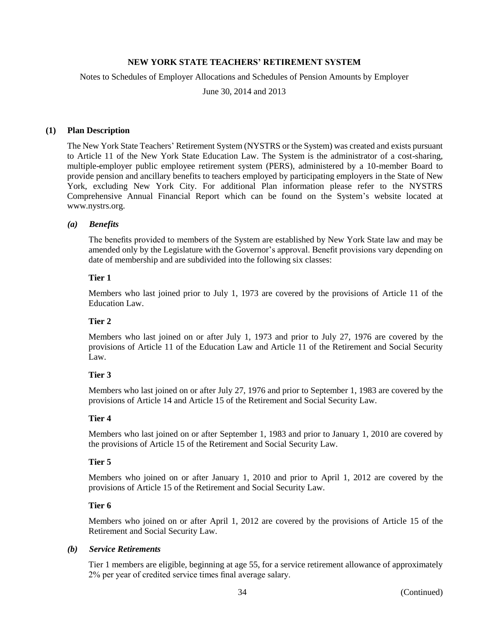Notes to Schedules of Employer Allocations and Schedules of Pension Amounts by Employer

June 30, 2014 and 2013

# **(1) Plan Description**

The New York State Teachers' Retirement System (NYSTRS or the System) was created and exists pursuant to Article 11 of the New York State Education Law. The System is the administrator of a cost-sharing, multiple-employer public employee retirement system (PERS), administered by a 10-member Board to provide pension and ancillary benefits to teachers employed by participating employers in the State of New York, excluding New York City. For additional Plan information please refer to the NYSTRS Comprehensive Annual Financial Report which can be found on the System's website located at www.nystrs.org.

# *(a) Benefits*

The benefits provided to members of the System are established by New York State law and may be amended only by the Legislature with the Governor's approval. Benefit provisions vary depending on date of membership and are subdivided into the following six classes:

# **Tier 1**

Members who last joined prior to July 1, 1973 are covered by the provisions of Article 11 of the Education Law.

# **Tier 2**

Members who last joined on or after July 1, 1973 and prior to July 27, 1976 are covered by the provisions of Article 11 of the Education Law and Article 11 of the Retirement and Social Security Law.

# **Tier 3**

Members who last joined on or after July 27, 1976 and prior to September 1, 1983 are covered by the provisions of Article 14 and Article 15 of the Retirement and Social Security Law.

# **Tier 4**

Members who last joined on or after September 1, 1983 and prior to January 1, 2010 are covered by the provisions of Article 15 of the Retirement and Social Security Law.

# **Tier 5**

Members who joined on or after January 1, 2010 and prior to April 1, 2012 are covered by the provisions of Article 15 of the Retirement and Social Security Law.

# **Tier 6**

Members who joined on or after April 1, 2012 are covered by the provisions of Article 15 of the Retirement and Social Security Law.

### *(b) Service Retirements*

Tier 1 members are eligible, beginning at age 55, for a service retirement allowance of approximately 2% per year of credited service times final average salary.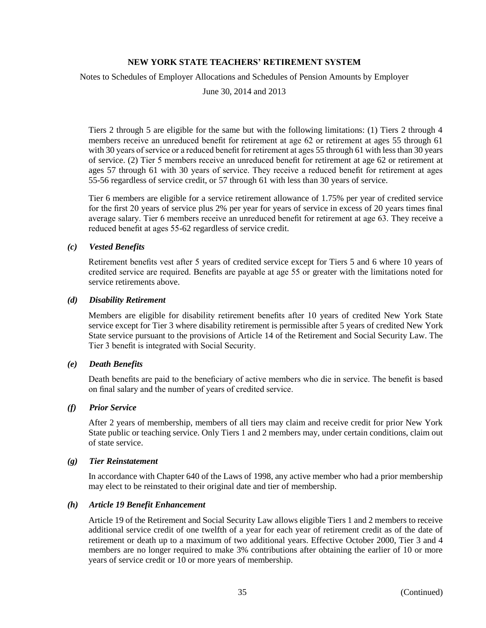Notes to Schedules of Employer Allocations and Schedules of Pension Amounts by Employer

June 30, 2014 and 2013

Tiers 2 through 5 are eligible for the same but with the following limitations: (1) Tiers 2 through 4 members receive an unreduced benefit for retirement at age 62 or retirement at ages 55 through 61 with 30 years of service or a reduced benefit for retirement at ages 55 through 61 with less than 30 years of service. (2) Tier 5 members receive an unreduced benefit for retirement at age 62 or retirement at ages 57 through 61 with 30 years of service. They receive a reduced benefit for retirement at ages 55-56 regardless of service credit, or 57 through 61 with less than 30 years of service.

Tier 6 members are eligible for a service retirement allowance of 1.75% per year of credited service for the first 20 years of service plus 2% per year for years of service in excess of 20 years times final average salary. Tier 6 members receive an unreduced benefit for retirement at age 63. They receive a reduced benefit at ages 55-62 regardless of service credit.

# *(c) Vested Benefits*

Retirement benefits vest after 5 years of credited service except for Tiers 5 and 6 where 10 years of credited service are required. Benefits are payable at age 55 or greater with the limitations noted for service retirements above.

### *(d) Disability Retirement*

Members are eligible for disability retirement benefits after 10 years of credited New York State service except for Tier 3 where disability retirement is permissible after 5 years of credited New York State service pursuant to the provisions of Article 14 of the Retirement and Social Security Law. The Tier 3 benefit is integrated with Social Security.

# *(e) Death Benefits*

Death benefits are paid to the beneficiary of active members who die in service. The benefit is based on final salary and the number of years of credited service.

# *(f) Prior Service*

After 2 years of membership, members of all tiers may claim and receive credit for prior New York State public or teaching service. Only Tiers 1 and 2 members may, under certain conditions, claim out of state service.

### *(g) Tier Reinstatement*

In accordance with Chapter 640 of the Laws of 1998, any active member who had a prior membership may elect to be reinstated to their original date and tier of membership.

### *(h) Article 19 Benefit Enhancement*

Article 19 of the Retirement and Social Security Law allows eligible Tiers 1 and 2 members to receive additional service credit of one twelfth of a year for each year of retirement credit as of the date of retirement or death up to a maximum of two additional years. Effective October 2000, Tier 3 and 4 members are no longer required to make 3% contributions after obtaining the earlier of 10 or more years of service credit or 10 or more years of membership.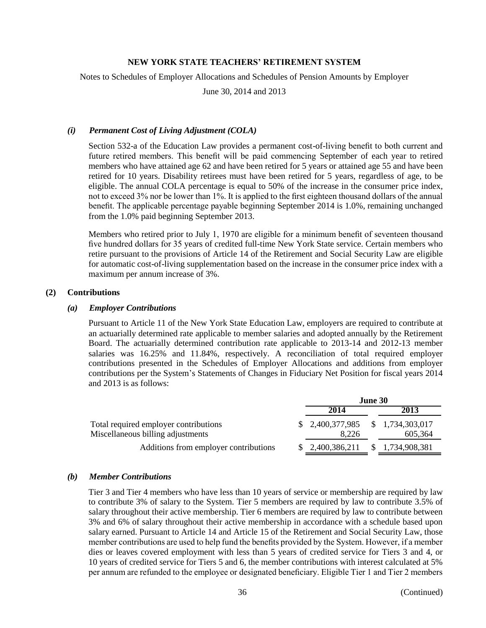Notes to Schedules of Employer Allocations and Schedules of Pension Amounts by Employer

June 30, 2014 and 2013

### *(i) Permanent Cost of Living Adjustment (COLA)*

Section 532-a of the Education Law provides a permanent cost-of-living benefit to both current and future retired members. This benefit will be paid commencing September of each year to retired members who have attained age 62 and have been retired for 5 years or attained age 55 and have been retired for 10 years. Disability retirees must have been retired for 5 years, regardless of age, to be eligible. The annual COLA percentage is equal to 50% of the increase in the consumer price index, not to exceed 3% nor be lower than 1%. It is applied to the first eighteen thousand dollars of the annual benefit. The applicable percentage payable beginning September 2014 is 1.0%, remaining unchanged from the 1.0% paid beginning September 2013.

Members who retired prior to July 1, 1970 are eligible for a minimum benefit of seventeen thousand five hundred dollars for 35 years of credited full-time New York State service. Certain members who retire pursuant to the provisions of Article 14 of the Retirement and Social Security Law are eligible for automatic cost-of-living supplementation based on the increase in the consumer price index with a maximum per annum increase of 3%.

# **(2) Contributions**

#### *(a) Employer Contributions*

Pursuant to Article 11 of the New York State Education Law, employers are required to contribute at an actuarially determined rate applicable to member salaries and adopted annually by the Retirement Board. The actuarially determined contribution rate applicable to 2013-14 and 2012-13 member salaries was 16.25% and 11.84%, respectively. A reconciliation of total required employer contributions presented in the Schedules of Employer Allocations and additions from employer contributions per the System's Statements of Changes in Fiduciary Net Position for fiscal years 2014 and 2013 is as follows:

|                                                                            |                                            | <b>June 30</b> |               |
|----------------------------------------------------------------------------|--------------------------------------------|----------------|---------------|
|                                                                            | 2014                                       |                | 2013          |
| Total required employer contributions<br>Miscellaneous billing adjustments | $$2,400,377,985$ $$1,734,303,017$<br>8.226 |                | 605.364       |
| Additions from employer contributions                                      | 2,400,386,211                              | S.             | 1,734,908,381 |

#### *(b) Member Contributions*

Tier 3 and Tier 4 members who have less than 10 years of service or membership are required by law to contribute 3% of salary to the System. Tier 5 members are required by law to contribute 3.5% of salary throughout their active membership. Tier 6 members are required by law to contribute between 3% and 6% of salary throughout their active membership in accordance with a schedule based upon salary earned. Pursuant to Article 14 and Article 15 of the Retirement and Social Security Law, those member contributions are used to help fund the benefits provided by the System. However, if a member dies or leaves covered employment with less than 5 years of credited service for Tiers 3 and 4, or 10 years of credited service for Tiers 5 and 6, the member contributions with interest calculated at 5% per annum are refunded to the employee or designated beneficiary. Eligible Tier 1 and Tier 2 members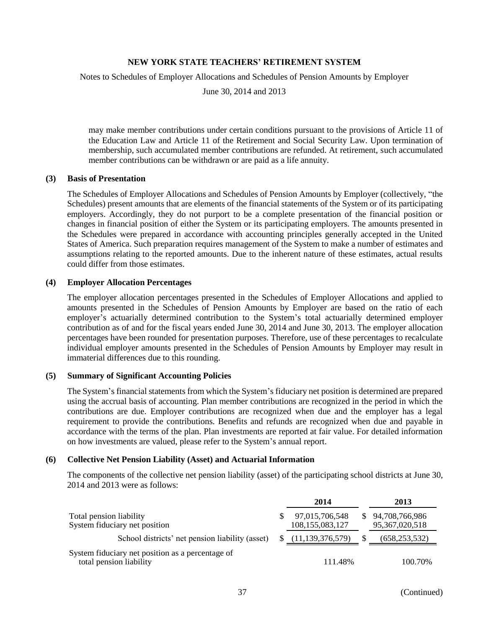Notes to Schedules of Employer Allocations and Schedules of Pension Amounts by Employer

June 30, 2014 and 2013

may make member contributions under certain conditions pursuant to the provisions of Article 11 of the Education Law and Article 11 of the Retirement and Social Security Law. Upon termination of membership, such accumulated member contributions are refunded. At retirement, such accumulated member contributions can be withdrawn or are paid as a life annuity.

# **(3) Basis of Presentation**

The Schedules of Employer Allocations and Schedules of Pension Amounts by Employer (collectively, "the Schedules) present amounts that are elements of the financial statements of the System or of its participating employers. Accordingly, they do not purport to be a complete presentation of the financial position or changes in financial position of either the System or its participating employers. The amounts presented in the Schedules were prepared in accordance with accounting principles generally accepted in the United States of America. Such preparation requires management of the System to make a number of estimates and assumptions relating to the reported amounts. Due to the inherent nature of these estimates, actual results could differ from those estimates.

#### **(4) Employer Allocation Percentages**

The employer allocation percentages presented in the Schedules of Employer Allocations and applied to amounts presented in the Schedules of Pension Amounts by Employer are based on the ratio of each employer's actuarially determined contribution to the System's total actuarially determined employer contribution as of and for the fiscal years ended June 30, 2014 and June 30, 2013. The employer allocation percentages have been rounded for presentation purposes. Therefore, use of these percentages to recalculate individual employer amounts presented in the Schedules of Pension Amounts by Employer may result in immaterial differences due to this rounding.

# **(5) Summary of Significant Accounting Policies**

The System's financial statements from which the System's fiduciary net position is determined are prepared using the accrual basis of accounting. Plan member contributions are recognized in the period in which the contributions are due. Employer contributions are recognized when due and the employer has a legal requirement to provide the contributions. Benefits and refunds are recognized when due and payable in accordance with the terms of the plan. Plan investments are reported at fair value. For detailed information on how investments are valued, please refer to the System's annual report.

### **(6) Collective Net Pension Liability (Asset) and Actuarial Information**

The components of the collective net pension liability (asset) of the participating school districts at June 30, 2014 and 2013 were as follows:

|                                                                             | 2014                              | 2013                                  |
|-----------------------------------------------------------------------------|-----------------------------------|---------------------------------------|
| Total pension liability<br>System fiduciary net position                    | 97,015,706,548<br>108,155,083,127 | \$94,708,766,986<br>95, 367, 020, 518 |
| School districts' net pension liability (asset)                             | \$(11,139,376,579)                | (658,253,532)                         |
| System fiduciary net position as a percentage of<br>total pension liability | 111.48%                           | 100.70%                               |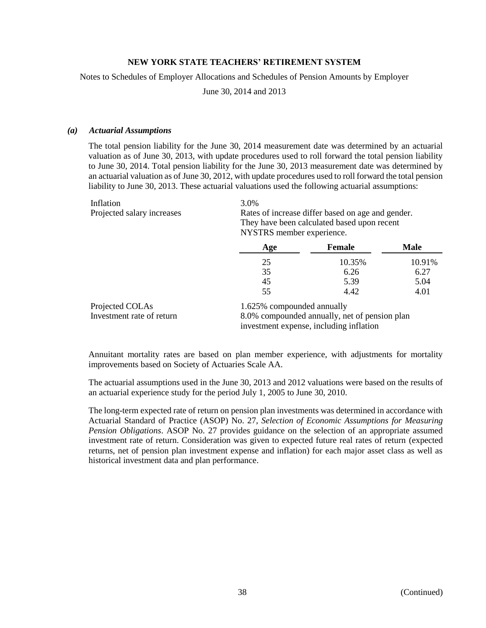Notes to Schedules of Employer Allocations and Schedules of Pension Amounts by Employer

June 30, 2014 and 2013

#### *(a) Actuarial Assumptions*

The total pension liability for the June 30, 2014 measurement date was determined by an actuarial valuation as of June 30, 2013, with update procedures used to roll forward the total pension liability to June 30, 2014. Total pension liability for the June 30, 2013 measurement date was determined by an actuarial valuation as of June 30, 2012, with update procedures used to roll forward the total pension liability to June 30, 2013. These actuarial valuations used the following actuarial assumptions:

| Inflation                  | 3.0%                                              |
|----------------------------|---------------------------------------------------|
| Projected salary increases | Rates of increase differ based on age and gender. |
|                            | They have been calculated based upon recent       |

|  | NYSTRS member experience. |
|--|---------------------------|
|  |                           |

|                           | Age                                                                         | <b>Female</b> | Male   |  |  |
|---------------------------|-----------------------------------------------------------------------------|---------------|--------|--|--|
|                           | 25                                                                          | 10.35%        | 10.91% |  |  |
|                           | 35                                                                          | 6.26          | 6.27   |  |  |
|                           | 45                                                                          | 5.39          | 5.04   |  |  |
|                           | 55                                                                          | 4.42          | 4.01   |  |  |
| Projected COLAs           | 1.625% compounded annually<br>8.0% compounded annually, net of pension plan |               |        |  |  |
| Investment rate of return |                                                                             |               |        |  |  |
|                           | investment expense, including inflation                                     |               |        |  |  |

Annuitant mortality rates are based on plan member experience, with adjustments for mortality improvements based on Society of Actuaries Scale AA.

The actuarial assumptions used in the June 30, 2013 and 2012 valuations were based on the results of an actuarial experience study for the period July 1, 2005 to June 30, 2010.

The long-term expected rate of return on pension plan investments was determined in accordance with Actuarial Standard of Practice (ASOP) No. 27, *Selection of Economic Assumptions for Measuring Pension Obligations*. ASOP No. 27 provides guidance on the selection of an appropriate assumed investment rate of return. Consideration was given to expected future real rates of return (expected returns, net of pension plan investment expense and inflation) for each major asset class as well as historical investment data and plan performance.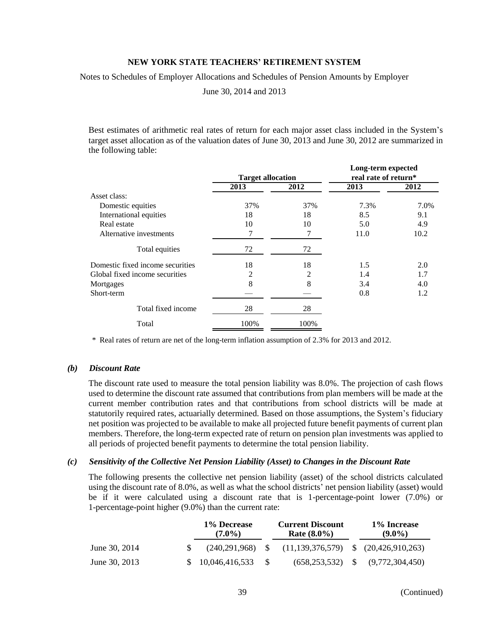Notes to Schedules of Employer Allocations and Schedules of Pension Amounts by Employer

June 30, 2014 and 2013

Best estimates of arithmetic real rates of return for each major asset class included in the System's target asset allocation as of the valuation dates of June 30, 2013 and June 30, 2012 are summarized in the following table:

|                                  |                          |      | Long-term expected   |      |  |  |
|----------------------------------|--------------------------|------|----------------------|------|--|--|
|                                  | <b>Target allocation</b> |      | real rate of return* |      |  |  |
|                                  | 2013                     | 2012 | 2013                 | 2012 |  |  |
| Asset class:                     |                          |      |                      |      |  |  |
| Domestic equities                | 37%                      | 37%  | 7.3%                 | 7.0% |  |  |
| International equities           | 18                       | 18   | 8.5                  | 9.1  |  |  |
| Real estate                      | 10                       | 10   | 5.0                  | 4.9  |  |  |
| Alternative investments          |                          |      | 11.0                 | 10.2 |  |  |
| Total equities                   | 72                       | 72   |                      |      |  |  |
| Domestic fixed income securities | 18                       | 18   | 1.5                  | 2.0  |  |  |
| Global fixed income securities   | 2                        | 2    | 1.4                  | 1.7  |  |  |
| Mortgages                        | 8                        | 8    | 3.4                  | 4.0  |  |  |
| Short-term                       |                          |      | 0.8                  | 1.2  |  |  |
| Total fixed income               | 28                       | 28   |                      |      |  |  |
| Total                            | 100%                     | 100% |                      |      |  |  |

\* Real rates of return are net of the long-term inflation assumption of 2.3% for 2013 and 2012.

### *(b) Discount Rate*

The discount rate used to measure the total pension liability was 8.0%. The projection of cash flows used to determine the discount rate assumed that contributions from plan members will be made at the current member contribution rates and that contributions from school districts will be made at statutorily required rates, actuarially determined. Based on those assumptions, the System's fiduciary net position was projected to be available to make all projected future benefit payments of current plan members. Therefore, the long-term expected rate of return on pension plan investments was applied to all periods of projected benefit payments to determine the total pension liability.

#### *(c) Sensitivity of the Collective Net Pension Liability (Asset) to Changes in the Discount Rate*

The following presents the collective net pension liability (asset) of the school districts calculated using the discount rate of 8.0%, as well as what the school districts' net pension liability (asset) would be if it were calculated using a discount rate that is 1-percentage-point lower (7.0%) or 1-percentage-point higher (9.0%) than the current rate:

|               | 1% Decrease<br>$(7.0\%)$ | <b>Current Discount</b><br><b>Rate</b> $(8.0\%)$ | 1% Increase<br>$(9.0\%)$                  |
|---------------|--------------------------|--------------------------------------------------|-------------------------------------------|
| June 30, 2014 | $(240.291.968)$ S        | $(11, 139, 376, 579)$ \$ $(20, 426, 910, 263)$   |                                           |
| June 30, 2013 | \$10,046,416,533         |                                                  | $(658, 253, 532)$ \$ $(9, 772, 304, 450)$ |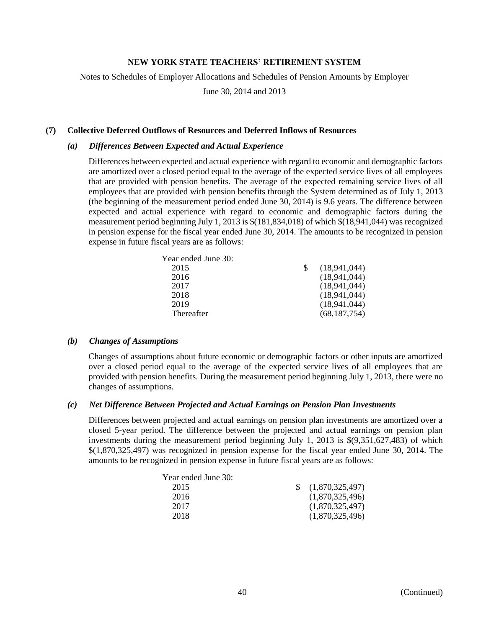Notes to Schedules of Employer Allocations and Schedules of Pension Amounts by Employer

June 30, 2014 and 2013

# **(7) Collective Deferred Outflows of Resources and Deferred Inflows of Resources**

#### *(a) Differences Between Expected and Actual Experience*

Differences between expected and actual experience with regard to economic and demographic factors are amortized over a closed period equal to the average of the expected service lives of all employees that are provided with pension benefits. The average of the expected remaining service lives of all employees that are provided with pension benefits through the System determined as of July 1, 2013 (the beginning of the measurement period ended June 30, 2014) is 9.6 years. The difference between expected and actual experience with regard to economic and demographic factors during the measurement period beginning July 1, 2013 is \$(181,834,018) of which \$(18,941,044) was recognized in pension expense for the fiscal year ended June 30, 2014. The amounts to be recognized in pension expense in future fiscal years are as follows:

| (18,941,044)   |
|----------------|
| (18,941,044)   |
| (18,941,044)   |
| (18,941,044)   |
| (18,941,044)   |
| (68, 187, 754) |
|                |

#### *(b) Changes of Assumptions*

Changes of assumptions about future economic or demographic factors or other inputs are amortized over a closed period equal to the average of the expected service lives of all employees that are provided with pension benefits. During the measurement period beginning July 1, 2013, there were no changes of assumptions.

#### *(c) Net Difference Between Projected and Actual Earnings on Pension Plan Investments*

Differences between projected and actual earnings on pension plan investments are amortized over a closed 5-year period. The difference between the projected and actual earnings on pension plan investments during the measurement period beginning July 1, 2013 is \$(9,351,627,483) of which \$(1,870,325,497) was recognized in pension expense for the fiscal year ended June 30, 2014. The amounts to be recognized in pension expense in future fiscal years are as follows:

| Year ended June 30: |                 |
|---------------------|-----------------|
| 2015                | (1,870,325,497) |
| 2016                | (1,870,325,496) |
| 2017                | (1,870,325,497) |
| 2018                | (1,870,325,496) |
|                     |                 |